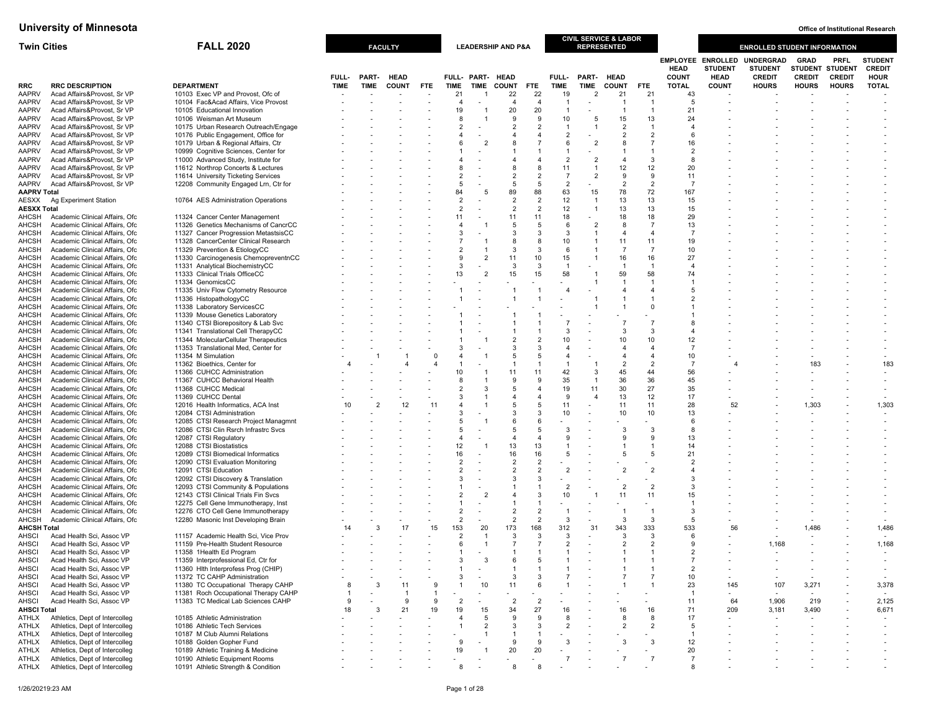| <b>Twin Cities</b>           |                                                                  | <b>FALL 2020</b>                                                           |             |                          | <b>FACULTY</b> |            |                                  |                          | <b>LEADERSHIP AND P&amp;A</b>    |                  |                                  | CIVIL SERVICE & LABOR<br><b>REPRESENTED</b> |                                  |                                       |                         |                          | <b>ENROLLED STUDENT INFORMATION</b> |                |                |                |
|------------------------------|------------------------------------------------------------------|----------------------------------------------------------------------------|-------------|--------------------------|----------------|------------|----------------------------------|--------------------------|----------------------------------|------------------|----------------------------------|---------------------------------------------|----------------------------------|---------------------------------------|-------------------------|--------------------------|-------------------------------------|----------------|----------------|----------------|
|                              |                                                                  |                                                                            |             |                          |                |            |                                  |                          |                                  |                  |                                  |                                             |                                  |                                       |                         | <b>EMPLOYEE ENROLLED</b> | UNDERGRAD                           | <b>GRAD</b>    | <b>PRFL</b>    | <b>STUDENT</b> |
|                              |                                                                  |                                                                            |             |                          |                |            |                                  |                          |                                  |                  |                                  |                                             |                                  |                                       | <b>HEAD</b>             | <b>STUDENT</b>           | <b>STUDENT</b>                      | <b>STUDENT</b> | <b>STUDENT</b> | <b>CREDIT</b>  |
|                              |                                                                  |                                                                            | FULL-       | PART-                    | <b>HEAD</b>    |            |                                  | FULL- PART-              | <b>HEAD</b>                      |                  | FULL-                            | PART- HEAD                                  |                                  |                                       | <b>COUNT</b>            | <b>HEAD</b>              | <b>CREDIT</b>                       | <b>CREDIT</b>  | <b>CREDIT</b>  | <b>HOUR</b>    |
| RRC<br><b>AAPRV</b>          | <b>RRC DESCRIPTION</b><br>Acad Affairs&Provost, Sr VP            | <b>DEPARTMENT</b><br>10103 Exec VP and Provost, Ofc of                     | <b>TIME</b> | <b>TIME</b>              | <b>COUNT</b>   | <b>FTE</b> | <b>TIME</b><br>21                | <b>TIME</b>              | <b>COUNT</b><br>22               | <b>FTE</b><br>22 | <b>TIME</b><br>19                | <b>TIME</b><br>$\overline{2}$               | <b>COUNT</b><br>21               | <b>FTE</b><br>21                      | <b>TOTAL</b><br>43      | <b>COUNT</b>             | <b>HOURS</b>                        | <b>HOURS</b>   | <b>HOURS</b>   | <b>TOTAL</b>   |
| <b>AAPRV</b>                 | Acad Affairs&Provost, Sr VP                                      | 10104 Fac&Acad Affairs, Vice Provost                                       |             |                          |                |            | $\overline{4}$                   | $\overline{\phantom{a}}$ | $\overline{4}$                   | 4                | $\overline{1}$                   |                                             | -1                               |                                       | 5                       |                          |                                     |                |                |                |
| <b>AAPRV</b>                 | Acad Affairs&Provost, Sr VP                                      | 10105 Educational Innovation                                               |             |                          |                |            | 19                               | r.                       | 20                               | 20               | $\overline{1}$                   |                                             | $\overline{1}$                   |                                       | 21                      |                          |                                     |                |                |                |
| <b>AAPRV</b>                 | Acad Affairs&Provost, Sr VP                                      | 10106 Weisman Art Museum                                                   |             |                          |                |            | 8                                |                          | 9                                | 9                | 10                               | 5                                           | 15                               | 13                                    | 24                      |                          |                                     |                |                |                |
| <b>AAPRV</b>                 | Acad Affairs&Provost, Sr VP                                      | 10175 Urban Research Outreach/Engage                                       |             |                          |                |            | $\overline{2}$                   |                          | $\overline{2}$                   | $\overline{2}$   | -1                               | -1                                          | $\overline{2}$                   |                                       |                         |                          |                                     |                |                |                |
| <b>AAPRV</b><br><b>AAPRV</b> | Acad Affairs&Provost, Sr VP<br>Acad Affairs&Provost, Sr VP       | 10176 Public Engagement, Office for<br>10179 Urban & Regional Affairs, Ctr |             |                          |                |            | $\overline{4}$                   | $\overline{2}$           | $\boldsymbol{\Delta}$<br>8       |                  | $\overline{2}$<br>6              | $\overline{2}$                              | $\overline{2}$<br>8              | $\overline{2}$                        | 6<br>16                 |                          |                                     |                |                |                |
| <b>AAPRV</b>                 | Acad Affairs&Provost, Sr VP                                      | 10999 Cognitive Sciences, Center for                                       |             |                          |                |            |                                  |                          |                                  |                  |                                  |                                             |                                  |                                       |                         |                          |                                     |                |                |                |
| <b>AAPRV</b>                 | Acad Affairs&Provost, Sr VP                                      | 11000 Advanced Study, Institute for                                        |             |                          |                |            |                                  |                          | $\boldsymbol{\Delta}$            |                  | $\overline{2}$                   | $\overline{2}$                              | $\overline{4}$                   | 3                                     |                         |                          |                                     |                |                |                |
| <b>AAPRV</b>                 | Acad Affairs&Provost, Sr VP                                      | 11612 Northrop Concerts & Lectures                                         |             |                          |                |            |                                  |                          | 8                                |                  | 11                               | -1                                          | 12                               | 12                                    | 20                      |                          |                                     |                |                |                |
| <b>AAPRV</b>                 | Acad Affairs&Provost, Sr VP                                      | 11614 University Ticketing Services                                        |             |                          |                |            | $\overline{2}$                   |                          | $\overline{2}$                   | $\overline{2}$   | $\overline{7}$                   | $\overline{2}$                              | 9                                | 9                                     | 11                      |                          |                                     |                |                |                |
| <b>AAPRV</b>                 | Acad Affairs&Provost, Sr VP                                      | 12208 Community Engaged Lrn, Ctr for                                       |             |                          |                |            | 5                                |                          | 5                                | 5                | $\overline{2}$                   |                                             | $\overline{2}$                   | $\overline{2}$                        | -7                      |                          |                                     |                |                |                |
| <b>AAPRV Total</b><br>AESXX  | Ag Experiment Station                                            | 10764 AES Administration Operations                                        |             |                          |                |            | 84<br>$\overline{2}$             | 5                        | 89<br>$\overline{2}$             | 88               | 63<br>12                         | 15<br>$\overline{1}$                        | 78<br>13                         | 72<br>13                              | 167<br>15               |                          |                                     |                |                |                |
| <b>AESXX Total</b>           |                                                                  |                                                                            |             |                          |                |            | $\overline{2}$                   |                          | $\overline{2}$                   | $\overline{2}$   | 12                               |                                             | 13                               | 13                                    | 15                      |                          |                                     |                |                |                |
| AHCSH                        | Academic Clinical Affairs, Ofc                                   | 11324 Cancer Center Management                                             |             |                          |                |            | 11                               |                          | 11                               | 11               | 18                               |                                             | 18                               | 18                                    | 29                      |                          |                                     |                |                |                |
| AHCSH                        | Academic Clinical Affairs, Ofc                                   | 11326 Genetics Mechanisms of CancrCC                                       |             |                          |                |            | $\overline{4}$                   |                          | 5                                | 5                | 6                                | $\overline{2}$                              | 8                                | $\overline{7}$                        | 13                      |                          |                                     |                |                |                |
| AHCSH                        | Academic Clinical Affairs, Ofc                                   | 11327 Cancer Progression MetastsisCC                                       |             |                          |                |            | -3                               |                          | 3                                | 3                | 3                                | $\overline{1}$                              | $\overline{4}$                   | $\overline{4}$                        |                         |                          |                                     |                |                |                |
| AHCSH                        | Academic Clinical Affairs, Ofc<br>Academic Clinical Affairs, Ofc | 11328 CancerCenter Clinical Research                                       |             |                          |                |            | $\overline{7}$<br>$\overline{2}$ |                          | 8<br>3                           | 8<br>3           | 10<br>-6                         |                                             | 11<br>$\overline{7}$             | 11<br>$\overline{7}$                  | 19<br>10                |                          |                                     |                |                |                |
| AHCSH<br>AHCSH               | Academic Clinical Affairs, Ofc                                   | 11329 Prevention & EtiologyCC<br>11330 Carcinogenesis ChemopreventnCC      |             |                          |                |            | 9                                | $\overline{2}$           | 11                               | 10               | 15                               |                                             | 16                               | 16                                    | 27                      |                          |                                     |                |                |                |
| <b>AHCSH</b>                 | Academic Clinical Affairs, Ofc                                   | 11331 Analytical BiochemistryCC                                            |             |                          |                |            | 3                                |                          | 3                                | $\mathcal{R}$    | $\overline{1}$                   |                                             | $\overline{1}$                   | $\overline{1}$                        | $\overline{\mathbf{r}}$ |                          |                                     |                |                |                |
| AHCSH                        | Academic Clinical Affairs, Ofc                                   | 11333 Clinical Trials OfficeCC                                             |             |                          |                |            | 13                               | $\overline{2}$           | 15                               | 15               | 58                               |                                             | 59                               | 58                                    | 74                      |                          |                                     |                |                |                |
| AHCSH                        | Academic Clinical Affairs, Ofc                                   | 11334 GenomicsCC                                                           |             |                          |                |            |                                  |                          |                                  |                  |                                  |                                             |                                  |                                       |                         |                          |                                     |                |                |                |
| AHCSH                        | Academic Clinical Affairs, Ofc                                   | 11335 Univ Flow Cytometry Resource                                         |             |                          |                |            |                                  |                          |                                  |                  |                                  |                                             |                                  |                                       |                         |                          |                                     |                |                |                |
| AHCSH<br>AHCSH               | Academic Clinical Affairs, Ofc<br>Academic Clinical Affairs, Ofc | 11336 HistopathologyCC<br>11338 Laboratory ServicesCC                      |             |                          |                |            |                                  |                          |                                  |                  |                                  |                                             |                                  |                                       |                         |                          |                                     |                |                |                |
| <b>AHCSH</b>                 | Academic Clinical Affairs, Ofc                                   | 11339 Mouse Genetics Laboratory                                            |             |                          |                |            |                                  |                          |                                  |                  |                                  |                                             |                                  |                                       |                         |                          |                                     |                |                |                |
| AHCSH                        | Academic Clinical Affairs, Ofc                                   | 11340 CTSI Biorepository & Lab Svc                                         |             |                          |                |            |                                  |                          |                                  |                  |                                  |                                             |                                  | $\overline{7}$                        |                         |                          |                                     |                |                |                |
| AHCSH                        | Academic Clinical Affairs, Ofc                                   | 11341 Translational Cell TherapyCC                                         |             |                          |                |            |                                  |                          |                                  |                  | 3                                |                                             | 3                                | 3                                     |                         |                          |                                     |                |                |                |
| AHCSH                        | Academic Clinical Affairs, Ofc                                   | 11344 MolecularCellular Therapeutics                                       |             |                          |                |            |                                  |                          | $\overline{\phantom{a}}$         |                  | 10                               |                                             | 10                               | 10                                    | 12                      |                          |                                     |                |                |                |
| AHCSH                        | Academic Clinical Affairs, Ofc                                   | 11353 Translational Med, Center for                                        |             |                          |                |            |                                  |                          | 3                                |                  | $\overline{4}$<br>$\overline{4}$ |                                             | 4                                | $\overline{\bf{4}}$<br>$\overline{4}$ |                         |                          |                                     |                |                |                |
| AHCSH<br>AHCSH               | Academic Clinical Affairs, Ofc<br>Academic Clinical Affairs, Ofc | 11354 M Simulation<br>11362 Bioethics, Center for                          |             |                          |                | $\Omega$   |                                  |                          | 5<br>$\overline{1}$              |                  | $\overline{1}$                   |                                             | $\overline{4}$<br>$\overline{2}$ | $\overline{2}$                        | 10                      |                          |                                     | 183            |                | 183            |
| AHCSH                        | Academic Clinical Affairs, Ofc                                   | 11366 CUHCC Administration                                                 |             |                          |                |            | 10                               |                          | 11                               | 11               | 42                               | 3                                           | 45                               | 44                                    | 56                      |                          |                                     |                |                |                |
| AHCSH                        | Academic Clinical Affairs, Ofc                                   | 11367 CUHCC Behavioral Health                                              |             |                          |                |            | 8                                |                          | 9                                | 9                | 35                               | $\overline{1}$                              | 36                               | 36                                    | 45                      |                          |                                     |                |                |                |
| AHCSH                        | Academic Clinical Affairs, Ofc                                   | 11368 CUHCC Medical                                                        |             |                          |                |            | $\overline{2}$                   | 3                        | 5                                |                  | 19                               | 11                                          | 30                               | 27                                    | 35                      |                          |                                     |                |                |                |
| AHCSH                        | Academic Clinical Affairs, Ofc                                   | 11369 CUHCC Dental                                                         |             |                          |                |            | 3                                |                          | $\overline{4}$                   |                  | 9                                | $\overline{a}$                              | 13                               | 12                                    | 17                      |                          |                                     |                |                |                |
| AHCSH<br>AHCSH               | Academic Clinical Affairs, Ofc<br>Academic Clinical Affairs, Ofc | 12016 Health Informatics, ACA Inst<br>12084 CTSI Administration            | 10          | $\overline{\phantom{a}}$ | 12             | 11         | 3                                |                          | 5<br>3                           |                  | 11<br>10                         |                                             | 11<br>10                         | 11<br>10                              | 28<br>13                | 52                       |                                     | 1,303          |                | 1,303          |
| <b>AHCSH</b>                 | Academic Clinical Affairs, Ofc                                   | 12085 CTSI Research Project Managmnt                                       |             |                          |                |            | 5                                |                          | 6                                |                  |                                  |                                             |                                  |                                       | 6                       |                          |                                     |                |                |                |
| AHCSH                        | Academic Clinical Affairs, Ofc                                   | 12086 CTSI Clin Rsrch Infrastrc Svcs                                       |             |                          |                |            | 5                                |                          | 5                                | 5                | 3                                |                                             | 3                                | 3                                     | 8                       |                          |                                     |                |                |                |
| AHCSH                        | Academic Clinical Affairs, Ofc                                   | 12087 CTSI Regulatory                                                      |             |                          |                |            | $\overline{4}$                   |                          | $\overline{4}$                   | 4                | 9                                |                                             | 9                                | 9                                     | 13                      |                          |                                     |                |                |                |
| AHCSH                        | Academic Clinical Affairs, Ofc                                   | 12088 CTSI Biostatistics                                                   |             |                          |                |            | 12                               |                          | 13                               | 13               | -1                               |                                             |                                  |                                       | 14                      |                          |                                     |                |                |                |
| AHCSH                        | Academic Clinical Affairs, Ofc                                   | 12089 CTSI Biomedical Informatics                                          |             |                          |                |            | 16<br>$\overline{2}$             |                          | 16<br>$\overline{2}$             | 16               | 5                                |                                             | 5                                | 5                                     | 21                      |                          |                                     |                |                |                |
| AHCSH<br>AHCSH               | Academic Clinical Affairs, Ofc<br>Academic Clinical Affairs, Ofc | 12090 CTSI Evaluation Monitoring<br>12091 CTSI Education                   |             |                          |                |            |                                  |                          | $\overline{\phantom{a}}$         |                  | $\overline{2}$                   |                                             | $\overline{2}$                   | $\overline{2}$                        |                         |                          |                                     |                |                |                |
| AHCSH                        | Academic Clinical Affairs, Ofc                                   | 12092 CTSI Discovery & Translation                                         |             |                          |                |            |                                  |                          | 3                                |                  |                                  |                                             |                                  |                                       |                         |                          |                                     |                |                |                |
| AHCSH                        | Academic Clinical Affairs, Ofc                                   | 12093 CTSI Community & Populations                                         |             |                          |                |            |                                  |                          |                                  |                  | $\overline{2}$                   |                                             | $\overline{2}$                   | $\overline{2}$                        | 3                       |                          |                                     |                |                |                |
| AHCSH                        | Academic Clinical Affairs, Ofc                                   | 12143 CTSI Clinical Trials Fin Svcs                                        |             |                          |                |            | $\overline{\phantom{a}}$         |                          |                                  |                  | 10                               |                                             | 11                               | 11                                    | 15                      |                          |                                     |                |                |                |
| AHCSH                        | Academic Clinical Affairs, Ofc                                   | 12275 Cell Gene Immunotherapy, Inst                                        |             |                          |                |            |                                  |                          |                                  |                  |                                  |                                             |                                  |                                       |                         |                          |                                     |                |                |                |
| AHCSH<br>AHCSH               | Academic Clinical Affairs, Ofc<br>Academic Clinical Affairs, Ofc | 12276 CTO Cell Gene Immunotherapy<br>12280 Masonic Inst Developing Brain   |             |                          |                |            | $\overline{2}$<br>$\overline{2}$ |                          | $\overline{2}$<br>$\overline{2}$ | $\overline{2}$   | -1<br>3                          |                                             | 3                                | 3                                     | 5                       |                          |                                     |                |                |                |
| <b>AHCSH Total</b>           |                                                                  |                                                                            |             | 3                        | 17             | 15         | 153                              | 20                       | 173                              | 168              | 312                              | 31                                          | 343                              | 333                                   | 533                     | 56                       |                                     | 1,486          |                | 1,486          |
| AHSCI                        | Acad Health Sci, Assoc VP                                        | 11157 Academic Health Sci, Vice Prov                                       |             |                          |                |            | $\overline{2}$                   |                          | 3                                | 3                | 3                                |                                             | 3                                | 3                                     | 6                       |                          |                                     |                |                |                |
| AHSCI                        | Acad Health Sci, Assoc VP                                        | 11159 Pre-Health Student Resource                                          |             |                          |                |            | 6                                |                          | $\overline{7}$                   |                  | $\overline{2}$                   |                                             | 2                                | $\overline{2}$                        | g                       |                          | 1,168                               |                |                | 1,168          |
| AHSCI                        | Acad Health Sci, Assoc VP                                        | 11358 1Health Ed Program                                                   |             |                          |                |            |                                  |                          |                                  |                  |                                  |                                             |                                  |                                       |                         |                          |                                     |                |                |                |
| AHSCI                        | Acad Health Sci, Assoc VP                                        | 11359 Interprofessional Ed, Ctr for                                        |             |                          |                |            | 3                                | 3                        | 6                                |                  |                                  |                                             |                                  |                                       |                         |                          |                                     |                |                |                |
| <b>AHSCI</b><br><b>AHSCI</b> | Acad Health Sci, Assoc VP<br>Acad Health Sci, Assoc VP           | 11360 Hith Interprofess Prog (CHIP)<br>11372 TC CAHP Administration        |             |                          |                |            | 3                                |                          | 3                                |                  |                                  |                                             |                                  |                                       | $\overline{2}$<br>10    |                          |                                     |                |                |                |
| <b>AHSCI</b>                 | Acad Health Sci, Assoc VP                                        | 11380 TC Occupational Therapy CAHP                                         |             | 3                        | 11             | 9          | -1                               | 10                       | 11                               | -6               |                                  |                                             |                                  |                                       | 23                      | 145                      | 107                                 | 3,271          |                | 3,378          |
| AHSCI                        | Acad Health Sci, Assoc VP                                        | 11381 Roch Occupational Therapy CAHP                                       |             |                          |                | -1         |                                  |                          |                                  |                  |                                  |                                             |                                  |                                       | -1                      |                          |                                     |                |                |                |
| <b>AHSCI</b>                 | Acad Health Sci, Assoc VP                                        | 11383 TC Medical Lab Sciences CAHP                                         |             |                          |                | 9          | $\overline{2}$                   |                          | $\overline{2}$                   | 2                |                                  |                                             |                                  |                                       | 11                      | 64                       | 1,906                               | 219            |                | 2,125          |
| <b>AHSCI Total</b>           |                                                                  |                                                                            | 18          | 3                        | 21             | 19         | 19                               | 15                       | 34                               | 27               | 16                               |                                             | 16                               | 16                                    | 71                      | 209                      | 3,181                               | 3,490          |                | 6,671          |
| ATHLX<br><b>ATHLX</b>        | Athletics, Dept of Intercolleg<br>Athletics, Dept of Intercolleg | 10185 Athletic Administration<br>10186 Athletic Tech Services              |             |                          |                |            | $\overline{4}$<br>-1             | 5<br>$\overline{2}$      | 9<br>3                           | .g<br>3          | 8<br>$\overline{2}$              |                                             | 8<br>$\overline{2}$              | 8<br>$\overline{2}$                   | 17<br>5                 |                          |                                     |                |                |                |
| <b>ATHLX</b>                 | Athletics, Dept of Intercolleg                                   | 10187 M Club Alumni Relations                                              |             |                          |                |            |                                  |                          | $\overline{1}$                   |                  |                                  |                                             |                                  |                                       |                         |                          |                                     |                |                |                |
| <b>ATHLX</b>                 | Athletics, Dept of Intercolleg                                   | 10188 Golden Gopher Fund                                                   |             |                          |                |            | 9                                |                          | 9                                | 9                | 3                                |                                             | 3                                | 3                                     | 12                      |                          |                                     |                |                |                |
| ATHLX                        | Athletics, Dept of Intercolleg                                   | 10189 Athletic Training & Medicine                                         |             |                          |                |            | 19                               |                          | 20                               | 20               |                                  |                                             |                                  |                                       | 20                      |                          |                                     |                |                |                |
| ATHLX                        | Athletics, Dept of Intercolleg                                   | 10190 Athletic Equipment Rooms                                             |             |                          |                |            |                                  |                          |                                  |                  |                                  |                                             |                                  |                                       | $\overline{7}$          |                          |                                     |                |                |                |
| ATHLX                        | Athletics, Dept of Intercolleg                                   | 10191 Athletic Strength & Condition                                        |             |                          |                |            | 8                                |                          | 8                                |                  |                                  |                                             |                                  |                                       |                         |                          |                                     |                |                |                |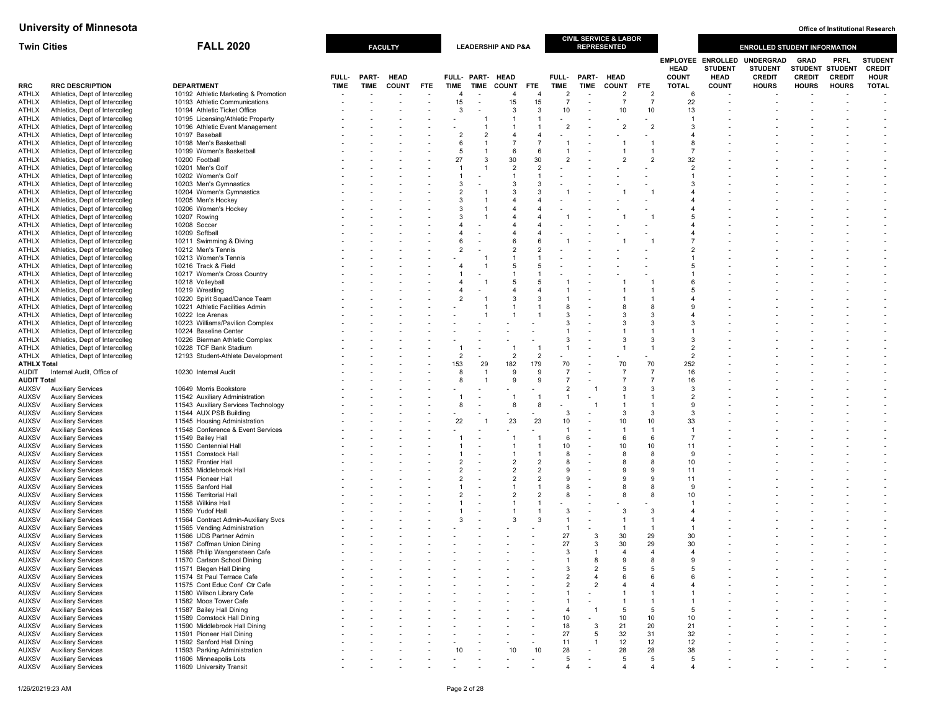| <b>Twin Cities</b>           |                                                                  | <b>FALL 2020</b>                                                  |             |             | <b>FACULTY</b> |            |                       |                          | <b>LEADERSHIP AND P&amp;A</b> |                       |                      |                | CIVIL SERVICE & LABOR<br><b>REPRESENTED</b> |                      |                              |                                                           | <b>ENROLLED STUDENT INFORMATION</b>                 |                                                 |                       |                                               |
|------------------------------|------------------------------------------------------------------|-------------------------------------------------------------------|-------------|-------------|----------------|------------|-----------------------|--------------------------|-------------------------------|-----------------------|----------------------|----------------|---------------------------------------------|----------------------|------------------------------|-----------------------------------------------------------|-----------------------------------------------------|-------------------------------------------------|-----------------------|-----------------------------------------------|
|                              |                                                                  |                                                                   | FULL-       | PART-       | <b>HEAD</b>    |            |                       | FULL- PART- HEAD         |                               |                       | FULL-                | PART-          | <b>HEAD</b>                                 |                      | <b>HEAD</b><br><b>COUNT</b>  | <b>EMPLOYEE ENROLLED</b><br><b>STUDENT</b><br><b>HEAD</b> | <b>UNDERGRAD</b><br><b>STUDENT</b><br><b>CREDIT</b> | <b>GRAD</b><br>STUDENT STUDENT<br><b>CREDIT</b> | PRFL<br><b>CREDIT</b> | <b>STUDEN</b><br><b>CREDIT</b><br><b>HOUR</b> |
| <b>RRC</b>                   | <b>RRC DESCRIPTION</b>                                           | <b>DEPARTMENT</b>                                                 | <b>TIME</b> | <b>TIME</b> | <b>COUNT</b>   | <b>FTE</b> | <b>TIME</b>           | <b>TIME</b>              | <b>COUNT</b>                  | <b>FTE</b>            | TIME                 | TIME           | <b>COUNT</b>                                | <b>FTE</b>           | <b>TOTAL</b>                 | <b>COUNT</b>                                              | <b>HOURS</b>                                        | <b>HOURS</b>                                    | <b>HOURS</b>          | <b>TOTAL</b>                                  |
| ATHLX                        | Athletics, Dept of Intercolleg                                   | 10192 Athletic Marketing & Promotion                              |             |             |                |            | 4                     |                          | 4                             | $\overline{4}$        | $\overline{2}$       |                | $\overline{2}$                              | $\overline{2}$       | 6                            |                                                           |                                                     |                                                 |                       |                                               |
| ATHLX                        | Athletics, Dept of Intercolleg                                   | 10193 Athletic Communications                                     |             |             |                |            | 15                    | $\overline{\phantom{a}}$ | 15                            | 15                    | $\overline{7}$       |                | 7                                           | $\overline{7}$       | 22                           |                                                           |                                                     |                                                 |                       |                                               |
| ATHLX<br>ATHLX               | Athletics, Dept of Intercolleg<br>Athletics, Dept of Intercolleg | 10194 Athletic Ticket Office<br>10195 Licensing/Athletic Property |             |             |                |            | 3                     |                          | 3<br>1                        | 3                     | 10                   |                | 10                                          | 10                   | 13                           |                                                           |                                                     |                                                 |                       |                                               |
| ATHLX                        | Athletics, Dept of Intercolleg                                   | 10196 Athletic Event Management                                   |             |             |                |            |                       |                          | 1                             |                       | $\overline{2}$       |                | $\overline{2}$                              | $\overline{2}$       | -3                           |                                                           |                                                     |                                                 |                       |                                               |
| ATHLX                        | Athletics, Dept of Intercolleg                                   | 10197 Baseball                                                    |             |             |                |            | $\overline{2}$        | $\mathcal{P}$            | $\overline{\mathbf{A}}$       | $\overline{4}$        |                      |                |                                             |                      | $\overline{4}$               |                                                           |                                                     |                                                 |                       |                                               |
| ATHLX                        | Athletics, Dept of Intercolleg                                   | 10198 Men's Basketball                                            |             |             |                |            | 6                     |                          | $\overline{7}$                | $\overline{7}$        |                      |                |                                             |                      | 8                            |                                                           |                                                     |                                                 |                       |                                               |
| ATHLX                        | Athletics, Dept of Intercolleg                                   | 10199 Women's Basketball                                          |             |             |                |            | 5                     |                          | 6                             | 6                     |                      |                |                                             |                      | $\overline{7}$               |                                                           |                                                     |                                                 |                       |                                               |
| ATHLX                        | Athletics, Dept of Intercolleg                                   | 10200 Football                                                    |             |             |                |            | 27                    | $\mathcal{R}$            | 30<br>$\overline{2}$          | 30<br>$\overline{2}$  | $\overline{2}$       |                | $\overline{2}$                              | 2                    | 32<br>$\overline{2}$         |                                                           |                                                     |                                                 |                       |                                               |
| ATHLX<br>ATHLX               | Athletics, Dept of Intercolleg<br>Athletics, Dept of Intercolleg | 10201 Men's Golf<br>10202 Women's Golf                            |             |             |                |            |                       |                          | $\mathbf{1}$                  | $\overline{1}$        |                      |                |                                             |                      | $\overline{1}$               |                                                           |                                                     |                                                 |                       |                                               |
| ATHLX                        | Athletics, Dept of Intercolleg                                   | 10203 Men's Gymnastics                                            |             |             |                |            | 3                     |                          | $\mathbf{3}$                  | -3                    |                      |                |                                             |                      | 3                            |                                                           |                                                     |                                                 |                       |                                               |
| ATHLX                        | Athletics, Dept of Intercolleg                                   | 10204 Women's Gymnastics                                          |             |             |                |            | $\overline{2}$        |                          | 3                             | 3                     |                      |                |                                             |                      | $\overline{a}$               |                                                           |                                                     |                                                 |                       |                                               |
| ATHLX                        | Athletics, Dept of Intercolleg                                   | 10205 Men's Hockey                                                |             |             |                |            | 3                     |                          |                               |                       |                      |                |                                             |                      |                              |                                                           |                                                     |                                                 |                       |                                               |
| ATHLX<br>ATHLX               | Athletics, Dept of Intercolleg                                   | 10206 Women's Hockey<br>10207 Rowing                              |             |             |                |            | 3<br>3                |                          | 4                             | $\overline{4}$        |                      |                |                                             |                      | $\overline{4}$<br>$\sqrt{5}$ |                                                           |                                                     |                                                 |                       |                                               |
| ATHLX                        | Athletics, Dept of Intercolleg<br>Athletics, Dept of Intercolleg | 10208 Soccer                                                      |             |             |                |            |                       |                          |                               |                       |                      |                |                                             |                      | $\overline{4}$               |                                                           |                                                     |                                                 |                       |                                               |
| ATHLX                        | Athletics, Dept of Intercolleg                                   | 10209 Softball                                                    |             |             |                |            | 4                     |                          | 4                             | 4                     |                      |                |                                             |                      | $\overline{4}$               |                                                           |                                                     |                                                 |                       |                                               |
| ATHLX                        | Athletics, Dept of Intercolleg                                   | 10211 Swimming & Diving                                           |             |             |                |            | 6                     |                          | 6                             | 6                     |                      |                |                                             |                      |                              |                                                           |                                                     |                                                 |                       |                                               |
| ATHLX                        | Athletics, Dept of Intercolleg                                   | 10212 Men's Tennis                                                |             |             |                |            | $\overline{2}$        |                          | $\overline{2}$                |                       |                      |                |                                             |                      |                              |                                                           |                                                     |                                                 |                       |                                               |
| ATHLX                        | Athletics, Dept of Intercolleg                                   | 10213 Women's Tennis                                              |             |             |                |            |                       |                          | 1<br>5                        | 5                     |                      |                |                                             |                      | $\sqrt{5}$                   |                                                           |                                                     |                                                 |                       |                                               |
| ATHLX<br>ATHLX               | Athletics, Dept of Intercolleg<br>Athletics, Dept of Intercolleg | 10216 Track & Field<br>10217 Women's Cross Country                |             |             |                |            |                       |                          |                               |                       |                      |                |                                             |                      |                              |                                                           |                                                     |                                                 |                       |                                               |
| ATHLX                        | Athletics, Dept of Intercolleg                                   | 10218 Volleyball                                                  |             |             |                |            | 4                     |                          | 5                             | -5                    |                      |                |                                             |                      | 6                            |                                                           |                                                     |                                                 |                       |                                               |
| ATHLX                        | Athletics, Dept of Intercolleg                                   | 10219 Wrestling                                                   |             |             |                |            |                       |                          | $\overline{\mathbf{A}}$       | $\overline{4}$        |                      |                |                                             |                      | 5                            |                                                           |                                                     |                                                 |                       |                                               |
| ATHLX                        | Athletics, Dept of Intercolleg                                   | 10220 Spirit Squad/Dance Team                                     |             |             |                |            | $\overline{2}$        |                          | 3                             | 3                     |                      |                |                                             |                      |                              |                                                           |                                                     |                                                 |                       |                                               |
| ATHLX                        | Athletics, Dept of Intercolleg                                   | 10221 Athletic Facilities Admin                                   |             |             |                |            |                       |                          |                               |                       | 8<br>3               |                |                                             | 8<br>3               | 9                            |                                                           |                                                     |                                                 |                       |                                               |
| ATHLX<br>ATHLX               | Athletics, Dept of Intercolleg<br>Athletics, Dept of Intercolleg | 10222 Ice Arenas<br>10223 Williams/Pavilion Complex               |             |             |                |            |                       |                          |                               |                       | 3                    |                |                                             | 3                    |                              |                                                           |                                                     |                                                 |                       |                                               |
| ATHLX                        | Athletics, Dept of Intercolleg                                   | 10224 Baseline Center                                             |             |             |                |            |                       |                          |                               |                       |                      |                |                                             |                      |                              |                                                           |                                                     |                                                 |                       |                                               |
| ATHLX                        | Athletics, Dept of Intercolleg                                   | 10226 Bierman Athletic Complex                                    |             |             |                |            |                       |                          |                               |                       | 3                    |                |                                             | 3                    | -3                           |                                                           |                                                     |                                                 |                       |                                               |
| ATHLX                        | Athletics, Dept of Intercolleg                                   | 10228 TCF Bank Stadium                                            |             |             |                |            |                       |                          |                               |                       |                      |                |                                             | -1                   | $\overline{2}$               |                                                           |                                                     |                                                 |                       |                                               |
| ATHLX<br><b>ATHLX Total</b>  | Athletics, Dept of Intercolleg                                   | 12193 Student-Athlete Development                                 |             |             |                |            | $\overline{2}$<br>153 | 29                       | $\overline{2}$<br>182         | $\overline{2}$<br>179 | 70                   |                | 70                                          | 70                   | $\overline{2}$<br>252        |                                                           |                                                     |                                                 |                       |                                               |
| <b>AUDIT</b>                 | Internal Audit, Office of                                        | 10230 Internal Audit                                              |             |             |                |            | 8                     |                          | 9                             | 9                     | $\overline{7}$       |                | $\overline{7}$                              | $\overline{7}$       | 16                           |                                                           |                                                     |                                                 |                       |                                               |
| <b>AUDIT Total</b>           |                                                                  |                                                                   |             |             |                |            | 8                     |                          | 9                             | 9                     | $\overline{7}$       |                |                                             | $\overline{7}$       | 16                           |                                                           |                                                     |                                                 |                       |                                               |
| AUXSV                        | <b>Auxiliary Services</b>                                        | 10649 Morris Bookstore                                            |             |             |                |            |                       |                          |                               |                       | $\overline{2}$       |                | 3                                           | 3                    | -3                           |                                                           |                                                     |                                                 |                       |                                               |
| <b>AUXSV</b>                 | <b>Auxiliary Services</b>                                        | 11542 Auxiliary Administration                                    |             |             |                |            |                       |                          |                               |                       | -1                   |                |                                             |                      | $\overline{2}$               |                                                           |                                                     |                                                 |                       |                                               |
| <b>AUXSV</b><br><b>AUXSV</b> | <b>Auxiliary Services</b><br><b>Auxiliary Services</b>           | 11543 Auxiliary Services Technology<br>11544 AUX PSB Building     |             |             |                |            | 8                     |                          | 8                             | -8                    | 3                    |                | 3                                           | 3                    | 9<br>3                       |                                                           |                                                     |                                                 |                       |                                               |
| <b>AUXSV</b>                 | <b>Auxiliary Services</b>                                        | 11545 Housing Administration                                      |             |             |                |            | 22                    |                          | 23                            | 23                    | 10                   |                | 10                                          | 10                   | 33                           |                                                           |                                                     |                                                 |                       |                                               |
| <b>AUXSV</b>                 | <b>Auxiliary Services</b>                                        | 11548 Conference & Event Services                                 |             |             |                |            |                       |                          |                               |                       | $\mathbf{1}$         |                |                                             | $\overline{1}$       | $\overline{1}$               |                                                           |                                                     |                                                 |                       |                                               |
| AUXSV                        | <b>Auxiliary Services</b>                                        | 11549 Bailey Hall                                                 |             |             |                |            |                       |                          |                               |                       | 6                    |                | 6                                           | 6                    | -7                           |                                                           |                                                     |                                                 |                       |                                               |
| <b>AUXSV</b>                 | <b>Auxiliary Services</b>                                        | 11550 Centennial Hall                                             |             |             |                |            |                       |                          |                               |                       | 10                   |                | 10                                          | 10                   | 11                           |                                                           |                                                     |                                                 |                       |                                               |
| <b>AUXSV</b><br>AUXSV        | <b>Auxiliary Services</b><br><b>Auxiliary Services</b>           | 11551 Comstock Hall<br>11552 Frontier Hall                        |             |             |                |            | $\overline{2}$        |                          | 1<br>$\overline{2}$           | $\overline{2}$        | 8<br>8               |                | 8                                           | 8<br>8               | 9<br>10                      |                                                           |                                                     |                                                 |                       |                                               |
| <b>AUXSV</b>                 | <b>Auxiliary Services</b>                                        | 11553 Middlebrook Hall                                            |             |             |                |            | $\mathfrak{p}$        |                          | $\overline{2}$                | $\overline{2}$        | $\mathbf{Q}$         |                | <b>q</b>                                    | $\mathbf{Q}$         | 11                           |                                                           |                                                     |                                                 |                       |                                               |
| <b>AUXSV</b>                 | <b>Auxiliary Services</b>                                        | 11554 Pioneer Hall                                                |             |             |                |            | $\overline{2}$        |                          | $\overline{2}$                | $\overline{2}$        | 9                    |                |                                             | g                    | 11                           |                                                           |                                                     |                                                 |                       |                                               |
| <b>AUXSV</b>                 | <b>Auxiliary Services</b>                                        | 11555 Sanford Hall                                                |             |             |                |            |                       |                          | 1                             |                       | 8                    |                |                                             | 8                    | 9                            |                                                           |                                                     |                                                 |                       |                                               |
| <b>AUXSV</b>                 | <b>Auxiliary Services</b>                                        | 11556 Territorial Hall                                            |             |             |                |            |                       |                          | $\overline{2}$                | $\overline{2}$        | 8                    |                |                                             | 8                    | 10                           |                                                           |                                                     |                                                 |                       |                                               |
| <b>AUXSV</b><br><b>AUXSV</b> | <b>Auxiliary Services</b><br><b>Auxiliary Services</b>           | 11558 Wilkins Hall<br>11559 Yudof Hall                            |             |             |                |            |                       |                          |                               |                       | 3                    |                | 3                                           | 3                    | $\overline{4}$               |                                                           |                                                     |                                                 |                       |                                               |
| <b>AUXSV</b>                 | <b>Auxiliary Services</b>                                        | 11564 Contract Admin-Auxiliary Svcs                               |             |             |                |            | 3                     |                          | 3                             | -3                    | $\mathbf{1}$         |                |                                             | -1                   | $\overline{4}$               |                                                           |                                                     |                                                 |                       |                                               |
| <b>AUXSV</b>                 | <b>Auxiliary Services</b>                                        | 11565 Vending Administration                                      |             |             |                |            |                       |                          |                               |                       | $\mathbf{1}$         |                |                                             | $\overline{1}$       |                              |                                                           |                                                     |                                                 |                       |                                               |
| <b>AUXSV</b>                 | <b>Auxiliary Services</b>                                        | 11566 UDS Partner Admin                                           |             |             |                |            |                       |                          |                               |                       | 27                   | 3              | 30                                          | 29                   | 30                           |                                                           |                                                     |                                                 |                       |                                               |
| <b>AUXSV</b><br><b>AUXSV</b> | <b>Auxiliary Services</b><br><b>Auxiliary Services</b>           | 11567 Coffman Union Dining<br>11568 Philip Wangensteen Cafe       |             |             |                |            |                       |                          |                               |                       | 27<br>3              | 3              | 30<br>$\boldsymbol{\Delta}$                 | 29<br>$\overline{4}$ | 30<br>$\overline{4}$         |                                                           |                                                     |                                                 |                       |                                               |
| <b>AUXSV</b>                 | <b>Auxiliary Services</b>                                        | 11570 Carlson School Dining                                       |             |             |                |            |                       |                          |                               |                       | $\overline{1}$       | 8              | $\alpha$                                    | 8                    | q                            |                                                           |                                                     |                                                 |                       |                                               |
| AUXSV                        | <b>Auxiliary Services</b>                                        | 11571 Blegen Hall Dining                                          |             |             |                |            |                       |                          |                               |                       | 3                    | 2              | -5                                          | 5                    | 5                            |                                                           |                                                     |                                                 |                       |                                               |
| <b>AUXSV</b>                 | <b>Auxiliary Services</b>                                        | 11574 St Paul Terrace Cafe                                        |             |             |                |            |                       |                          |                               |                       | $\overline{2}$       | 4              | -6                                          | 6                    | 6                            |                                                           |                                                     |                                                 |                       |                                               |
| <b>AUXSV</b>                 | <b>Auxiliary Services</b>                                        | 11575 Cont Educ Conf Ctr Cafe                                     |             |             |                |            |                       |                          |                               |                       | $\overline{2}$       | $\overline{2}$ |                                             | $\overline{4}$       | $\overline{4}$               |                                                           |                                                     |                                                 |                       |                                               |
| <b>AUXSV</b><br><b>AUXSV</b> | <b>Auxiliary Services</b><br><b>Auxiliary Services</b>           | 11580 Wilson Library Cafe<br>11582 Moos Tower Cafe                |             |             |                |            |                       |                          |                               |                       | $\overline{1}$<br>-1 |                |                                             | -1                   |                              |                                                           |                                                     |                                                 |                       | $\blacksquare$                                |
| <b>AUXSV</b>                 | <b>Auxiliary Services</b>                                        | 11587 Bailey Hall Dining                                          |             |             |                |            |                       |                          |                               |                       | $\overline{4}$       | $\overline{1}$ | 5                                           | -5                   | 5                            |                                                           |                                                     |                                                 |                       | $\overline{\phantom{m}}$                      |
| <b>AUXSV</b>                 | <b>Auxiliary Services</b>                                        | 11589 Comstock Hall Dining                                        |             |             |                |            |                       |                          |                               |                       | 10                   |                | 10                                          | 10                   | 10                           |                                                           |                                                     |                                                 |                       |                                               |
| <b>AUXSV</b>                 | <b>Auxiliary Services</b>                                        | 11590 Middlebrook Hall Dining                                     |             |             |                |            |                       |                          |                               |                       | 18                   | 3              | 21                                          | 20                   | 21                           |                                                           |                                                     |                                                 |                       |                                               |
| <b>AUXSV</b>                 | <b>Auxiliary Services</b>                                        | 11591 Pioneer Hall Dining<br>11592 Sanford Hall Dining            |             |             |                |            |                       |                          |                               |                       | 27                   | 5              | 32                                          | 31                   | 32                           |                                                           |                                                     |                                                 |                       |                                               |
| <b>AUXSV</b><br><b>AUXSV</b> | <b>Auxiliary Services</b><br><b>Auxiliary Services</b>           | 11593 Parking Administration                                      |             |             |                |            | 10                    |                          | 10                            | 10                    | 11<br>28             | 1              | 12<br>28                                    | 12<br>28             | 12<br>38                     |                                                           |                                                     |                                                 |                       |                                               |
| <b>AUXSV</b>                 | <b>Auxiliary Services</b>                                        | 11606 Minneapolis Lots                                            |             |             |                |            |                       |                          |                               |                       | 5                    |                | 5                                           | 5                    | 5                            |                                                           |                                                     |                                                 |                       |                                               |
| <b>AUXSV</b>                 | <b>Auxiliary Services</b>                                        | 11609 University Transit                                          |             |             |                |            |                       |                          |                               |                       |                      |                |                                             |                      |                              |                                                           |                                                     |                                                 |                       |                                               |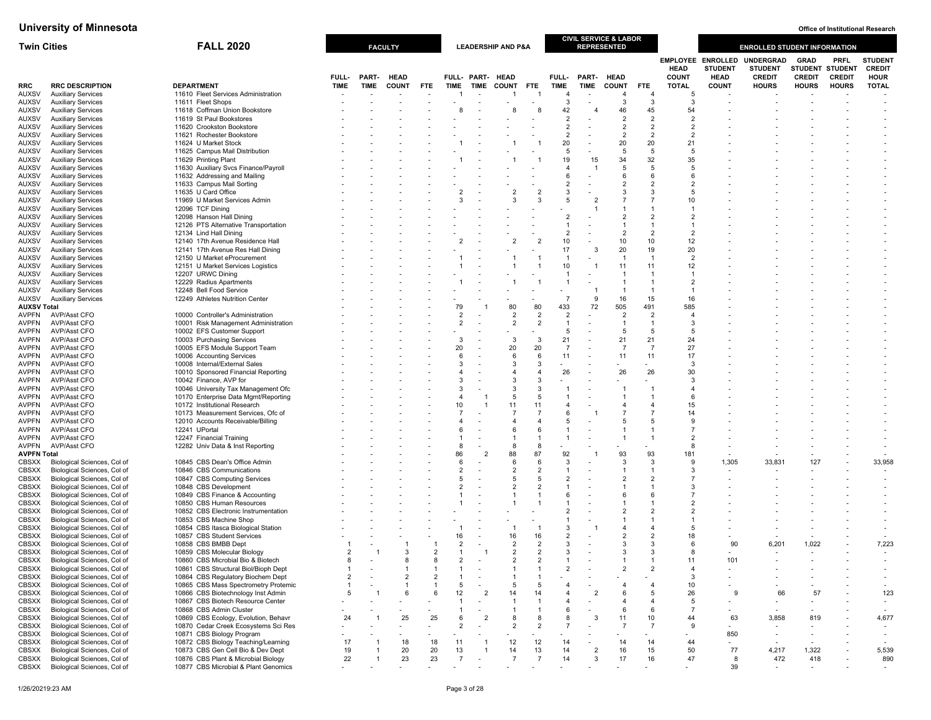| <b>Twin Cities</b>           |                                                            | <b>FALL 2020</b>                                                            |                |       | <b>FACULTY</b> |                |                          |                          | <b>LEADERSHIP AND P&amp;A</b> |                      |                                |                | <b>CIVIL SERVICE &amp; LABOR</b><br><b>REPRESENTED</b> |                                  |                             |                                                           | <b>ENROLLED STUDENT INFORMATION</b>                 |                                                        |                              |                                                |
|------------------------------|------------------------------------------------------------|-----------------------------------------------------------------------------|----------------|-------|----------------|----------------|--------------------------|--------------------------|-------------------------------|----------------------|--------------------------------|----------------|--------------------------------------------------------|----------------------------------|-----------------------------|-----------------------------------------------------------|-----------------------------------------------------|--------------------------------------------------------|------------------------------|------------------------------------------------|
|                              |                                                            |                                                                             | FULL-          | PART- | <b>HEAD</b>    |                |                          | FULL- PART- HEAD         |                               |                      | FULL-                          | PART-          | <b>HEAD</b>                                            |                                  | <b>HEAD</b><br><b>COUNT</b> | <b>EMPLOYEE ENROLLED</b><br><b>STUDENT</b><br><b>HEAD</b> | <b>UNDERGRAD</b><br><b>STUDENT</b><br><b>CREDIT</b> | <b>GRAD</b><br><b>STUDENT STUDENT</b><br><b>CREDIT</b> | <b>PRFL</b><br><b>CREDIT</b> | <b>STUDENT</b><br><b>CREDIT</b><br><b>HOUR</b> |
| RRC                          | <b>RRC DESCRIPTION</b>                                     | <b>DEPARTMENT</b>                                                           | <b>TIME</b>    | TIME  | <b>COUNT</b>   | <b>FTE</b>     | <b>TIME</b>              | <b>TIME</b>              | <b>COUNT</b>                  | <b>FTE</b>           | <b>TIME</b>                    | <b>TIME</b>    | <b>COUNT</b>                                           | <b>FTE</b>                       | <b>TOTAL</b>                | <b>COUNT</b>                                              | <b>HOURS</b>                                        | <b>HOURS</b>                                           | <b>HOURS</b>                 | <b>TOTAL</b>                                   |
| <b>AUXSV</b>                 | <b>Auxiliary Services</b>                                  | 11610 Fleet Services Administration                                         |                |       |                |                |                          |                          | 1                             | $\overline{1}$       | $\overline{4}$                 |                | 4                                                      | $\overline{4}$                   | 5                           |                                                           |                                                     |                                                        |                              |                                                |
| <b>AUXSV</b>                 | <b>Auxiliary Services</b>                                  | 11611 Fleet Shops<br>11618 Coffman Union Bookstore                          |                |       |                |                |                          |                          | 8                             |                      | 3<br>42                        |                | 3<br>46                                                | 3<br>45                          | 3<br>54                     |                                                           |                                                     |                                                        |                              |                                                |
| <b>AUXSV</b><br><b>AUXSV</b> | <b>Auxiliary Services</b><br><b>Auxiliary Services</b>     | 11619 St Paul Bookstores                                                    |                |       |                |                |                          |                          |                               |                      | $\overline{2}$                 |                | $\overline{2}$                                         | $\overline{2}$                   | $\overline{2}$              |                                                           |                                                     |                                                        |                              |                                                |
| <b>AUXSV</b>                 | <b>Auxiliary Services</b>                                  | 11620 Crookston Bookstore                                                   |                |       |                |                |                          |                          |                               |                      | $\overline{2}$                 |                | $\overline{2}$                                         | $\overline{2}$                   | $\overline{2}$              |                                                           |                                                     |                                                        |                              |                                                |
| <b>AUXSV</b>                 | <b>Auxiliary Services</b>                                  | 11621 Rochester Bookstore                                                   |                |       |                |                |                          |                          |                               |                      | $\overline{2}$                 |                | $\overline{2}$                                         | $\overline{2}$                   | $\overline{2}$              |                                                           |                                                     |                                                        |                              |                                                |
| <b>AUXSV</b>                 | <b>Auxiliary Services</b>                                  | 11624 U Market Stock                                                        |                |       |                |                |                          |                          |                               |                      | 20                             |                | 20                                                     | 20                               | 21                          |                                                           |                                                     |                                                        |                              |                                                |
| <b>AUXSV</b>                 | <b>Auxiliary Services</b>                                  | 11625 Campus Mail Distribution                                              |                |       |                |                |                          |                          |                               |                      | 5                              |                | $\overline{5}$                                         | 5                                | 5                           |                                                           |                                                     |                                                        |                              |                                                |
| <b>AUXSV</b>                 | <b>Auxiliary Services</b>                                  | 11629 Printing Plant                                                        |                |       |                |                |                          |                          |                               |                      | 19                             | 15             | 34                                                     | 32                               | 35                          |                                                           |                                                     |                                                        |                              |                                                |
| <b>AUXSV</b>                 | <b>Auxiliary Services</b><br><b>Auxiliary Services</b>     | 11630 Auxiliary Svcs Finance/Payroll                                        |                |       |                |                |                          |                          |                               |                      | 4<br>6                         |                | 5<br>6                                                 | -5<br>6                          | 5<br>6                      |                                                           |                                                     |                                                        |                              |                                                |
| AUXSV<br><b>AUXSV</b>        | <b>Auxiliary Services</b>                                  | 11632 Addressing and Mailing<br>11633 Campus Mail Sorting                   |                |       |                |                |                          |                          |                               |                      | $\overline{2}$                 |                | $\overline{2}$                                         | $\overline{2}$                   | $\overline{2}$              |                                                           |                                                     |                                                        |                              |                                                |
| <b>AUXSV</b>                 | <b>Auxiliary Services</b>                                  | 11635 U Card Office                                                         |                |       |                |                |                          |                          | $\overline{2}$                | $\overline{2}$       | 3                              |                | 3                                                      | $\mathcal{R}$                    | 5                           |                                                           |                                                     |                                                        |                              |                                                |
| <b>AUXSV</b>                 | <b>Auxiliary Services</b>                                  | 11969 U Market Services Admin                                               |                |       |                |                | 3                        |                          | 3                             | 3                    | $\overline{5}$                 |                | $\overline{7}$                                         | $\overline{7}$                   | 10                          |                                                           |                                                     |                                                        |                              |                                                |
| <b>AUXSV</b>                 | <b>Auxiliary Services</b>                                  | 12096 TCF Dining                                                            |                |       |                |                |                          |                          |                               |                      |                                |                | $\overline{1}$                                         | $\overline{1}$                   | $\mathbf{1}$                |                                                           |                                                     |                                                        |                              |                                                |
| <b>AUXSV</b>                 | <b>Auxiliary Services</b>                                  | 12098 Hanson Hall Dining                                                    |                |       |                |                |                          |                          |                               |                      | $\overline{2}$                 |                | $\overline{2}$                                         | $\overline{2}$                   | $\overline{2}$              |                                                           |                                                     |                                                        |                              |                                                |
| <b>AUXSV</b>                 | <b>Auxiliary Services</b>                                  | 12126 PTS Alternative Transportation                                        |                |       |                |                |                          |                          |                               |                      | 1<br>$\overline{2}$            |                | $\overline{1}$<br>$\overline{2}$                       | $\overline{1}$                   | $\overline{2}$              |                                                           |                                                     |                                                        |                              |                                                |
| <b>AUXSV</b><br><b>AUXSV</b> | <b>Auxiliary Services</b><br><b>Auxiliary Services</b>     | 12134 Lind Hall Dining<br>12140 17th Avenue Residence Hall                  |                |       |                |                | $\overline{\phantom{a}}$ |                          | $\overline{2}$                |                      | 10                             |                | 10                                                     | $\overline{2}$<br>10             | 12                          |                                                           |                                                     |                                                        |                              |                                                |
| <b>AUXSV</b>                 | <b>Auxiliary Services</b>                                  | 12141 17th Avenue Res Hall Dining                                           |                |       |                |                |                          |                          |                               |                      | 17                             | 3              | 20                                                     | 19                               | 20                          |                                                           |                                                     |                                                        |                              |                                                |
| AUXSV                        | <b>Auxiliary Services</b>                                  | 12150 U Market eProcurement                                                 |                |       |                |                |                          |                          |                               |                      | $\mathbf{1}$                   |                | $\overline{1}$                                         | $\overline{1}$                   | $\overline{2}$              |                                                           |                                                     |                                                        |                              |                                                |
| <b>AUXSV</b>                 | <b>Auxiliary Services</b>                                  | 12151 U Market Services Logistics                                           |                |       |                |                |                          |                          |                               |                      | 10                             |                | 11                                                     | 11                               | 12                          |                                                           |                                                     |                                                        |                              |                                                |
| <b>AUXSV</b>                 | <b>Auxiliary Services</b>                                  | 12207 URWC Dining                                                           |                |       |                |                |                          |                          |                               |                      | $\overline{1}$                 |                | $\overline{1}$                                         | $\overline{1}$                   | -1                          |                                                           |                                                     |                                                        |                              |                                                |
| <b>AUXSV</b>                 | <b>Auxiliary Services</b>                                  | 12229 Radius Apartments                                                     |                |       |                |                |                          |                          |                               |                      | 1                              |                | $\overline{1}$                                         | $\overline{1}$                   | $\overline{2}$              |                                                           |                                                     |                                                        |                              |                                                |
| <b>AUXSV</b><br><b>AUXSV</b> | <b>Auxiliary Services</b><br><b>Auxiliary Services</b>     | 12248 Bell Food Service<br>12249 Athletes Nutrition Center                  |                |       |                |                |                          |                          |                               |                      | $\overline{7}$                 | 9              | $\overline{\mathbf{1}}$<br>16                          | $\mathbf{1}$<br>15               | $\mathbf{1}$<br>16          |                                                           |                                                     |                                                        |                              |                                                |
| <b>AUXSV Total</b>           |                                                            |                                                                             |                |       |                |                | 79                       |                          | 80                            | 80                   | 433                            | 72             | 505                                                    | 491                              | 585                         |                                                           |                                                     |                                                        |                              |                                                |
| <b>AVPFN</b>                 | <b>AVP/Asst CFO</b>                                        | 10000 Controller's Administration                                           |                |       |                |                | $\overline{2}$           |                          | $\overline{2}$                | $\overline{2}$       | $\overline{2}$                 |                | $\overline{2}$                                         | $\overline{2}$                   | $\overline{4}$              |                                                           |                                                     |                                                        |                              |                                                |
| <b>AVPFN</b>                 | <b>AVP/Asst CFO</b>                                        | 10001 Risk Management Administration                                        |                |       |                |                | $\overline{2}$           | $\sim$                   | 2                             | $\overline{2}$       | $\mathbf{1}$                   |                | $\overline{1}$                                         | $\overline{1}$                   | 3                           |                                                           |                                                     |                                                        |                              |                                                |
| AVPFN                        | AVP/Asst CFO                                               | 10002 EFS Customer Support                                                  |                |       |                |                |                          |                          |                               |                      | $\overline{5}$                 |                | $\overline{5}$                                         | -5                               | 5                           |                                                           |                                                     |                                                        |                              |                                                |
| <b>AVPFN</b>                 | <b>AVP/Asst CFO</b>                                        | 10003 Purchasing Services                                                   |                |       |                |                | 3                        |                          | 3                             | $\mathbf{3}$         | 21                             |                | 21                                                     | 21                               | 24                          |                                                           |                                                     |                                                        |                              |                                                |
| <b>AVPFN</b>                 | AVP/Asst CFO                                               | 10005 EFS Module Support Team                                               |                |       |                |                | 20<br>6                  |                          | 20<br>6                       | 20<br>6              | $\overline{7}$<br>11           |                | $\overline{7}$                                         | $\overline{7}$                   | 27                          |                                                           |                                                     |                                                        |                              |                                                |
| AVPFN<br><b>AVPFN</b>        | AVP/Asst CFO<br><b>AVP/Asst CFO</b>                        | 10006 Accounting Services<br>10008 Internal/External Sales                  |                |       |                |                | 3                        |                          | 3                             | 3                    | $\overline{a}$                 |                | 11                                                     | 11                               | 17<br>3                     |                                                           |                                                     |                                                        |                              |                                                |
| AVPFN                        | AVP/Asst CFO                                               | 10010 Sponsored Financial Reporting                                         |                |       |                |                |                          |                          | 4                             |                      | 26                             |                | 26                                                     | 26                               | 30                          |                                                           |                                                     |                                                        |                              |                                                |
| AVPFN                        | AVP/Asst CFO                                               | 10042 Finance, AVP for                                                      |                |       |                |                | 3                        |                          | 3                             | 3                    |                                |                |                                                        |                                  | 3                           |                                                           |                                                     |                                                        |                              |                                                |
| <b>AVPFN</b>                 | <b>AVP/Asst CFO</b>                                        | 10046 University Tax Management Ofc                                         |                |       |                |                | 3                        |                          | 3                             | 3                    |                                |                |                                                        |                                  | $\overline{a}$              |                                                           |                                                     |                                                        |                              |                                                |
| <b>AVPFN</b>                 | <b>AVP/Asst CFO</b>                                        | 10170 Enterprise Data Mgmt/Reporting                                        |                |       |                |                | 4                        |                          | 5                             | 5                    | 1                              |                |                                                        |                                  | 6                           |                                                           |                                                     |                                                        |                              |                                                |
| AVPFN                        | <b>AVP/Asst CFO</b>                                        | 10172 Institutional Research                                                |                |       |                |                | 10                       |                          | 11<br>$\overline{7}$          | 11<br>$\overline{7}$ | $\overline{4}$<br>6            |                | 4<br>$\overline{7}$                                    | $\overline{4}$                   | 15                          |                                                           |                                                     |                                                        |                              |                                                |
| <b>AVPFN</b><br>AVPFN        | <b>AVP/Asst CFO</b><br>AVP/Asst CFO                        | 10173 Measurement Services, Ofc of<br>12010 Accounts Receivable/Billing     |                |       |                |                |                          |                          | $\overline{\mathbf{A}}$       |                      | 5                              |                | 5                                                      | 5                                | 14<br>9                     |                                                           |                                                     |                                                        |                              |                                                |
| <b>AVPFN</b>                 | <b>AVP/Asst CFO</b>                                        | 12241 UPortal                                                               |                |       |                |                | 6                        |                          | 6                             | 6                    | $\mathbf{1}$                   |                |                                                        | $\overline{1}$                   | $\overline{7}$              |                                                           |                                                     |                                                        |                              |                                                |
| <b>AVPFN</b>                 | <b>AVP/Asst CFO</b>                                        | 12247 Financial Training                                                    |                |       |                |                |                          |                          |                               |                      | $\mathbf{1}$                   |                |                                                        | $\overline{1}$                   | $\overline{2}$              |                                                           |                                                     |                                                        |                              |                                                |
| AVPFN                        | <b>AVP/Asst CFO</b>                                        | 12282 Univ Data & Inst Reporting                                            |                |       |                |                | 8                        |                          | 8                             | 8                    |                                |                |                                                        |                                  | 8                           |                                                           |                                                     |                                                        |                              |                                                |
| <b>AVPFN Total</b>           |                                                            |                                                                             |                |       |                |                | 86                       | $\mathcal{P}$            | 88                            | 87                   | 92                             |                | 93                                                     | 93                               | 181                         | $\overline{\phantom{a}}$                                  |                                                     |                                                        |                              |                                                |
| <b>CBSXX</b>                 | Biological Sciences, Col of                                | 10845 CBS Dean's Office Admin                                               |                |       |                |                | ĥ                        |                          | 6                             | 6                    | 3                              |                | 3                                                      | 3                                | 9                           | 1,305                                                     | 33,831                                              | 127                                                    |                              | 33,958                                         |
| <b>CBSXX</b><br><b>CBSXX</b> | Biological Sciences, Col of<br>Biological Sciences, Col of | 10846 CBS Communications                                                    |                |       |                |                | 5                        |                          | $\overline{2}$<br>5           | $\overline{2}$<br>5  | $\mathbf{1}$<br>$\overline{2}$ |                | $\overline{1}$<br>$\overline{2}$                       | $\overline{1}$<br>$\overline{2}$ | 3<br>$\overline{7}$         |                                                           |                                                     |                                                        |                              |                                                |
| <b>CBSXX</b>                 | Biological Sciences, Col of                                | 10847 CBS Computing Services<br>10848 CBS Development                       |                |       |                |                |                          |                          | $\overline{2}$                | $\overline{2}$       | 1                              |                |                                                        |                                  | 3                           |                                                           |                                                     |                                                        |                              |                                                |
| <b>CBSXX</b>                 | Biological Sciences, Col of                                | 10849 CBS Finance & Accounting                                              |                |       |                |                |                          |                          |                               |                      | 6                              |                | 6                                                      | 6                                | $\overline{7}$              |                                                           |                                                     |                                                        |                              |                                                |
| <b>CBSXX</b>                 | Biological Sciences, Col of                                | 10850 CBS Human Resources                                                   |                |       |                |                |                          |                          |                               |                      | 1                              |                |                                                        |                                  | $\overline{2}$              |                                                           |                                                     |                                                        |                              |                                                |
| <b>CBSXX</b>                 | Biological Sciences, Col of                                | 10852 CBS Electronic Instrumentation                                        |                |       |                |                |                          |                          |                               |                      | $\overline{2}$                 |                | $\overline{2}$                                         | $\overline{2}$                   | $\mathcal{P}$               |                                                           |                                                     |                                                        |                              |                                                |
| <b>CBSXX</b>                 | Biological Sciences, Col of                                | 10853 CBS Machine Shop                                                      |                |       |                |                |                          |                          |                               |                      | 1                              |                |                                                        |                                  |                             |                                                           |                                                     |                                                        |                              |                                                |
| <b>CBSXX</b>                 | Biological Sciences, Col of                                | 10854 CBS Itasca Biological Station                                         |                |       |                |                |                          |                          | $\overline{1}$                | $\overline{1}$<br>16 | 3<br>2                         |                | $\overline{4}$<br>$\overline{2}$                       | $\overline{4}$<br>$\overline{2}$ | 5                           |                                                           |                                                     |                                                        |                              |                                                |
| <b>CBSXX</b><br><b>CBSXX</b> | Biological Sciences, Col of<br>Biological Sciences, Col of | 10857 CBS Student Services<br>10858 CBS BMBB Dept                           |                |       |                |                | 16<br>$\overline{2}$     |                          | 16<br>$\overline{2}$          | $\overline{2}$       | 3                              |                | 3                                                      | 3                                | 18<br>6                     | 90                                                        | 6,201                                               | 1,022                                                  |                              | 7,223                                          |
| <b>CBSXX</b>                 | Biological Sciences, Col of                                | 10859 CBS Molecular Biology                                                 | 2              |       | 3              | $\overline{2}$ | $\mathbf{1}$             |                          | $\overline{2}$                | $\overline{2}$       | 3                              |                | 3                                                      |                                  | 8                           |                                                           |                                                     |                                                        |                              |                                                |
| <b>CBSXX</b>                 | Biological Sciences, Col of                                | 10860 CBS Microbial Bio & Biotech                                           | 8              |       | 8              | 8              | $\overline{2}$           |                          | $\overline{2}$                | $\mathcal{P}$        | 1                              |                | $\overline{1}$                                         |                                  | 11                          | 101                                                       |                                                     |                                                        |                              |                                                |
| <b>CBSXX</b>                 | Biological Sciences, Col of                                | 10861 CBS Structural Biol/Bioph Dept                                        | 1              |       |                |                |                          |                          |                               |                      | $\overline{2}$                 |                | $\overline{2}$                                         | $\overline{c}$                   | $\overline{a}$              |                                                           |                                                     |                                                        |                              |                                                |
| <b>CBSXX</b>                 | Biological Sciences, Col of                                | 10864 CBS Regulatory Biochem Dept                                           | $\overline{2}$ |       | $\overline{2}$ |                |                          |                          |                               |                      |                                |                |                                                        |                                  | 3                           |                                                           |                                                     |                                                        |                              |                                                |
| <b>CBSXX</b>                 | Biological Sciences, Col of                                | 10865 CBS Mass Spectrometry Protemic                                        | $\mathbf{1}$   |       |                |                | 5                        |                          | 5                             | 5                    |                                |                |                                                        | $\overline{4}$                   | 10                          |                                                           |                                                     |                                                        |                              |                                                |
| <b>CBSXX</b>                 | Biological Sciences, Col of<br>Biological Sciences, Col of | 10866 CBS Biotechnology Inst Admin<br>10867 CBS Biotech Resource Center     | 5              |       | 6              | 6              | 12                       | $\overline{2}$           | 14                            | 14                   |                                |                | 6                                                      | 5                                | 26                          | 9                                                         | 66                                                  | 57                                                     |                              | 123                                            |
| CBSXX<br><b>CBSXX</b>        | Biological Sciences, Col of                                | 10868 CBS Admin Cluster                                                     |                |       |                |                |                          |                          |                               |                      | 6                              |                | 6                                                      | $\overline{4}$<br>6              | 5<br>$\overline{7}$         |                                                           |                                                     |                                                        |                              | $\sim$                                         |
| <b>CBSXX</b>                 | Biological Sciences, Col of                                | 10869 CBS Ecology, Evolution, Behavr                                        | 24             |       | 25             | 25             | 6                        | $\overline{2}$           | 8                             | 8                    | 8                              | 3              | 11                                                     | 10                               | 44                          | 63                                                        | 3,858                                               | 819                                                    |                              | 4,677                                          |
| <b>CBSXX</b>                 | Biological Sciences, Col of                                | 10870 Cedar Creek Ecosystems Sci Res                                        |                |       |                |                | $\overline{2}$           |                          | $\overline{2}$                | $\overline{2}$       | $\overline{7}$                 |                | 7                                                      | $\overline{7}$                   | 9                           |                                                           |                                                     |                                                        |                              |                                                |
| <b>CBSXX</b>                 | Biological Sciences, Col of                                | 10871 CBS Biology Program                                                   |                |       |                |                |                          |                          |                               |                      |                                |                |                                                        |                                  |                             | 850                                                       | $\overline{\phantom{a}}$                            |                                                        |                              | $\sim$                                         |
| <b>CBSXX</b>                 | Biological Sciences, Col of                                | 10872 CBS Biology Teaching/Learning                                         | 17             |       | 18             | 18             | 11                       |                          | 12                            | 12                   | 14                             |                | 14                                                     | 14                               | 44                          |                                                           |                                                     |                                                        |                              |                                                |
| <b>CBSXX</b>                 | Biological Sciences, Col of                                | 10873 CBS Gen Cell Bio & Dev Dept                                           | 19             |       | 20             | 20             | 13                       |                          | 14<br>$\overline{7}$          | 13<br>$\overline{7}$ | 14                             | $\overline{2}$ | 16                                                     | 15                               | 50                          | 77                                                        | 4,217                                               | 1,322                                                  |                              | 5,539                                          |
| <b>CBSXX</b><br><b>CBSXX</b> | Biological Sciences, Col of<br>Biological Sciences, Col of | 10876 CBS Plant & Microbial Biology<br>10877 CBS Microbial & Plant Genomics | 22             |       | 23             | 23             | $\overline{7}$           | $\overline{\phantom{a}}$ |                               |                      | 14                             | 3              | 17                                                     | 16                               | 47                          | 8<br>39                                                   | 472                                                 | 418                                                    |                              | 890                                            |
|                              |                                                            |                                                                             |                |       |                |                |                          |                          |                               |                      |                                |                |                                                        |                                  |                             |                                                           |                                                     |                                                        |                              |                                                |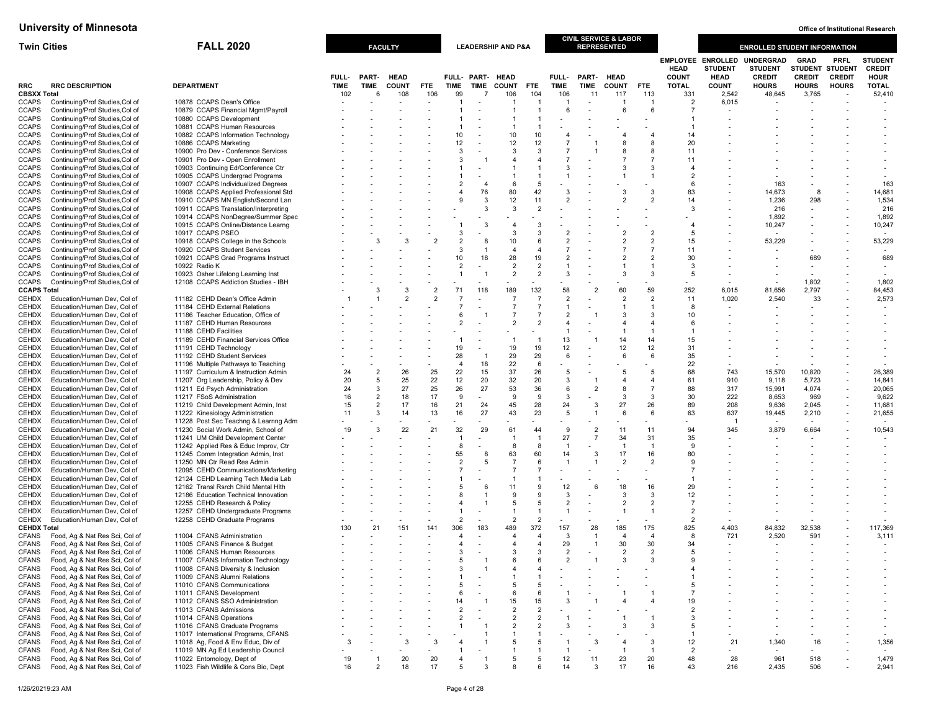| <b>Twin Cities</b> |                                                                    | <b>FALL 2020</b>                                                          |                    |                  | <b>FACULTY</b>      |                |                                  |                          | <b>LEADERSHIP AND P&amp;A</b> |                       |                         |                      | <b>CIVIL SERVICE &amp; LABOR</b><br><b>REPRESENTED</b> |                     |                             |                                                           | <b>ENROLLED STUDENT INFORMATION</b>          |                                                |                                                |                                                |
|--------------------|--------------------------------------------------------------------|---------------------------------------------------------------------------|--------------------|------------------|---------------------|----------------|----------------------------------|--------------------------|-------------------------------|-----------------------|-------------------------|----------------------|--------------------------------------------------------|---------------------|-----------------------------|-----------------------------------------------------------|----------------------------------------------|------------------------------------------------|------------------------------------------------|------------------------------------------------|
|                    |                                                                    |                                                                           | <b>FULL-</b>       | PART-            | <b>HEAD</b>         |                |                                  | FULL- PART-              | <b>HEAD</b>                   |                       | FULL-                   | PART-                | <b>HEAD</b>                                            |                     | <b>HEAD</b><br><b>COUNT</b> | <b>EMPLOYEE ENROLLED</b><br><b>STUDENT</b><br><b>HEAD</b> | UNDERGRAD<br><b>STUDENT</b><br><b>CREDIT</b> | <b>GRAD</b><br><b>STUDENT</b><br><b>CREDIT</b> | <b>PRFL</b><br><b>STUDENT</b><br><b>CREDIT</b> | <b>STUDENT</b><br><b>CREDIT</b><br><b>HOUR</b> |
| RRC<br>CBSXX Total | <b>RRC DESCRIPTION</b>                                             | <b>DEPARTMENT</b>                                                         | <b>TIME</b><br>102 | <b>TIME</b><br>6 | <b>COUNT</b><br>108 | FTE<br>106     | <b>TIME</b><br>99                | <b>TIME</b>              | <b>COUNT</b><br>106           | <b>FTE</b><br>104     | <b>TIME</b><br>106      | TIME<br>11           | <b>COUNT</b><br>117                                    | <b>FTE</b><br>113   | <b>TOTAL</b><br>331         | <b>COUNT</b><br>2,542                                     | <b>HOURS</b><br>48,645                       | <b>HOURS</b><br>3,765                          | <b>HOURS</b>                                   | <b>TOTAL</b><br>52,410                         |
| CCAPS              | Continuing/Prof Studies, Col of                                    | 10878 CCAPS Dean's Office                                                 |                    |                  |                     |                | -1                               |                          | -1                            |                       |                         |                      |                                                        | $\overline{1}$      | $\overline{2}$              | 6,015                                                     |                                              |                                                |                                                |                                                |
| CCAPS              | Continuing/Prof Studies, Col of                                    | 10879 CCAPS Financial Mgmt/Payroll                                        |                    |                  |                     |                |                                  |                          | $\blacktriangleleft$          |                       | 6                       |                      | 6                                                      | 6                   | $\overline{7}$              |                                                           |                                              |                                                |                                                |                                                |
| CCAPS              | Continuing/Prof Studies, Col of                                    | 10880 CCAPS Development                                                   |                    |                  |                     |                |                                  |                          |                               |                       |                         |                      |                                                        |                     |                             |                                                           |                                              |                                                |                                                |                                                |
| CCAPS              | Continuing/Prof Studies, Col of                                    | 10881 CCAPS Human Resources                                               |                    |                  |                     |                | $\overline{1}$                   |                          | -1                            |                       |                         |                      |                                                        |                     |                             |                                                           |                                              |                                                |                                                |                                                |
| CCAPS              | Continuing/Prof Studies, Col of                                    | 10882 CCAPS Information Technology                                        |                    |                  |                     |                | 10                               |                          | 10                            | 10                    | $\overline{4}$          |                      | $\overline{4}$                                         | $\overline{4}$      | 14                          |                                                           |                                              |                                                |                                                |                                                |
| CCAPS              | Continuing/Prof Studies, Col of                                    | 10886 CCAPS Marketing                                                     |                    |                  |                     |                | 12                               |                          | 12                            | 12                    | $\overline{7}$          |                      | 8                                                      | 8                   | 20                          |                                                           |                                              |                                                |                                                |                                                |
| CCAPS              | Continuing/Prof Studies, Col of                                    | 10900 Pro Dev - Conference Services                                       |                    |                  |                     |                | 3                                |                          | 3                             | 3                     |                         |                      |                                                        | 8                   | 11                          |                                                           |                                              |                                                |                                                |                                                |
| CCAPS              | Continuing/Prof Studies, Col of                                    | 10901 Pro Dev - Open Enrollment                                           |                    |                  |                     |                | 3                                |                          | 4                             | $\overline{a}$        |                         |                      |                                                        | $\overline{7}$      | 11                          |                                                           |                                              |                                                |                                                |                                                |
| CCAPS              | Continuing/Prof Studies, Col of                                    | 10903 Continuing Ed/Conference Ctr                                        |                    |                  |                     |                |                                  |                          |                               |                       | 3<br>1                  |                      |                                                        | 3<br>$\overline{1}$ |                             |                                                           |                                              |                                                |                                                |                                                |
| CCAPS<br>CCAPS     | Continuing/Prof Studies, Col of<br>Continuing/Prof Studies, Col of | 10905 CCAPS Undergrad Programs<br>10907 CCAPS Individualized Degrees      |                    |                  |                     |                | $\overline{1}$<br>$\overline{2}$ | $\overline{4}$           | 6                             | 5                     |                         |                      |                                                        |                     | $\overline{2}$<br>-6        |                                                           | 163                                          |                                                |                                                | 163                                            |
| CCAPS              | Continuing/Prof Studies, Col of                                    | 10908 CCAPS Applied Professional Std                                      |                    |                  |                     |                | 4                                | 76                       | 80                            | 42                    | 3                       |                      | 3                                                      | 3                   | 83                          |                                                           | 14,673                                       | 8                                              |                                                | 14,681                                         |
| CCAPS              | Continuing/Prof Studies, Col of                                    | 10910 CCAPS MN English/Second Lan                                         |                    |                  |                     |                |                                  | 3                        | 12                            | 11                    | 2                       |                      |                                                        | $\overline{2}$      | 14                          |                                                           | 1,236                                        | 298                                            |                                                | 1,534                                          |
| CCAPS              | Continuing/Prof Studies, Col of                                    | 10911 CCAPS Translation/Interpreting                                      |                    |                  |                     |                |                                  | 3                        | 3                             | $\overline{2}$        |                         |                      |                                                        |                     | 3                           |                                                           | 216                                          |                                                |                                                | 216                                            |
| CCAPS              | Continuing/Prof Studies, Col of                                    | 10914 CCAPS NonDegree/Summer Spec                                         |                    |                  |                     |                |                                  |                          |                               |                       |                         |                      |                                                        |                     |                             |                                                           | 1,892                                        |                                                |                                                | 1,892                                          |
| CCAPS              | Continuing/Prof Studies, Col of                                    | 10915 CCAPS Online/Distance Learng                                        |                    |                  |                     |                | $\overline{1}$                   | 3                        | $\overline{4}$                | 3                     |                         |                      |                                                        |                     |                             |                                                           | 10,247                                       |                                                |                                                | 10,247                                         |
| CCAPS              | Continuing/Prof Studies, Col of                                    | 10917 CCAPS PSEO                                                          |                    |                  |                     |                | 3                                |                          | 3                             | 3                     | $\overline{2}$          |                      | $\overline{2}$                                         | $\overline{2}$      | $\overline{5}$              |                                                           |                                              |                                                |                                                |                                                |
| CCAPS              | Continuing/Prof Studies, Col of                                    | 10918 CCAPS College in the Schools                                        |                    | 3                |                     |                | $\overline{2}$                   | 8                        | 10                            |                       | $\overline{2}$          |                      | $\overline{2}$                                         | $\overline{2}$      | 15                          |                                                           | 53,229                                       |                                                |                                                | 53,229                                         |
| CCAPS              | Continuing/Prof Studies, Col of                                    | 10920 CCAPS Student Services                                              |                    |                  |                     |                | 3                                |                          | $\overline{4}$                |                       |                         |                      |                                                        |                     | 11                          |                                                           |                                              |                                                |                                                |                                                |
| CCAPS              | Continuing/Prof Studies, Col of                                    | 10921 CCAPS Grad Programs Instruct                                        |                    |                  |                     |                | 10                               | 18                       | 28                            | 19                    | $\overline{2}$          |                      |                                                        | $\overline{2}$      | 30                          |                                                           |                                              | 689                                            |                                                | 689                                            |
| CCAPS              | Continuing/Prof Studies, Col of                                    | 10922 Radio K                                                             |                    |                  |                     |                | $\overline{2}$                   |                          | $\overline{2}$                | $\mathcal{P}$         | $\mathbf{1}$            |                      |                                                        | $\overline{1}$      | 3                           |                                                           |                                              |                                                |                                                |                                                |
| <b>CCAPS</b>       | Continuing/Prof Studies, Col of                                    | 10923 Osher Lifelong Learning Inst                                        |                    |                  |                     |                |                                  |                          | $\overline{2}$                | $\overline{2}$        | 3                       |                      |                                                        | 3                   | 5                           |                                                           |                                              |                                                |                                                |                                                |
| CCAPS              | Continuing/Prof Studies, Col of                                    | 12108 CCAPS Addiction Studies - IBH                                       |                    |                  |                     | $\overline{2}$ |                                  |                          |                               |                       |                         |                      |                                                        | 59                  |                             |                                                           |                                              | 1,802                                          | $\overline{\phantom{a}}$                       | 1,802                                          |
| <b>CCAPS Total</b> | Education/Human Dev. Col of                                        |                                                                           |                    | 3                | 3                   |                | 71                               | 118                      | 189<br>7                      | 132<br>$\overline{7}$ | 58<br>$\overline{2}$    |                      | 60<br>$\overline{2}$                                   | $\overline{2}$      | 252<br>11                   | 6,015<br>1,020                                            | 81,656<br>2,540                              | 2,797<br>33                                    | $\overline{\phantom{a}}$                       | 84,453                                         |
| CEHDX              |                                                                    | 11182 CEHD Dean's Office Admin<br>11184 CEHD External Relations           |                    |                  |                     |                |                                  | $\overline{\phantom{a}}$ | $\overline{7}$                | $\overline{7}$        |                         |                      |                                                        |                     | 8                           | $\overline{\phantom{a}}$                                  |                                              |                                                |                                                | 2,573                                          |
| CEHDX<br>CEHDX     | Education/Human Dev, Col of<br>Education/Human Dev, Col of         | 11186 Teacher Education, Office of                                        |                    |                  |                     |                | 6                                |                          | $\overline{7}$                | $\overline{7}$        | $\overline{\mathbf{c}}$ |                      | 3                                                      | 3                   | 10                          |                                                           |                                              |                                                |                                                |                                                |
| CEHDX              | Education/Human Dev, Col of                                        | 11187 CEHD Human Resources                                                |                    |                  |                     |                | $\overline{2}$                   |                          | $\overline{2}$                |                       |                         |                      |                                                        | $\overline{4}$      |                             |                                                           |                                              |                                                |                                                |                                                |
| CEHDX              | Education/Human Dev, Col of                                        | 11188 CEHD Facilities                                                     |                    |                  |                     |                |                                  |                          |                               |                       |                         |                      | $\overline{1}$                                         | $\overline{1}$      |                             |                                                           |                                              |                                                |                                                |                                                |
| CEHDX              | Education/Human Dev, Col of                                        | 11189 CEHD Financial Services Office                                      |                    |                  |                     |                |                                  |                          |                               |                       | 13                      |                      | 14                                                     | 14                  | 15                          |                                                           |                                              |                                                |                                                |                                                |
| CEHDX              | Education/Human Dev, Col of                                        | 11191 CEHD Technology                                                     |                    |                  |                     |                | 19                               |                          | 19                            | 19                    | 12                      |                      | 12                                                     | 12                  | 31                          |                                                           |                                              |                                                |                                                |                                                |
| CEHDX              | Education/Human Dev, Col of                                        | 11192 CEHD Student Services                                               |                    |                  |                     |                | 28                               | $\overline{1}$           | 29                            | 29                    | 6                       |                      | 6                                                      | 6                   | 35                          |                                                           |                                              |                                                |                                                |                                                |
| CEHDX              | Education/Human Dev. Col of                                        | 11196 Multiple Pathways to Teaching                                       |                    |                  |                     |                | $\overline{4}$                   | 18                       | 22                            | 6                     |                         |                      |                                                        |                     | 22                          | $\overline{\phantom{a}}$                                  |                                              |                                                |                                                |                                                |
| CEHDX              | Education/Human Dev, Col of                                        | 11197 Curriculum & Instruction Admin                                      | 24                 | $\overline{2}$   | 26                  | 25             | 22                               | 15                       | 37                            | 26                    | 5                       |                      | 5                                                      | 5                   | 68                          | 743                                                       | 15,570                                       | 10,820                                         | $\overline{a}$                                 | 26,389                                         |
| CEHDX              | Education/Human Dev, Col of                                        | 11207 Org Leadership, Policy & Dev                                        | 20                 | 5                | 25                  | 22             | 12                               | 20                       | 32                            | 20                    | 3                       |                      | 4                                                      | $\overline{4}$      | 61                          | 910                                                       | 9,118                                        | 5,723                                          | $\overline{\phantom{a}}$                       | 14,841                                         |
| CEHDX              | Education/Human Dev, Col of                                        | 11211 Ed Psych Administration                                             | 24                 | 3                | 27                  | 25             | 26                               | 27                       | 53                            | 36                    | 6                       | $\overline{2}$       | 8                                                      | $\overline{7}$      | 88                          | 317                                                       | 15,991                                       | 4,074                                          | $\overline{\phantom{a}}$                       | 20,065                                         |
| CEHDX              | Education/Human Dev, Col of                                        | 11217 FSoS Administration                                                 | 16                 | $\overline{2}$   | 18                  | 17             | 9                                |                          | 9                             | 9                     | 3                       |                      | 3                                                      | $\overline{3}$      | 30                          | 222                                                       | 8,653                                        | 969                                            | $\overline{\phantom{a}}$                       | 9,622                                          |
| CEHDX              | Education/Human Dev, Col of                                        | 11219 Child Development Admin, Inst                                       | 15                 | $\overline{2}$   | 17                  | 16             | 21                               | 24                       | 45                            | 28                    | 24                      | 3                    | 27                                                     | 26                  | 89                          | 208                                                       | 9,636                                        | 2,045                                          | $\overline{\phantom{a}}$                       | 11,681                                         |
| CEHDX              | Education/Human Dev, Col of                                        | 11222 Kinesiology Administration                                          | 11                 | 3                | 14                  | 13             | 16                               | 27                       | 43                            | 23                    | -5                      |                      | 6                                                      | 6                   | 63                          | 637                                                       | 19,445                                       | 2,210                                          | $\overline{\phantom{a}}$                       | 21,655                                         |
| CEHDX              | Education/Human Dev, Col of                                        | 11228 Post Sec Teachng & Learnng Adm                                      |                    |                  |                     |                |                                  |                          |                               |                       |                         |                      |                                                        |                     |                             | - 1                                                       | $\overline{\phantom{a}}$                     | $\sim$                                         |                                                |                                                |
| CEHDX              | Education/Human Dev, Col of                                        | 11230 Social Work Admin, School of                                        | 19                 | 3                | 22                  | 21             | 32                               | 29                       | 61                            | 44                    | 9<br>27                 | $\overline{2}$<br>-7 | 11<br>34                                               | 11<br>31            | 94                          | 345                                                       | 3,879                                        | 6,664                                          |                                                | 10,543                                         |
| CEHDX<br>CEHDX     | Education/Human Dev, Col of<br>Education/Human Dev, Col of         | 11241 UM Child Development Center<br>11242 Applied Res & Educ Improv, Ctr |                    |                  |                     |                | $\overline{1}$<br>8              |                          | -1<br>8                       | 8                     | -1                      |                      | $\overline{1}$                                         | $\overline{1}$      | 35<br>$\mathbf{Q}$          |                                                           |                                              |                                                |                                                |                                                |
| CEHDX              | Education/Human Dev, Col of                                        | 11245 Comm Integration Admin, Inst                                        |                    |                  |                     |                | 55                               | 8                        | 63                            | 60                    | 14                      | -3                   | 17                                                     | 16                  | 80                          |                                                           |                                              |                                                |                                                |                                                |
| CEHDX              | Education/Human Dev, Col of                                        | 11250 MN Ctr Read Res Admin                                               |                    |                  |                     |                | $\overline{2}$                   | 5                        | $\overline{7}$                | 6                     |                         |                      | $\overline{2}$                                         | $\overline{2}$      | -9                          |                                                           |                                              |                                                |                                                |                                                |
| CEHDX              | Education/Human Dev, Col of                                        | 12095 CEHD Communications/Marketing                                       |                    |                  |                     |                |                                  |                          | $\overline{7}$                | $\overline{7}$        |                         |                      |                                                        |                     | $\overline{7}$              |                                                           |                                              |                                                |                                                |                                                |
| <b>CEHDX</b>       | Education/Human Dev, Col of                                        | 12124 CEHD Learning Tech Media Lab                                        |                    |                  |                     |                |                                  |                          |                               |                       |                         |                      |                                                        |                     |                             |                                                           |                                              |                                                |                                                |                                                |
| CEHDX              | Education/Human Dev, Col of                                        | 12162 Transl Rsrch Child Mental Hith                                      |                    |                  |                     |                | 5                                | 6                        | 11                            |                       | 12                      | 6                    | 18                                                     | 16                  | 29                          |                                                           |                                              |                                                |                                                |                                                |
| CEHDX              | Education/Human Dev, Col of                                        | 12186 Education Technical Innovation                                      |                    |                  |                     |                |                                  |                          | 9                             |                       | 3                       |                      | 3                                                      | 3                   | 12                          |                                                           |                                              |                                                |                                                |                                                |
| CEHDX              | Education/Human Dev, Col of                                        | 12255 CEHD Research & Policy                                              |                    |                  |                     |                |                                  |                          | 5                             | 5                     | $\overline{2}$          |                      |                                                        | $\overline{2}$      | $\overline{7}$              |                                                           |                                              |                                                |                                                |                                                |
| CEHDX              | Education/Human Dev, Col of                                        | 12257 CEHD Undergraduate Programs                                         |                    |                  |                     |                |                                  |                          |                               |                       | 1                       |                      |                                                        | $\overline{1}$      | $\overline{2}$              |                                                           |                                              |                                                |                                                |                                                |
| CEHDX              | Education/Human Dev, Col of                                        | 12258 CEHD Graduate Programs                                              |                    |                  |                     |                | $\overline{2}$                   |                          | $\overline{2}$                | $\overline{2}$        |                         |                      |                                                        |                     | $\overline{2}$              | $\overline{\phantom{a}}$                                  | $\overline{\phantom{a}}$                     |                                                |                                                |                                                |
| <b>CEHDX Total</b> |                                                                    |                                                                           | 130                | 21               | 151                 | 141            | 306                              | 183                      | 489                           | 372                   | 157                     | 28                   | 185                                                    | 175                 | 825                         | 4,403                                                     | 84,832                                       | 32,538                                         |                                                | 117,369                                        |
| CFANS              | Food, Ag & Nat Res Sci, Col of                                     | 11004 CFANS Administration                                                |                    |                  |                     |                | 4                                |                          | $\overline{4}$                |                       | 3                       | $\overline{1}$       | $\overline{4}$                                         | $\overline{4}$      | 8                           | 721                                                       | 2,520                                        | 591                                            |                                                | 3,111                                          |
| CFANS              | Food, Ag & Nat Res Sci, Col of                                     | 11005 CFANS Finance & Budget                                              |                    |                  |                     |                | 4                                |                          | 4<br>3                        | 3                     | 29                      |                      | 30                                                     | 30                  | 34                          |                                                           |                                              |                                                |                                                |                                                |
| CFANS              | Food, Ag & Nat Res Sci, Col of                                     | 11006 CFANS Human Resources                                               |                    |                  |                     |                | 3<br>5                           |                          | ĥ                             |                       | 2<br>$\mathcal{P}$      |                      | $\overline{2}$<br>3                                    | $\overline{2}$<br>3 | -5                          |                                                           |                                              |                                                |                                                |                                                |
| CFANS              | Food, Ag & Nat Res Sci, Col of<br>Food, Ag & Nat Res Sci, Col of   | 11007 CFANS Information Technology<br>11008 CFANS Diversity & Inclusion   |                    |                  |                     |                | 3                                |                          |                               |                       |                         |                      |                                                        |                     |                             |                                                           |                                              |                                                |                                                |                                                |
| CFANS<br>CFANS     | Food, Ag & Nat Res Sci, Col of                                     | 11009 CFANS Alumni Relations                                              |                    |                  |                     |                |                                  |                          |                               |                       |                         |                      |                                                        |                     |                             |                                                           |                                              |                                                |                                                |                                                |
| <b>CFANS</b>       | Food, Ag & Nat Res Sci, Col of                                     | 11010 CFANS Communications                                                |                    |                  |                     |                | 5                                | $\overline{\phantom{a}}$ | 5                             | 5                     |                         |                      |                                                        |                     | 5                           |                                                           |                                              |                                                |                                                |                                                |
| CFANS              | Food, Ag & Nat Res Sci, Col of                                     | 11011 CFANS Development                                                   |                    |                  |                     |                | 6                                |                          | 6                             | 6                     |                         |                      |                                                        | $\overline{1}$      | $\overline{7}$              |                                                           |                                              |                                                |                                                |                                                |
| CFANS              | Food, Ag & Nat Res Sci, Col of                                     | 11012 CFANS SSO Administration                                            |                    |                  |                     |                | 14                               |                          | 15                            | 15                    | 3                       |                      | 4                                                      | $\overline{4}$      | 19                          |                                                           |                                              |                                                |                                                |                                                |
| <b>CFANS</b>       | Food, Ag & Nat Res Sci, Col of                                     | 11013 CFANS Admissions                                                    |                    |                  |                     |                | 2                                |                          | $\overline{2}$                | $\overline{2}$        |                         |                      |                                                        |                     | $\overline{2}$              |                                                           |                                              |                                                |                                                |                                                |
| <b>CFANS</b>       | Food, Ag & Nat Res Sci, Col of                                     | 11014 CFANS Operations                                                    |                    |                  |                     |                | $\overline{2}$                   |                          | $\overline{2}$                | $\overline{2}$        |                         |                      |                                                        |                     | 3                           |                                                           |                                              |                                                |                                                |                                                |
| <b>CFANS</b>       | Food, Ag & Nat Res Sci, Col of                                     | 11016 CFANS Graduate Programs                                             |                    |                  |                     |                |                                  |                          | $\overline{2}$                | $\overline{2}$        | 3                       |                      | 3                                                      | 3                   | -5                          |                                                           |                                              |                                                |                                                |                                                |
| CFANS              | Food, Ag & Nat Res Sci, Col of                                     | 11017 International Programs, CFANS                                       |                    |                  |                     |                |                                  |                          | 1                             |                       |                         |                      |                                                        |                     |                             |                                                           |                                              |                                                |                                                |                                                |
| CFANS              | Food, Ag & Nat Res Sci, Col of                                     | 11018 Ag, Food & Env Educ, Div of                                         | 3                  |                  |                     | 3              |                                  |                          | 5                             |                       |                         | 3                    | 4                                                      | 3                   | 12                          | 21                                                        | 1,340                                        | 16                                             |                                                | 1,356                                          |
| CFANS              | Food, Ag & Nat Res Sci, Col of                                     | 11019 MN Ag Ed Leadership Council                                         |                    |                  |                     |                |                                  |                          |                               |                       |                         |                      | -1                                                     | $\overline{1}$      | $\overline{2}$              |                                                           |                                              |                                                |                                                | $\overline{\phantom{a}}$                       |
| CFANS              | Food, Ag & Nat Res Sci, Col of                                     | 11022 Entomology, Dept of                                                 | 19                 |                  | 20                  | 20             |                                  |                          | 5                             | -5                    | 12                      | 11                   | 23                                                     | 20                  | 48                          | 28                                                        | 961                                          | 518                                            |                                                | 1,479                                          |
| CFANS              | Food, Ag & Nat Res Sci, Col of                                     | 11023 Fish Wildlife & Cons Bio, Dept                                      | 16                 | $\overline{2}$   | 18                  | 17             | 5                                | 3                        | 8                             |                       | 14                      | 3                    | 17                                                     | 16                  | 43                          | 216                                                       | 2,435                                        | 506                                            |                                                | 2,941                                          |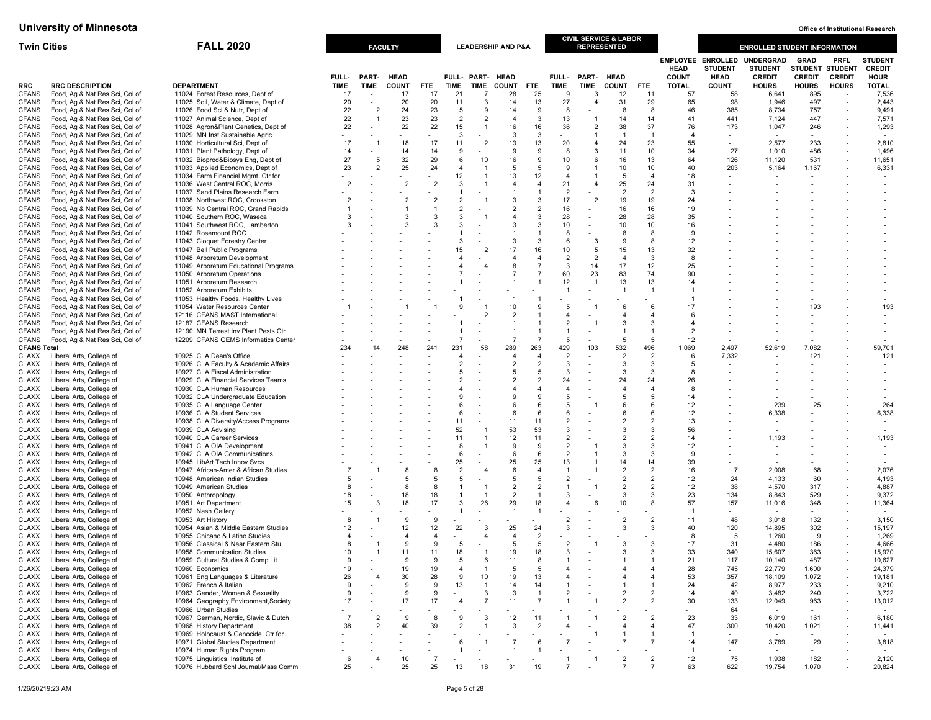| <b>Twin Cities</b>           |                                                                  | <b>FALL 2020</b>                                                      |                |                                            | <b>FACULTY</b>      |                                 |                                |                          | <b>LEADERSHIP AND P&amp;A</b>    |                                  |                                  |                      | <b>CIVIL SERVICE &amp; LABOR</b><br><b>REPRESENTED</b> |                                  |                             |                                                           | <b>ENROLLED STUDENT INFORMATION</b>                 |                                          |                                            |                                                |
|------------------------------|------------------------------------------------------------------|-----------------------------------------------------------------------|----------------|--------------------------------------------|---------------------|---------------------------------|--------------------------------|--------------------------|----------------------------------|----------------------------------|----------------------------------|----------------------|--------------------------------------------------------|----------------------------------|-----------------------------|-----------------------------------------------------------|-----------------------------------------------------|------------------------------------------|--------------------------------------------|------------------------------------------------|
|                              |                                                                  |                                                                       | FULL-          | <b>PART-</b>                               | <b>HEAD</b>         |                                 |                                | FULL- PART- HEAD         |                                  |                                  | FULL-                            | <b>PART-</b>         | <b>HEAD</b>                                            |                                  | <b>HEAD</b><br><b>COUNT</b> | <b>EMPLOYEE ENROLLED</b><br><b>STUDENT</b><br><b>HEAD</b> | <b>UNDERGRAD</b><br><b>STUDENT</b><br><b>CREDIT</b> | GRAD<br>STUDENT STUDENT<br><b>CREDIT</b> | PRFL<br><b>CREDIT</b>                      | <b>STUDEN1</b><br><b>CREDIT</b><br><b>HOUR</b> |
| <b>RRC</b>                   | <b>RRC DESCRIPTION</b>                                           | <b>DEPARTMENT</b>                                                     | <b>TIME</b>    | <b>TIME</b>                                | <b>COUNT</b>        | <b>FTE</b>                      | <b>TIME</b>                    | <b>TIME</b>              | <b>COUNT</b>                     | <b>FTE</b>                       | <b>TIME</b>                      | <b>TIME</b>          | <b>COUNT</b>                                           | FTE                              | <b>TOTAL</b>                | <b>COUNT</b>                                              | <b>HOURS</b>                                        | <b>HOURS</b>                             | <b>HOURS</b>                               | <b>TOTAL</b>                                   |
| <b>CFANS</b>                 | Food, Ag & Nat Res Sci, Col of                                   | 11024 Forest Resources, Dept of                                       | 17             |                                            | 17                  | 17                              | 21                             | -7                       | 28                               | 25                               | 9                                | 3                    | 12                                                     | 11                               | 57                          | 58                                                        | 6,641                                               | 895                                      |                                            | 7,536                                          |
| <b>CFANS</b>                 | Food, Ag & Nat Res Sci, Col of                                   | 11025 Soil, Water & Climate, Dept of                                  | 20             | $\overline{\phantom{a}}$<br>$\overline{2}$ | 20                  | 20<br>23                        | 11                             | 3                        | 14                               | 13                               | 27                               | $\overline{4}$       | 31                                                     | 29                               | 65                          | 98                                                        | 1,946                                               | 497                                      | $\overline{a}$                             | 2,443                                          |
| <b>CFANS</b><br><b>CFANS</b> | Food, Ag & Nat Res Sci, Col of<br>Food, Ag & Nat Res Sci, Col of | 11026 Food Sci & Nutr, Dept of<br>11027 Animal Science, Dept of       | 22<br>22       | $\overline{1}$                             | 24<br>23            | 23                              | 5<br>$\overline{2}$            | 9<br>$\overline{2}$      | 14<br>$\overline{4}$             | 9<br>3                           | 8<br>13                          | $\overline{1}$       | 8<br>14                                                | 8<br>14                          | 46<br>41                    | 385<br>441                                                | 8,734<br>7,124                                      | 757<br>447                               | $\overline{a}$                             | 9,491<br>7,571                                 |
| <b>CFANS</b>                 | Food, Ag & Nat Res Sci, Col of                                   | 11028 Agron&Plant Genetics, Dept of                                   | 22             |                                            | 22                  | 22                              | 15                             | $\overline{1}$           | 16                               | 16                               | 36                               | $\overline{2}$       | 38                                                     | 37                               | 76                          | 173                                                       | 1,047                                               | 246                                      |                                            | 1,293                                          |
| <b>CFANS</b>                 | Food, Ag & Nat Res Sci, Col of                                   | 11029 MN Inst Sustainable Agric                                       |                |                                            |                     |                                 | 3                              |                          | 3                                | 3                                |                                  | $\overline{1}$       | $\overline{1}$                                         | $\overline{1}$                   | $\overline{a}$              |                                                           |                                                     |                                          |                                            |                                                |
| <b>CFANS</b>                 | Food, Ag & Nat Res Sci, Col of                                   | 11030 Horticultural Sci, Dept of                                      | 17             | $\overline{1}$                             | 18                  | 17                              | 11                             | $\overline{2}$           | 13                               | 13                               | 20                               | $\overline{4}$       | 24                                                     | 23                               | 55                          |                                                           | 2,577                                               | 233                                      |                                            | 2,810                                          |
| <b>CFANS</b>                 | Food, Ag & Nat Res Sci, Col of                                   | 11031 Plant Pathology, Dept of                                        | 14             |                                            | 14                  | 14                              | 9                              |                          | 9                                | 9                                | 8                                | 3                    | 11                                                     | 10                               | 34                          | 27                                                        | 1,010                                               | 486                                      |                                            | 1,496                                          |
| <b>CFANS</b><br><b>CFANS</b> | Food, Ag & Nat Res Sci, Col of<br>Food, Ag & Nat Res Sci, Col of | 11032 Bioprod&Biosys Eng, Dept of<br>11033 Applied Economics, Dept of | 27<br>23       | 5<br>$\overline{2}$                        | 32<br>25            | 29<br>24                        | 6<br>$\overline{\mathbf{A}}$   | 10<br>$\overline{1}$     | 16<br>5                          | 9<br>5                           | 10<br>9                          | 6                    | 16<br>10                                               | 13<br>10                         | 64<br>40                    | 126<br>203                                                | 11,120<br>5,164                                     | 531<br>1,167                             |                                            | 11,651<br>6,331                                |
| <b>CFANS</b>                 | Food, Ag & Nat Res Sci, Col of                                   | 11034 Farm Financial Mgmt, Ctr for                                    |                |                                            |                     |                                 | 12                             | $\overline{1}$           | 13                               | 12                               | $\overline{4}$                   |                      | 5                                                      | $\overline{4}$                   | 18                          | $\blacksquare$                                            |                                                     | $\overline{\phantom{a}}$                 |                                            |                                                |
| <b>CFANS</b>                 | Food, Ag & Nat Res Sci, Col of                                   | 11036 West Central ROC, Morris                                        | $\overline{2}$ |                                            | $\overline{2}$      | $\overline{2}$                  | 3                              |                          | 4                                | $\overline{4}$                   | 21                               | $\overline{4}$       | 25                                                     | 24                               | 31                          |                                                           |                                                     |                                          |                                            |                                                |
| <b>CFANS</b>                 | Food, Ag & Nat Res Sci, Col of                                   | 11037 Sand Plains Research Farm                                       |                |                                            |                     |                                 |                                |                          | $\mathbf{1}$                     | $\overline{1}$                   | $\overline{2}$                   |                      | 2                                                      | $\overline{2}$                   | 3                           |                                                           |                                                     |                                          |                                            |                                                |
| <b>CFANS</b>                 | Food, Ag & Nat Res Sci, Col of                                   | 11038 Northwest ROC, Crookston                                        | $\overline{2}$ |                                            | $\overline{2}$      | $\overline{2}$                  | $\overline{2}$                 |                          | 3                                | 3                                | 17                               | $\overline{2}$       | 19                                                     | 19                               | 24                          |                                                           |                                                     |                                          |                                            |                                                |
| <b>CFANS</b><br><b>CFANS</b> | Food, Ag & Nat Res Sci, Col of<br>Food, Ag & Nat Res Sci, Col of | 11039 No Central ROC, Grand Rapids<br>11040 Southern ROC, Waseca      | 3              |                                            | $\mathcal{R}$       | $\overline{1}$<br>$\mathcal{R}$ | $\overline{2}$<br>3            |                          | $\overline{2}$<br>$\overline{4}$ | $\overline{2}$<br>$\mathcal{R}$  | 16<br>28                         |                      | 16<br>28                                               | 16<br>28                         | 19<br>35                    |                                                           |                                                     |                                          |                                            |                                                |
| <b>CFANS</b>                 | Food, Ag & Nat Res Sci, Col of                                   | 11041 Southwest ROC, Lamberton                                        | 3              |                                            |                     |                                 | 3                              |                          | 3                                | 3                                | 10                               |                      | 10 <sup>10</sup>                                       | 10                               | 16                          |                                                           |                                                     |                                          |                                            |                                                |
| <b>CFANS</b>                 | Food, Ag & Nat Res Sci, Col of                                   | 11042 Rosemount ROC                                                   |                |                                            |                     |                                 |                                |                          |                                  | $\overline{1}$                   | 8                                |                      | 8                                                      | 8                                | 9                           |                                                           |                                                     |                                          |                                            |                                                |
| <b>CFANS</b>                 | Food, Ag & Nat Res Sci, Col of                                   | 11043 Cloquet Forestry Center                                         |                |                                            |                     |                                 | 3                              |                          | 3                                | 3                                | 6                                | 3                    | 9                                                      | 8                                | 12                          |                                                           |                                                     |                                          |                                            |                                                |
| <b>CFANS</b>                 | Food, Ag & Nat Res Sci, Col of                                   | 11047 Bell Public Programs                                            |                |                                            |                     |                                 | 15                             | $\overline{2}$           | 17                               | 16                               | 10                               | 5                    | 15                                                     | 13                               | 32                          |                                                           |                                                     |                                          |                                            |                                                |
| <b>CFANS</b><br><b>CFANS</b> | Food, Ag & Nat Res Sci, Col of<br>Food, Ag & Nat Res Sci, Col of | 11048 Arboretum Development<br>11049 Arboretum Educational Programs   |                |                                            |                     |                                 | 4                              |                          | 4<br>8                           | $\overline{4}$                   | $\overline{2}$<br>3              | $\overline{2}$<br>14 | $\overline{4}$<br>17                                   | 3<br>12                          | 8<br>25                     |                                                           |                                                     |                                          |                                            |                                                |
| <b>CFANS</b>                 | Food, Ag & Nat Res Sci, Col of                                   | 11050 Arboretum Operations                                            |                |                                            |                     |                                 |                                |                          |                                  |                                  | 60                               | 23                   | 83                                                     | 74                               | 90                          |                                                           |                                                     |                                          |                                            |                                                |
| <b>CFANS</b>                 | Food, Ag & Nat Res Sci, Col of                                   | 11051 Arboretum Research                                              |                |                                            |                     |                                 |                                |                          |                                  | $\overline{1}$                   | 12                               | $\overline{1}$       | 13                                                     | 13                               | 14                          |                                                           |                                                     |                                          |                                            |                                                |
| <b>CFANS</b>                 | Food, Ag & Nat Res Sci, Col of                                   | 11052 Arboretum Exhibits                                              |                |                                            |                     |                                 |                                |                          |                                  |                                  |                                  |                      |                                                        | $\overline{1}$                   |                             |                                                           |                                                     |                                          |                                            |                                                |
| <b>CFANS</b>                 | Food, Ag & Nat Res Sci, Col of                                   | 11053 Healthy Foods, Healthy Lives                                    |                |                                            |                     |                                 |                                |                          |                                  |                                  |                                  |                      |                                                        |                                  |                             |                                                           |                                                     |                                          |                                            |                                                |
| <b>CFANS</b><br><b>CFANS</b> | Food, Ag & Nat Res Sci, Col of<br>Food, Ag & Nat Res Sci, Col of | 11054 Water Resources Center<br>12116 CFANS MAST International        |                |                                            |                     |                                 | 9                              | $\mathcal{P}$            | 10<br>$\overline{2}$             |                                  | 5<br>4                           |                      | 6<br>$\overline{4}$                                    | 6<br>$\overline{4}$              | 17<br>6                     |                                                           |                                                     | 193                                      |                                            | 193                                            |
| <b>CFANS</b>                 | Food, Ag & Nat Res Sci, Col of                                   | 12187 CFANS Research                                                  |                |                                            |                     |                                 |                                |                          |                                  |                                  | $\overline{2}$                   |                      | 3                                                      | 3                                | $\overline{4}$              |                                                           |                                                     |                                          |                                            |                                                |
| <b>CFANS</b>                 | Food, Ag & Nat Res Sci, Col of                                   | 12190 MN Terrest Inv Plant Pests Ctr                                  |                |                                            |                     |                                 |                                | $\overline{\phantom{a}}$ | $\overline{1}$                   |                                  | 1                                |                      | $\overline{1}$                                         | $\overline{1}$                   | $\overline{2}$              |                                                           |                                                     |                                          |                                            |                                                |
| <b>CFANS</b>                 | Food, Ag & Nat Res Sci, Col of                                   | 12209 CFANS GEMS Informatics Center                                   |                |                                            |                     |                                 | $\overline{7}$                 |                          | $\overline{7}$                   | $\overline{7}$                   | 5                                |                      | 5                                                      | 5                                | 12                          |                                                           |                                                     |                                          |                                            |                                                |
| <b>CFANS Total</b>           |                                                                  |                                                                       | 234            | 14                                         | 248                 | 241                             | 231<br>$\overline{4}$          | 58                       | 289                              | 263<br>$\overline{4}$            | 429                              | 103                  | 532                                                    | 496<br>$\overline{2}$            | 1,069                       | 2,497                                                     | 52,619                                              | 7,082                                    |                                            | 59,701                                         |
| CLAXX<br><b>CLAXX</b>        | Liberal Arts, College of<br>Liberal Arts, College of             | 10925 CLA Dean's Office<br>10926 CLA Faculty & Academic Affairs       |                |                                            |                     |                                 | $\overline{2}$                 |                          | $\overline{4}$<br>$\overline{2}$ | $\overline{2}$                   | $\overline{2}$<br>3              |                      | $\overline{2}$<br>3                                    | 3                                | 6<br>5                      | 7,332                                                     |                                                     | 121                                      |                                            | 121                                            |
| CLAXX                        | Liberal Arts, College of                                         | 10927 CLA Fiscal Administration                                       |                |                                            |                     |                                 | 5                              |                          | 5                                | 5                                | 3                                |                      | 3                                                      | $\mathbf{3}$                     | 8                           |                                                           |                                                     |                                          |                                            |                                                |
| <b>CLAXX</b>                 | Liberal Arts, College of                                         | 10929 CLA Financial Services Teams                                    |                |                                            |                     |                                 | 2                              |                          | 2                                | $\overline{2}$                   | 24                               |                      | 24                                                     | 24                               | 26                          |                                                           |                                                     |                                          |                                            |                                                |
| <b>CLAXX</b>                 | Liberal Arts, College of                                         | 10930 CLA Human Resources                                             |                |                                            |                     |                                 | 4                              |                          | 4                                | $\overline{4}$                   | $\overline{4}$                   |                      | $\overline{4}$                                         | $\overline{4}$                   | 8                           |                                                           |                                                     |                                          |                                            |                                                |
| <b>CLAXX</b><br><b>CLAXX</b> | Liberal Arts, College of<br>Liberal Arts, College of             | 10932 CLA Undergraduate Education                                     |                |                                            |                     |                                 | $\mathbf{Q}$<br>6              |                          | 9<br>6                           | 9<br>6                           | 5<br>5                           |                      | 5<br>6                                                 | 5<br>6                           | 14<br>12                    |                                                           | 239                                                 | 25                                       |                                            | 264                                            |
| <b>CLAXX</b>                 | Liberal Arts, College of                                         | 10935 CLA Language Center<br>10936 CLA Student Services               |                |                                            |                     |                                 | 6                              |                          | 6                                | 6                                | 6                                |                      | 6                                                      | 6                                | 12                          |                                                           | 6,338                                               |                                          |                                            | 6,338                                          |
| CLAXX                        | Liberal Arts, College of                                         | 10938 CLA Diversity/Access Programs                                   |                |                                            |                     |                                 | 11                             |                          | 11                               | 11                               | $\overline{2}$                   |                      | $\overline{2}$                                         | $\overline{2}$                   | 13                          |                                                           | $\overline{\phantom{a}}$                            |                                          |                                            |                                                |
| <b>CLAXX</b>                 | Liberal Arts, College of                                         | 10939 CLA Advising                                                    |                |                                            |                     |                                 | 52                             |                          | 53                               | 53                               | 3                                |                      | 3                                                      | 3                                | 56                          |                                                           |                                                     |                                          |                                            |                                                |
| <b>CLAXX</b>                 | Liberal Arts, College of                                         | 10940 CLA Career Services                                             |                |                                            |                     |                                 | 11                             |                          | 12                               | 11                               | $\overline{2}$                   |                      | $\overline{2}$                                         | $\overline{2}$                   | 14                          |                                                           | 1,193                                               |                                          |                                            | 1,193                                          |
| <b>CLAXX</b><br><b>CLAXX</b> | Liberal Arts, College of<br>Liberal Arts, College of             | 10941 CLA OIA Development<br>10942 CLA OIA Communications             |                |                                            |                     |                                 | 8<br>6                         |                          | $\mathbf{Q}$<br>6                | 9<br>6                           | $\overline{2}$<br>$\overline{2}$ |                      | 3<br>3                                                 | 3<br>3                           | 12<br>9                     |                                                           | $\overline{\phantom{a}}$                            |                                          |                                            | $\overline{\phantom{a}}$                       |
| CLAXX                        | Liberal Arts, College of                                         | 10945 LibArt Tech Innov Svcs                                          |                |                                            |                     |                                 | 25                             | $\overline{\phantom{a}}$ | 25                               | 25                               | 13                               |                      | 14                                                     | 14                               | 39                          |                                                           | $\overline{\phantom{a}}$                            |                                          |                                            |                                                |
| CLAXX                        | Liberal Arts, College of                                         | 10947 African-Amer & African Studies                                  |                | $\overline{1}$                             | $\mathbf{R}$        | 8                               | $\overline{2}$                 |                          | 6                                | $\overline{4}$                   | $\overline{1}$                   |                      | $\overline{2}$                                         | $\overline{2}$                   | 16                          | $\overline{7}$                                            | 2,008                                               | 68                                       |                                            | 2,076                                          |
| <b>CLAXX</b>                 | Liberal Arts, College of                                         | 10948 American Indian Studies                                         | 5              |                                            |                     | $\overline{5}$                  | 5                              |                          | 5                                | 5                                | $\overline{2}$                   |                      | $\overline{2}$                                         | $\overline{2}$                   | 12                          | 24                                                        | 4,133                                               | 60                                       |                                            | 4,193                                          |
| <b>CLAXX</b>                 | Liberal Arts, College of                                         | 10949 American Studies                                                | 8<br>18        |                                            | 8<br>18             | 8<br>18                         | $\mathbf{1}$<br>$\overline{1}$ |                          | $\overline{2}$<br>$\overline{2}$ | $\overline{2}$<br>$\overline{1}$ | $\mathbf{1}$<br>3                | $\overline{1}$       | $\overline{2}$<br>3                                    | $\overline{2}$<br>-3             | 12<br>23                    | 38<br>134                                                 | 4,570<br>8,843                                      | 317<br>529                               | $\overline{a}$                             | 4,887<br>9,372                                 |
| <b>CLAXX</b><br><b>CLAXX</b> | Liberal Arts, College of<br>Liberal Arts, College of             | 10950 Anthropology<br>10951 Art Department                            | 15             | 3                                          | 18                  | 17                              | 3                              | 26                       | 29                               | 18                               | $\overline{4}$                   |                      | 10                                                     | -8                               | 57                          | 157                                                       | 11,016                                              | 348                                      |                                            | 11,364                                         |
| <b>CLAXX</b>                 | Liberal Arts, College of                                         | 10952 Nash Gallery                                                    |                |                                            |                     |                                 |                                |                          | $\overline{1}$                   | $\overline{1}$                   |                                  |                      |                                                        |                                  |                             | $\overline{\phantom{a}}$                                  | $\overline{a}$                                      | $\blacksquare$                           |                                            |                                                |
| CLAXX                        | Liberal Arts, College of                                         | 10953 Art History                                                     | 8              |                                            | $\mathbf{q}$        | 9                               |                                |                          |                                  |                                  | $\overline{2}$                   |                      | $\overline{2}$                                         | $\overline{2}$                   | 11                          | 48                                                        | 3,018                                               | 132                                      | $\overline{\phantom{a}}$                   | 3,150                                          |
| <b>CLAXX</b>                 | Liberal Arts, College of                                         | 10954 Asian & Middle Eastern Studies                                  | 12             |                                            | 12                  | 12                              | 22                             | 3                        | 25                               | 24                               | 3                                |                      |                                                        | 3                                | 40                          | 120                                                       | 14,895                                              | 302                                      |                                            | 15,197                                         |
| CLAXX<br><b>CLAXX</b>        | Liberal Arts, College of<br>Liberal Arts, College of             | 10955 Chicano & Latino Studies<br>10956 Classical & Near Eastern Stu  | 4<br>8         |                                            | $\overline{4}$<br>9 | 9                               | 5                              |                          | $\overline{4}$<br>5              | $\overline{2}$<br>5              | $\overline{2}$                   |                      | 3                                                      | 3                                | 8<br>17                     | 5<br>31                                                   | 1,260<br>4.480                                      | 9<br>186                                 |                                            | 1,269<br>4,666                                 |
| <b>CLAXX</b>                 | Liberal Arts, College of                                         | 10958 Communication Studies                                           | 10             | -1                                         | 11                  | 11                              | 18                             |                          | 19                               | 18                               | 3                                |                      | 3                                                      | -3                               | 33                          | 340                                                       | 15,607                                              | 363                                      |                                            | 15,970                                         |
| <b>CLAXX</b>                 | Liberal Arts, College of                                         | 10959 Cultural Studies & Comp Lit                                     | $\mathbf{Q}$   |                                            | $\mathbf{Q}$        |                                 | 5                              | 6                        | 11                               | 8                                | 1                                |                      |                                                        |                                  | 21                          | 117                                                       | 10,140                                              | 487                                      |                                            | 10,627                                         |
| <b>CLAXX</b>                 | Liberal Arts, College of                                         | 10960 Economics                                                       | 19             |                                            | 19                  | 19                              | $\overline{4}$                 |                          | 5                                | 5                                | $\overline{4}$                   |                      |                                                        | $\overline{4}$                   | 28                          | 745                                                       | 22,779                                              | 1,600                                    |                                            | 24,379                                         |
| <b>CLAXX</b>                 | Liberal Arts, College of                                         | 10961 Eng Languages & Literature                                      | 26             | 4                                          | 30                  | 28                              | 9                              | 10                       | 19                               | 13                               | 4                                |                      | $\overline{4}$                                         | $\overline{4}$                   | 53                          | 357                                                       | 18,109                                              | 1,072                                    |                                            | 19,181                                         |
| <b>CLAXX</b><br><b>CLAXX</b> | Liberal Arts, College of<br>Liberal Arts, College of             | 10962 French & Italian<br>10963 Gender, Women & Sexuality             | 9<br>9         |                                            | 9<br>-9             | 9<br>9                          | 13                             | $\overline{1}$<br>3      | 14<br>3                          | 14<br>$\overline{1}$             | 1<br>$\overline{2}$              |                      | 2                                                      | $\overline{1}$<br>$\overline{2}$ | 24<br>14                    | 42<br>40                                                  | 8,977<br>3,482                                      | 233<br>240                               | $\overline{\phantom{a}}$<br>$\overline{a}$ | 9,210<br>3,722                                 |
| <b>CLAXX</b>                 | Liberal Arts, College of                                         | 10964 Geography, Environment, Society                                 | 17             |                                            | 17                  | 17                              | $\overline{4}$                 | $\overline{7}$           | 11                               | $\overline{7}$                   | $\mathbf{1}$                     |                      | $\overline{2}$                                         | $\overline{2}$                   | 30                          | 133                                                       | 12,049                                              | 963                                      | $\overline{a}$                             | 13,012                                         |
| <b>CLAXX</b>                 | Liberal Arts, College of                                         | 10966 Urban Studies                                                   |                |                                            |                     |                                 |                                |                          |                                  |                                  |                                  |                      |                                                        |                                  |                             | 64                                                        |                                                     |                                          |                                            |                                                |
| <b>CLAXX</b>                 | Liberal Arts, College of                                         | 10967 German, Nordic, Slavic & Dutch                                  | $\overline{7}$ | $\overline{2}$                             | -9                  | 8                               | 9                              | 3                        | 12                               | 11                               |                                  |                      | $\overline{2}$                                         | $\overline{2}$                   | 23                          | 33                                                        | 6,019                                               | 161                                      |                                            | 6,180                                          |
| <b>CLAXX</b><br><b>CLAXX</b> | Liberal Arts, College of<br>Liberal Arts, College of             | 10968 History Department<br>10969 Holocaust & Genocide, Ctr for       | 38             | $\overline{2}$                             | 40                  | 39                              | $\overline{2}$                 |                          | 3                                | $\overline{2}$                   |                                  |                      | $\overline{4}$<br>$\overline{1}$                       | $\overline{4}$<br>$\mathbf{1}$   | 47<br>$\overline{1}$        | 300                                                       | 10,420                                              | 1,021                                    |                                            | 11,441                                         |
| <b>CLAXX</b>                 | Liberal Arts, College of                                         | 10971 Global Studies Department                                       |                |                                            |                     |                                 | 6                              |                          | $\overline{7}$                   | 6                                | $\overline{7}$                   |                      | $\overline{7}$                                         | $\overline{7}$                   | 14                          | 147                                                       | 3,789                                               | 29                                       |                                            | 3,818                                          |
| <b>CLAXX</b>                 | Liberal Arts, College of                                         | 10974 Human Rights Program                                            |                |                                            |                     |                                 |                                |                          |                                  | $\overline{1}$                   |                                  |                      |                                                        |                                  | $\overline{1}$              |                                                           |                                                     |                                          |                                            |                                                |
| <b>CLAXX</b>                 | Liberal Arts, College of                                         | 10975 Linguistics, Institute of                                       | 6              | $\overline{4}$                             | 10                  | $\overline{7}$                  |                                |                          |                                  |                                  | -1                               |                      | $\overline{2}$                                         | $\overline{2}$                   | 12                          | 75                                                        | 1,938                                               | 182                                      |                                            | 2,120                                          |
| <b>CLAXX</b>                 | Liberal Arts, College of                                         | 10976 Hubbard Schl Journal/Mass Comm                                  | 25             |                                            | 25                  | 25                              | 13                             | 18                       | 31                               | 19                               | $\overline{7}$                   |                      |                                                        | $\overline{7}$                   | 63                          | 622                                                       | 19,754                                              | 1,070                                    |                                            | 20,824                                         |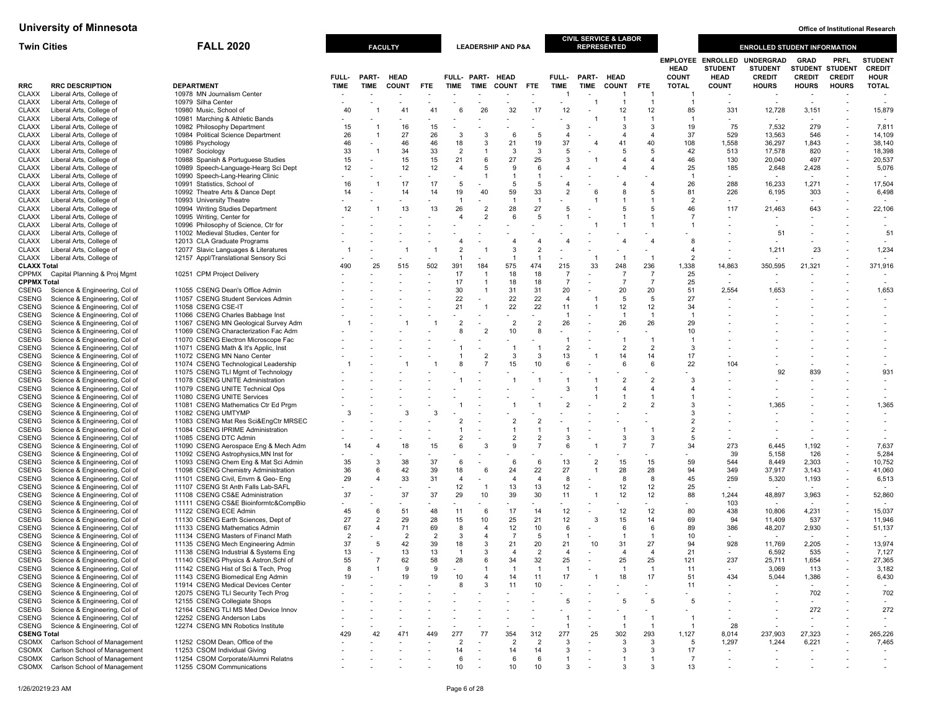| <b>Twin Cities</b>           |                                                                | <b>FALL 2020</b>                                                             |                | <b>FACULTY</b>      |                |                                |                                  |                          | <b>LEADERSHIP AND P&amp;A</b> |                      |                          | <b>CIVIL SERVICE &amp; LABOR</b><br><b>REPRESENTED</b> |                      |                      |                             |                                                           | <b>ENROLLED STUDENT INFORMATION</b>                 |                                                |                                                      |                                                |
|------------------------------|----------------------------------------------------------------|------------------------------------------------------------------------------|----------------|---------------------|----------------|--------------------------------|----------------------------------|--------------------------|-------------------------------|----------------------|--------------------------|--------------------------------------------------------|----------------------|----------------------|-----------------------------|-----------------------------------------------------------|-----------------------------------------------------|------------------------------------------------|------------------------------------------------------|------------------------------------------------|
|                              |                                                                |                                                                              | FULL-          | PART-               | <b>HEAD</b>    |                                |                                  | FULL- PART- HEAD         |                               |                      | <b>FULL-</b>             | PART- HEAD                                             |                      |                      | <b>HEAD</b><br><b>COUNT</b> | <b>EMPLOYEE ENROLLED</b><br><b>STUDENT</b><br><b>HEAD</b> | <b>UNDERGRAD</b><br><b>STUDENT</b><br><b>CREDIT</b> | <b>GRAD</b><br><b>STUDENT</b><br><b>CREDIT</b> | <b>PRFL</b><br><b>STUDENT</b><br><b>CREDIT</b>       | <b>STUDENT</b><br><b>CREDIT</b><br><b>HOUR</b> |
| RRC                          | <b>RRC DESCRIPTION</b>                                         | <b>DEPARTMENT</b>                                                            | <b>TIME</b>    | TIME                | <b>COUNT</b>   | <b>FTE</b>                     | TIME                             | <b>TIME</b>              | <b>COUNT</b>                  | <b>FTE</b>           | <b>TIME</b>              | <b>TIME</b>                                            | <b>COUNT</b>         | <b>FTE</b>           | <b>TOTAL</b>                | <b>COUNT</b>                                              | <b>HOURS</b>                                        | <b>HOURS</b>                                   | <b>HOURS</b>                                         | <b>TOTAL</b>                                   |
| <b>CLAXX</b><br><b>CLAXX</b> | Liberal Arts, College of<br>Liberal Arts, College of           | 10978 MN Journalism Center<br>10979 Silha Center                             |                |                     |                |                                |                                  |                          |                               |                      |                          |                                                        | -1                   | $\overline{1}$       |                             |                                                           |                                                     |                                                |                                                      |                                                |
| <b>CLAXX</b>                 | Liberal Arts, College of                                       | 10980 Music, School of                                                       | 40             |                     | 41             | 41                             | 6                                | 26                       | 32                            | 17                   | 12                       |                                                        | 12                   | 12                   | 85                          | 331                                                       | 12,728                                              | 3,151                                          |                                                      | 15,879                                         |
| <b>CLAXX</b>                 | Liberal Arts, College of                                       | 10981 Marching & Athletic Bands                                              |                |                     |                |                                |                                  |                          |                               |                      |                          |                                                        | -1                   | $\overline{1}$       | -1                          |                                                           |                                                     |                                                |                                                      |                                                |
| <b>CLAXX</b>                 | Liberal Arts, College of                                       | 10982 Philosophy Department                                                  | 15             | -1                  | 16             | 15                             |                                  |                          |                               |                      | 3                        |                                                        | 3                    | 3                    | 19                          | 75                                                        | 7,532                                               | 279                                            |                                                      | 7,811                                          |
| <b>CLAXX</b><br><b>CLAXX</b> | Liberal Arts, College of<br>Liberal Arts, College of           | 10984 Political Science Department<br>10986 Psychology                       | 26<br>46       | $\overline{1}$      | 27<br>46       | 26<br>46                       | 3<br>18                          | 3<br>3                   | 6<br>21                       | -5<br>19             | $\overline{4}$<br>37     | $\overline{A}$                                         | 4<br>41              | $\overline{4}$<br>40 | 37<br>108                   | 529<br>1,558                                              | 13,563<br>36,297                                    | 546<br>1,843                                   | $\overline{\phantom{a}}$                             | 14,109<br>38,140                               |
| <b>CLAXX</b>                 | Liberal Arts, College of                                       | 10987 Sociology                                                              | 33             | -1                  | 34             | 33                             | $\overline{2}$                   |                          | 3                             | 3                    | 5                        |                                                        | 5                    | 5                    | 42                          | 513                                                       | 17,578                                              | 820                                            | $\overline{\phantom{a}}$                             | 18,398                                         |
| <b>CLAXX</b>                 | Liberal Arts, College of                                       | 10988 Spanish & Portuguese Studies                                           | 15             |                     | 15             | 15                             | 21                               | 6                        | 27                            | 25                   | 3                        |                                                        |                      |                      | 46                          | 130                                                       | 20,040                                              | 497                                            |                                                      | 20,537                                         |
| <b>CLAXX</b>                 | Liberal Arts, College of                                       | 10989 Speech-Language-Hearg Sci Dept                                         | 12             |                     | 12             | 12                             | $\overline{4}$                   | 5                        | 9<br>-1                       | 6<br>$\mathbf{1}$    | $\overline{4}$           |                                                        | $\overline{4}$       | $\overline{4}$       | 25                          | 185                                                       | 2,648                                               | 2,428                                          |                                                      | 5,076                                          |
| <b>CLAXX</b><br><b>CLAXX</b> | Liberal Arts, College of<br>Liberal Arts, College of           | 10990 Speech-Lang-Hearing Clinic<br>10991 Statistics, School of              | 16             |                     | 17             | $\overline{\phantom{a}}$<br>17 | 5                                |                          | 5                             | -5                   | $\overline{4}$           |                                                        | $\overline{4}$       | $\overline{4}$       | 26                          | $\overline{\phantom{a}}$<br>288                           | 16,233                                              | 1,271                                          |                                                      | 17,504                                         |
| <b>CLAXX</b>                 | Liberal Arts, College of                                       | 10992 Theatre Arts & Dance Dept                                              | 14             |                     | 14             | 14                             | 19                               | 40                       | 59                            | 33                   | $\overline{2}$           | -6                                                     | 8                    | 5                    | 81                          | 226                                                       | 6,195                                               | 303                                            |                                                      | 6,498                                          |
| <b>CLAXX</b>                 | Liberal Arts, College of                                       | 10993 University Theatre                                                     |                |                     |                |                                | $\overline{1}$                   |                          | $\overline{1}$                | -1                   |                          |                                                        |                      |                      | $\overline{2}$              | $\overline{\phantom{a}}$                                  | $\overline{\phantom{a}}$                            |                                                |                                                      |                                                |
| <b>CLAXX</b><br><b>CLAXX</b> | Liberal Arts, College of<br>Liberal Arts, College of           | 10994 Writing Studies Department<br>10995 Writing, Center for                | 12             |                     | 13             | 13                             | 26<br>$\overline{4}$             | $\overline{2}$           | 28<br>6                       | 27                   | 5                        |                                                        | 5                    | 5                    | 46                          | 117                                                       | 21,463                                              | 643                                            |                                                      | 22,106                                         |
| <b>CLAXX</b>                 | Liberal Arts, College of                                       | 10996 Philosophy of Science, Ctr for                                         |                |                     |                |                                |                                  |                          |                               |                      |                          |                                                        |                      |                      |                             |                                                           |                                                     |                                                |                                                      |                                                |
| <b>CLAXX</b>                 | Liberal Arts, College of                                       | 11002 Medieval Studies, Center for                                           |                |                     |                |                                |                                  |                          |                               |                      |                          |                                                        |                      |                      |                             |                                                           | 51                                                  |                                                |                                                      | 51                                             |
| <b>CLAXX</b>                 | Liberal Arts, College of                                       | 12013 CLA Graduate Programs                                                  |                |                     |                |                                | 4                                |                          | $\boldsymbol{\Delta}$         |                      |                          |                                                        |                      | $\overline{4}$       |                             |                                                           |                                                     |                                                |                                                      |                                                |
| <b>CLAXX</b><br>CLAXX        | Liberal Arts, College of<br>Liberal Arts, College of           | 12077 Slavic Languages & Literatures<br>12157 Appl/Translational Sensory Sci |                |                     |                |                                | $\overline{2}$<br>$\overline{1}$ | $\overline{\phantom{a}}$ | 3<br>-1                       |                      | $\overline{\phantom{a}}$ | $\overline{1}$                                         | -1                   | $\overline{1}$       | $\overline{2}$              |                                                           | 1,211                                               | 23                                             |                                                      | 1,234                                          |
| <b>CLAXX Total</b>           |                                                                |                                                                              | 490            | 25                  | 515            | 502                            | 391                              | 184                      | 575                           | 474                  | 215                      | 33                                                     | 248                  | 236                  | 1,338                       | 14,863                                                    | 350,595                                             | 21,321                                         |                                                      | 371,916                                        |
| CPPMX                        | Capital Planning & Proj Mgmt                                   | 10251 CPM Project Delivery                                                   |                |                     |                |                                | 17                               |                          | 18                            | 18                   | $\overline{7}$           |                                                        | $\overline{7}$       | $\overline{7}$       | 25                          | $\overline{\phantom{a}}$                                  |                                                     |                                                |                                                      |                                                |
| <b>CPPMX Total</b><br>CSENG  | Science & Engineering, Col of                                  | 11055 CSENG Dean's Office Admin                                              |                |                     |                |                                | 17<br>30                         |                          | 18<br>31                      | 18<br>31             | $\overline{7}$<br>20     |                                                        | $\overline{7}$<br>20 | $\overline{7}$<br>20 | 25<br>51                    | $\overline{\phantom{a}}$<br>2,554                         | 1,653                                               |                                                |                                                      | 1,653                                          |
| CSENG                        | Science & Engineering, Col of                                  | 11057 CSENG Student Services Admin                                           |                |                     |                |                                | 22                               |                          | 22                            | 22                   | $\overline{4}$           |                                                        | 5                    | 5                    | 27                          |                                                           |                                                     |                                                |                                                      |                                                |
| CSENG                        | Science & Engineering, Col of                                  | 11058 CSENG CSE-IT                                                           |                |                     |                |                                | 21                               |                          | 22                            | 22                   | 11                       |                                                        | 12                   | 12                   | 34                          |                                                           |                                                     |                                                |                                                      |                                                |
| CSENG                        | Science & Engineering, Col of                                  | 11066 CSENG Charles Babbage Inst                                             |                |                     |                |                                |                                  |                          |                               |                      | $\overline{1}$           |                                                        | $\overline{1}$       | $\overline{1}$       | -1                          |                                                           |                                                     |                                                |                                                      |                                                |
| CSENG<br>CSENG               | Science & Engineering, Col of<br>Science & Engineering, Col of | 11067 CSENG MN Geological Survey Adm<br>11069 CSENG Characterization Fac Adm |                |                     |                |                                | $\overline{2}$<br>8              |                          | $\overline{2}$<br>10          | $\overline{2}$       | 26                       |                                                        | 26                   | 26                   | 29<br>10                    |                                                           |                                                     |                                                |                                                      |                                                |
| <b>CSENG</b>                 | Science & Engineering, Col of                                  | 11070 CSENG Electron Microscope Fac                                          |                |                     |                |                                |                                  |                          |                               |                      | -1                       |                                                        | $\overline{1}$       | $\overline{1}$       |                             |                                                           |                                                     |                                                |                                                      |                                                |
| CSENG                        | Science & Engineering, Col of                                  | 11071 CSENG Math & It's Applic, Inst                                         |                |                     |                |                                |                                  |                          |                               |                      | $\overline{2}$           |                                                        | $\overline{2}$       | $\overline{2}$       | 3                           |                                                           |                                                     |                                                |                                                      |                                                |
| CSENG                        | Science & Engineering, Col of                                  | 11072 CSENG MN Nano Center                                                   |                |                     |                |                                |                                  |                          | 3                             | -3<br>10             | 13<br>6                  |                                                        | 14<br>6              | 14<br>6              | 17                          |                                                           |                                                     |                                                |                                                      |                                                |
| CSENG<br>CSENG               | Science & Engineering, Col of<br>Science & Engineering, Col of | 11074 CSENG Technological Leadership<br>11075 CSENG TLI Mgmt of Technology   |                |                     |                |                                |                                  |                          | 15                            |                      |                          |                                                        |                      |                      | 22                          | 104                                                       | 92                                                  | 839                                            |                                                      | 931                                            |
| CSENG                        | Science & Engineering, Col of                                  | 11078 CSENG UNITE Administration                                             |                |                     |                |                                |                                  |                          |                               |                      |                          |                                                        | $\overline{2}$       | $\overline{2}$       | 3                           |                                                           |                                                     |                                                |                                                      |                                                |
| CSENG                        | Science & Engineering, Col of                                  | 11079 CSENG UNITE Technical Ops                                              |                |                     |                |                                |                                  |                          |                               |                      | 3                        |                                                        | $\overline{4}$       | 4                    |                             |                                                           |                                                     |                                                |                                                      |                                                |
| CSENG<br>CSENG               | Science & Engineering, Col of<br>Science & Engineering, Col of | 11080 CSENG UNITE Services<br>11081 CSENG Mathematics Ctr Ed Prgm            |                |                     |                |                                |                                  |                          |                               |                      |                          |                                                        | $\overline{2}$       |                      |                             |                                                           | 1,365                                               |                                                |                                                      | 1,365                                          |
| <b>CSENG</b>                 | Science & Engineering, Col of                                  | 11082 CSENG UMTYMP                                                           | 3              |                     | 3              |                                |                                  |                          |                               |                      |                          |                                                        |                      |                      |                             |                                                           |                                                     |                                                |                                                      |                                                |
| CSENG                        | Science & Engineering, Col of                                  | 11083 CSENG Mat Res Sci&EngCtr MRSEC                                         |                |                     |                |                                |                                  |                          |                               |                      |                          |                                                        |                      |                      |                             |                                                           |                                                     |                                                |                                                      |                                                |
| CSENG<br><b>CSENG</b>        | Science & Engineering, Col of<br>Science & Engineering, Col of | 11084 CSENG IPRIME Administration<br>11085 CSENG DTC Admin                   |                |                     |                |                                | $\overline{2}$                   |                          | $\overline{2}$                |                      | 3                        |                                                        | 3                    | 3                    | $\overline{2}$<br>5         |                                                           |                                                     |                                                |                                                      |                                                |
| <b>CSENG</b>                 | Science & Engineering, Col of                                  | 11090 CSENG Aerospace Eng & Mech Adm                                         | 14             |                     | 18             | 15                             | 6                                |                          | 9                             |                      | 6                        |                                                        |                      |                      | 34                          | 273                                                       | 6,445                                               | 1,192                                          |                                                      | 7,637                                          |
| CSENG                        | Science & Engineering, Col of                                  | 11092 CSENG Astrophysics, MN Inst for                                        |                |                     |                |                                |                                  |                          |                               |                      |                          |                                                        |                      |                      |                             | 39                                                        | 5,158                                               | 126                                            |                                                      | 5,284                                          |
| CSENG                        | Science & Engineering, Col of                                  | 11093 CSENG Chem Eng & Mat Sci Admin                                         | 35             | 3                   | 38             | 37                             | 6                                |                          | 6                             | 6                    | 13                       | $\overline{2}$                                         | 15                   | 15                   | 59                          | 544                                                       | 8,449                                               | 2,303                                          |                                                      | 10,752                                         |
| CSENG<br>CSENG               | Science & Engineering, Col of<br>Science & Engineering, Col of | 11098 CSENG Chemistry Administration<br>11101 CSENG Civil, Envrn & Geo- Eng  | 36<br>29       | 6<br>$\overline{4}$ | 42<br>33       | 39<br>31                       | 18<br>$\overline{4}$             | 6                        | 24<br>$\overline{4}$          | 22<br>$\overline{4}$ | 27<br>8                  |                                                        | 28<br>8              | 28<br>8              | 94<br>45                    | 349<br>259                                                | 37,917<br>5,320                                     | 3,143<br>1,193                                 |                                                      | 41,060<br>6,513                                |
| CSENG                        | Science & Engineering, Col of                                  | 11107 CSENG St Anth Falls Lab-SAFL                                           |                |                     |                | $\overline{\phantom{a}}$       | 12                               | $\overline{1}$           | 13                            | 13                   | 12                       |                                                        | 12                   | 12                   | 25                          |                                                           |                                                     |                                                |                                                      |                                                |
| CSENG                        | Science & Engineering, Col of                                  | 11108 CSENG CS&E Administration                                              | 37             |                     | 37             | 37                             | 29                               | 10                       | 39                            | 30                   | 11                       |                                                        | 12                   | 12                   | 88                          | 1,244                                                     | 48,897                                              | 3,963                                          |                                                      | 52,860                                         |
| CSENG                        | Science & Engineering, Col of                                  | 11111 CSENG CS&E Bioinformtc&CompBio                                         |                | 6                   |                |                                |                                  |                          | 17                            |                      | 12                       |                                                        |                      | 12                   | 80                          | 103                                                       |                                                     | 4,231                                          |                                                      |                                                |
| CSENG<br>CSENG               | Science & Engineering, Col of<br>Science & Engineering, Col of | 11122 CSENG ECE Admin<br>11130 CSENG Earth Sciences, Dept of                 | 45<br>27       | $\overline{2}$      | 51<br>29       | 48<br>28                       | 11<br>15                         | 6<br>10                  | 25                            | 14<br>21             | 12                       | 3                                                      | 12<br>15             | 14                   | 69                          | 438<br>94                                                 | 10,806<br>11,409                                    | 537                                            | $\overline{\phantom{a}}$<br>$\overline{\phantom{a}}$ | 15,037<br>11,946                               |
| CSENG                        | Science & Engineering, Col of                                  | 11133 CSENG Mathematics Admin                                                | 67             | $\overline{4}$      | 71             | 69                             | 8                                | $\overline{4}$           | 12                            | 10                   | 6                        |                                                        | 6                    | 6                    | 89                          | 386                                                       | 48,207                                              | 2,930                                          |                                                      | 51,137                                         |
| CSENG                        | Science & Engineering, Col of                                  | 11134 CSENG Masters of Financl Math                                          | $\overline{2}$ |                     | $\overline{2}$ | $\overline{2}$                 | 3                                |                          | $\overline{7}$                | 5                    | -1                       |                                                        | $\overline{1}$       | $\overline{1}$       | 10                          |                                                           |                                                     |                                                |                                                      |                                                |
| <b>CSENG</b><br>CSENG        | Science & Engineering, Col of<br>Science & Engineering, Col of | 11135 CSENG Mech Engineering Admin<br>11138 CSENG Industrial & Systems Eng   | 37<br>13       | 5                   | 42<br>13       | 39<br>13                       | 18<br>$\overline{1}$             | 3<br>$\mathcal{R}$       | 21<br>$\overline{4}$          | 20<br>$\overline{2}$ | 21<br>$\overline{4}$     | 10                                                     | 31<br>$\overline{4}$ | 27<br>$\overline{4}$ | 94<br>21                    | 928<br>$\overline{\phantom{a}}$                           | 11,769<br>6,592                                     | 2,205<br>535                                   |                                                      | 13,974<br>7,127                                |
| CSENG                        | Science & Engineering, Col of                                  | 11140 CSENG Physics & Astron, Schl of                                        | 55             | $\overline{7}$      | 62             | 58                             | 28                               |                          | 34                            | 32                   | 25                       |                                                        | 25                   | 25                   | 121                         | 237                                                       | 25,711                                              | 1,654                                          |                                                      | 27,365                                         |
| CSENG                        | Science & Engineering, Col of                                  | 11142 CSENG Hist of Sci & Tech, Prog                                         | 8              |                     | -9             | 9                              |                                  |                          |                               |                      | -1                       |                                                        |                      |                      | 11                          |                                                           | 3,069                                               | 113                                            |                                                      | 3,182                                          |
| CSENG                        | Science & Engineering, Col of<br>Science & Engineering, Col of | 11143 CSENG Biomedical Eng Admin                                             | 19             |                     | 19             | 19                             | 10<br>8                          | 3                        | 14<br>11                      | 11<br>10             | 17                       |                                                        | 18                   | 17                   | 51<br>11                    | 434                                                       | 5,044                                               | 1,386                                          |                                                      | 6,430                                          |
| <b>CSENG</b><br>CSENG        | Science & Engineering, Col of                                  | 11914 CSENG Medical Devices Center<br>12075 CSENG TLI Security Tech Prog     |                |                     |                |                                |                                  |                          |                               |                      |                          |                                                        |                      |                      |                             |                                                           |                                                     | 702                                            |                                                      | 702                                            |
| <b>CSENG</b>                 | Science & Engineering, Col of                                  | 12155 CSENG Collegiate Shops                                                 |                |                     |                |                                |                                  |                          |                               |                      | 5                        |                                                        | 5                    | 5                    | 5                           |                                                           |                                                     |                                                |                                                      | $\overline{\phantom{a}}$                       |
| <b>CSENG</b>                 | Science & Engineering, Col of                                  | 12164 CSENG TLI MS Med Device Innov                                          |                |                     |                |                                |                                  |                          |                               |                      |                          |                                                        |                      |                      |                             |                                                           |                                                     | 272                                            |                                                      | 272                                            |
| CSENG<br>CSENG               | Science & Engineering, Col of<br>Science & Engineering, Col of | 12252 CSENG Anderson Labs<br>12274 CSENG MN Robotics Institute               |                |                     |                |                                |                                  |                          |                               |                      | $\overline{1}$           |                                                        | -1                   | $\overline{1}$       |                             | 28                                                        |                                                     |                                                |                                                      |                                                |
| <b>CSENG Total</b>           |                                                                |                                                                              | 429            | 42                  | 471            | 449                            | 277                              | 77                       | 354                           | 312                  | 277                      | 25                                                     | 302                  | 293                  | 1,127                       | 8,014                                                     | 237,903                                             | 27,323                                         | $\overline{\phantom{a}}$                             | 265,226                                        |
| CSOMX                        | Carlson School of Management                                   | 11252 CSOM Dean, Office of the                                               |                |                     |                |                                | $\overline{2}$                   |                          | $\overline{2}$                | $\overline{2}$       | 3                        |                                                        | 3                    | 3                    | 5                           | 1,297                                                     | 1,244                                               | 6,221                                          |                                                      | 7,465                                          |
| <b>CSOMX</b>                 | Carlson School of Management<br>Carlson School of Management   | 11253 CSOM Individual Giving<br>11254 CSOM Corporate/Alumni Relatns          |                |                     |                |                                | 14<br>6                          |                          | 14<br>6                       | 14                   | 3<br>-1                  |                                                        | 3                    | 3                    | 17<br>7                     | $\blacksquare$                                            |                                                     |                                                |                                                      |                                                |
| <b>CSOMX</b><br>CSOMX        | Carlson School of Management                                   | 11255 CSOM Communications                                                    |                |                     |                |                                | 10                               |                          | 10                            | -6<br>10             | 3                        |                                                        | 3                    | 3                    | 13                          |                                                           |                                                     |                                                |                                                      |                                                |
|                              |                                                                |                                                                              |                |                     |                |                                |                                  |                          |                               |                      |                          |                                                        |                      |                      |                             |                                                           |                                                     |                                                |                                                      |                                                |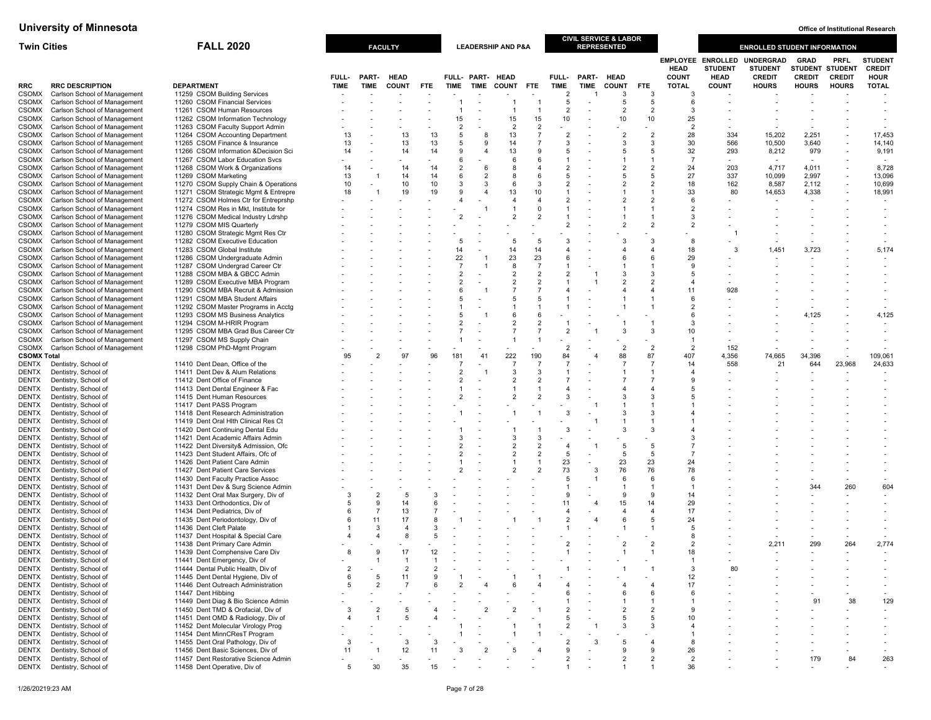| <b>Twin Cities</b>           |                                                              | <b>FALL 2020</b>                                                             |                |                     | <b>FACULTY</b> |            |                                  |                              | <b>LEADERSHIP AND P&amp;A</b>    |                                  |                                |                | <b>CIVIL SERVICE &amp; LABOR</b><br><b>REPRESENTED</b> |                      |                             |                                                           | <b>ENROLLED STUDENT INFORMATION</b>                 |                                                        |                              |                                                |
|------------------------------|--------------------------------------------------------------|------------------------------------------------------------------------------|----------------|---------------------|----------------|------------|----------------------------------|------------------------------|----------------------------------|----------------------------------|--------------------------------|----------------|--------------------------------------------------------|----------------------|-----------------------------|-----------------------------------------------------------|-----------------------------------------------------|--------------------------------------------------------|------------------------------|------------------------------------------------|
|                              |                                                              |                                                                              | FULL-          | PART-               | <b>HEAD</b>    |            |                                  | FULL- PART- HEAD             |                                  |                                  | FULL-                          | PART-          | <b>HEAD</b>                                            |                      | <b>HEAD</b><br><b>COUNT</b> | <b>EMPLOYEE ENROLLED</b><br><b>STUDENT</b><br><b>HEAD</b> | <b>UNDERGRAD</b><br><b>STUDENT</b><br><b>CREDIT</b> | <b>GRAD</b><br><b>STUDENT STUDENT</b><br><b>CREDIT</b> | <b>PRFL</b><br><b>CREDIT</b> | <b>STUDENT</b><br><b>CREDIT</b><br><b>HOUR</b> |
| RRC                          | <b>RRC DESCRIPTION</b>                                       | <b>DEPARTMENT</b>                                                            | <b>TIME</b>    | TIME                | <b>COUNT</b>   | <b>FTE</b> | <b>TIME</b>                      | <b>TIME</b>                  | <b>COUNT</b>                     | <b>FTE</b>                       | TIME                           | TIME           | <b>COUNT</b>                                           | <b>FTE</b>           | <b>TOTAL</b>                | <b>COUNT</b>                                              | <b>HOURS</b>                                        | <b>HOURS</b>                                           | <b>HOURS</b>                 | <b>TOTAL</b>                                   |
| <b>CSOMX</b>                 | Carlson School of Management                                 | 11259 CSOM Building Services                                                 |                |                     |                |            |                                  |                              |                                  |                                  | $\overline{2}$                 |                | 3                                                      | 3                    | -3                          |                                                           |                                                     |                                                        |                              |                                                |
| <b>CSOMX</b><br><b>CSOMX</b> | Carlson School of Management<br>Carlson School of Management | 11260 CSOM Financial Services<br>11261 CSOM Human Resources                  |                |                     |                |            |                                  |                              | $\overline{1}$                   | $\overline{1}$                   | 5<br>$\overline{2}$            |                | $\overline{5}$<br>$\overline{2}$                       | 5<br>$\overline{2}$  | 6<br>3                      |                                                           |                                                     |                                                        |                              |                                                |
| <b>CSOMX</b>                 | Carlson School of Management                                 | 11262 CSOM Information Technology                                            |                |                     |                |            | 15                               |                              | 15                               | 15                               | 10                             |                | 10                                                     | 10                   | 25                          |                                                           |                                                     |                                                        |                              |                                                |
| <b>CSOMX</b>                 | Carlson School of Management                                 | 11263 CSOM Faculty Support Admin                                             |                |                     |                |            | $\overline{2}$                   |                              | 2                                | $\overline{2}$                   |                                |                |                                                        |                      | $\overline{2}$              |                                                           |                                                     |                                                        |                              |                                                |
| CSOMX                        | Carlson School of Management                                 | 11264 CSOM Accounting Department                                             | 13             |                     | 13             | 13         | 5                                | -8                           | 13                               | $\overline{7}$                   | $\overline{2}$                 |                | $\overline{2}$                                         | $\overline{2}$       | 28                          | 334                                                       | 15,202                                              | 2,251                                                  |                              | 17,453                                         |
| <b>CSOMX</b>                 | Carlson School of Management                                 | 11265 CSOM Finance & Insurance                                               | 13             |                     | 13<br>14       | 13<br>14   | 5<br>9                           | 9<br>$\overline{\mathbf{4}}$ | 14<br>13                         | $\overline{7}$<br>9              | 3<br>5                         |                | 3<br>5                                                 | 3<br>5               | 30<br>32                    | 566<br>293                                                | 10,500                                              | 3,640                                                  |                              | 14,140                                         |
| <b>CSOMX</b><br><b>CSOMX</b> | Carlson School of Management<br>Carlson School of Management | 11266 CSOM Information & Decision Sci<br>11267 CSOM Labor Education Svcs     | 14             |                     |                |            | 6                                |                              | 6                                | 6                                |                                |                |                                                        |                      | $\overline{7}$              |                                                           | 8,212                                               | 979                                                    |                              | 9,191                                          |
| <b>CSOMX</b>                 | Carlson School of Management                                 | 11268 CSOM Work & Organizations                                              | 14             |                     | 14             | 14         | $\overline{2}$                   | -6                           | 8                                | $\overline{4}$                   | $\overline{2}$                 |                | $\overline{2}$                                         | $\overline{2}$       | 24                          | 203                                                       | 4,717                                               | 4,011                                                  |                              | 8,728                                          |
| <b>CSOMX</b>                 | Carlson School of Management                                 | 11269 CSOM Marketing                                                         | 13             | -1                  | 14             | 14         | 6                                | $\overline{2}$               | 8                                | 6                                | 5                              |                | 5                                                      | 5                    | 27                          | 337                                                       | 10,099                                              | 2,997                                                  |                              | 13,096                                         |
| CSOMX                        | Carlson School of Management                                 | 11270 CSOM Supply Chain & Operations                                         | 10             |                     | 10             | 10         | 3                                | 3<br>$\overline{a}$          | 6                                | 3                                | $\overline{2}$                 |                | $\overline{2}$                                         | $\overline{2}$       | 18                          | 162                                                       | 8,587                                               | 2,112                                                  |                              | 10,699                                         |
| <b>CSOMX</b><br><b>CSOMX</b> | Carlson School of Management<br>Carlson School of Management | 11271 CSOM Strategic Mgmt & Entrepre<br>11272 CSOM Holmes Ctr for Entreprshp | 18             |                     | 19             | 19         | 9<br>4                           |                              | 13<br>$\overline{4}$             | 10<br>$\overline{4}$             | $\mathbf{1}$<br>$\overline{2}$ |                | $\mathcal{P}$                                          | -1<br>$\overline{2}$ | 33<br>6                     | 80                                                        | 14,653                                              | 4,338                                                  |                              | 18,991                                         |
| <b>CSOMX</b>                 | Carlson School of Management                                 | 11274 CSOM Res in Mkt, Institute for                                         |                |                     |                |            |                                  |                              |                                  | $\Omega$                         |                                |                |                                                        |                      | $\overline{2}$              |                                                           |                                                     |                                                        |                              |                                                |
| <b>CSOMX</b>                 | Carlson School of Management                                 | 11276 CSOM Medical Industry Ldrshp                                           |                |                     |                |            | $\overline{2}$                   |                              | $\overline{2}$                   | $\overline{2}$                   |                                |                |                                                        |                      | 3                           |                                                           |                                                     |                                                        |                              |                                                |
| <b>CSOMX</b>                 | Carlson School of Management                                 | 11279 CSOM MIS Quarterly                                                     |                |                     |                |            |                                  |                              |                                  |                                  | $\overline{2}$                 |                |                                                        | $\overline{2}$       | $\overline{2}$              |                                                           |                                                     |                                                        |                              |                                                |
| CSOMX<br><b>CSOMX</b>        | Carlson School of Management<br>Carlson School of Management | 11280 CSOM Strategic Mgmt Res Ctr<br>11282 CSOM Executive Education          |                |                     |                |            | 5                                |                              | 5                                | -5                               | 3                              |                | 3                                                      | 3                    | 8                           |                                                           |                                                     |                                                        |                              |                                                |
| <b>CSOMX</b>                 | Carlson School of Management                                 | 11283 CSOM Global Institute                                                  |                |                     |                |            | 14                               |                              | 14                               | 14                               | 4                              |                |                                                        | $\overline{4}$       | 18                          | 3                                                         | 1.451                                               | 3,723                                                  |                              | 5,174                                          |
| <b>CSOMX</b>                 | Carlson School of Management                                 | 11286 CSOM Undergraduate Admin                                               |                |                     |                |            | 22                               |                              | 23                               | 23                               | 6                              |                |                                                        | 6                    | 29                          |                                                           |                                                     |                                                        |                              |                                                |
| <b>CSOMX</b>                 | Carlson School of Management                                 | 11287 CSOM Undergrad Career Ctr                                              |                |                     |                |            | $\overline{7}$                   |                              | 8                                | $\overline{7}$                   | $\mathbf{1}$                   |                |                                                        |                      | 9                           |                                                           |                                                     |                                                        |                              |                                                |
| <b>CSOMX</b>                 | Carlson School of Management                                 | 11288 CSOM MBA & GBCC Admin                                                  |                |                     |                |            | $\overline{2}$<br>$\overline{a}$ |                              | $\overline{2}$<br>$\overline{2}$ | $\overline{2}$<br>$\overline{2}$ | $\overline{2}$                 |                |                                                        | 3<br>$\overline{2}$  | -5<br>$\overline{4}$        |                                                           |                                                     |                                                        |                              |                                                |
| <b>CSOMX</b><br>CSOMX        | Carlson School of Management<br>Carlson School of Management | 11289 CSOM Executive MBA Program<br>11290 CSOM MBA Recruit & Admission       |                |                     |                |            | 6                                |                              | $\overline{7}$                   |                                  |                                |                |                                                        |                      | 11                          | 928                                                       |                                                     |                                                        |                              |                                                |
| <b>CSOMX</b>                 | Carlson School of Management                                 | 11291 CSOM MBA Student Affairs                                               |                |                     |                |            | 5                                |                              | 5                                | 5                                |                                |                |                                                        |                      | 6                           |                                                           |                                                     |                                                        |                              |                                                |
| <b>CSOMX</b>                 | Carlson School of Management                                 | 11292 CSOM Master Programs in Acctg                                          |                |                     |                |            |                                  |                              | $\mathbf{1}$                     |                                  |                                |                |                                                        |                      | $\overline{2}$              |                                                           |                                                     |                                                        |                              |                                                |
| <b>CSOMX</b>                 | Carlson School of Management                                 | 11293 CSOM MS Business Analytics                                             |                |                     |                |            | 5                                |                              | 6                                |                                  |                                |                |                                                        |                      | 6                           |                                                           |                                                     | 4,125                                                  |                              | 4,125                                          |
| <b>CSOMX</b><br><b>CSOMX</b> | Carlson School of Management<br>Carlson School of Management | 11294 CSOM M-HRIR Program<br>11295 CSOM MBA Grad Bus Career Ctr              |                |                     |                |            | $\overline{a}$<br>$\overline{7}$ |                              | $\overline{2}$<br>$\overline{7}$ | $\overline{2}$                   | $\overline{2}$                 |                | 3                                                      | 3                    | 3<br>10                     |                                                           |                                                     |                                                        |                              |                                                |
| CSOMX                        | Carlson School of Management                                 | 11297 CSOM MS Supply Chain                                                   |                |                     |                |            |                                  |                              | $\mathbf{1}$                     |                                  |                                |                |                                                        |                      | $\overline{1}$              |                                                           |                                                     |                                                        |                              |                                                |
| CSOMX                        | Carlson School of Management                                 | 11298 CSOM PhD-Mgmt Program                                                  |                |                     |                |            |                                  |                              | $\blacksquare$                   |                                  | $\overline{2}$                 |                | $\overline{2}$                                         | $\overline{2}$       | $\overline{2}$              | 152                                                       |                                                     |                                                        |                              |                                                |
| <b>CSOMX Total</b>           |                                                              |                                                                              | 95             | 2                   | 97             | 96         | 181                              | 41                           | 222                              | 190                              | 84                             |                | 88                                                     | 87                   | 407                         | 4,356                                                     | 74,665                                              | 34,396                                                 |                              | 109,061                                        |
| <b>DENTX</b>                 | Dentistry, School of<br>Dentistry, School of                 | 11410 Dent Dean, Office of the<br>11411 Dent Dev & Alum Relations            |                |                     |                |            | $\overline{7}$<br>$\overline{2}$ |                              | $\overline{7}$<br>3              | $\overline{7}$<br>3              | $\overline{7}$<br>$\mathbf{1}$ |                |                                                        | $\overline{7}$       | 14<br>$\overline{4}$        | 558                                                       | 21                                                  | 644                                                    | 23,968                       | 24,633                                         |
| <b>DENTX</b><br><b>DENTX</b> | Dentistry, School of                                         | 11412 Dent Office of Finance                                                 |                |                     |                |            | $\overline{2}$                   |                              | $\overline{2}$                   | $\overline{2}$                   | $\overline{7}$                 |                |                                                        | $\overline{7}$       | 9                           |                                                           |                                                     |                                                        |                              |                                                |
| <b>DENTX</b>                 | Dentistry, School of                                         | 11413 Dent Dental Engineer & Fac                                             |                |                     |                |            |                                  |                              | -1                               | $\overline{1}$                   | $\overline{4}$                 |                |                                                        | 4                    |                             |                                                           |                                                     |                                                        |                              |                                                |
| <b>DENTX</b>                 | Dentistry, School of                                         | 11415 Dent Human Resources                                                   |                |                     |                |            | $\overline{2}$                   |                              | $\overline{2}$                   | $\overline{2}$                   | 3                              |                |                                                        | 3                    | 5                           |                                                           |                                                     |                                                        |                              |                                                |
| <b>DENTX</b>                 | Dentistry, School of                                         | 11417 Dent PASS Program                                                      |                |                     |                |            |                                  |                              |                                  |                                  |                                |                |                                                        |                      |                             |                                                           |                                                     |                                                        |                              |                                                |
| <b>DENTX</b><br><b>DENTX</b> | Dentistry, School of<br>Dentistry, School of                 | 11418 Dent Research Administration<br>11419 Dent Oral Hith Clinical Res Ct   |                |                     |                |            |                                  |                              |                                  |                                  | 3                              |                |                                                        | 3                    |                             |                                                           |                                                     |                                                        |                              |                                                |
| <b>DENTX</b>                 | Dentistry, School of                                         | 11420 Dent Continuing Dental Edu                                             |                |                     |                |            |                                  |                              |                                  |                                  | 3                              |                | 3                                                      | 3                    |                             |                                                           |                                                     |                                                        |                              |                                                |
| <b>DENTX</b>                 | Dentistry, School of                                         | 11421 Dent Academic Affairs Admin                                            |                |                     |                |            |                                  |                              | 3                                | 3                                |                                |                |                                                        |                      | 3                           |                                                           |                                                     |                                                        |                              |                                                |
| <b>DENTX</b>                 | Dentistry, School of                                         | 11422 Dent Diversity& Admission, Ofc                                         |                |                     |                |            | $\overline{2}$                   |                              | 2                                | $\overline{2}$                   | $\overline{4}$                 |                | 5                                                      | 5                    | $\overline{7}$              |                                                           |                                                     |                                                        |                              |                                                |
| <b>DENTX</b>                 | Dentistry, School of<br>Dentistry, School of                 | 11423 Dent Student Affairs, Ofc of<br>11426 Dent Patient Care Admin          |                |                     |                |            | $\overline{2}$                   |                              | 2<br>-1                          | $\overline{2}$<br>$\overline{1}$ | 5<br>23                        |                | $\overline{5}$<br>23                                   | 5<br>23              | $\overline{7}$<br>24        |                                                           |                                                     |                                                        |                              |                                                |
| <b>DENTX</b><br><b>DENTX</b> | Dentistry, School of                                         | 11427 Dent Patient Care Services                                             |                |                     |                |            | $\overline{2}$                   |                              | 2                                | $\overline{2}$                   | 73                             | 3              | 76                                                     | 76                   | 78                          |                                                           |                                                     |                                                        |                              |                                                |
| <b>DENTX</b>                 | Dentistry, School of                                         | 11430 Dent Faculty Practice Assoc                                            |                |                     |                |            |                                  |                              |                                  |                                  | 5                              |                | 6                                                      | -6                   | -6                          |                                                           |                                                     |                                                        |                              |                                                |
| <b>DENTX</b>                 | Dentistry, School of                                         | 11431 Dent Dev & Surg Science Admin                                          |                |                     |                |            |                                  |                              |                                  |                                  | $\mathbf{1}$                   |                |                                                        | $\overline{1}$       | $\overline{1}$              |                                                           |                                                     | 344                                                    | 260                          | 604                                            |
| <b>DENTX</b>                 | Dentistry, School of                                         | 11432 Dent Oral Max Surgery, Div of                                          | 3<br>5         | $\overline{2}$<br>9 | -5             |            |                                  |                              |                                  |                                  | 9<br>11                        | $\overline{4}$ | 9                                                      | 9                    | 14                          |                                                           |                                                     |                                                        |                              |                                                |
| <b>DENTX</b><br><b>DENTX</b> | Dentistry, School of<br>Dentistry, School of                 | 11433 Dent Orthodontics, Div of<br>11434 Dent Pediatrics, Div of             | 6              | $\overline{7}$      | 14<br>13       |            |                                  |                              |                                  |                                  | $\overline{4}$                 |                | 15<br>$\boldsymbol{\Lambda}$                           | 14<br>$\overline{4}$ | 29<br>17                    |                                                           |                                                     |                                                        |                              |                                                |
| <b>DENTX</b>                 | Dentistry, School of                                         | 11435 Dent Periodontology, Div of                                            | 6              | 11                  | 17             |            |                                  |                              |                                  |                                  | $\overline{2}$                 |                |                                                        | 5                    | 24                          |                                                           |                                                     |                                                        |                              |                                                |
| <b>DENTX</b>                 | Dentistry, School of                                         | 11436 Dent Cleft Palate                                                      |                | 3                   | 4              |            |                                  |                              |                                  |                                  | $\mathbf{1}$                   |                |                                                        |                      | 5                           |                                                           |                                                     |                                                        |                              |                                                |
| <b>DENTX</b>                 | Dentistry, School of                                         | 11437 Dent Hospital & Special Care                                           |                | $\overline{A}$      | 8              | 5          |                                  |                              |                                  |                                  |                                |                |                                                        |                      | 8                           |                                                           |                                                     | $\overline{\phantom{a}}$                               |                              |                                                |
| <b>DENTX</b><br><b>DENTX</b> | Dentistry, School of<br>Dentistry, School of                 | 11438 Dent Primary Care Admin<br>11439 Dent Comphensive Care Div             | 8              | 9                   | 17             | 12         |                                  |                              |                                  |                                  | $\overline{2}$<br>$\mathbf{1}$ |                | $\overline{2}$                                         | $\overline{2}$       | $\overline{2}$<br>18        |                                                           | 2,211                                               | 299                                                    | 264                          | 2,774                                          |
| <b>DENTX</b>                 | Dentistry, School of                                         | 11441 Dent Emergency, Div of                                                 |                |                     |                |            |                                  |                              |                                  |                                  |                                |                |                                                        |                      |                             |                                                           |                                                     |                                                        |                              |                                                |
| DENTX                        | Dentistry, School of                                         | 11444 Dental Public Health, Div of                                           | $\overline{2}$ |                     | $\overline{2}$ |            |                                  |                              |                                  |                                  |                                |                |                                                        | $\overline{1}$       | -3                          | 80                                                        |                                                     |                                                        |                              |                                                |
| <b>DENTX</b>                 | Dentistry, School of                                         | 11445 Dent Dental Hygiene, Div of                                            | 6              | 5                   |                |            |                                  |                              |                                  |                                  |                                |                |                                                        |                      | 12                          |                                                           |                                                     |                                                        |                              |                                                |
| <b>DENTX</b>                 | Dentistry, School of                                         | 11446 Dent Outreach Administration<br>11447 Dent Hibbing                     | 5              | $\overline{2}$      |                |            |                                  |                              |                                  |                                  |                                |                |                                                        | $\overline{4}$<br>6  | 17<br>6                     |                                                           |                                                     |                                                        |                              |                                                |
| <b>DENTX</b><br><b>DENTX</b> | Dentistry, School of<br>Dentistry, School of                 | 11449 Dent Diag & Bio Science Admin                                          |                |                     |                |            |                                  |                              |                                  |                                  |                                |                |                                                        |                      |                             |                                                           |                                                     | 91                                                     | 38                           | 129                                            |
| <b>DENTX</b>                 | Dentistry, School of                                         | 11450 Dent TMD & Orofacial, Div of                                           | 3              | $\overline{2}$      | 5              |            |                                  |                              |                                  |                                  |                                |                |                                                        | 2                    |                             |                                                           |                                                     |                                                        |                              | $\overline{\phantom{a}}$                       |
| <b>DENTX</b>                 | Dentistry, School of                                         | 11451 Dent OMD & Radiology, Div of                                           | $\overline{4}$ |                     |                |            |                                  |                              |                                  |                                  | 5                              |                |                                                        |                      | 10                          |                                                           |                                                     |                                                        |                              |                                                |
| <b>DENTX</b>                 | Dentistry, School of                                         | 11452 Dent Molecular Virology Prog                                           |                |                     |                |            |                                  |                              |                                  |                                  | $\overline{2}$                 |                | 3                                                      | 3                    | $\overline{4}$              |                                                           |                                                     |                                                        |                              | $\overline{\phantom{a}}$                       |
| <b>DENTX</b><br><b>DENTX</b> | Dentistry, School of<br>Dentistry, School of                 | 11454 Dent MinnCResT Program<br>11455 Dent Oral Pathology, Div of            | 3              |                     | 3              |            |                                  |                              |                                  |                                  | 2                              |                |                                                        |                      | 8                           |                                                           |                                                     |                                                        |                              |                                                |
| <b>DENTX</b>                 | Dentistry, School of                                         | 11456 Dent Basic Sciences, Div of                                            | 11             |                     | 12             | 11         |                                  |                              |                                  |                                  | 9                              |                |                                                        | 9                    | 26                          |                                                           |                                                     |                                                        |                              |                                                |
| <b>DENTX</b>                 | Dentistry, School of                                         | 11457 Dent Restorative Science Admin                                         |                |                     |                |            |                                  |                              |                                  |                                  |                                |                |                                                        | $\overline{2}$       | $\overline{2}$              |                                                           |                                                     | 179                                                    | 84                           | 263                                            |
| <b>DENTX</b>                 | Dentistry, School of                                         | 11458 Dent Operative, Div of                                                 | 5              | 30                  | 35             | 15         |                                  |                              |                                  |                                  |                                |                |                                                        |                      | 36                          |                                                           |                                                     |                                                        |                              |                                                |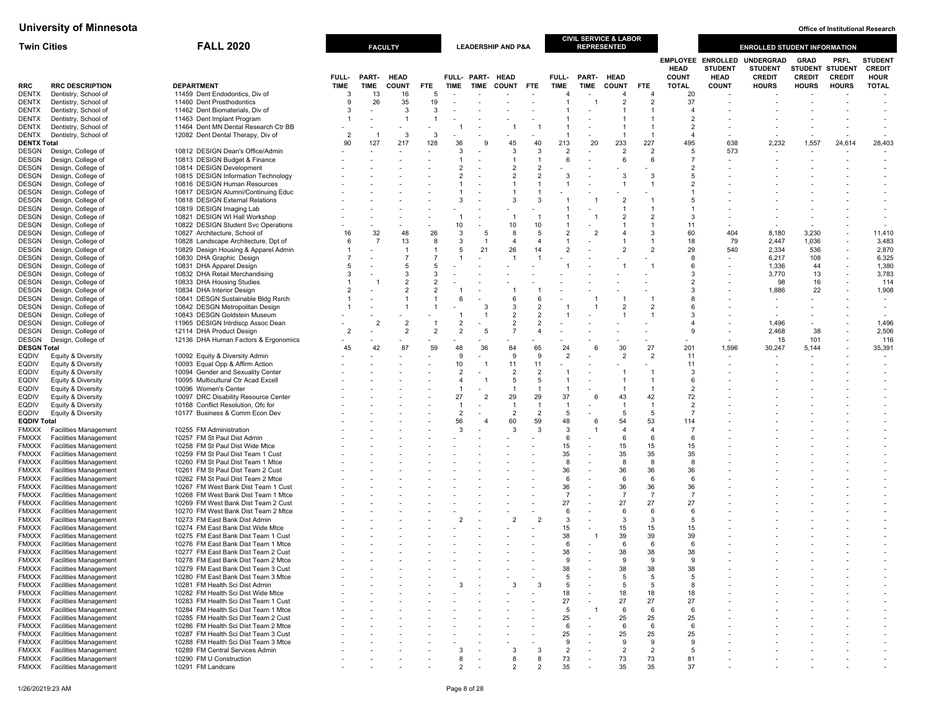| <b>Twin Cities</b>                 |                                                              | <b>FALL 2020</b>                                                             |                      |                          | <b>FACULTY</b>              |                |                |                                 | <b>LEADERSHIP AND P&amp;A</b> |                      |                                |               | <b>CIVIL SERVICE &amp; LABOR</b><br><b>REPRESENTED</b> |                      |                                  |                                            | <b>ENROLLED STUDENT INFORMATION</b> |                                       |                               |                                 |
|------------------------------------|--------------------------------------------------------------|------------------------------------------------------------------------------|----------------------|--------------------------|-----------------------------|----------------|----------------|---------------------------------|-------------------------------|----------------------|--------------------------------|---------------|--------------------------------------------------------|----------------------|----------------------------------|--------------------------------------------|-------------------------------------|---------------------------------------|-------------------------------|---------------------------------|
|                                    |                                                              |                                                                              |                      |                          |                             |                |                |                                 |                               |                      |                                |               |                                                        |                      | <b>HEAD</b>                      | <b>EMPLOYEE ENROLLED</b><br><b>STUDENT</b> | <b>UNDERGRAD</b><br><b>STUDENT</b>  | <b>GRAD</b><br><b>STUDENT STUDENT</b> | <b>PRFL</b>                   | <b>STUDENT</b><br><b>CREDIT</b> |
| <b>RRC</b>                         | <b>RRC DESCRIPTION</b>                                       | <b>DEPARTMENT</b>                                                            | FULL-<br><b>TIME</b> | PART-<br><b>TIME</b>     | <b>HEAD</b><br><b>COUNT</b> | <b>FTE</b>     | <b>TIME</b>    | FULL- PART- HEAD<br><b>TIME</b> | <b>COUNT</b>                  | <b>FTE</b>           | FULL-<br><b>TIME</b>           | PART-<br>TIME | <b>HEAD</b><br><b>COUNT</b>                            | <b>FTE</b>           | <b>COUNT</b><br><b>TOTAL</b>     | <b>HEAD</b><br><b>COUNT</b>                | <b>CREDIT</b><br><b>HOURS</b>       | <b>CREDIT</b><br><b>HOURS</b>         | <b>CREDIT</b><br><b>HOURS</b> | <b>HOUR</b><br><b>TOTAL</b>     |
| <b>DENTX</b>                       | Dentistry, School of                                         | 11459 Dent Endodontics, Div of                                               | 3                    | 13                       | 16                          | 5              |                |                                 |                               |                      | 4                              |               | $\overline{4}$                                         | $\overline{4}$       | 20                               |                                            |                                     |                                       |                               |                                 |
| <b>DENTX</b>                       | Dentistry, School of                                         | 11460 Dent Prosthodontics                                                    | 9                    | 26                       | 35                          | 19             |                |                                 |                               |                      |                                |               | $\overline{2}$                                         | $\overline{2}$       | 37                               |                                            |                                     |                                       |                               |                                 |
| <b>DENTX</b>                       | Dentistry, School of                                         | 11462 Dent Biomaterials, Div of                                              | 3                    |                          | 3                           | 3              |                |                                 |                               |                      |                                |               |                                                        |                      | $\overline{4}$                   |                                            |                                     |                                       |                               |                                 |
| <b>DENTX</b>                       | Dentistry, School of                                         | 11463 Dent Implant Program                                                   | 1                    |                          | -1                          |                |                |                                 |                               |                      | $\mathbf{1}$                   |               |                                                        |                      | $\overline{2}$                   |                                            |                                     |                                       |                               |                                 |
| <b>DENTX</b><br><b>DENTX</b>       | Dentistry, School of<br>Dentistry, School of                 | 11464 Dent MN Dental Research Ctr BB<br>12082 Dent Dental Therapy, Div of    | $\overline{2}$       | -1                       | -3                          | 3              |                |                                 |                               |                      | $\mathbf{1}$                   |               |                                                        | -1<br>$\mathbf{1}$   | $\overline{2}$<br>$\overline{4}$ |                                            |                                     |                                       |                               |                                 |
| <b>DENTX Total</b>                 |                                                              |                                                                              | 90                   | 127                      | 217                         | 128            | 36             |                                 | 45                            | 40                   | 213                            | 20            | 233                                                    | 227                  | 495                              | 638                                        | 2,232                               | 1,557                                 | 24,614                        | 28,403                          |
| <b>DESGN</b>                       | Design, College of                                           | 10812 DESIGN Dean's Office/Admin                                             |                      |                          |                             |                | 3              |                                 | 3                             | 3                    | 2                              |               | $\mathcal{D}$                                          | $\overline{2}$       | 5                                | 573                                        |                                     |                                       |                               |                                 |
| DESGN                              | Design, College of                                           | 10813 DESIGN Budget & Finance                                                |                      |                          |                             |                |                |                                 | 1                             |                      | 6                              |               | 6                                                      | 6                    | $\overline{7}$                   |                                            |                                     |                                       |                               |                                 |
| <b>DESGN</b>                       | Design, College of                                           | 10814 DESIGN Development                                                     |                      |                          |                             |                | $\overline{2}$ |                                 | $\overline{2}$                | $\overline{2}$       |                                |               |                                                        |                      | $\overline{2}$                   |                                            |                                     |                                       |                               |                                 |
| <b>DESGN</b>                       | Design, College of                                           | 10815 DESIGN Information Technology<br>10816 DESIGN Human Resources          |                      |                          |                             |                | $\mathfrak{p}$ |                                 | $\overline{2}$<br>1           | $\overline{2}$       | 3<br>$\mathbf{1}$              |               | 3                                                      | 3                    | 5<br>$\overline{2}$              |                                            |                                     |                                       |                               |                                 |
| DESGN<br>DESGN                     | Design, College of<br>Design, College of                     | 10817 DESIGN Alumni/Continuing Educ                                          |                      |                          |                             |                |                |                                 | 1                             | $\overline{1}$       |                                |               |                                                        |                      |                                  |                                            |                                     |                                       |                               |                                 |
| DESGN                              | Design, College of                                           | 10818 DESIGN External Relations                                              |                      |                          |                             |                | 3              |                                 | 3                             | 3                    |                                |               |                                                        |                      | -5                               |                                            |                                     |                                       |                               |                                 |
| DESGN                              | Design, College of                                           | 10819 DESIGN Imaging Lab                                                     |                      |                          |                             |                |                |                                 |                               |                      |                                |               |                                                        |                      |                                  |                                            |                                     |                                       |                               |                                 |
| <b>DESGN</b>                       | Design, College of                                           | 10821 DESIGN WI Hall Workshop                                                |                      |                          |                             |                |                |                                 | $\mathbf{1}$                  | $\overline{1}$       |                                |               | $\mathcal{P}$                                          | $\overline{2}$       | 3                                |                                            |                                     |                                       |                               |                                 |
| DESGN                              | Design, College of                                           | 10822 DESIGN Student Svc Operations                                          |                      |                          |                             |                | 10             |                                 | 10                            | 10                   | $\mathbf{1}$                   |               |                                                        |                      | 11                               |                                            |                                     |                                       |                               |                                 |
| <b>DESGN</b><br><b>DESGN</b>       | Design, College of<br>Design, College of                     | 10827 Architecture, School of<br>10828 Landscape Architecture, Dpt of        | 16<br>6              | 32<br>$\overline{7}$     | 48<br>13                    | 26<br>8        | 3<br>3         | -5<br>-1                        | 8<br>$\overline{4}$           | 5<br>$\overline{4}$  | $\overline{2}$<br>$\mathbf{1}$ |               |                                                        | 3                    | 60<br>18                         | 404<br>79                                  | 8,180<br>2,447                      | 3,230<br>1,036                        |                               | 11,410<br>3,483                 |
| DESGN                              | Design, College of                                           | 10829 Design Housing & Apparel Admin                                         |                      |                          | $\overline{1}$              |                | 5              | 21                              | 26                            | 14                   | $\overline{2}$                 |               | $\mathcal{P}$                                          | $\overline{2}$       | 29                               | 540                                        | 2,334                               | 536                                   |                               | 2,870                           |
| <b>DESGN</b>                       | Design, College of                                           | 10830 DHA Graphic Design                                                     |                      |                          | $\overline{7}$              | 7              |                |                                 | $\overline{1}$                | $\overline{1}$       |                                |               |                                                        |                      | 8                                |                                            | 6,217                               | 108                                   |                               | 6,325                           |
| DESGN                              | Design, College of                                           | 10831 DHA Apparel Design                                                     | 5                    |                          | 5                           |                |                |                                 |                               |                      | $\overline{1}$                 |               |                                                        |                      | 6                                |                                            | 1,336                               | 44                                    |                               | 1,380                           |
| DESGN                              | Design, College of                                           | 10832 DHA Retail Merchandising                                               | 3                    |                          | 3                           |                |                |                                 |                               |                      |                                |               |                                                        |                      | 3                                |                                            | 3,770                               | 13                                    |                               | 3,783                           |
| <b>DESGN</b>                       | Design, College of                                           | 10833 DHA Housing Studies                                                    |                      |                          | $\overline{2}$              |                |                |                                 |                               |                      |                                |               |                                                        |                      | $\overline{2}$<br>3              |                                            | 98                                  | 16                                    |                               | 114                             |
| DESGN<br>DESGN                     | Design, College of<br>Design, College of                     | 10834 DHA Interior Design<br>10841 DESGN Sustainable Bldg Rsrch              | 2                    |                          |                             |                | 6              |                                 | 6                             | -6                   |                                |               |                                                        |                      | 8                                |                                            | 1,886                               | 22                                    |                               | 1,908                           |
| <b>DESGN</b>                       | Design, College of                                           | 10842 DESGN Metropolitan Design                                              |                      |                          |                             |                |                | 3                               | 3                             | $\overline{2}$       |                                |               | $\mathcal{P}$                                          | 2                    | 6                                |                                            |                                     |                                       |                               | $\overline{\phantom{a}}$        |
| DESGN                              | Design, College of                                           | 10843 DESGN Goldstein Museum                                                 |                      |                          |                             |                |                |                                 | $\overline{2}$                |                      |                                |               |                                                        |                      | 3                                |                                            |                                     |                                       |                               |                                 |
| <b>DESGN</b>                       | Design, College of                                           | 11965 DESIGN Intrdiscp Assoc Dean                                            |                      | $\overline{\phantom{a}}$ | $\overline{2}$              |                | $\overline{2}$ |                                 | $\overline{2}$                | $\overline{2}$       |                                |               |                                                        |                      | $\overline{4}$                   |                                            | 1,496                               |                                       |                               | 1,496                           |
| DESGN                              | Design, College of                                           | 12114 DHA Product Design                                                     | $\overline{2}$       |                          | $\overline{2}$              | $\overline{2}$ | $\overline{2}$ |                                 | $\overline{7}$                | $\overline{4}$       |                                |               |                                                        |                      | $\mathbf{q}$                     |                                            | 2,468                               | 38                                    |                               | 2,506                           |
| DESGN                              | Design, College of                                           | 12136 DHA Human Factors & Ergonomics                                         | 45                   | 42                       | 87                          | 59             | 48             | 36                              | 84                            | 65                   | 24                             | 6             | 30                                                     | 27                   | 201                              | 1,596                                      | 15<br>30,247                        | 101<br>5,144                          |                               | 116<br>35,391                   |
| <b>DESGN Total</b><br><b>EQDIV</b> | Equity & Diversity                                           | 10092 Equity & Diversity Admin                                               |                      |                          |                             |                | 9              |                                 | 9                             | 9                    | $\overline{2}$                 |               | $\overline{2}$                                         | $\overline{2}$       | 11                               |                                            |                                     |                                       |                               |                                 |
| EQDIV                              | Equity & Diversity                                           | 10093 Equal Opp & Affirm Action                                              |                      |                          |                             |                | 10             |                                 | 11                            | 11                   |                                |               |                                                        |                      | 11                               |                                            |                                     |                                       |                               |                                 |
| EQDIV                              | Equity & Diversity                                           | 10094 Gender and Sexuality Center                                            |                      |                          |                             |                | $\overline{2}$ |                                 | $\overline{2}$                | $\overline{2}$       | $\mathbf{1}$                   |               |                                                        | -1                   | 3                                |                                            |                                     |                                       |                               |                                 |
| <b>EQDIV</b>                       | Equity & Diversity                                           | 10095 Multicultural Ctr Acad Excell                                          |                      |                          |                             |                | $\overline{4}$ |                                 | 5                             | -5                   | $\mathbf{1}$                   |               |                                                        | $\overline{1}$       | 6                                |                                            |                                     |                                       |                               |                                 |
| <b>EQDIV</b>                       | Equity & Diversity                                           | 10096 Women's Center                                                         |                      |                          |                             |                | 27             | $\overline{2}$                  | $\overline{1}$<br>29          | $\overline{1}$<br>29 | $\overline{1}$<br>37           |               | 43                                                     | -1<br>42             | $\overline{2}$                   |                                            |                                     |                                       |                               |                                 |
| <b>EQDIV</b><br>EQDIV              | Equity & Diversity<br>Equity & Diversity                     | 10097 DRC Disability Resource Center<br>10168 Conflict Resolution, Ofc for   |                      |                          |                             |                |                |                                 | $\overline{1}$                | $\overline{1}$       | $\overline{1}$                 | 6             |                                                        | $\overline{1}$       | 72<br>$\overline{2}$             |                                            |                                     |                                       |                               |                                 |
| EQDIV                              | Equity & Diversity                                           | 10177 Business & Comm Econ Dev                                               |                      |                          |                             |                | $\overline{2}$ |                                 | $\overline{2}$                | $\overline{2}$       | 5                              |               | $\overline{5}$                                         | 5                    | $\overline{7}$                   |                                            |                                     |                                       |                               |                                 |
| <b>EQDIV Total</b>                 |                                                              |                                                                              |                      |                          |                             |                | 56             |                                 | 60                            | 59                   | 48                             | 6             | 54                                                     | 53                   | 114                              |                                            |                                     |                                       |                               |                                 |
| FMXXX                              | <b>Facilities Management</b>                                 | 10255 FM Administration                                                      |                      |                          |                             |                | 3              |                                 | 3                             | $\mathbf{3}$         | 3                              |               | $\overline{a}$                                         | $\overline{4}$       | $\overline{7}$                   |                                            |                                     |                                       |                               |                                 |
| <b>FMXXX</b>                       | <b>Facilities Management</b>                                 | 10257 FM St Paul Dist Admin                                                  |                      |                          |                             |                |                |                                 |                               |                      | 6                              |               | 6                                                      | 6                    | 6                                |                                            |                                     |                                       |                               |                                 |
| <b>FMXXX</b><br><b>FMXXX</b>       | <b>Facilities Management</b><br><b>Facilities Management</b> | 10258 FM St Paul Dist Wide Mtce<br>10259 FM St Paul Dist Team 1 Cust         |                      |                          |                             |                |                |                                 |                               |                      | 15<br>35                       |               | 15<br>35                                               | 15<br>35             | 15<br>35                         |                                            |                                     |                                       |                               |                                 |
| <b>FMXXX</b>                       | <b>Facilities Management</b>                                 | 10260 FM St Paul Dist Team 1 Mtce                                            |                      |                          |                             |                |                |                                 |                               |                      | 8                              |               | 8                                                      | 8                    | 8                                |                                            |                                     |                                       |                               |                                 |
| <b>FMXXX</b>                       | <b>Facilities Management</b>                                 | 10261 FM St Paul Dist Team 2 Cust                                            |                      |                          |                             |                |                |                                 |                               |                      | 36                             |               | 36                                                     | 36                   | 36                               |                                            |                                     |                                       |                               |                                 |
| <b>FMXXX</b>                       | <b>Facilities Management</b>                                 | 10262 FM St Paul Dist Team 2 Mtce                                            |                      |                          |                             |                |                |                                 |                               |                      | 6                              |               | 6                                                      | -6                   | 6                                |                                            |                                     |                                       |                               |                                 |
| <b>FMXXX</b>                       | <b>Facilities Management</b>                                 | 10267 FM West Bank Dist Team 1 Cust                                          |                      |                          |                             |                |                |                                 |                               |                      | 36                             |               | 36                                                     | 36                   | 36                               |                                            |                                     |                                       |                               |                                 |
| FMXXX<br>FMXXX                     | <b>Facilities Management</b><br><b>Facilities Management</b> | 10268 FM West Bank Dist Team 1 Mtce<br>10269 FM West Bank Dist Team 2 Cust   |                      |                          |                             |                |                |                                 |                               |                      | $\overline{7}$<br>27           |               | $\overline{7}$<br>27                                   | $\overline{7}$<br>27 | $\overline{7}$<br>27             |                                            |                                     |                                       |                               |                                 |
| <b>FMXXX</b>                       | <b>Facilities Management</b>                                 | 10270 FM West Bank Dist Team 2 Mtce                                          |                      |                          |                             |                |                |                                 |                               |                      | 6                              |               | 6                                                      | 6                    | 6                                |                                            |                                     |                                       |                               |                                 |
| <b>FMXXX</b>                       | <b>Facilities Management</b>                                 | 10273 FM East Bank Dist Admin                                                |                      |                          |                             |                | 2              |                                 | $\overline{2}$                |                      | 3                              |               | 3                                                      | 3                    | -5                               |                                            |                                     |                                       |                               |                                 |
| <b>FMXXX</b>                       | <b>Facilities Management</b>                                 | 10274 FM East Bank Dist Wide Mtce                                            |                      |                          |                             |                |                |                                 |                               |                      | 15                             |               | 15                                                     | 15                   | 15                               |                                            |                                     |                                       |                               |                                 |
| <b>FMXXX</b>                       | <b>Facilities Management</b>                                 | 10275 FM East Bank Dist Team 1 Cust                                          |                      |                          |                             |                |                |                                 |                               |                      | 38                             |               | 39                                                     | 39                   | 39                               |                                            |                                     |                                       |                               |                                 |
| FMXXX                              | <b>Facilities Management</b>                                 | 10276 FM East Bank Dist Team 1 Mtce                                          |                      |                          |                             |                |                |                                 |                               |                      | 6<br>38                        |               | 6<br>38                                                | 6<br>38              | 6                                |                                            |                                     |                                       |                               |                                 |
| FMXXX<br><b>FMXXX</b>              | <b>Facilities Management</b>                                 | 10277 FM East Bank Dist Team 2 Cust<br>10278 FM East Bank Dist Team 2 Mtce   |                      |                          |                             |                |                |                                 |                               |                      |                                |               |                                                        | .y                   | 38                               |                                            |                                     |                                       |                               |                                 |
| FMXXX                              | <b>Facilities Managemen</b><br><b>Facilities Management</b>  | 10279 FM East Bank Dist Team 3 Cust                                          |                      |                          |                             |                |                |                                 |                               |                      | 38                             |               | 38                                                     | 38                   | 38                               |                                            |                                     |                                       |                               |                                 |
| <b>FMXXX</b>                       | <b>Facilities Management</b>                                 | 10280 FM East Bank Dist Team 3 Mtce                                          |                      |                          |                             |                |                |                                 |                               |                      | 5                              |               | -5                                                     | 5                    | 5                                |                                            |                                     |                                       |                               |                                 |
| <b>FMXXX</b>                       | <b>Facilities Management</b>                                 | 10281 FM Health Sci Dist Admin                                               |                      |                          |                             |                |                |                                 |                               |                      | 5                              |               | 5                                                      | 5                    | 8                                |                                            |                                     |                                       |                               |                                 |
| <b>FMXXX</b>                       | <b>Facilities Management</b>                                 | 10282 FM Health Sci Dist Wide Mtce                                           |                      |                          |                             |                |                |                                 |                               |                      | 18                             |               | 18                                                     | 18                   | 18                               |                                            |                                     |                                       |                               |                                 |
| <b>FMXXX</b><br><b>FMXXX</b>       | <b>Facilities Management</b><br><b>Facilities Management</b> | 10283 FM Health Sci Dist Team 1 Cust<br>10284 FM Health Sci Dist Team 1 Mtce |                      |                          |                             |                |                |                                 |                               |                      | 27<br>5                        |               | 27<br>6                                                | 27<br>6              | 27<br>6                          |                                            |                                     |                                       |                               |                                 |
| <b>FMXXX</b>                       | <b>Facilities Management</b>                                 | 10285 FM Health Sci Dist Team 2 Cust                                         |                      |                          |                             |                |                |                                 |                               |                      | 25                             |               | 25                                                     | 25                   | 25                               |                                            |                                     |                                       |                               |                                 |
| <b>FMXXX</b>                       | <b>Facilities Management</b>                                 | 10286 FM Health Sci Dist Team 2 Mtce                                         |                      |                          |                             |                |                |                                 |                               |                      | 6                              |               | 6                                                      | 6                    | 6                                |                                            |                                     |                                       |                               |                                 |
| FMXXX                              | <b>Facilities Management</b>                                 | 10287 FM Health Sci Dist Team 3 Cust                                         |                      |                          |                             |                |                |                                 |                               |                      | 25                             |               | 25                                                     | 25                   | 25                               |                                            |                                     |                                       |                               |                                 |
| <b>FMXXX</b>                       | <b>Facilities Management</b>                                 | 10288 FM Health Sci Dist Team 3 Mtce                                         |                      |                          |                             |                |                |                                 |                               |                      | 9                              |               | 9                                                      | 9                    | -9                               |                                            |                                     |                                       |                               |                                 |
| <b>FMXXX</b>                       | <b>Facilities Management</b><br><b>Facilities Management</b> | 10289 FM Central Services Admin                                              |                      |                          |                             |                | 3<br>8         |                                 | 3<br>8                        | 3<br>8               | $\overline{2}$                 |               | $\overline{2}$                                         | $\overline{2}$       | 5                                |                                            |                                     |                                       |                               |                                 |
| <b>FMXXX</b><br><b>FMXXX</b>       | <b>Facilities Management</b>                                 | 10290 FM U Construction<br>10291 FM Landcare                                 |                      |                          |                             |                | $\overline{2}$ |                                 | $\overline{2}$                | $\mathcal{P}$        | 73<br>35                       |               | 73<br>35                                               | 73<br>35             | 81<br>37                         |                                            |                                     |                                       |                               |                                 |
|                                    |                                                              |                                                                              |                      |                          |                             |                |                |                                 |                               |                      |                                |               |                                                        |                      |                                  |                                            |                                     |                                       |                               |                                 |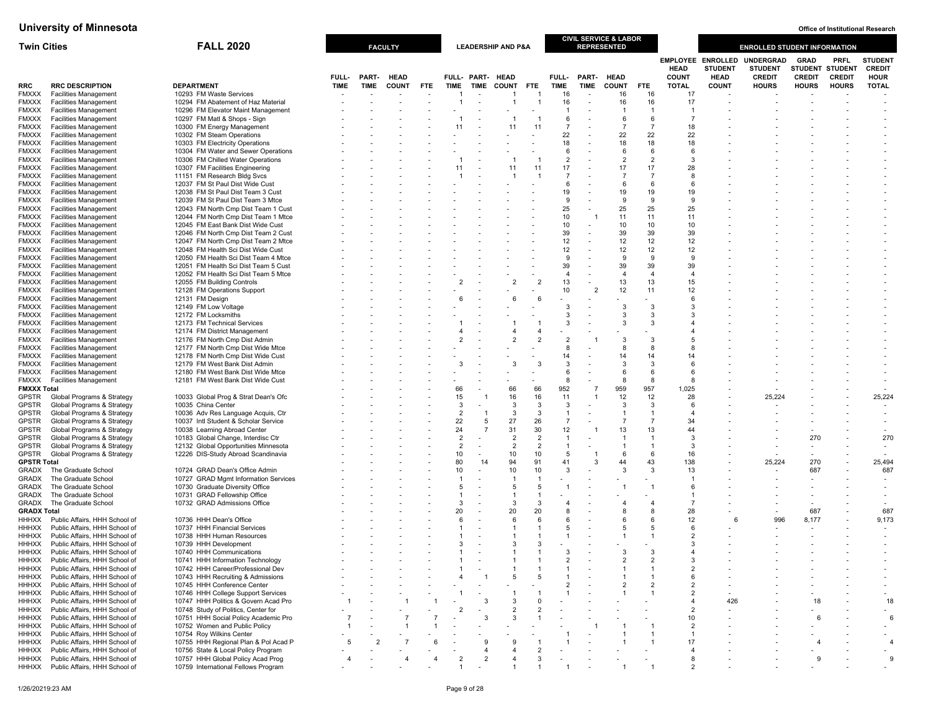| <b>Twin Cities</b>           |                                                                | <b>FALL 2020</b>                                                             |             |             | <b>FACULTY</b> |            |                                  |                          | <b>LEADERSHIP AND P&amp;A</b> |                     |                                  |                          | CIVIL SERVICE & LABOR<br><b>REPRESENTED</b> |                                  |                                                |                                                  | <b>ENROLLED STUDENT INFORMATION</b>                 |                                                        |                              |                                                |
|------------------------------|----------------------------------------------------------------|------------------------------------------------------------------------------|-------------|-------------|----------------|------------|----------------------------------|--------------------------|-------------------------------|---------------------|----------------------------------|--------------------------|---------------------------------------------|----------------------------------|------------------------------------------------|--------------------------------------------------|-----------------------------------------------------|--------------------------------------------------------|------------------------------|------------------------------------------------|
|                              |                                                                |                                                                              | FULL-       | PART-       | <b>HEAD</b>    |            |                                  | FULL- PART- HEAD         |                               |                     | FULL-                            | <b>PART-</b>             | <b>HEAD</b>                                 |                                  | <b>EMPLOYEE</b><br><b>HEAD</b><br><b>COUNT</b> | <b>ENROLLED</b><br><b>STUDENT</b><br><b>HEAD</b> | <b>UNDERGRAD</b><br><b>STUDENT</b><br><b>CREDIT</b> | <b>GRAD</b><br><b>STUDENT STUDENT</b><br><b>CREDIT</b> | <b>PRFL</b><br><b>CREDIT</b> | <b>STUDENT</b><br><b>CREDIT</b><br><b>HOUR</b> |
| RRC                          | <b>RRC DESCRIPTION</b>                                         | <b>DEPARTMENT</b>                                                            | <b>TIME</b> | <b>TIME</b> | <b>COUNT</b>   | <b>FTE</b> | <b>TIME</b>                      | <b>TIME</b>              | COUNT                         | <b>FTE</b>          | <b>TIME</b>                      | <b>TIME</b>              | <b>COUNT</b>                                | FTE.                             | <b>TOTAL</b>                                   | <b>COUNT</b>                                     | <b>HOURS</b>                                        | <b>HOURS</b>                                           | <b>HOURS</b>                 | <b>TOTAL</b>                                   |
| <b>FMXXX</b>                 | <b>Facilities Management</b>                                   | 10293 FM Waste Services                                                      |             |             |                |            |                                  |                          |                               |                     | 16                               | $\overline{\phantom{a}}$ | 16                                          | 16                               | 17                                             |                                                  |                                                     |                                                        |                              |                                                |
| <b>FMXXX</b>                 | <b>Facilities Management</b>                                   | 10294 FM Abatement of Haz Material                                           |             |             |                |            |                                  | $\overline{\phantom{a}}$ | -1                            | $\overline{1}$      | 16                               | $\sim$                   | 16                                          | 16                               | 17                                             |                                                  |                                                     |                                                        |                              |                                                |
| <b>FMXXX</b>                 | <b>Facilities Management</b><br><b>Facilities Management</b>   | 10296 FM Elevator Maint Management<br>10297 FM Matl & Shops - Sign           |             |             |                |            |                                  |                          |                               |                     | $\overline{1}$<br>6              |                          | $\overline{1}$<br>6                         | $\overline{1}$<br>6              | -1<br>$\overline{7}$                           |                                                  |                                                     |                                                        |                              |                                                |
| <b>FMXXX</b><br><b>FMXXX</b> | <b>Facilities Management</b>                                   | 10300 FM Energy Management                                                   |             |             |                |            | 11                               |                          | 11                            | 11                  | $\overline{7}$                   |                          | $\overline{7}$                              | $\overline{7}$                   | 18                                             |                                                  |                                                     |                                                        |                              |                                                |
| <b>FMXXX</b>                 | <b>Facilities Management</b>                                   | 10302 FM Steam Operations                                                    |             |             |                |            |                                  |                          |                               |                     | 22                               |                          | 22                                          | 22                               | 22                                             |                                                  |                                                     |                                                        |                              |                                                |
| <b>FMXXX</b>                 | <b>Facilities Management</b>                                   | 10303 FM Electricity Operations                                              |             |             |                |            |                                  |                          |                               |                     | 18                               |                          | 18                                          | 18                               | 18                                             |                                                  |                                                     |                                                        |                              |                                                |
| <b>FMXXX</b>                 | <b>Facilities Management</b>                                   | 10304 FM Water and Sewer Operations                                          |             |             |                |            |                                  |                          |                               |                     | 6                                |                          | 6                                           | 6                                | 6                                              |                                                  |                                                     |                                                        |                              |                                                |
| <b>FMXXX</b>                 | <b>Facilities Management</b>                                   | 10306 FM Chilled Water Operations                                            |             |             |                |            |                                  |                          |                               |                     | $\overline{2}$                   |                          | $\overline{2}$                              | $\overline{2}$<br>17             | 3                                              |                                                  |                                                     |                                                        |                              |                                                |
| <b>FMXXX</b><br><b>FMXXX</b> | <b>Facilities Management</b><br><b>Facilities Management</b>   | 10307 FM Facilities Engineering<br>11151 FM Research Bldg Svcs               |             |             |                |            | 11                               |                          | 11                            | 11                  | 17<br>$\overline{7}$             |                          | 17<br>$\overline{7}$                        | $\overline{7}$                   | 28<br>8                                        |                                                  |                                                     |                                                        |                              |                                                |
| <b>FMXXX</b>                 | <b>Facilities Management</b>                                   | 12037 FM St Paul Dist Wide Cust                                              |             |             |                |            |                                  |                          |                               |                     | 6                                |                          | 6                                           | 6                                | 6                                              |                                                  |                                                     |                                                        |                              |                                                |
| <b>FMXXX</b>                 | <b>Facilities Management</b>                                   | 12038 FM St Paul Dist Team 3 Cust                                            |             |             |                |            |                                  |                          |                               |                     | 19                               |                          | 19                                          | 19                               | 19                                             |                                                  |                                                     |                                                        |                              |                                                |
| <b>FMXXX</b>                 | <b>Facilities Management</b>                                   | 12039 FM St Paul Dist Team 3 Mtce                                            |             |             |                |            |                                  |                          |                               |                     | 9                                |                          | 9                                           | 9                                | 9                                              |                                                  |                                                     |                                                        |                              |                                                |
| <b>FMXXX</b>                 | <b>Facilities Management</b><br><b>Facilities Management</b>   | 12043 FM North Cmp Dist Team 1 Cust<br>12044 FM North Cmp Dist Team 1 Mtce   |             |             |                |            |                                  |                          |                               |                     | 25<br>10                         |                          | 25<br>11                                    | 25<br>11                         | 25<br>11                                       |                                                  |                                                     |                                                        |                              |                                                |
| <b>FMXXX</b><br><b>FMXXX</b> | <b>Facilities Management</b>                                   | 12045 FM East Bank Dist Wide Cust                                            |             |             |                |            |                                  |                          |                               |                     | 10                               | $\overline{\phantom{a}}$ | 10                                          | 10                               | 10                                             |                                                  |                                                     |                                                        |                              |                                                |
| <b>FMXXX</b>                 | <b>Facilities Management</b>                                   | 12046 FM North Cmp Dist Team 2 Cust                                          |             |             |                |            |                                  |                          |                               |                     | 39                               | $\overline{a}$           | 39                                          | 39                               | 39                                             |                                                  |                                                     |                                                        |                              |                                                |
| <b>FMXXX</b>                 | <b>Facilities Management</b>                                   | 12047 FM North Cmp Dist Team 2 Mtce                                          |             |             |                |            |                                  |                          |                               |                     | 12                               | $\overline{\phantom{a}}$ | 12                                          | 12                               | 12                                             |                                                  |                                                     |                                                        |                              |                                                |
| <b>FMXXX</b>                 | <b>Facilities Management</b>                                   | 12048 FM Health Sci Dist Wide Cust                                           |             |             |                |            |                                  |                          |                               |                     | 12                               |                          | 12                                          | 12                               | 12 <sup>2</sup>                                |                                                  |                                                     |                                                        |                              |                                                |
| <b>FMXXX</b>                 | <b>Facilities Management</b><br><b>Facilities Management</b>   | 12050 FM Health Sci Dist Team 4 Mtce<br>12051 FM Health Sci Dist Team 5 Cust |             |             |                |            |                                  |                          |                               |                     | 9<br>39                          | $\overline{\phantom{a}}$ | 9<br>39                                     | 9<br>39                          | 9<br>39                                        |                                                  |                                                     |                                                        |                              |                                                |
| <b>FMXXX</b><br><b>FMXXX</b> | <b>Facilities Management</b>                                   | 12052 FM Health Sci Dist Team 5 Mtce                                         |             |             |                |            |                                  |                          |                               |                     | $\overline{4}$                   |                          | $\overline{a}$                              | $\overline{4}$                   | $\overline{4}$                                 |                                                  |                                                     |                                                        |                              |                                                |
| <b>FMXXX</b>                 | <b>Facilities Management</b>                                   | 12055 FM Building Controls                                                   |             |             |                |            | $\overline{2}$                   |                          | $\overline{2}$                | $\overline{2}$      | 13                               | $\sim$                   | 13                                          | 13                               | 15                                             |                                                  |                                                     |                                                        |                              |                                                |
| <b>FMXXX</b>                 | <b>Facilities Management</b>                                   | 12128 FM Operations Support                                                  |             |             |                |            |                                  |                          |                               |                     | 10                               | $\overline{2}$           | 12                                          | 11                               | 12                                             |                                                  |                                                     |                                                        |                              |                                                |
| <b>FMXXX</b>                 | <b>Facilities Management</b>                                   | 12131 FM Design                                                              |             |             |                |            |                                  |                          | 6                             | 6                   |                                  |                          |                                             |                                  | 6                                              |                                                  |                                                     |                                                        |                              |                                                |
| <b>FMXXX</b><br><b>FMXXX</b> | <b>Facilities Management</b><br><b>Facilities Management</b>   | 12149 FM Low Voltage<br>12172 FM Locksmiths                                  |             |             |                |            |                                  |                          |                               |                     | 3<br>3                           |                          | 3<br>3                                      | 3<br>3                           | 3<br>3                                         |                                                  |                                                     |                                                        |                              |                                                |
| <b>FMXXX</b>                 | <b>Facilities Management</b>                                   | 12173 FM Technical Services                                                  |             |             |                |            |                                  |                          |                               |                     | 3                                |                          | 3                                           | 3                                |                                                |                                                  |                                                     |                                                        |                              |                                                |
| <b>FMXXX</b>                 | <b>Facilities Management</b>                                   | 12174 FM District Management                                                 |             |             |                |            |                                  |                          | 4                             | $\overline{4}$      |                                  |                          |                                             |                                  |                                                |                                                  |                                                     |                                                        |                              |                                                |
| <b>FMXXX</b>                 | <b>Facilities Management</b>                                   | 12176 FM North Cmp Dist Admin                                                |             |             |                |            | $\overline{2}$                   |                          | $\overline{2}$                | $\overline{2}$      | $\overline{2}$                   |                          | 3                                           | 3                                | 5                                              |                                                  |                                                     |                                                        |                              |                                                |
| <b>FMXXX</b>                 | <b>Facilities Management</b>                                   | 12177 FM North Cmp Dist Wide Mtce                                            |             |             |                |            |                                  |                          |                               |                     | 8<br>14                          |                          | 8<br>14                                     | 8<br>14                          | 8                                              |                                                  |                                                     |                                                        |                              |                                                |
| <b>FMXXX</b><br><b>FMXXX</b> | <b>Facilities Management</b><br><b>Facilities Management</b>   | 12178 FM North Cmp Dist Wide Cust<br>12179 FM West Bank Dist Admin           |             |             |                |            | 3                                |                          | 3                             | 3                   | 3                                |                          | 3                                           | 3                                | 6                                              |                                                  |                                                     |                                                        |                              |                                                |
| <b>FMXXX</b>                 | <b>Facilities Management</b>                                   | 12180 FM West Bank Dist Wide Mtce                                            |             |             |                |            |                                  |                          |                               |                     | 6                                |                          | 6                                           | 6                                | 6                                              |                                                  |                                                     |                                                        |                              |                                                |
| FMXXX                        | <b>Facilities Management</b>                                   | 12181 FM West Bank Dist Wide Cust                                            |             |             |                |            |                                  |                          |                               |                     | 8                                |                          | 8                                           | 8                                | 8                                              |                                                  |                                                     |                                                        |                              |                                                |
| <b>FMXXX Total</b>           |                                                                |                                                                              |             |             |                |            | 66                               |                          | 66                            | 66                  | 952                              | $\overline{7}$           | 959                                         | 957                              | 1,025                                          |                                                  |                                                     |                                                        |                              |                                                |
| <b>GPSTR</b><br><b>GPSTR</b> | Global Programs & Strategy<br>Global Programs & Strategy       | 10033 Global Prog & Strat Dean's Ofc<br>10035 China Center                   |             |             |                |            | 15<br>3                          | -1                       | 16<br>3                       | 16<br>3             | 11<br>3                          |                          | 12<br>-3                                    | 12<br>3                          | 28<br>6                                        |                                                  | 25,224                                              |                                                        |                              | 25,224                                         |
| <b>GPSTR</b>                 | Global Programs & Strategy                                     | 10036 Adv Res Language Acquis, Ctr                                           |             |             |                |            | $\overline{2}$                   | $\overline{1}$           | 3                             | 3                   | $\mathbf{1}$                     |                          | $\overline{1}$                              | $\overline{1}$                   | 4                                              |                                                  |                                                     |                                                        |                              |                                                |
| <b>GPSTR</b>                 | Global Programs & Strategy                                     | 10037 Intl Student & Scholar Service                                         |             |             |                |            | 22                               | 5                        | 27                            | 26                  | $\overline{7}$                   |                          | $\overline{7}$                              | $\overline{7}$                   | 34                                             |                                                  |                                                     |                                                        |                              |                                                |
| <b>GPSTR</b>                 | Global Programs & Strategy                                     | 10038 Learning Abroad Center                                                 |             |             |                |            | 24                               | $\overline{7}$           | 31                            | 30                  | 12                               | -1                       | 13                                          | 13                               | 44                                             |                                                  |                                                     |                                                        |                              |                                                |
| GPSTR                        | Global Programs & Strategy                                     | 10183 Global Change, Interdisc Ctr                                           |             |             |                |            | $\overline{2}$<br>$\overline{2}$ |                          | 2<br>2                        | 2<br>$\overline{2}$ | $\overline{1}$<br>$\overline{1}$ |                          | $\overline{1}$<br>$\overline{1}$            | $\mathbf{1}$                     | 3<br>3                                         |                                                  |                                                     | 270                                                    |                              | 270                                            |
| <b>GPSTR</b><br><b>GPSTR</b> | Global Programs & Strategy<br>Global Programs & Strategy       | 12132 Global Opportunities Minnesota<br>12226 DIS-Study Abroad Scandinavia   |             |             |                |            | 10                               | $\sim$                   | 10                            | 10                  | $\overline{5}$                   |                          | 6                                           | 6                                | 16                                             |                                                  |                                                     |                                                        |                              |                                                |
| <b>GPSTR Total</b>           |                                                                |                                                                              |             |             |                |            | 80                               | 14                       | 94                            | 91                  | 41                               | 3                        | 44                                          | 43                               | 138                                            |                                                  | 25,224                                              | 270                                                    |                              | 25,494                                         |
| GRADX                        | The Graduate School                                            | 10724 GRAD Dean's Office Admin                                               |             |             |                |            | 10                               |                          | 10 <sup>1</sup>               | 10                  | 3                                |                          | 3                                           | 3                                | 13                                             |                                                  |                                                     | 687                                                    |                              | 687                                            |
| <b>GRADX</b>                 | The Graduate School                                            | 10727 GRAD Mgmt Information Services                                         |             |             |                |            | 5                                | $\overline{\phantom{a}}$ | -1<br>5                       | $\mathbf{1}$<br>5   |                                  |                          | $\mathbf{1}$                                | $\mathbf{1}$                     | $\overline{1}$<br>6                            |                                                  |                                                     |                                                        |                              |                                                |
| <b>GRADX</b><br>GRADX        | The Graduate School<br>The Graduate School                     | 10730 Graduate Diversity Office<br>10731 GRAD Fellowship Office              |             |             |                |            |                                  |                          | $\mathbf{1}$                  | $\overline{1}$      | -1                               |                          |                                             |                                  | 1                                              |                                                  |                                                     |                                                        |                              |                                                |
|                              | GRADX The Graduate School                                      | 10732 GRAD Admissions Office                                                 |             |             |                |            | 3                                |                          | 3                             | 3                   | 4                                |                          | $\overline{4}$                              |                                  | $\overline{7}$                                 |                                                  |                                                     |                                                        |                              |                                                |
| <b>GRADX Total</b>           |                                                                |                                                                              |             |             |                |            | 20                               | $\overline{\phantom{a}}$ | 20                            | 20                  | 8                                | $\overline{\phantom{a}}$ | 8                                           | 8                                | 28                                             |                                                  |                                                     | 687                                                    |                              | 687                                            |
| <b>HHHXX</b>                 | Public Affairs, HHH School of                                  | 10736 HHH Dean's Office                                                      |             |             |                |            | $\epsilon$                       |                          | 6                             | 6                   | ĥ                                |                          | 6                                           | 6                                | 12                                             | 6                                                | 996                                                 | 8,177                                                  |                              | 9,173                                          |
| HHHXX<br>HHHXX               | Public Affairs, HHH School of<br>Public Affairs, HHH School of | 10737 HHH Financial Services<br>10738 HHH Human Resources                    |             |             |                |            |                                  |                          |                               |                     |                                  |                          | 5<br>$\overline{1}$                         | $\overline{5}$<br>$\overline{1}$ | 6<br>2                                         |                                                  |                                                     |                                                        |                              |                                                |
| <b>HHHXX</b>                 | Public Affairs, HHH School of                                  | 10739 HHH Development                                                        |             |             |                |            |                                  |                          | 3                             | 3                   |                                  |                          |                                             |                                  | 3                                              |                                                  |                                                     |                                                        |                              |                                                |
| <b>HHHXX</b>                 | Public Affairs, HHH School of                                  | 10740 HHH Communications                                                     |             |             |                |            |                                  |                          |                               | $\overline{1}$      | 3                                |                          | 3                                           | 3                                | $\overline{4}$                                 |                                                  |                                                     |                                                        |                              |                                                |
| HHHXX                        | Public Affairs, HHH School of                                  | 10741 HHH Information Technology                                             |             |             |                |            |                                  |                          |                               |                     | $\mathfrak{p}$                   |                          | $\mathcal{P}$                               | $\mathcal{D}$                    | 3                                              |                                                  |                                                     |                                                        |                              |                                                |
| <b>HHHXX</b><br><b>HHHXX</b> | Public Affairs, HHH School of<br>Public Affairs, HHH School of | 10742 HHH Career/Professional Dev<br>10743 HHH Recruiting & Admissions       |             |             |                |            |                                  |                          |                               | 5                   |                                  |                          |                                             |                                  | 2<br>6                                         |                                                  |                                                     |                                                        |                              |                                                |
| <b>HHHXX</b>                 | Public Affairs, HHH School of                                  | 10745 HHH Conference Center                                                  |             |             |                |            |                                  |                          |                               |                     |                                  |                          | $\overline{2}$                              | $\overline{2}$                   | $\overline{\mathbf{2}}$                        |                                                  |                                                     |                                                        |                              |                                                |
| <b>HHHXX</b>                 | Public Affairs, HHH School of                                  | 10746 HHH College Support Services                                           |             |             |                |            |                                  |                          |                               |                     |                                  |                          |                                             | $\overline{1}$                   | 2                                              |                                                  |                                                     |                                                        |                              |                                                |
| <b>HHHXX</b>                 | Public Affairs, HHH School of                                  | 10747 HHH Politics & Govern Acad Pro                                         |             |             |                |            |                                  |                          |                               |                     |                                  |                          |                                             |                                  |                                                | 426                                              |                                                     | 18                                                     |                              | 18                                             |
| <b>HHHXX</b>                 | Public Affairs, HHH School of                                  | 10748 Study of Politics, Center for<br>10751 HHH Social Policy Academic Pro  |             |             |                |            |                                  | 3                        |                               | $\overline{2}$      |                                  |                          |                                             |                                  | $\overline{2}$                                 |                                                  |                                                     | -6                                                     |                              | $\sim$<br>6                                    |
| <b>HHHXX</b><br>HHHXX        | Public Affairs, HHH School of<br>Public Affairs, HHH School of | 10752 Women and Public Policy                                                |             |             |                |            |                                  |                          |                               |                     |                                  |                          |                                             |                                  | 10<br>$\overline{2}$                           |                                                  |                                                     |                                                        |                              |                                                |
| <b>HHHXX</b>                 | Public Affairs, HHH School of                                  | 10754 Roy Wilkins Center                                                     |             |             |                |            |                                  |                          |                               |                     |                                  |                          |                                             |                                  | 1                                              |                                                  |                                                     |                                                        |                              |                                                |
| <b>HHHXX</b>                 | Public Affairs, HHH School of                                  | 10755 HHH Regional Plan & Pol Acad P                                         | 5           |             |                |            |                                  | 9                        |                               |                     |                                  |                          |                                             |                                  | 17                                             |                                                  |                                                     |                                                        |                              | $\overline{4}$                                 |
| <b>HHHXX</b>                 | Public Affairs, HHH School of                                  | 10756 State & Local Policy Program                                           |             |             |                |            |                                  | $\overline{4}$           |                               | $\overline{2}$      |                                  |                          |                                             |                                  |                                                |                                                  |                                                     |                                                        |                              |                                                |
| HHHXX<br><b>HHHXX</b>        | Public Affairs, HHH School of<br>Public Affairs, HHH School of | 10757 HHH Global Policy Acad Prog<br>10759 International Fellows Program     |             |             |                | 4          | $\overline{2}$                   | $\overline{2}$           |                               | 3                   |                                  |                          |                                             |                                  | 8<br>$\overline{2}$                            |                                                  |                                                     | 9                                                      |                              | 9                                              |
|                              |                                                                |                                                                              |             |             |                |            |                                  |                          |                               |                     |                                  |                          |                                             |                                  |                                                |                                                  |                                                     |                                                        |                              |                                                |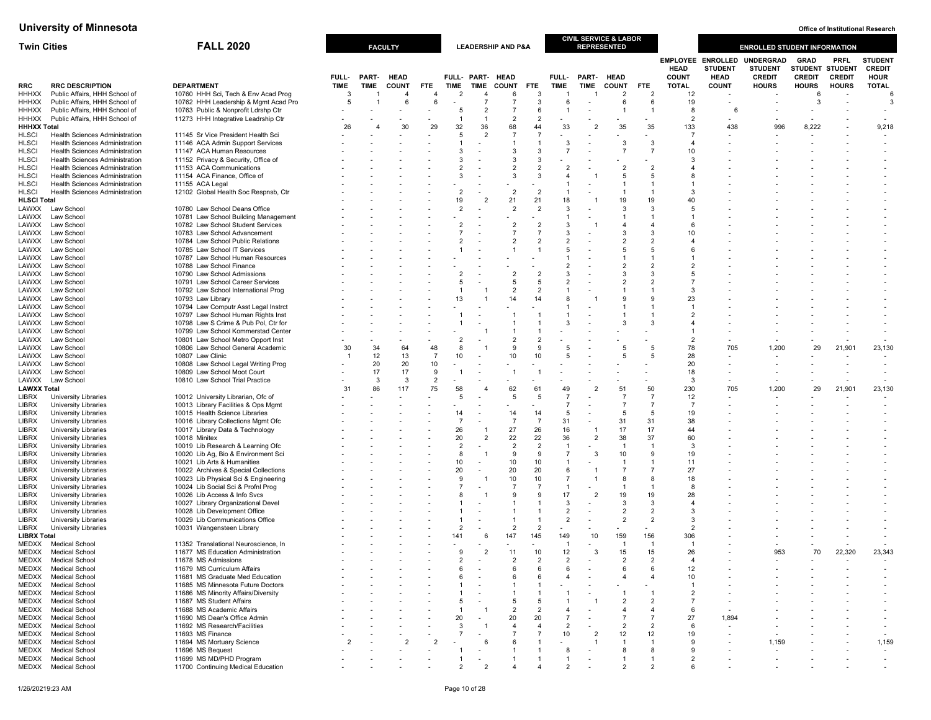| <b>Twin Cities</b>           |                                                                                | <b>FALL 2020</b>                                                           |                  |              | <b>FACULTY</b> |                |                                  |                          | <b>LEADERSHIP AND P&amp;A</b>    |                                  |                                  |                          | CIVIL SERVICE & LABOR<br><b>REPRESENTED</b> |                              |                                  |                                                           | <b>ENROLLED STUDENT INFORMATION</b>                 |                              |                                          |                                                |
|------------------------------|--------------------------------------------------------------------------------|----------------------------------------------------------------------------|------------------|--------------|----------------|----------------|----------------------------------|--------------------------|----------------------------------|----------------------------------|----------------------------------|--------------------------|---------------------------------------------|------------------------------|----------------------------------|-----------------------------------------------------------|-----------------------------------------------------|------------------------------|------------------------------------------|------------------------------------------------|
|                              |                                                                                |                                                                            | FULL-            | <b>PART-</b> | <b>HEAD</b>    |                |                                  |                          | FULL- PART- HEAD                 |                                  | FULL-                            | PART-                    | <b>HEAD</b>                                 |                              | <b>HEAD</b><br><b>COUNT</b>      | <b>EMPLOYEE ENROLLED</b><br><b>STUDENT</b><br><b>HEAD</b> | <b>UNDERGRAD</b><br><b>STUDENT</b><br><b>CREDIT</b> | <b>GRAD</b><br><b>CREDIT</b> | PRFL<br>STUDENT STUDENT<br><b>CREDIT</b> | <b>STUDEN1</b><br><b>CREDIT</b><br><b>HOUR</b> |
| <b>RRC</b><br><b>HHHXX</b>   | <b>RRC DESCRIPTION</b><br>Public Affairs, HHH School of                        | <b>DEPARTMENT</b><br>10760 HHH Sci, Tech & Env Acad Prog                   | <b>TIME</b><br>3 | <b>TIME</b>  | <b>COUNT</b>   | FTE.           | <b>TIME</b><br>$\overline{2}$    | TIME<br>$\overline{4}$   | <b>COUNT</b><br>6                | FTE<br>-3                        | <b>TIME</b>                      | TIME                     | <b>COUNT</b><br>$\overline{2}$              | <b>FTE</b><br>$\overline{2}$ | <b>TOTAL</b><br>12               | <b>COUNT</b>                                              | <b>HOURS</b>                                        | <b>HOURS</b><br>-6           | <b>HOURS</b>                             | <b>TOTAL</b><br>6                              |
| <b>HHHXX</b>                 | Public Affairs, HHH School of                                                  | 10762 HHH Leadership & Mgmt Acad Pro                                       | 5                |              | 6              | 6              |                                  | $\overline{7}$           | $\overline{7}$                   | 3                                | 6                                |                          | 6                                           | 6                            | 19                               |                                                           |                                                     | 3                            |                                          | 3                                              |
| <b>HHHXX</b>                 | Public Affairs, HHH School of                                                  | 10763 Public & Nonprofit Ldrshp Ctr                                        |                  |              |                |                | 5                                | $\overline{2}$           | $\overline{7}$                   | 6                                | $\overline{1}$                   |                          |                                             | -1                           | 8                                | 6                                                         |                                                     |                              |                                          |                                                |
| HHHXX                        | Public Affairs, HHH School of                                                  | 11273 HHH Integrative Leadrship Ctr                                        |                  |              |                |                | -1                               | $\overline{1}$           | $\overline{2}$                   | $\overline{2}$                   |                                  |                          |                                             |                              | $\overline{2}$                   |                                                           |                                                     |                              |                                          |                                                |
| <b>HHHXX Total</b>           |                                                                                |                                                                            | 26               | 4            | 30             | 29             | 32                               | 36                       | 68                               | 44                               | 33                               | $\overline{2}$           | 35                                          | 35                           | 133                              | 438                                                       | 996                                                 | 8,222                        |                                          | 9,218                                          |
| <b>HLSCI</b>                 | <b>Health Sciences Administration</b>                                          | 11145 Sr Vice President Health Sci                                         |                  |              |                |                | 5                                | $\mathcal{P}$            | $\overline{7}$                   | $\overline{7}$                   |                                  |                          |                                             |                              | $\overline{7}$                   |                                                           |                                                     |                              |                                          |                                                |
| <b>HLSCI</b>                 | <b>Health Sciences Administration</b>                                          | 11146 ACA Admin Support Services                                           |                  |              |                |                |                                  |                          | $\overline{1}$                   | $\overline{1}$                   | 3                                |                          | 3                                           | 3                            | $\overline{4}$                   |                                                           |                                                     |                              |                                          |                                                |
| <b>HLSCI</b>                 | <b>Health Sciences Administration</b>                                          | 11147 ACA Human Resources                                                  |                  |              |                |                | 3                                |                          | 3                                | 3                                | $\overline{7}$                   |                          | $\overline{7}$                              | $\overline{7}$               | 10                               |                                                           |                                                     |                              |                                          |                                                |
| <b>HLSCI</b><br><b>HLSCI</b> | <b>Health Sciences Administration</b><br><b>Health Sciences Administration</b> | 11152 Privacy & Security, Office of<br>11153 ACA Communications            |                  |              |                |                | 3<br>$\overline{2}$              |                          | 3<br>$\overline{2}$              | 3<br>$\overline{2}$              | $\overline{2}$                   |                          |                                             | $\overline{2}$               | -3<br>$\overline{4}$             |                                                           |                                                     |                              |                                          |                                                |
| <b>HLSCI</b>                 | <b>Health Sciences Administration</b>                                          | 11154 ACA Finance, Office of                                               |                  |              |                |                | 3                                |                          | 3                                | 3                                | $\overline{4}$                   |                          | 5                                           | 5                            | 8                                |                                                           |                                                     |                              |                                          |                                                |
| <b>HLSCI</b>                 | <b>Health Sciences Administration</b>                                          | 11155 ACA Legal                                                            |                  |              |                |                |                                  |                          |                                  |                                  | $\overline{1}$                   |                          |                                             |                              |                                  |                                                           |                                                     |                              |                                          |                                                |
| <b>HLSCI</b>                 | Health Sciences Administration                                                 | 12102 Global Health Soc Respnsb, Ctr                                       |                  |              |                |                | $\overline{2}$                   |                          | $\overline{2}$                   | $\overline{2}$                   | $\overline{1}$                   |                          |                                             | $\overline{1}$               | 3                                |                                                           |                                                     |                              |                                          |                                                |
| <b>HLSCI Total</b>           |                                                                                |                                                                            |                  |              |                |                | 19                               |                          | 21                               | 21                               | 18                               |                          | 19                                          | 19                           | 40                               |                                                           |                                                     |                              |                                          |                                                |
| LAWXX                        | Law School                                                                     | 10780 Law School Deans Office                                              |                  |              |                |                | $\overline{2}$                   |                          | $\overline{2}$                   | $\overline{2}$                   | 3                                |                          | 3                                           | 3                            | 5                                |                                                           |                                                     |                              |                                          |                                                |
| LAWXX                        | Law School                                                                     | 10781 Law School Building Management                                       |                  |              |                |                |                                  |                          |                                  |                                  | $\mathbf{1}$                     |                          |                                             | -1                           | $\overline{1}$                   |                                                           |                                                     |                              |                                          |                                                |
| LAWXX                        | Law School                                                                     | 10782 Law School Student Services                                          |                  |              |                |                | $\overline{2}$<br>$\overline{7}$ |                          | $\overline{2}$<br>$\overline{7}$ | $\overline{2}$<br>$\overline{7}$ | 3<br>3                           |                          |                                             | 4<br>3                       | 6<br>10                          |                                                           |                                                     |                              |                                          |                                                |
| LAWXX<br>LAWXX               | Law School<br>Law School                                                       | 10783 Law School Advancement<br>10784 Law School Public Relations          |                  |              |                |                | $\overline{2}$                   |                          | $\overline{2}$                   | $\overline{2}$                   | $\overline{2}$                   |                          |                                             | $\overline{2}$               | $\overline{4}$                   |                                                           |                                                     |                              |                                          |                                                |
| LAWXX                        | Law School                                                                     | 10785 Law School IT Services                                               |                  |              |                |                |                                  |                          | 1                                | $\overline{1}$                   | 5                                |                          |                                             | 5                            | 6                                |                                                           |                                                     |                              |                                          |                                                |
| LAWXX                        | Law School                                                                     | 10787 Law School Human Resources                                           |                  |              |                |                |                                  |                          |                                  |                                  | $\mathbf{1}$                     |                          |                                             |                              |                                  |                                                           |                                                     |                              |                                          |                                                |
| LAWXX                        | Law School                                                                     | 10788 Law School Finance                                                   |                  |              |                |                |                                  |                          |                                  |                                  | $\overline{2}$                   |                          |                                             | $\overline{2}$               | $\overline{2}$                   |                                                           |                                                     |                              |                                          |                                                |
| LAWXX                        | Law School                                                                     | 10790 Law School Admissions                                                |                  |              |                |                | $\overline{2}$                   |                          | $\overline{2}$                   | $\overline{2}$                   | 3                                |                          |                                             | 3                            | -5                               |                                                           |                                                     |                              |                                          |                                                |
| LAWXX                        | Law School                                                                     | 10791 Law School Career Services                                           |                  |              |                |                | 5                                |                          | 5                                | 5                                | $\overline{2}$                   |                          | $\overline{2}$                              | $\overline{2}$               | $\overline{7}$                   |                                                           |                                                     |                              |                                          |                                                |
| LAWXX                        | Law School                                                                     | 10792 Law School International Prog                                        |                  |              |                |                |                                  |                          | $\overline{2}$                   | $\overline{2}$                   | $\mathbf{1}$                     |                          |                                             |                              | 3                                |                                                           |                                                     |                              |                                          |                                                |
| LAWXX                        | Law School                                                                     | 10793 Law Library                                                          |                  |              |                |                | 13                               |                          | 14                               | 14                               | 8                                |                          |                                             |                              | 23                               |                                                           |                                                     |                              |                                          |                                                |
| LAWXX                        | Law School                                                                     | 10794 Law Computr Asst Legal Instrct                                       |                  |              |                |                |                                  |                          |                                  |                                  | $\mathbf{1}$                     |                          |                                             |                              | -1                               |                                                           |                                                     |                              |                                          |                                                |
| LAWXX                        | Law School                                                                     | 10797 Law School Human Rights Inst<br>10798 Law S Crime & Pub Pol, Ctr for |                  |              |                |                |                                  |                          | 1                                |                                  | 3                                |                          |                                             | 3                            | $\overline{2}$<br>$\overline{4}$ |                                                           |                                                     |                              |                                          |                                                |
| LAWXX<br>LAWXX               | Law School<br>Law School                                                       | 10799 Law School Kommerstad Center                                         |                  |              |                |                |                                  |                          | $\mathbf{1}$                     | $\overline{1}$                   |                                  |                          |                                             |                              | $\overline{1}$                   |                                                           |                                                     |                              |                                          |                                                |
| LAWXX                        | Law School                                                                     | 10801 Law School Metro Opport Inst                                         |                  |              |                |                | $\overline{2}$                   |                          | $\overline{2}$                   | $\overline{2}$                   |                                  |                          |                                             |                              | $\overline{2}$                   |                                                           |                                                     |                              |                                          |                                                |
| LAWXX                        | Law School                                                                     | 10806 Law School General Academic                                          | 30               | 34           | 64             | 48             | 8                                |                          | 9                                | 9                                | 5                                |                          | 5                                           | 5                            | 78                               | 705                                                       | 1,200                                               | 29                           | 21,901                                   | 23,130                                         |
| LAWXX                        | Law School                                                                     | 10807 Law Clinic                                                           |                  | 12           | 13             | $\overline{7}$ | 10                               | $\overline{\phantom{a}}$ | 10                               | 10                               | 5                                |                          | 5                                           | 5                            | 28                               |                                                           |                                                     |                              |                                          |                                                |
| LAWXX                        | Law School                                                                     | 10808 Law School Legal Writing Prog                                        |                  | 20           | 20             | 10             |                                  |                          |                                  |                                  |                                  |                          |                                             |                              | 20                               |                                                           |                                                     |                              |                                          |                                                |
| LAWXX                        | Law School                                                                     | 10809 Law School Moot Court                                                |                  | 17           | 17             | 9              | -1                               |                          | 1                                | $\overline{1}$                   |                                  |                          |                                             |                              | 18                               |                                                           |                                                     |                              |                                          |                                                |
| LAWXX                        | Law School                                                                     | 10810 Law School Trial Practice                                            |                  | 3            | 3              | $\overline{2}$ |                                  |                          |                                  |                                  |                                  |                          |                                             |                              | 3                                |                                                           |                                                     |                              |                                          |                                                |
| <b>LAWXX Total</b>           |                                                                                |                                                                            | 31               | 86           | 117            | 75             | 58<br>5                          |                          | 62                               | 61<br>5                          | 49<br>$\overline{7}$             | $\overline{2}$           | 51<br>$\overline{7}$                        | 50<br>$\overline{7}$         | 230                              | 705                                                       | 1,200                                               | 29                           | 21,901                                   | 23,130                                         |
| <b>LIBRX</b><br><b>LIBRX</b> | <b>University Libraries</b><br>University Libraries                            | 10012 University Librarian, Ofc of<br>10013 Library Facilities & Ops Mgmt  |                  |              |                |                |                                  |                          | 5                                |                                  | $\overline{7}$                   |                          | $\overline{7}$                              | 7                            | 12<br>$\overline{7}$             |                                                           |                                                     |                              |                                          | $\overline{\phantom{a}}$                       |
| <b>LIBRX</b>                 | University Libraries                                                           | 10015 Health Science Libraries                                             |                  |              |                |                | 14                               |                          | 14                               | 14                               | 5                                |                          | 5                                           | 5                            | 19                               |                                                           |                                                     |                              |                                          |                                                |
| <b>LIBRX</b>                 | <b>University Libraries</b>                                                    | 10016 Library Collections Mgmt Ofc                                         |                  |              |                |                | $\overline{7}$                   |                          | $\overline{7}$                   | $\overline{7}$                   | 31                               |                          | 31                                          | 31                           | 38                               |                                                           |                                                     |                              |                                          |                                                |
| <b>LIBRX</b>                 | University Libraries                                                           | 10017 Library Data & Technology                                            |                  |              |                |                | 26                               | $\overline{1}$           | 27                               | 26                               | 16                               | $\overline{1}$           | 17                                          | 17                           | 44                               |                                                           |                                                     |                              |                                          |                                                |
| <b>LIBRX</b>                 | University Libraries                                                           | 10018 Minitex                                                              |                  |              |                |                | 20                               | $\overline{2}$           | 22                               | 22                               | 36                               | $\overline{2}$           | 38                                          | 37                           | 60                               |                                                           |                                                     |                              |                                          |                                                |
| <b>LIBRX</b>                 | University Libraries                                                           | 10019 Lib Research & Learning Ofc                                          |                  |              |                |                | $\overline{2}$                   |                          | 2                                | $\overline{2}$                   | $\overline{1}$                   |                          | -1                                          | $\mathbf{1}$                 | 3                                |                                                           |                                                     |                              |                                          |                                                |
| <b>LIBRX</b>                 | <b>University Libraries</b>                                                    | 10020 Lib Ag, Bio & Environment Sci                                        |                  |              |                |                | 8                                |                          | 9                                | 9                                | $\overline{7}$                   | 3                        | 10                                          | 9                            | 19                               |                                                           |                                                     |                              |                                          |                                                |
| LIBRX                        | <b>University Libraries</b>                                                    | 10021 Lib Arts & Humanities                                                |                  |              |                |                | 10                               | $\sim$                   | 10                               | 10                               | $\mathbf{1}$                     |                          | -1                                          | -1                           | 11                               |                                                           |                                                     |                              |                                          | $\overline{\phantom{m}}$                       |
| <b>LIBRX</b>                 | University Libraries                                                           | 10022 Archives & Special Collections                                       |                  |              |                |                | 20                               |                          | 20                               | 20                               | 6                                |                          | $\overline{7}$                              | $\overline{7}$               | 27                               |                                                           |                                                     |                              |                                          |                                                |
| <b>LIBRX</b>                 | <b>University Libraries</b>                                                    | 10023 Lib Physical Sci & Engineering                                       |                  |              |                |                | 9<br>$\overline{7}$              |                          | 10<br>$\overline{7}$             | 10<br>$\overline{7}$             | $\overline{7}$<br>$\overline{1}$ | $\overline{1}$           | 8                                           | 8                            | 18<br>8                          |                                                           |                                                     |                              |                                          |                                                |
| <b>LIBRX</b><br><b>LIBRX</b> | University Libraries<br>University Libraries                                   | 10024 Lib Social Sci & Profnl Prog<br>10026 Lib Access & Info Svcs         |                  |              |                |                | 8                                |                          | 9                                | 9                                | 17                               | $\overline{2}$           | 19                                          | -1<br>19                     | 28                               |                                                           |                                                     |                              |                                          |                                                |
| <b>LIBRX</b>                 | <b>University Libraries</b>                                                    | 10027 Library Organizational Devel                                         |                  |              |                |                |                                  |                          | 1                                | $\overline{1}$                   | 3                                |                          | 3                                           | 3                            | $\overline{4}$                   |                                                           |                                                     |                              |                                          |                                                |
| <b>LIBRX</b>                 | University Libraries                                                           | 10028 Lib Development Office                                               |                  |              |                |                |                                  |                          | 1                                | $\overline{1}$                   | $\overline{2}$                   | $\overline{\phantom{a}}$ | $\overline{2}$                              | $\overline{2}$               | 3                                |                                                           |                                                     |                              |                                          |                                                |
| <b>LIBRX</b>                 | <b>University Libraries</b>                                                    | 10029 Lib Communications Office                                            |                  |              |                |                |                                  |                          | $\mathbf{1}$                     | $\overline{1}$                   | $\overline{2}$                   |                          | $\overline{2}$                              | $\overline{2}$               | -3                               |                                                           |                                                     |                              |                                          |                                                |
| LIBRX                        | <b>University Libraries</b>                                                    | 10031 Wangensteen Library                                                  |                  |              |                |                | $\overline{2}$                   |                          | $\overline{2}$                   | $\overline{2}$                   |                                  |                          |                                             |                              | $\overline{2}$                   |                                                           |                                                     |                              |                                          |                                                |
| <b>LIBRX Total</b>           |                                                                                |                                                                            |                  |              |                |                | 141                              | -6                       | 147                              | 145                              | 149                              | 10                       | 159                                         | 156                          | 306                              |                                                           |                                                     |                              |                                          |                                                |
| MEDXX                        | <b>Medical School</b>                                                          | 11352 Translational Neuroscience, In                                       |                  |              |                |                |                                  |                          |                                  |                                  | -1                               |                          |                                             | -1                           |                                  |                                                           |                                                     |                              |                                          |                                                |
| MEDXX                        | <b>Medical School</b>                                                          | 11677 MS Education Administration                                          |                  |              |                |                | 9                                | $\overline{2}$           | 11                               | 10                               | 12                               | 3                        | 15                                          | 15                           | 26                               |                                                           | 953                                                 | 70                           | 22,320                                   | 23,343                                         |
| MEDXX                        | <b>Medical School</b>                                                          | 11678 MS Admissions                                                        |                  |              |                |                | $\mathfrak{p}$                   |                          | $\overline{2}$                   | $\mathcal{P}$                    | $\mathcal{P}$                    |                          | $\mathcal{P}$                               | $\mathcal{P}$                | $\boldsymbol{\Lambda}$           |                                                           |                                                     |                              |                                          |                                                |
| MEDXX<br>MEDXX               | <b>Medical School</b><br><b>Medical School</b>                                 | 11679 MS Curriculum Affairs<br>11681 MS Graduate Med Education             |                  |              |                |                | 6<br>6                           |                          | 6<br>6                           | 6<br>6                           | 6<br>4                           |                          | -6                                          | 6<br>4                       | 12<br>10                         |                                                           |                                                     |                              |                                          |                                                |
| MEDXX                        | <b>Medical School</b>                                                          | 11685 MS Minnesota Future Doctors                                          |                  |              |                |                |                                  |                          |                                  |                                  |                                  |                          |                                             |                              |                                  |                                                           |                                                     |                              |                                          |                                                |
| MEDXX                        | <b>Medical School</b>                                                          | 11686 MS Minority Affairs/Diversity                                        |                  |              |                |                |                                  |                          |                                  |                                  |                                  |                          |                                             |                              | $\overline{2}$                   |                                                           |                                                     |                              |                                          |                                                |
| MEDXX                        | <b>Medical School</b>                                                          | 11687 MS Student Affairs                                                   |                  |              |                |                | 5                                |                          | 5                                | -5                               |                                  |                          |                                             | $\overline{2}$               |                                  |                                                           |                                                     |                              |                                          | $\blacksquare$                                 |
| MEDXX                        | <b>Medical School</b>                                                          | 11688 MS Academic Affairs                                                  |                  |              |                |                |                                  |                          | $\overline{2}$                   | $\overline{2}$                   | 4                                |                          |                                             | 4                            | -6                               |                                                           |                                                     |                              |                                          | $\overline{\phantom{m}}$                       |
| MEDXX                        | <b>Medical School</b>                                                          | 11690 MS Dean's Office Admin                                               |                  |              |                |                | 20                               |                          | 20                               | 20                               | $\overline{7}$                   |                          |                                             | 7                            | 27                               | 1,894                                                     |                                                     |                              |                                          |                                                |
| MEDXX                        | <b>Medical School</b>                                                          | 11692 MS Research/Facilities                                               |                  |              |                |                | 3                                |                          | $\overline{4}$                   | $\overline{4}$                   | $\overline{2}$                   |                          | $\overline{2}$                              | $\overline{2}$               | 6                                |                                                           |                                                     |                              |                                          | $\overline{\phantom{a}}$                       |
| MEDXX                        | <b>Medical School</b>                                                          | 11693 MS Finance                                                           |                  |              |                |                | 7                                |                          | 7                                | $\overline{7}$                   | 10                               | $\overline{2}$           | 12                                          | 12                           | 19                               |                                                           |                                                     |                              |                                          |                                                |
| MEDXX                        | <b>Medical School</b>                                                          | 11694 MS Mortuary Science                                                  | $\overline{2}$   |              |                |                |                                  | -6                       | 6                                |                                  |                                  |                          |                                             | -1                           | -9                               |                                                           | 1,159                                               |                              |                                          | 1,159                                          |
| MEDXX<br>MEDXX               | <b>Medical School</b><br><b>Medical School</b>                                 | 11696 MS Bequest<br>11699 MS MD/PHD Program                                |                  |              |                |                |                                  |                          | 1                                |                                  | 8                                |                          | -8                                          | 8                            | -9                               |                                                           |                                                     |                              |                                          | $\overline{\phantom{a}}$                       |
| MEDXX                        | <b>Medical School</b>                                                          | 11700 Continuing Medical Education                                         |                  |              |                |                | $\overline{2}$                   | $\overline{2}$           |                                  | $\overline{4}$                   | $\overline{2}$                   |                          |                                             | $\overline{2}$               | $\overline{2}$<br>6              |                                                           |                                                     |                              |                                          |                                                |
|                              |                                                                                |                                                                            |                  |              |                |                |                                  |                          |                                  |                                  |                                  |                          |                                             |                              |                                  |                                                           |                                                     |                              |                                          |                                                |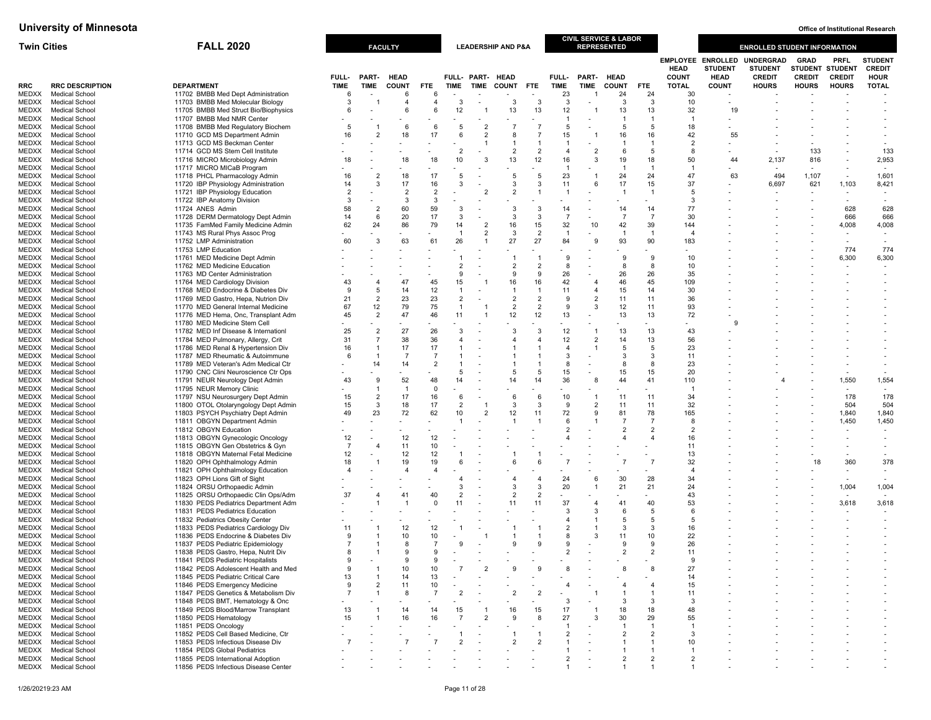| <b>Twin Cities</b> |                                                | <b>FALL 2020</b>                                                           |                |                                  | <b>FACULTY</b>       |                     |                          |                  | <b>LEADERSHIP AND P&amp;A</b> |                                |                      |                                  | <b>CIVIL SERVICE &amp; LABOR</b><br><b>REPRESENTED</b> |                                  |                             |                                                           | <b>ENROLLED STUDENT INFORMATION</b>                 |                                                 |                          |                                               |
|--------------------|------------------------------------------------|----------------------------------------------------------------------------|----------------|----------------------------------|----------------------|---------------------|--------------------------|------------------|-------------------------------|--------------------------------|----------------------|----------------------------------|--------------------------------------------------------|----------------------------------|-----------------------------|-----------------------------------------------------------|-----------------------------------------------------|-------------------------------------------------|--------------------------|-----------------------------------------------|
|                    |                                                |                                                                            | FULL-          | PART-                            | <b>HEAD</b>          |                     |                          | FULL- PART- HEAD |                               |                                | FULL-                | PART-                            | <b>HEAD</b>                                            |                                  | <b>HEAD</b><br><b>COUNT</b> | <b>EMPLOYEE ENROLLED</b><br><b>STUDENT</b><br><b>HEAD</b> | <b>UNDERGRAD</b><br><b>STUDENT</b><br><b>CREDIT</b> | <b>GRAD</b><br>STUDENT STUDENT<br><b>CREDIT</b> | PRFL<br><b>CREDIT</b>    | <b>STUDEN</b><br><b>CREDIT</b><br><b>HOUR</b> |
| RRC                | <b>RRC DESCRIPTION</b>                         | <b>DEPARTMENT</b>                                                          | <b>TIME</b>    | <b>TIME</b>                      | <b>COUNT</b>         | FTE                 | <b>TIME</b>              |                  | TIME COUNT FTE                |                                | TIME                 | TIME                             | <b>COUNT</b>                                           | FTE                              | <b>TOTAL</b>                | <b>COUNT</b>                                              | <b>HOURS</b>                                        | <b>HOURS</b>                                    | <b>HOURS</b>             | <b>TOTAL</b>                                  |
| MEDXX<br>MEDXX     | <b>Medical School</b><br><b>Medical School</b> | 11702 BMBB Med Dept Administration<br>11703 BMBB Med Molecular Biology     | 6<br>3         |                                  | 6<br>4               | 6<br>$\overline{4}$ | 3                        |                  | 3                             | 3                              | 23<br>3              | $\overline{\phantom{a}}$         | 24<br>3                                                | 24<br>-3                         | 30<br>10                    |                                                           |                                                     |                                                 |                          |                                               |
| MEDXX              | <b>Medical School</b>                          | 11705 BMBB Med Struct Bio/Biophysics                                       | 6              |                                  | 6                    | 6                   | 12                       |                  | 13                            | 13                             | 12                   |                                  | 13                                                     | 13                               | 32                          | 19                                                        |                                                     |                                                 |                          |                                               |
|                    | MEDXX Medical School                           | 11707 BMBB Med NMR Center                                                  |                |                                  |                      |                     |                          |                  |                               |                                | $\mathbf{1}$         |                                  |                                                        | $\mathbf{1}$                     | $\overline{1}$              |                                                           |                                                     |                                                 |                          |                                               |
| MEDXX              | <b>Medical School</b>                          | 11708 BMBB Med Regulatory Biochem                                          | 5              | -1                               | 6                    | 6                   | 5                        | $\overline{2}$   | $\overline{7}$                | $\overline{7}$                 | 5                    |                                  | 5                                                      | 5                                | 18                          |                                                           |                                                     |                                                 |                          |                                               |
| MEDXX              | <b>Medical School</b>                          | 11710 GCD MS Department Admin                                              | 16             | $\overline{2}$                   | 18                   | 17                  | 6                        | $\overline{2}$   | 8                             | $\overline{7}$                 | 15                   | -1                               | 16                                                     | 16                               | 42                          | 55                                                        |                                                     |                                                 |                          |                                               |
| MEDXX              | <b>Medical School</b>                          | 11713 GCD MS Beckman Center                                                |                |                                  |                      |                     |                          |                  | -1                            | $\overline{1}$                 | $\overline{1}$       |                                  |                                                        | -1                               | $\overline{2}$              |                                                           |                                                     |                                                 |                          |                                               |
| MEDXX<br>MEDXX     | <b>Medical School</b><br><b>Medical School</b> | 11714 GCD MS Stem Cell Institute<br>11716 MICRO Microbiology Admin         | 18             |                                  | 18                   | 18                  | $\overline{2}$<br>10     |                  | 2<br>13                       | $\overline{2}$<br>12           | $\overline{4}$<br>16 | $\overline{2}$<br>3              | -6<br>19                                               | 5<br>18                          | -8<br>50                    | 44                                                        | 2,137                                               | 133<br>816                                      |                          | 133<br>2,953                                  |
| MEDXX              | Medical School                                 | 11717 MICRO MICaB Program                                                  |                |                                  | ÷.                   |                     |                          |                  |                               |                                | $\mathbf{1}$         |                                  | -1                                                     | $\overline{1}$                   | -1                          |                                                           | $\overline{\phantom{a}}$                            | $\sim$                                          | ٠                        |                                               |
| MEDXX              | <b>Medical School</b>                          | 11718 PHCL Pharmacology Admin                                              | 16             | $\overline{2}$                   | 18                   | 17                  | 5                        |                  | 5                             | 5                              | 23                   | -1                               | 24                                                     | 24                               | 47                          | 63                                                        | 494                                                 | 1,107                                           |                          | 1,601                                         |
| MEDXX              | <b>Medical School</b>                          | 11720 IBP Physiology Administration                                        | 14             | 3                                | 17                   | 16                  | 3                        |                  | 3                             | $\mathbf{3}$                   | 11                   | 6                                | 17                                                     | 15                               | 37                          |                                                           | 6,697                                               | 621                                             | 1,103                    | 8,421                                         |
| MEDXX              | <b>Medical School</b>                          | 11721 IBP Physiology Education                                             | $\overline{2}$ |                                  | $\overline{2}$       | $\overline{2}$      |                          | $\overline{2}$   | $\overline{2}$                | $\overline{1}$                 | $\overline{1}$       |                                  | $\mathbf{1}$                                           | $\overline{1}$                   | 5                           |                                                           |                                                     |                                                 | $\overline{\phantom{a}}$ | $\overline{\phantom{a}}$                      |
| MEDXX              | Medical School                                 | 11722 IBP Anatomy Division                                                 | 3              |                                  | 3                    | 3                   |                          |                  |                               |                                |                      |                                  |                                                        |                                  | 3                           |                                                           |                                                     |                                                 |                          |                                               |
| MEDXX<br>MEDXX     | <b>Medical School</b><br>Medical School        | 11724 ANES Admin<br>11728 DERM Dermatology Dept Admin                      | 58<br>14       | $\overline{2}$<br>6              | 60<br>20             | 59<br>17            | 3<br>3                   |                  | 3<br>3                        | -3<br>$\mathbf{3}$             | 14<br>$\overline{7}$ |                                  | 14<br>$\overline{7}$                                   | 14<br>$\overline{7}$             | 77<br>30                    |                                                           |                                                     |                                                 | 628<br>666               | 628<br>666                                    |
|                    | MEDXX Medical School                           | 11735 FamMed Family Medicine Admin                                         | 62             | 24                               | 86                   | 79                  | 14                       | $\overline{2}$   | 16                            | 15                             | 32                   | 10                               | 42                                                     | 39                               | 144                         |                                                           |                                                     |                                                 | 4,008                    | 4,008                                         |
| MEDXX              | <b>Medical School</b>                          | 11743 MS Rural Phys Assoc Prog                                             |                |                                  |                      |                     | $\mathbf{1}$             | $\overline{2}$   | 3                             | $\overline{2}$                 | $\overline{1}$       |                                  | $\overline{1}$                                         | $\overline{1}$                   | $\overline{4}$              |                                                           |                                                     |                                                 |                          |                                               |
| MEDXX              | <b>Medical School</b>                          | 11752 LMP Administration                                                   | 60             | 3                                | 63                   | 61                  | 26                       | -1               | 27                            | 27                             | 84                   | g                                | 93                                                     | 90                               | 183                         |                                                           |                                                     |                                                 | $\overline{\phantom{a}}$ | $\overline{\phantom{a}}$                      |
| MEDXX              | Medical School                                 | 11753 LMP Education                                                        |                |                                  |                      |                     |                          |                  |                               |                                |                      |                                  |                                                        |                                  |                             |                                                           |                                                     |                                                 | 774                      | 774                                           |
| MEDXX              | <b>Medical School</b>                          | 11761 MED Medicine Dept Admin                                              |                |                                  |                      |                     | -1                       |                  | -1                            | $\overline{1}$                 | 9                    |                                  | -9                                                     | 9                                | 10                          |                                                           |                                                     |                                                 | 6,300                    | 6,300                                         |
| MEDXX              | <b>Medical School</b>                          | 11762 MED Medicine Education                                               |                |                                  |                      |                     | 2                        |                  | 2                             | $\overline{2}$<br>9            | 8                    |                                  | $\mathbf{R}$                                           | -8                               | 10                          |                                                           |                                                     |                                                 | $\overline{\phantom{a}}$ | $\overline{\phantom{a}}$                      |
| MEDXX              | MEDXX Medical School<br><b>Medical School</b>  | 11763 MD Center Administration<br>11764 MED Cardiology Division            | 43             | 4                                | 47                   | 45                  | 9<br>15                  | -1               | 9<br>16                       | 16                             | 26<br>42             | $\overline{4}$                   | 26<br>46                                               | 26<br>45                         | 35<br>109                   |                                                           |                                                     |                                                 |                          | $\overline{\phantom{m}}$                      |
| MEDXX              | <b>Medical School</b>                          | 11768 MED Endocrine & Diabetes Div                                         | 9              | 5                                | 14                   | 12                  | $\overline{1}$           |                  | $\overline{1}$                | $\overline{1}$                 | 11                   | $\overline{4}$                   | 15                                                     | 14                               | 30                          |                                                           |                                                     |                                                 |                          |                                               |
|                    | MEDXX Medical School                           | 11769 MED Gastro, Hepa, Nutrion Div                                        | 21             | $\overline{2}$                   | 23                   | 23                  | $\overline{2}$           |                  | $\overline{2}$                | $\overline{2}$                 | 9                    | $\overline{2}$                   | 11                                                     | 11                               | 36                          |                                                           |                                                     |                                                 |                          |                                               |
| MEDXX              | <b>Medical School</b>                          | 11770 MED General Internal Medicine                                        | 67             | 12                               | 79                   | 75                  | $\mathbf{1}$             |                  | $\overline{2}$                | $\overline{2}$                 | 9                    | 3                                | 12                                                     | 11                               | 93                          |                                                           |                                                     |                                                 |                          | $\overline{\phantom{m}}$                      |
| MEDXX              | <b>Medical School</b>                          | 11776 MED Hema, Onc, Transplant Adm                                        | 45             | $\overline{2}$                   | 47                   | 46                  | 11                       |                  | 12                            | 12                             | 13                   |                                  | 13                                                     | 13                               | 72                          |                                                           |                                                     |                                                 |                          |                                               |
|                    | MEDXX Medical School                           | 11780 MED Medicine Stem Cell                                               |                |                                  |                      |                     |                          |                  |                               |                                |                      |                                  |                                                        |                                  |                             | 9                                                         |                                                     |                                                 |                          |                                               |
| MEDXX              | <b>Medical School</b>                          | 11782 MED Inf Disease & Internation                                        | 25<br>31       | $\overline{2}$<br>$\overline{7}$ | 27<br>38             | 26<br>36            | 3<br>$\overline{4}$      |                  | 3<br>4                        | $\mathbf{3}$<br>$\overline{4}$ | 12<br>12             | $\overline{1}$<br>$\overline{2}$ | 13<br>14                                               | 13<br>13                         | 43<br>56                    |                                                           |                                                     |                                                 |                          |                                               |
| MEDXX<br>MEDXX     | <b>Medical School</b><br>Medical School        | 11784 MED Pulmonary, Allergy, Crit<br>11786 MED Renal & Hypertension Div   | 16             | -1                               | 17                   | 17                  |                          |                  | $\overline{1}$                | $\overline{1}$                 | $\overline{a}$       | $\mathbf{1}$                     | -5                                                     | 5                                | 23                          |                                                           |                                                     |                                                 |                          |                                               |
| MEDXX              | <b>Medical School</b>                          | 11787 MED Rheumatic & Autoimmune                                           | 6              | -1                               | $\overline{7}$       | $\overline{7}$      | -1                       |                  | $\overline{1}$                | $\overline{1}$                 | 3                    |                                  | 3                                                      | 3                                | 11                          |                                                           |                                                     |                                                 |                          | $\blacksquare$                                |
| MEDXX              | <b>Medical School</b>                          | 11789 MED Veteran's Adm Medical Ctr                                        |                | 14                               | 14                   | $\overline{2}$      | $\overline{1}$           |                  | $\overline{1}$                | $\overline{1}$                 | 8                    | $\blacksquare$                   | -8                                                     | 8                                | 23                          |                                                           |                                                     |                                                 |                          |                                               |
| MEDXX              | Medical School                                 | 11790 CNC Clini Neuroscience Ctr Ops                                       |                |                                  |                      |                     | 5                        |                  | 5                             | 5                              | 15                   |                                  | 15                                                     | 15                               | 20                          |                                                           |                                                     |                                                 |                          |                                               |
| MEDXX              | Medical School                                 | 11791 NEUR Neurology Dept Admin                                            | 43             | 9                                | 52                   | 48                  | 14                       |                  | 14                            | 14                             | 36                   | 8                                | 44                                                     | 41                               | 110                         |                                                           |                                                     |                                                 | 1,550                    | 1,554                                         |
| MEDXX              | <b>Medical School</b>                          | 11795 NEUR Memory Clinic                                                   |                | 1<br>$\overline{2}$              | $\overline{1}$<br>17 | $\Omega$            | 6                        |                  | 6                             |                                |                      | $\overline{1}$                   |                                                        |                                  | -1                          |                                                           |                                                     |                                                 | 178                      | 178                                           |
| MEDXX              | <b>Medical School</b><br>MEDXX Medical School  | 11797 NSU Neurosurgery Dept Admin<br>11800 OTOL Otolaryngology Dept Admin  | 15<br>15       | -3                               | 18                   | 16<br>17            | $\overline{2}$           |                  | 3                             | 6<br>-3                        | 10<br>9              | $\overline{2}$                   | 11<br>11                                               | 11<br>11                         | 34<br>32                    |                                                           |                                                     |                                                 | 504                      | 504                                           |
| MEDXX              | <b>Medical School</b>                          | 11803 PSYCH Psychiatry Dept Admin                                          | 49             | 23                               | 72                   | 62                  | 10                       |                  | 12                            | 11                             | 72                   | 9                                | 81                                                     | 78                               | 165                         |                                                           |                                                     |                                                 | 1,840                    | 1,840                                         |
| MEDXX              | Medical School                                 | 11811 OBGYN Department Admin                                               |                |                                  |                      |                     | $\overline{1}$           |                  | $\overline{1}$                | $\overline{1}$                 | 6                    | $\overline{1}$                   | $\overline{7}$                                         | $\overline{7}$                   | 8                           |                                                           |                                                     |                                                 | 1,450                    | 1,450                                         |
|                    | MEDXX Medical School                           | 11812 OBGYN Education                                                      |                |                                  |                      |                     |                          |                  |                               |                                | $\overline{2}$       |                                  | $\overline{2}$                                         | $\overline{2}$                   | $\overline{2}$              |                                                           |                                                     |                                                 |                          | $\overline{\phantom{a}}$                      |
| MEDXX              | <b>Medical School</b>                          | 11813 OBGYN Gynecologic Oncology                                           | 12             |                                  | 12                   | 12                  |                          |                  |                               |                                | $\overline{4}$       |                                  | $\overline{a}$                                         | 4                                | 16                          |                                                           |                                                     |                                                 |                          |                                               |
| MEDXX              | Medical School                                 | 11815 OBGYN Gen Obstetrics & Gyn                                           | $\overline{7}$ | $\overline{4}$                   | 11                   | 10                  |                          |                  |                               |                                |                      |                                  |                                                        |                                  | 11                          |                                                           |                                                     |                                                 |                          |                                               |
| MEDXX              | MEDXX Medical School<br><b>Medical School</b>  | 11818 OBGYN Maternal Fetal Medicine<br>11820 OPH Ophthalmology Admin       | 12<br>18       |                                  | 12<br>19             | 12<br>19            | -1<br>6                  |                  | 6                             | 6                              | $\overline{7}$       |                                  |                                                        | $\overline{7}$                   | 13<br>32                    |                                                           |                                                     | 18                                              | 360                      | 378                                           |
| MEDXX              | <b>Medical School</b>                          | 11821 OPH Ophthalmology Education                                          | $\overline{4}$ |                                  | $\overline{4}$       | $\overline{4}$      |                          |                  |                               |                                |                      |                                  |                                                        |                                  | $\overline{4}$              |                                                           |                                                     |                                                 | $\overline{\phantom{a}}$ | $\overline{\phantom{a}}$                      |
|                    | MEDXX Medical School                           | 11823 OPH Lions Gift of Sight                                              |                |                                  |                      |                     |                          |                  | 4                             | $\overline{4}$                 | 24                   | 6                                | 30                                                     | 28                               | 34                          |                                                           |                                                     |                                                 |                          |                                               |
| MEDXX              | <b>Medical School</b>                          | 11824 ORSU Orthopaedic Admin                                               |                |                                  |                      |                     | 3                        |                  | 3                             | 3                              | 20                   | $\mathbf{1}$                     | 21                                                     | 21                               | 24                          |                                                           |                                                     |                                                 | 1,004                    | 1,004                                         |
| MEDXX              | <b>Medical School</b>                          | 11825 ORSU Orthopaedic Clin Ops/Adm                                        | 37             | $\overline{4}$                   | 41                   | 40                  | $\overline{2}$           |                  | 2                             | $\overline{2}$                 |                      |                                  |                                                        |                                  | 43                          |                                                           |                                                     |                                                 |                          |                                               |
|                    | MEDXX Medical School                           | 11830 PEDS Pediatrics Department Adm                                       |                | 1                                | -1                   | $\Omega$            | 11                       |                  | 11                            | 11                             | 37<br>3              | $\overline{4}$                   | 41<br>6                                                | 40                               | 53                          |                                                           |                                                     |                                                 | 3,618                    | 3,618                                         |
| MEDXX<br>MEDXX     | <b>Medical School</b><br><b>Medical School</b> | 11831 PEDS Pediatrics Education<br>11832 Pediatrics Obesity Center         |                |                                  |                      |                     |                          |                  | $\blacksquare$                |                                | $\overline{4}$       | 3                                | -5                                                     | 5<br>5                           | 6<br>5                      |                                                           |                                                     |                                                 |                          |                                               |
|                    | MEDXX Medical School                           | 11833 PEDS Pediatrics Cardiology Div                                       | 11             |                                  | 12                   | 12                  |                          |                  |                               |                                | $\overline{2}$       |                                  | 3                                                      | 3                                | 16                          |                                                           |                                                     |                                                 |                          |                                               |
| MEDXX              | <b>Medical School</b>                          | 11836 PEDS Endocrine & Diabetes Div                                        | 9              | -1                               | 10                   | 10                  |                          |                  | -1                            | -1                             | 8                    | 3                                | 11                                                     | 10                               | 22                          |                                                           |                                                     |                                                 |                          |                                               |
| MEDXX              | <b>Medical School</b>                          | 11837 PEDS Pediatric Epidemiology                                          |                |                                  | 8                    |                     |                          |                  | 9                             | 9                              | 9                    |                                  | -9                                                     | 9                                | 26                          |                                                           |                                                     |                                                 |                          |                                               |
| MEDXX              | <b>Medical School</b>                          | 11838 PEDS Gastro, Hepa, Nutrit Div                                        | 8              |                                  | 9                    |                     |                          |                  |                               |                                | $\overline{2}$       |                                  | $\overline{2}$                                         | $\overline{2}$                   | 11                          |                                                           |                                                     |                                                 |                          |                                               |
| MEDXX              | <b>Medical School</b>                          | 11841 PEDS Pediatric Hospitalists                                          | $\mathbf{Q}$   |                                  | $\mathbf{Q}$         | a                   |                          |                  |                               |                                |                      |                                  |                                                        |                                  | 9                           |                                                           |                                                     |                                                 |                          |                                               |
| MEDXX<br>MEDXX     | <b>Medical School</b><br><b>Medical School</b> | 11842 PEDS Adolescent Health and Med<br>11845 PEDS Pediatric Critical Care | 9<br>13        |                                  | 10<br>14             | 10<br>13            |                          | -2               | 9                             | 9                              | 8                    |                                  |                                                        | 8                                | 27<br>14                    |                                                           |                                                     |                                                 |                          |                                               |
| MEDXX              | <b>Medical School</b>                          | 11846 PEDS Emergency Medicine                                              | 9              | $\overline{2}$                   | 11                   | 10                  |                          |                  |                               |                                |                      |                                  |                                                        | 4                                | 15                          |                                                           |                                                     |                                                 |                          |                                               |
| MEDXX              | <b>Medical School</b>                          | 11847 PEDS Genetics & Metabolism Div                                       | $\overline{7}$ |                                  | 8                    |                     | $\overline{2}$           |                  |                               |                                |                      |                                  |                                                        | 1                                | 11                          |                                                           |                                                     |                                                 |                          |                                               |
| MEDXX              | <b>Medical School</b>                          | 11848 PEDS BMT, Hematology & Onc                                           |                |                                  |                      |                     |                          |                  |                               |                                | 3                    |                                  | -3                                                     | 3                                | -3                          |                                                           |                                                     |                                                 |                          |                                               |
| MEDXX              | <b>Medical School</b>                          | 11849 PEDS Blood/Marrow Transplant                                         | 13             |                                  | 14                   | 14                  | 15                       |                  | 16                            | 15                             | 17                   |                                  | 18                                                     | 18                               | 48                          |                                                           |                                                     |                                                 |                          |                                               |
| MEDXX              | <b>Medical School</b>                          | 11850 PEDS Hematology                                                      | 15             |                                  | 16                   | 16                  | 7                        |                  | 9                             | -8                             | 27                   | з                                | 30                                                     | 29                               | 55                          |                                                           |                                                     |                                                 |                          |                                               |
| MEDXX              | <b>Medical School</b>                          | 11851 PEDS Oncology                                                        |                |                                  |                      |                     |                          |                  |                               |                                | $\mathbf{1}$         |                                  | $\overline{2}$                                         | $\overline{1}$<br>$\overline{2}$ | -1                          |                                                           |                                                     |                                                 |                          |                                               |
| MEDXX<br>MEDXX     | <b>Medical School</b><br><b>Medical School</b> | 11852 PEDS Cell Based Medicine, Ctr<br>11853 PEDS Infectious Disease Div   |                |                                  |                      |                     | $\overline{\phantom{a}}$ |                  | 2                             | $\overline{2}$                 | $\overline{2}$       |                                  |                                                        | -1                               | 3<br>10                     |                                                           |                                                     |                                                 |                          |                                               |
| MEDXX              | <b>Medical School</b>                          | 11854 PEDS Global Pediatrics                                               |                |                                  |                      |                     |                          |                  |                               |                                |                      |                                  |                                                        | -1                               |                             |                                                           |                                                     |                                                 |                          |                                               |
| MEDXX              | <b>Medical School</b>                          | 11855 PEDS International Adoption                                          |                |                                  |                      |                     |                          |                  |                               |                                | $\overline{2}$       |                                  | $\overline{2}$                                         | $\overline{2}$                   | $\overline{2}$              |                                                           |                                                     |                                                 |                          |                                               |
| MEDXX              | <b>Medical School</b>                          | 11856 PEDS Infectious Disease Center                                       |                |                                  |                      |                     |                          |                  |                               |                                |                      |                                  |                                                        |                                  |                             |                                                           |                                                     |                                                 |                          |                                               |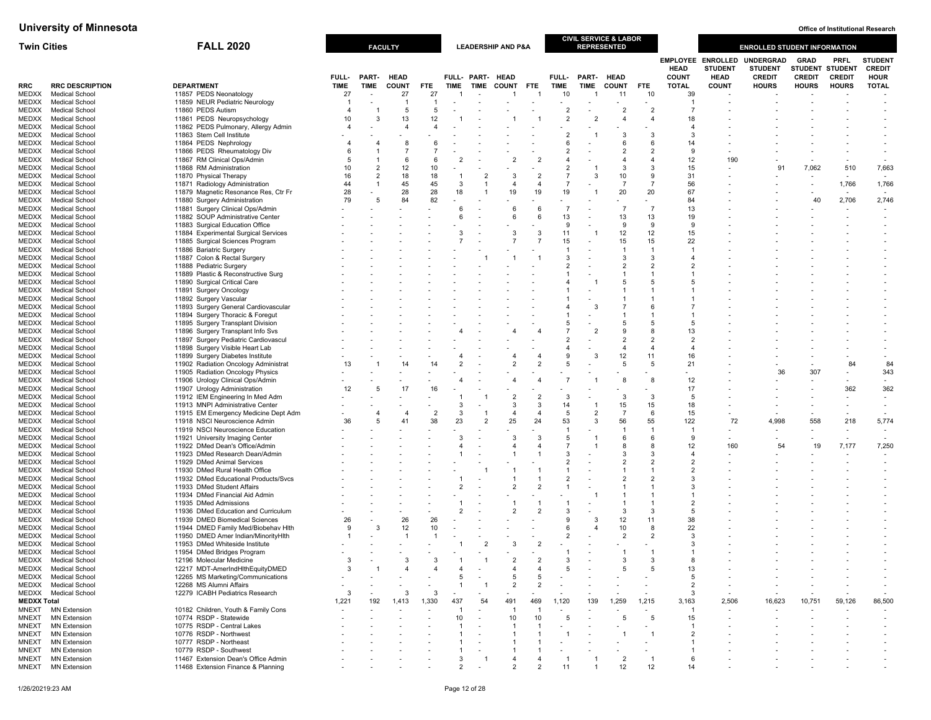| <b>Twin Cities</b> |                                                | <b>FALL 2020</b>                                                          |                      |                                  | <b>FACULTY</b>              |                          |                          |                                 | <b>LEADERSHIP AND P&amp;A</b> |                      |                                  |                     | <b>CIVIL SERVICE &amp; LABOR</b><br><b>REPRESENTED</b> |                          |                                  |                                            | <b>ENROLLED STUDENT INFORMATION</b> |                                       |                                 |                                   |
|--------------------|------------------------------------------------|---------------------------------------------------------------------------|----------------------|----------------------------------|-----------------------------|--------------------------|--------------------------|---------------------------------|-------------------------------|----------------------|----------------------------------|---------------------|--------------------------------------------------------|--------------------------|----------------------------------|--------------------------------------------|-------------------------------------|---------------------------------------|---------------------------------|-----------------------------------|
|                    |                                                |                                                                           |                      |                                  |                             |                          |                          |                                 |                               |                      |                                  |                     |                                                        |                          | <b>HEAD</b>                      | <b>EMPLOYEE ENROLLED</b><br><b>STUDENT</b> | <b>UNDERGRAD</b><br><b>STUDENT</b>  | <b>GRAD</b><br><b>STUDENT STUDENT</b> | <b>PRFL</b>                     | <b>STUDENT</b><br><b>CREDIT</b>   |
| RRC                | <b>RRC DESCRIPTION</b>                         | <b>DEPARTMENT</b>                                                         | FULL-<br><b>TIME</b> | PART-<br><b>TIME</b>             | <b>HEAD</b><br><b>COUNT</b> | FTE.                     | <b>TIME</b>              | FULL- PART- HEAD<br><b>TIME</b> | <b>COUNT</b>                  | <b>FTE</b>           | FULL-<br>TIME                    | PART-<br>TIME       | <b>HEAD</b><br><b>COUNT</b>                            | <b>FTE</b>               | <b>COUNT</b><br><b>TOTAL</b>     | <b>HEAD</b><br><b>COUNT</b>                | <b>CREDIT</b><br><b>HOURS</b>       | <b>CREDIT</b><br><b>HOURS</b>         | <b>CREDIT</b><br><b>HOURS</b>   | <b>HOUR</b><br><b>TOTAL</b>       |
| MEDXX              | <b>Medical School</b>                          | 11857 PEDS Neonatology                                                    | 27                   |                                  | 27                          | 27                       |                          |                                 |                               |                      | 10                               |                     | 11                                                     | 10                       | 39                               |                                            |                                     |                                       |                                 |                                   |
| MEDXX              | Medical School                                 | 11859 NEUR Pediatric Neurology                                            |                      |                                  | -1                          | $\overline{1}$           |                          |                                 |                               |                      |                                  |                     |                                                        |                          | -1                               |                                            |                                     |                                       |                                 |                                   |
| MEDXX              | Medical School                                 | 11860 PEDS Autism                                                         | $\overline{4}$       | $\mathbf{1}$                     | -5                          | 5                        |                          |                                 |                               |                      | $\overline{2}$                   |                     | $\overline{2}$                                         | $\overline{2}$           | $\overline{7}$                   |                                            |                                     |                                       |                                 |                                   |
| MEDXX<br>MEDXX     | <b>Medical School</b><br><b>Medical School</b> | 11861 PEDS Neuropsychology<br>11862 PEDS Pulmonary, Allergy Admin         | 10<br>4              | 3                                | 13<br>$\overline{a}$        | 12<br>$\overline{4}$     |                          |                                 |                               |                      | $\overline{2}$                   |                     | $\overline{4}$                                         | $\overline{4}$           | 18<br>$\overline{a}$             |                                            |                                     |                                       |                                 |                                   |
| MEDXX              | Medical School                                 | 11863 Stem Cell Institute                                                 |                      |                                  |                             |                          |                          |                                 |                               |                      | 2                                |                     | 3                                                      | -3                       | 3                                |                                            |                                     |                                       |                                 |                                   |
| MEDXX              | Medical School                                 | 11864 PEDS Nephrology                                                     | 4                    | $\overline{4}$                   | -8                          | -6                       |                          |                                 |                               |                      | 6                                |                     | 6                                                      | 6                        | 14                               |                                            |                                     |                                       |                                 |                                   |
| MEDXX              | Medical School                                 | 11866 PEDS Rheumatology Div                                               | 6                    |                                  |                             | $\overline{7}$           |                          |                                 |                               |                      | $\overline{2}$                   |                     | $\overline{2}$                                         | $\overline{\phantom{a}}$ | $\mathbf{Q}$                     |                                            |                                     |                                       |                                 |                                   |
| MEDXX              | Medical School                                 | 11867 RM Clinical Ops/Admin                                               | 5                    | 1                                | 6                           | 6                        | $\overline{2}$           |                                 | $\overline{2}$                | $\overline{2}$       | 4                                |                     |                                                        | $\overline{4}$           | 12                               | 190                                        |                                     |                                       |                                 |                                   |
| MEDXX<br>MEDXX     | <b>Medical School</b><br><b>Medical School</b> | 11868 RM Administration<br>11870 Physical Therapy                         | 10<br>16             | $\overline{2}$<br>$\overline{2}$ | 12<br>18                    | 10<br>18                 | -1                       | $\mathcal{P}$                   | 3                             | $\overline{2}$       | $\overline{2}$<br>$\overline{7}$ | 3                   | 3<br>10                                                | 3<br>9                   | 15<br>31                         |                                            | 91                                  | 7,062                                 | 510<br>$\overline{\phantom{a}}$ | 7,663<br>$\overline{\phantom{a}}$ |
| MEDXX              | Medical Schoo                                  | 11871 Radiology Administration                                            | 44                   | $\overline{1}$                   | 45                          | 45                       | 3                        |                                 | 4                             | $\overline{4}$       | $\overline{7}$                   |                     | $\overline{7}$                                         | $\overline{7}$           | 56                               |                                            |                                     |                                       | 1,766                           | 1,766                             |
| MEDXX              | <b>Medical School</b>                          | 11879 Magnetic Resonance Res, Ctr Fr                                      | 28                   |                                  | 28                          | 28                       | 18                       |                                 | 19                            | 19                   | 19                               |                     | 20                                                     | 20                       | 67                               |                                            |                                     |                                       |                                 |                                   |
| MEDXX              | Medical School                                 | 11880 Surgery Administration                                              | 79                   | 5                                | 84                          | 82                       |                          |                                 |                               |                      |                                  |                     |                                                        |                          | 84                               |                                            |                                     | 40                                    | 2,706                           | 2,746                             |
| MEDXX              | Medical Schoo                                  | 11881 Surgery Clinical Ops/Admin                                          |                      |                                  |                             |                          | 6                        |                                 | 6                             | 6                    | $\overline{7}$                   |                     | $\overline{7}$                                         | $\overline{7}$           | 13                               |                                            |                                     |                                       |                                 |                                   |
| MEDXX<br>MEDXX     | <b>Medical School</b><br><b>Medical School</b> | 11882 SOUP Administrative Center<br>11883 Surgical Education Office       |                      |                                  |                             |                          | 6                        |                                 | 6                             | 6                    | 13<br>9                          |                     | 13<br>9                                                | 13<br>9                  | 19<br>9                          |                                            |                                     |                                       |                                 |                                   |
| MEDXX              | Medical Schoo                                  | 11884 Experimental Surgical Services                                      |                      |                                  |                             |                          | 3                        |                                 | 3                             | 3                    | 11                               |                     | 12                                                     | 12                       | 15                               |                                            |                                     |                                       |                                 |                                   |
| MEDXX              | <b>Medical School</b>                          | 11885 Surgical Sciences Program                                           |                      |                                  |                             |                          |                          |                                 |                               | $\overline{7}$       | 15                               |                     | 15                                                     | 15                       | 22                               |                                            |                                     |                                       |                                 |                                   |
| MEDXX              | Medical School                                 | 11886 Bariatric Surgery                                                   |                      |                                  |                             |                          |                          |                                 |                               |                      | $\overline{1}$                   |                     | $\overline{1}$                                         | $\overline{1}$           |                                  |                                            |                                     |                                       |                                 |                                   |
| MEDXX              | Medical School                                 | 11887 Colon & Rectal Surgery                                              |                      |                                  |                             |                          |                          |                                 |                               |                      | 3                                |                     | 3                                                      | 3                        | $\overline{4}$                   |                                            |                                     |                                       |                                 |                                   |
| MEDXX<br>MEDXX     | Medical School<br>Medical School               | 11888 Pediatric Surgery<br>11889 Plastic & Reconstructive Surg            |                      |                                  |                             |                          |                          |                                 |                               |                      | $\overline{2}$<br>1              |                     | $\overline{2}$                                         | $\overline{2}$<br>-1     | $\overline{2}$                   |                                            |                                     |                                       |                                 |                                   |
| MEDXX              | Medical School                                 | 11890 Surgical Critical Care                                              |                      |                                  |                             |                          |                          |                                 |                               |                      | $\overline{4}$                   |                     | 5                                                      | 5                        | 5                                |                                            |                                     |                                       |                                 |                                   |
|                    | MEDXX Medical School                           | 11891 Surgery Oncology                                                    |                      |                                  |                             |                          |                          |                                 |                               |                      |                                  |                     |                                                        |                          |                                  |                                            |                                     |                                       |                                 |                                   |
| MEDXX              | <b>Medical School</b>                          | 11892 Surgery Vascular                                                    |                      |                                  |                             |                          |                          |                                 |                               |                      |                                  |                     |                                                        |                          |                                  |                                            |                                     |                                       |                                 |                                   |
| MEDXX              | Medical School                                 | 11893 Surgery General Cardiovascular                                      |                      |                                  |                             |                          |                          |                                 |                               |                      |                                  | 3                   |                                                        | 6                        |                                  |                                            |                                     |                                       |                                 |                                   |
| MEDXX<br>MEDXX     | Medical School<br><b>Medical School</b>        | 11894 Surgery Thoracic & Foregut                                          |                      |                                  |                             |                          |                          |                                 |                               |                      | 5                                |                     | 5                                                      | 5                        | -5                               |                                            |                                     |                                       |                                 |                                   |
| MEDXX              | <b>Medical School</b>                          | 11895 Surgery Transplant Division<br>11896 Surgery Transplant Info Svs    |                      |                                  |                             |                          |                          |                                 |                               |                      | $\overline{7}$                   |                     | $\mathbf{Q}$                                           | 8                        | 13                               |                                            |                                     |                                       |                                 |                                   |
| MEDXX              | Medical School                                 | 11897 Surgery Pediatric Cardiovascul                                      |                      |                                  |                             |                          |                          |                                 |                               |                      | $\overline{2}$                   |                     | $\overline{2}$                                         | $\overline{2}$           | $\overline{2}$                   |                                            |                                     |                                       |                                 |                                   |
| MEDXX              | Medical School                                 | 11898 Surgery Visible Heart Lab                                           |                      |                                  |                             |                          |                          |                                 |                               |                      | 4                                |                     | 4                                                      | $\overline{4}$           | $\overline{4}$                   |                                            |                                     |                                       |                                 |                                   |
| MEDXX              | Medical School                                 | 11899 Surgery Diabetes Institute                                          |                      |                                  |                             |                          |                          |                                 |                               |                      | 9                                | 3                   | 12                                                     | 11                       | 16                               |                                            |                                     |                                       |                                 |                                   |
| MEDXX<br>MEDXX     | <b>Medical School</b><br>Medical School        | 11902 Radiation Oncology Administrat<br>11905 Radiation Oncology Physics  | 13                   |                                  | 14                          | 14                       | $\overline{2}$           |                                 | $\overline{2}$                | $\overline{2}$       | 5                                |                     | 5                                                      | 5                        | 21                               |                                            | 36                                  | 307                                   | 84<br>$\overline{\phantom{0}}$  | 84<br>343                         |
| MEDXX              | <b>Medical School</b>                          | 11906 Urology Clinical Ops/Admin                                          |                      |                                  |                             |                          |                          |                                 | $\overline{A}$                |                      | $\overline{7}$                   |                     | 8                                                      | 8                        | 12                               |                                            |                                     | $\overline{\phantom{a}}$              | $\overline{\phantom{a}}$        | $\overline{\phantom{a}}$          |
| MEDXX              | Medical Schoo                                  | 11907 Urology Administration                                              | 12                   | 5                                | 17                          | 16                       |                          |                                 |                               |                      |                                  |                     |                                                        |                          | 17                               |                                            |                                     |                                       | 362                             | 362                               |
| MEDXX              | <b>Medical School</b>                          | 11912 IEM Engineering In Med Adm                                          |                      |                                  |                             |                          |                          |                                 | $\overline{2}$                | $\overline{2}$       | 3                                |                     | 3                                                      | 3                        | 5                                |                                            |                                     |                                       | ٠                               | $\sim$                            |
| MEDXX              | Medical School                                 | 11913 MNPI Administrative Center                                          |                      |                                  |                             |                          | 3                        |                                 | 3                             | 3                    | 14                               | - 1                 | 15                                                     | 15                       | 18                               |                                            |                                     |                                       |                                 | $\overline{\phantom{a}}$          |
| MEDXX<br>MEDXX     | <b>Medical Schoo</b><br><b>Medical School</b>  | 11915 EM Emergency Medicine Dept Adm<br>11918 NSCI Neuroscience Admin     | 36                   | 4<br>5                           | 41                          | $\overline{2}$<br>38     | 3<br>23                  | $\overline{2}$                  | $\overline{4}$<br>25          | $\overline{4}$<br>24 | 5<br>53                          | $\overline{2}$<br>3 | $\overline{7}$<br>56                                   | 6<br>55                  | 15<br>122                        | 72                                         | 4,998                               | 558                                   | 218                             | 5,774                             |
| MEDXX              | <b>Medical School</b>                          | 11919 NSCI Neuroscience Education                                         |                      |                                  |                             |                          |                          |                                 |                               |                      | 1                                |                     | $\overline{1}$                                         | $\mathbf{1}$             |                                  |                                            |                                     |                                       |                                 |                                   |
| MEDXX              | Medical Schoo                                  | 11921 University Imaging Center                                           |                      |                                  |                             |                          | 3                        |                                 | 3                             | 3                    | 5                                |                     | 6                                                      | 6                        | 9                                |                                            |                                     |                                       |                                 |                                   |
| MEDXX              | <b>Medical School</b>                          | 11922 DMed Dean's Office/Admin                                            |                      |                                  |                             |                          |                          |                                 | 4                             | $\overline{4}$       | $\overline{7}$                   |                     | 8                                                      | -8                       | 12                               | 160                                        | 54                                  | 19                                    | 7,177                           | 7,250                             |
| MEDXX              | Medical School                                 | 11923 DMed Research Dean/Admin                                            |                      |                                  |                             |                          |                          |                                 |                               |                      | 3                                |                     | 3                                                      | -3                       | $\overline{a}$                   |                                            |                                     |                                       |                                 | $\overline{\phantom{a}}$          |
| MEDXX<br>MEDXX     | Medical School<br><b>Medical School</b>        | 11929 DMed Animal Services<br>11930 DMed Rural Health Office              |                      |                                  |                             |                          |                          |                                 |                               |                      | $\overline{2}$<br>1              |                     | $\overline{2}$                                         | $\overline{2}$           | $\overline{2}$<br>$\overline{2}$ |                                            |                                     |                                       |                                 |                                   |
| MEDXX              | Medical School                                 | 11932 DMed Educational Products/Svcs                                      |                      |                                  |                             |                          |                          |                                 |                               |                      | $\overline{2}$                   |                     | $\overline{2}$                                         | $\overline{2}$           | 3                                |                                            |                                     |                                       |                                 |                                   |
| MEDXX              | <b>Medical Schoo</b>                           | 11933 DMed Student Affairs                                                |                      |                                  |                             |                          | $\overline{c}$           |                                 | $\overline{2}$                | $\overline{2}$       | $\mathbf{1}$                     |                     |                                                        | -1                       | 3                                |                                            |                                     |                                       |                                 |                                   |
|                    | MEDXX Medical School                           | 11934 DMed Financial Aid Admin                                            |                      |                                  |                             |                          |                          |                                 |                               |                      |                                  |                     | $\overline{1}$                                         | -1                       |                                  |                                            |                                     |                                       |                                 |                                   |
| MEDXX              | <b>Medical School</b>                          | 11935 DMed Admissions                                                     |                      |                                  |                             |                          | $\overline{\phantom{a}}$ |                                 |                               | $\overline{2}$       | 3                                |                     | 3                                                      | -1<br>-3                 | $\overline{2}$<br>$\overline{5}$ |                                            |                                     |                                       |                                 |                                   |
| MEDXX<br>MEDXX     | Medical School<br>Medical School               | 11936 DMed Education and Curriculum<br>11939 DMED Biomedical Sciences     | 26                   |                                  | 26                          | 26                       |                          |                                 | $\overline{2}$                |                      | 9                                | 3                   | 12                                                     | 11                       | 38                               |                                            |                                     |                                       |                                 |                                   |
| MEDXX              | <b>Medical School</b>                          | 11944 DMED Family Med/Biobehav Hlth                                       | 9                    | 3                                | 12                          | 10                       |                          |                                 |                               |                      | 6                                |                     | 10                                                     | 8                        | 22                               |                                            |                                     |                                       |                                 |                                   |
| MEDXX              | <b>Medical School</b>                          | 11950 DMED Amer Indian/MinorityHlth                                       | -1                   |                                  | -1                          | $\overline{\phantom{0}}$ |                          |                                 |                               |                      | $\overline{2}$                   |                     | 2                                                      | $\overline{2}$           | 3                                |                                            |                                     |                                       |                                 |                                   |
| MEDXX              | Medical School                                 | 11953 DMed Whiteside Institute                                            |                      |                                  |                             |                          | -1                       | $\overline{2}$                  | 3                             | $\overline{2}$       |                                  |                     |                                                        |                          | 3                                |                                            |                                     |                                       |                                 |                                   |
| MEDXX              | Medical School                                 | 11954 DMed Bridges Program                                                |                      |                                  |                             |                          |                          |                                 |                               |                      | -1                               |                     | -1                                                     | -1                       |                                  |                                            |                                     |                                       |                                 |                                   |
| MEDXX              | <b>Medical Schoo</b><br>MEDXX Medical School   | 12196 Molecular Medicine<br>12217 MDT-AmerIndHlthEquityDMED               | 3                    |                                  |                             |                          |                          |                                 | 4                             | $\overline{a}$       | 5                                |                     | 5                                                      | -5                       | 13                               |                                            |                                     |                                       |                                 |                                   |
| MEDXX              | <b>Medical School</b>                          | 12265 MS Marketing/Communications                                         |                      |                                  |                             |                          | 5                        |                                 | 5                             | -5                   |                                  |                     |                                                        |                          | -5                               |                                            |                                     |                                       |                                 |                                   |
| MEDXX              | <b>Medical School</b>                          | 12268 MS Alumni Affairs                                                   |                      |                                  |                             |                          |                          |                                 | $\overline{2}$                | $\overline{2}$       |                                  |                     |                                                        |                          | $\overline{2}$                   |                                            |                                     |                                       |                                 |                                   |
|                    | MEDXX Medical School                           | 12279 ICABH Pediatrics Research                                           | 3                    |                                  |                             | 3                        |                          |                                 |                               |                      |                                  |                     |                                                        |                          | 3                                |                                            |                                     |                                       |                                 |                                   |
| <b>MEDXX Total</b> |                                                |                                                                           | 1,221                | 192                              | 1,413                       | 1,330                    | 437                      | 54                              | 491                           | 469                  | 1,120                            | 139                 | 1,259                                                  | 1,215                    | 3,163                            | 2,506                                      | 16,623                              | 10,751                                | 59,126                          | 86,500                            |
| MNEXT<br>MNEXT     | <b>MN Extension</b><br><b>MN Extension</b>     | 10182 Children, Youth & Family Cons<br>10774 RSDP - Statewide             |                      |                                  |                             |                          | 10                       |                                 | 10                            | 10                   | ٠<br>5                           |                     | 5                                                      | -5                       | 15                               |                                            |                                     |                                       |                                 | $\overline{\phantom{a}}$          |
| MNEXT              | <b>MN Extension</b>                            | 10775 RSDP - Central Lakes                                                |                      |                                  |                             |                          |                          |                                 |                               |                      |                                  |                     |                                                        |                          |                                  |                                            |                                     |                                       |                                 |                                   |
| MNEXT              | <b>MN Extension</b>                            | 10776 RSDP - Northwest                                                    |                      |                                  |                             |                          |                          |                                 |                               |                      |                                  |                     |                                                        |                          | $\overline{2}$                   |                                            |                                     |                                       |                                 |                                   |
| MNEXT              | <b>MN Extension</b>                            | 10777 RSDP - Northeast                                                    |                      |                                  |                             |                          |                          |                                 |                               |                      |                                  |                     |                                                        |                          |                                  |                                            |                                     |                                       |                                 |                                   |
| <b>MNEXT</b>       | <b>MN Extension</b><br><b>MN Extension</b>     | 10779 RSDP - Southwest                                                    |                      |                                  |                             |                          | 3                        |                                 |                               |                      |                                  |                     | $\overline{2}$                                         |                          | -6                               |                                            |                                     |                                       |                                 |                                   |
| MNEXT<br>MNEXT     | <b>MN Extension</b>                            | 11467 Extension Dean's Office Admin<br>11468 Extension Finance & Planning |                      |                                  |                             |                          |                          |                                 |                               |                      |                                  |                     |                                                        | 12                       | 14                               |                                            |                                     |                                       |                                 |                                   |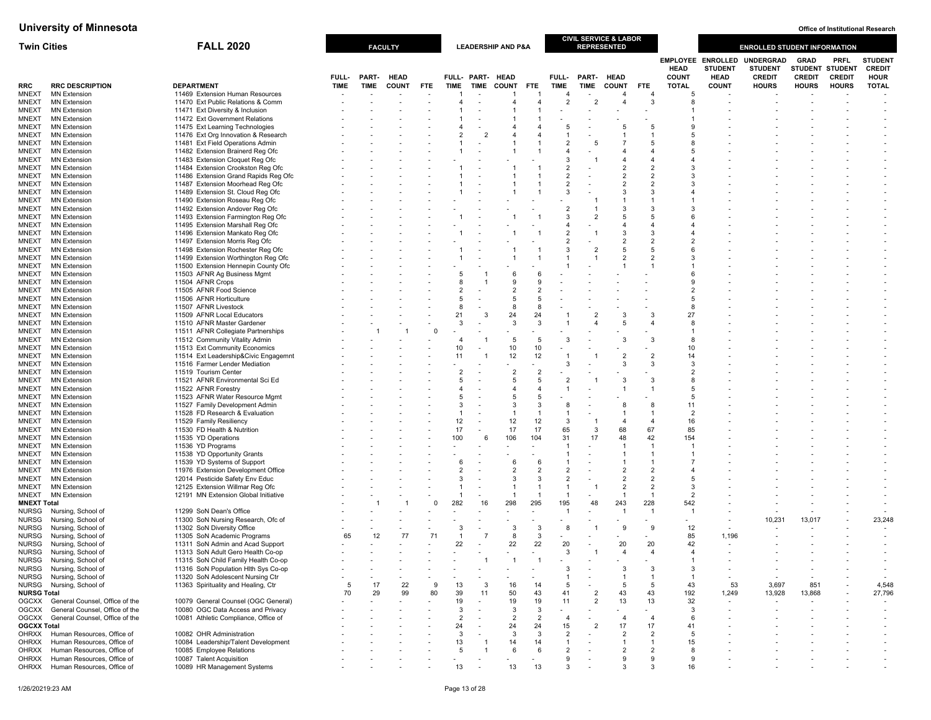| <b>Twin Cities</b>                 |                                                          | <b>FALL 2020</b>                                                          |             |             | <b>FACULTY</b> |            |                     |                      | <b>LEADERSHIP AND P&amp;A</b> |                          |                                |                | <b>CIVIL SERVICE &amp; LABOR</b><br><b>REPRESENTED</b> |                                  |                             |                                                           | <b>ENROLLED STUDENT INFORMATION</b>                 |                              |                                                 |                                                |
|------------------------------------|----------------------------------------------------------|---------------------------------------------------------------------------|-------------|-------------|----------------|------------|---------------------|----------------------|-------------------------------|--------------------------|--------------------------------|----------------|--------------------------------------------------------|----------------------------------|-----------------------------|-----------------------------------------------------------|-----------------------------------------------------|------------------------------|-------------------------------------------------|------------------------------------------------|
|                                    |                                                          |                                                                           | FULL-       | PART-       | <b>HEAD</b>    |            |                     | FULL- PART- HEAD     |                               |                          | FULL-                          | PART- HEAD     |                                                        |                                  | <b>HEAD</b><br><b>COUNT</b> | <b>EMPLOYEE ENROLLED</b><br><b>STUDENT</b><br><b>HEAD</b> | <b>UNDERGRAD</b><br><b>STUDENT</b><br><b>CREDIT</b> | <b>GRAD</b><br><b>CREDIT</b> | <b>PRFL</b><br>STUDENT STUDENT<br><b>CREDIT</b> | <b>STUDENT</b><br><b>CREDIT</b><br><b>HOUR</b> |
| <b>RRC</b>                         | <b>RRC DESCRIPTION</b>                                   | <b>DEPARTMENT</b>                                                         | <b>TIME</b> | <b>TIME</b> | <b>COUNT</b>   | <b>FTE</b> | <b>TIME</b>         | <b>TIME</b>          | <b>COUNT</b>                  | <b>FTE</b>               | TIME                           | <b>TIME</b>    | <b>COUNT</b>                                           | FTE                              | <b>TOTAL</b>                | <b>COUNT</b>                                              | <b>HOURS</b>                                        | <b>HOURS</b>                 | <b>HOURS</b>                                    | <b>TOTAL</b>                                   |
| <b>MNEXT</b>                       | <b>MN Extension</b>                                      | 11469 Extension Human Resources                                           |             |             |                |            |                     |                      |                               | -1                       | $\overline{4}$                 |                | 4                                                      |                                  | 5                           |                                                           |                                                     |                              |                                                 |                                                |
| <b>MNEXT</b><br><b>MNEXT</b>       | <b>MN Extension</b><br><b>MN Extension</b>               | 11470 Ext Public Relations & Comm<br>11471 Ext Diversity & Inclusion      |             |             |                |            | 4                   | $\overline{a}$       | 4                             | $\overline{a}$           | $\overline{2}$                 |                | 4                                                      | 3                                | 8                           |                                                           |                                                     |                              |                                                 |                                                |
| MNEXT                              | <b>MN Extension</b>                                      | 11472 Ext Government Relations                                            |             |             |                |            |                     |                      |                               |                          |                                |                |                                                        |                                  |                             |                                                           |                                                     |                              |                                                 |                                                |
| <b>MNEXT</b>                       | <b>MN Extension</b>                                      | 11475 Ext Learning Technologies                                           |             |             |                |            |                     |                      |                               |                          | 5                              |                | 5                                                      | -5                               | 9                           |                                                           |                                                     |                              |                                                 |                                                |
| <b>MNEXT</b>                       | <b>MN Extension</b>                                      | 11476 Ext Org Innovation & Research                                       |             |             |                |            |                     | $\overline{2}$       |                               |                          |                                |                |                                                        |                                  | 5                           |                                                           |                                                     |                              |                                                 |                                                |
| <b>MNEXT</b>                       | <b>MN Extension</b>                                      | 11481 Ext Field Operations Admin                                          |             |             |                |            |                     |                      |                               | -1                       | $\overline{2}$                 |                |                                                        |                                  | 8                           |                                                           |                                                     |                              |                                                 |                                                |
| <b>MNEXT</b>                       | <b>MN Extension</b>                                      | 11482 Extension Brainerd Reg Ofc                                          |             |             |                |            |                     |                      |                               | -1                       | $\overline{4}$                 |                | 4                                                      |                                  | 5                           |                                                           |                                                     |                              |                                                 |                                                |
| <b>MNEXT</b>                       | <b>MN Extension</b>                                      | 11483 Extension Cloquet Reg Ofc                                           |             |             |                |            |                     |                      |                               |                          | 3<br>$\overline{2}$            |                | 4<br>$\overline{2}$                                    | $\overline{\mathbf{A}}$          | 3                           |                                                           |                                                     |                              |                                                 |                                                |
| <b>MNEXT</b><br><b>MNEXT</b>       | <b>MN Extension</b><br><b>MN Extension</b>               | 11484 Extension Crookston Reg Ofc<br>11486 Extension Grand Rapids Reg Ofc |             |             |                |            |                     |                      |                               |                          | $\overline{2}$                 |                | $\overline{2}$                                         | $\overline{2}$<br>$\overline{2}$ | 3                           |                                                           |                                                     |                              |                                                 |                                                |
| <b>MNEXT</b>                       | <b>MN Extension</b>                                      | 11487 Extension Moorhead Reg Ofc                                          |             |             |                |            |                     |                      |                               |                          | $\overline{2}$                 |                | $\overline{2}$                                         | $\overline{2}$                   | 3                           |                                                           |                                                     |                              |                                                 |                                                |
| <b>MNEXT</b>                       | <b>MN Extension</b>                                      | 11489 Extension St. Cloud Reg Ofc                                         |             |             |                |            |                     |                      |                               |                          | 3                              |                | 3                                                      | 3                                |                             |                                                           |                                                     |                              |                                                 |                                                |
| MNEXT                              | <b>MN Extension</b>                                      | 11490 Extension Roseau Reg Ofc                                            |             |             |                |            |                     |                      |                               |                          |                                |                |                                                        |                                  |                             |                                                           |                                                     |                              |                                                 |                                                |
| <b>MNEXT</b>                       | <b>MN Extension</b>                                      | 11492 Extension Andover Reg Ofc                                           |             |             |                |            |                     |                      |                               |                          | $\overline{2}$                 |                | 3                                                      | 3                                | 3                           |                                                           |                                                     |                              |                                                 |                                                |
| <b>MNEXT</b>                       | <b>MN Extension</b>                                      | 11493 Extension Farmington Reg Ofc                                        |             |             |                |            |                     |                      |                               |                          | 3                              |                | 5                                                      | 5                                | ĥ                           |                                                           |                                                     |                              |                                                 |                                                |
| <b>MNEXT</b><br>MNEXT              | <b>MN Extension</b><br><b>MN Extension</b>               | 11495 Extension Marshall Reg Ofc<br>11496 Extension Mankato Reg Ofc       |             |             |                |            |                     |                      |                               |                          | 4<br>$\overline{2}$            |                | $\overline{4}$<br>3                                    | $\overline{4}$<br>3              |                             |                                                           |                                                     |                              |                                                 |                                                |
| <b>MNEXT</b>                       | <b>MN Extension</b>                                      | 11497 Extension Morris Reg Ofc                                            |             |             |                |            |                     |                      |                               |                          | $\overline{2}$                 |                | $\overline{2}$                                         | $\overline{2}$                   | $\overline{2}$              |                                                           |                                                     |                              |                                                 |                                                |
| MNEXT                              | <b>MN Extension</b>                                      | 11498 Extension Rochester Reg Ofc                                         |             |             |                |            |                     |                      |                               |                          | 3                              |                | 5                                                      | -5                               | 6                           |                                                           |                                                     |                              |                                                 |                                                |
| <b>MNEXT</b>                       | <b>MN Extension</b>                                      | 11499 Extension Worthington Reg Ofc                                       |             |             |                |            |                     |                      |                               |                          |                                |                | $\overline{2}$                                         | $\overline{2}$                   | 3                           |                                                           |                                                     |                              |                                                 |                                                |
| <b>MNEXT</b>                       | <b>MN Extension</b>                                      | 11500 Extension Hennepin County Ofc                                       |             |             |                |            |                     |                      |                               |                          |                                |                | $\overline{1}$                                         | -1                               |                             |                                                           |                                                     |                              |                                                 |                                                |
| <b>MNEXT</b>                       | <b>MN Extension</b>                                      | 11503 AFNR Ag Business Mgmt                                               |             |             |                |            |                     |                      | 6                             |                          |                                |                |                                                        |                                  | 6                           |                                                           |                                                     |                              |                                                 |                                                |
| MNEXT                              | <b>MN Extension</b>                                      | 11504 AFNR Crops                                                          |             |             |                |            | 8                   |                      | 9<br>$\overline{2}$           | 9<br>$\overline{2}$      |                                |                |                                                        |                                  | 9<br>$\overline{2}$         |                                                           |                                                     |                              |                                                 |                                                |
| <b>MNEXT</b><br><b>MNEXT</b>       | <b>MN Extension</b><br><b>MN Extension</b>               | 11505 AFNR Food Science<br>11506 AFNR Horticulture                        |             |             |                |            | 5                   |                      | 5                             | 5                        |                                |                |                                                        |                                  | 5                           |                                                           |                                                     |                              |                                                 |                                                |
| MNEXT                              | <b>MN Extension</b>                                      | 11507 AFNR Livestock                                                      |             |             |                |            | 8                   |                      | 8                             | 8                        |                                |                |                                                        |                                  | 8                           |                                                           |                                                     |                              |                                                 |                                                |
| <b>MNEXT</b>                       | <b>MN Extension</b>                                      | 11509 AFNR Local Educators                                                |             |             |                |            | 21                  | 3                    | 24                            | 24                       |                                |                | 3                                                      | 3                                | 27                          |                                                           |                                                     |                              |                                                 |                                                |
| <b>MNEXT</b>                       | <b>MN Extension</b>                                      | 11510 AFNR Master Gardener                                                |             |             |                |            | 3                   |                      | -3                            | 3                        |                                |                | 5                                                      | $\overline{4}$                   | 8                           |                                                           |                                                     |                              |                                                 |                                                |
| <b>MNEXT</b>                       | <b>MN Extension</b>                                      | 11511 AFNR Collegiate Partnerships                                        |             |             |                | $\Omega$   |                     |                      |                               |                          |                                |                |                                                        |                                  |                             |                                                           |                                                     |                              |                                                 |                                                |
| <b>MNEXT</b>                       | <b>MN Extension</b>                                      | 11512 Community Vitality Admin                                            |             |             |                |            | $\overline{4}$      |                      | 5                             | 5                        | 3                              |                | 3                                                      | 3                                | 8                           |                                                           |                                                     |                              |                                                 |                                                |
| MNEXT<br><b>MNEXT</b>              | <b>MN Extension</b><br><b>MN Extension</b>               | 11513 Ext Community Economics<br>11514 Ext Leadership&Civic Engagemnt     |             |             |                |            | 10<br>11            |                      | 10<br>12                      | 10<br>12                 | -1                             |                | $\overline{2}$                                         | $\overline{2}$                   | 10<br>14                    |                                                           |                                                     |                              |                                                 |                                                |
| <b>MNEXT</b>                       | <b>MN Extension</b>                                      | 11516 Farmer Lender Mediation                                             |             |             |                |            |                     |                      |                               |                          | 3                              |                | 3                                                      | 3                                | 3                           |                                                           |                                                     |                              |                                                 |                                                |
| <b>MNEXT</b>                       | <b>MN Extension</b>                                      | 11519 Tourism Center                                                      |             |             |                |            | $\overline{2}$      |                      | $\overline{2}$                | $\overline{2}$           |                                |                |                                                        |                                  | $\overline{2}$              |                                                           |                                                     |                              |                                                 |                                                |
| <b>MNEXT</b>                       | <b>MN Extension</b>                                      | 11521 AFNR Environmental Sci Ed                                           |             |             |                |            | 5                   |                      | 5                             | 5                        | $\overline{2}$                 |                | 3                                                      | 3                                | 8                           |                                                           |                                                     |                              |                                                 |                                                |
| <b>MNEXT</b>                       | <b>MN Extension</b>                                      | 11522 AFNR Forestry                                                       |             |             |                |            | 4                   |                      | 4                             | $\overline{4}$           |                                |                |                                                        |                                  | 5                           |                                                           |                                                     |                              |                                                 |                                                |
| <b>MNEXT</b>                       | <b>MN Extension</b>                                      | 11523 AFNR Water Resource Mgmt                                            |             |             |                |            | 5                   |                      | 5                             | 5                        |                                |                |                                                        |                                  | 5                           |                                                           |                                                     |                              |                                                 |                                                |
| MNEXT                              | <b>MN Extension</b>                                      | 11527 Family Development Admin<br>11528 FD Research & Evaluation          |             |             |                |            | 3                   |                      | 3<br>1                        | 3<br>$\mathbf{1}$        | 8<br>-1                        |                | 8                                                      | -8                               | 11<br>$\overline{2}$        |                                                           |                                                     |                              |                                                 |                                                |
| MNEXT<br><b>MNEXT</b>              | <b>MN Extension</b><br><b>MN Extension</b>               | 11529 Family Resiliency                                                   |             |             |                |            | 12                  |                      | 12                            | 12                       | 3                              |                | $\overline{4}$                                         | $\overline{4}$                   | 16                          |                                                           |                                                     |                              |                                                 |                                                |
| MNEXT                              | <b>MN Extension</b>                                      | 11530 FD Health & Nutrition                                               |             |             |                |            | 17                  |                      | 17                            | 17                       | 65                             | 3              | 68                                                     | 67                               | 85                          |                                                           |                                                     |                              |                                                 |                                                |
| MNEXT                              | <b>MN Extension</b>                                      | 11535 YD Operations                                                       |             |             |                |            | 100                 | 6                    | 106                           | 104                      | 31                             | 17             | 48                                                     | 42                               | 154                         |                                                           |                                                     |                              |                                                 |                                                |
| <b>MNEXT</b>                       | <b>MN Extension</b>                                      | 11536 YD Programs                                                         |             |             |                |            |                     |                      |                               |                          |                                |                | -1                                                     | $\mathbf{1}$                     | -1                          |                                                           |                                                     |                              |                                                 |                                                |
| <b>MNEXT</b>                       | <b>MN Extension</b>                                      | 11538 YD Opportunity Grants                                               |             |             |                |            |                     |                      |                               |                          |                                |                |                                                        |                                  |                             |                                                           |                                                     |                              |                                                 |                                                |
| MNEXT                              | <b>MN Extension</b>                                      | 11539 YD Systems of Support                                               |             |             |                |            | 6<br>$\overline{2}$ |                      | 6<br>$\overline{2}$           | 6<br>$\overline{2}$      | $\overline{2}$                 |                | $\overline{2}$                                         | $\mathbf{1}$<br>$\overline{2}$   | 4                           |                                                           |                                                     |                              |                                                 |                                                |
| <b>MNEXT</b><br><b>MNEXT</b>       | <b>MN Extension</b><br><b>MN Extension</b>               | 11976 Extension Development Office<br>12014 Pesticide Safety Env Educ     |             |             |                |            | 3                   |                      | 3                             | 3                        | $\overline{2}$                 |                | $\overline{2}$                                         | $\overline{2}$                   | 5                           |                                                           |                                                     |                              |                                                 |                                                |
| MNEXT                              | <b>MN Extension</b>                                      | 12125 Extension Willmar Reg Ofc                                           |             |             |                |            |                     | $\blacksquare$       | 1                             | -1                       | -1                             |                | $\overline{2}$                                         | $\overline{2}$                   | 3                           |                                                           |                                                     |                              |                                                 |                                                |
| MNEXT                              | <b>MN Extension</b>                                      | 12191 MN Extension Global Initiative                                      |             |             |                |            |                     |                      | $\overline{1}$                | $\overline{1}$           | -1                             |                | -1                                                     | $\overline{1}$                   | $\overline{2}$              |                                                           |                                                     |                              |                                                 |                                                |
| <b>MNEXT Total</b>                 |                                                          |                                                                           |             |             |                | $\Omega$   | 282                 | 16                   | 298                           | 295                      | 195                            | 48             | 243                                                    | 228                              | 542                         |                                                           |                                                     |                              |                                                 |                                                |
| <b>NURSG</b>                       | Nursing, School of                                       | 11299 SoN Dean's Office                                                   |             |             |                |            |                     |                      |                               | $\overline{\phantom{a}}$ | -1                             |                | -1                                                     |                                  | -1                          |                                                           |                                                     |                              |                                                 |                                                |
| <b>NURSG</b>                       | Nursing, School of                                       | 11300 SoN Nursing Research, Ofc of<br>11302 SoN Diversity Office          |             |             |                |            | 3                   |                      | 3                             | 3                        | 8                              |                | 9                                                      | -9                               | 12                          |                                                           | 10,231                                              | 13,017                       |                                                 | 23,248                                         |
| <b>NURSG</b><br><b>NURSG</b>       | Nursing, School of<br>Nursing, School of                 | 11305 SoN Academic Programs                                               | 65          | 12          | 77             | 71         | $\overline{1}$      | $\overline{7}$       | 8                             | 3                        |                                |                |                                                        |                                  | 85                          | 1,196                                                     |                                                     |                              |                                                 |                                                |
| <b>NURSG</b>                       | Nursing, School of                                       | 11311 SoN Admin and Acad Support                                          |             |             |                |            | 22                  |                      | 22                            | 22                       | 20                             |                | 20                                                     | 20                               | 42                          |                                                           |                                                     |                              |                                                 |                                                |
| <b>NURSG</b>                       | Nursing, School of                                       | 11313 SoN Adult Gero Health Co-op                                         |             |             |                |            |                     |                      |                               |                          | 3                              |                | $\overline{4}$                                         | $\overline{a}$                   | 4                           |                                                           |                                                     |                              |                                                 |                                                |
| <b>NURSG</b>                       | Nursing, School of                                       | 11315 SoN Child Family Health Co-op                                       |             |             |                |            |                     | $\blacktriangleleft$ | $\overline{1}$                | $\overline{1}$           |                                |                |                                                        |                                  | $\blacktriangleleft$        |                                                           |                                                     |                              |                                                 |                                                |
| NURSG                              | Nursing, School of                                       | 11316 SoN Population Hlth Sys Co-op                                       |             |             |                |            |                     |                      |                               |                          | з                              |                | 3                                                      | 3                                | 3                           |                                                           |                                                     |                              |                                                 |                                                |
| <b>NURSG</b>                       | Nursing, School of                                       | 11320 SoN Adolescent Nursing Ctr                                          |             |             |                |            |                     |                      |                               |                          |                                |                | 1                                                      | $\overline{1}$                   | -1                          |                                                           |                                                     |                              |                                                 |                                                |
| <b>NURSG</b><br><b>NURSG Total</b> | Nursing, School of                                       | 11363 Spirituality and Healing, Ctr                                       | 5<br>70     | 17<br>29    | 22<br>99       | 9<br>80    | 13<br>39            | 3<br>11              | 16<br>50                      | 14<br>43                 | 5<br>41                        | $\overline{2}$ | 5<br>43                                                | 5<br>43                          | 43<br>192                   | 53<br>1,249                                               | 3,697<br>13,928                                     | 851<br>13,868                |                                                 | 4,548<br>27,796                                |
| OGCXX                              | General Counsel, Office of the                           | 10079 General Counsel (OGC General)                                       |             |             |                |            | 19                  |                      | 19                            | 19                       | 11                             | $\overline{2}$ | 13                                                     | 13                               | 32                          |                                                           |                                                     |                              |                                                 |                                                |
| OGCXX                              | General Counsel. Office of the                           | 10080 OGC Data Access and Privacy                                         |             |             |                |            | 3                   |                      | 3                             | 3                        |                                |                |                                                        |                                  | 3                           |                                                           |                                                     |                              |                                                 |                                                |
| OGCXX                              | General Counsel, Office of the                           | 10081 Athletic Compliance, Office of                                      |             |             |                |            | $\overline{2}$      |                      | $\overline{2}$                | $\overline{2}$           | $\overline{4}$                 |                | $\overline{4}$                                         | $\overline{4}$                   | 6                           |                                                           |                                                     |                              |                                                 |                                                |
| <b>OGCXX Total</b>                 |                                                          |                                                                           |             |             |                |            | 24                  |                      | 24                            | 24                       | 15                             |                | 17                                                     | 17                               | 41                          |                                                           |                                                     |                              |                                                 |                                                |
| <b>OHRXX</b>                       | Human Resources, Office of                               | 10082 OHR Administration                                                  |             |             |                |            | 3                   |                      | -3                            | 3                        | $\overline{2}$                 |                | $\overline{2}$                                         | $\overline{2}$                   | 5                           |                                                           |                                                     |                              |                                                 |                                                |
| <b>OHRXX</b>                       | Human Resources, Office of                               | 10084 Leadership/Talent Development                                       |             |             |                |            | 13<br>5             |                      | 14<br>6                       | 14<br>6                  | $\mathbf{1}$<br>$\overline{2}$ |                | -1                                                     | $\mathbf{1}$                     | 15<br>8                     |                                                           |                                                     |                              |                                                 |                                                |
| <b>OHRXX</b><br><b>OHRXX</b>       | Human Resources, Office of<br>Human Resources, Office of | 10085 Employee Relations<br>10087 Talent Acquisition                      |             |             |                |            |                     |                      |                               |                          |                                |                | $\overline{2}$<br>9                                    | $\overline{2}$<br>-9             | 9                           |                                                           |                                                     |                              |                                                 |                                                |
| <b>OHRXX</b>                       | Human Resources, Office of                               | 10089 HR Management Systems                                               |             |             |                |            | 13                  |                      | 13                            | 13                       |                                |                |                                                        |                                  | 16                          |                                                           |                                                     |                              |                                                 |                                                |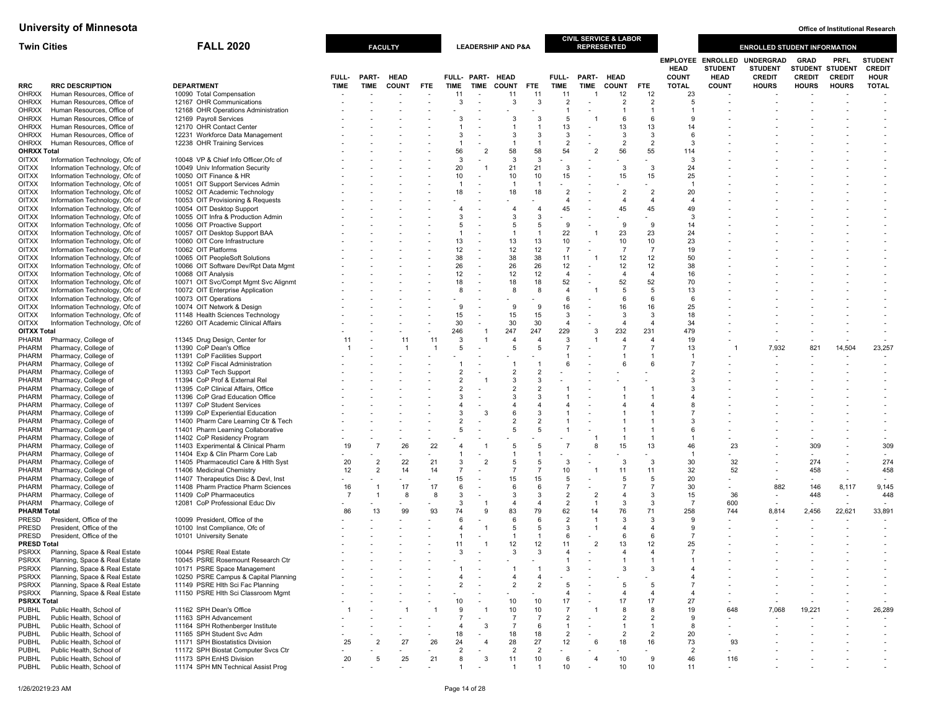| <b>Twin Cities</b>                 |                                                                  | <b>FALL 2020</b>                                                           |             |                | <b>FACULTY</b> |                |                      |                          | <b>LEADERSHIP AND P&amp;A</b> |                      |                       | <b>REPRESENTED</b>       | <b>CIVIL SERVICE &amp; LABOR</b> |                       |                             |                                                           | <b>ENROLLED STUDENT INFORMATION</b>                 |                                                 |                              |                                                |
|------------------------------------|------------------------------------------------------------------|----------------------------------------------------------------------------|-------------|----------------|----------------|----------------|----------------------|--------------------------|-------------------------------|----------------------|-----------------------|--------------------------|----------------------------------|-----------------------|-----------------------------|-----------------------------------------------------------|-----------------------------------------------------|-------------------------------------------------|------------------------------|------------------------------------------------|
|                                    |                                                                  |                                                                            | FULL-       | PART-          | <b>HEAD</b>    |                |                      | FULL- PART- HEAD         |                               |                      | <b>FULL-</b>          | PART- HEAD               |                                  |                       | <b>HEAD</b><br><b>COUNT</b> | <b>EMPLOYEE ENROLLED</b><br><b>STUDENT</b><br><b>HEAD</b> | <b>UNDERGRAD</b><br><b>STUDENT</b><br><b>CREDIT</b> | <b>GRAD</b><br>STUDENT STUDENT<br><b>CREDIT</b> | <b>PRFL</b><br><b>CREDIT</b> | <b>STUDENT</b><br><b>CREDIT</b><br><b>HOUR</b> |
| <b>RRC</b>                         | <b>RRC DESCRIPTION</b>                                           | <b>DEPARTMENT</b>                                                          | <b>TIME</b> | <b>TIME</b>    | <b>COUNT</b>   | FTE.           | <b>TIME</b>          | <b>TIME</b>              | <b>COUNT</b>                  | <b>FTE</b>           | <b>TIME</b>           | <b>TIME</b>              | <b>COUNT</b>                     | <b>FTE</b>            | <b>TOTAL</b>                | <b>COUNT</b>                                              | <b>HOURS</b>                                        | <b>HOURS</b>                                    | <b>HOURS</b>                 | <b>TOTAL</b>                                   |
| <b>OHRXX</b>                       | Human Resources, Office of                                       | 10090 Total Compensation<br>12167 OHR Communications                       |             |                |                |                | 11                   |                          | 11                            | 11                   | 11                    |                          | 12                               | 12<br>$\overline{2}$  | 23                          |                                                           |                                                     |                                                 |                              |                                                |
| <b>OHRXX</b><br>OHRXX              | Human Resources, Office of<br>Human Resources, Office of         | 12168 OHR Operations Administration                                        |             |                |                |                | 3                    |                          | 3                             | 3                    | 2                     | $\overline{\phantom{a}}$ | $\overline{2}$<br>$\overline{1}$ | $\overline{1}$        | 5                           |                                                           |                                                     |                                                 |                              |                                                |
| OHRXX                              | Human Resources, Office of                                       | 12169 Pavroll Services                                                     |             |                |                |                |                      |                          |                               |                      |                       |                          | 6                                | 6                     |                             |                                                           |                                                     |                                                 |                              |                                                |
| <b>OHRXX</b>                       | Human Resources, Office of                                       | 12170 OHR Contact Center                                                   |             |                |                |                |                      |                          |                               |                      | 13                    | $\overline{\phantom{a}}$ | 13                               | 13                    | 14                          |                                                           |                                                     |                                                 |                              |                                                |
| <b>OHRXX</b>                       | Human Resources, Office of                                       | 12231 Workforce Data Management                                            |             |                |                |                |                      |                          | 3                             | 3                    | 3                     |                          | 3                                | 3                     | ĥ                           |                                                           |                                                     |                                                 |                              |                                                |
| OHRXX<br><b>OHRXX Total</b>        | Human Resources, Office of                                       | 12238 OHR Training Services                                                |             |                |                |                | 56                   | $\overline{\phantom{a}}$ | 58                            | 58                   | $\overline{2}$<br>54  | $\overline{2}$           | $\overline{2}$<br>56             | $\overline{2}$<br>55  | 3<br>114                    |                                                           |                                                     |                                                 |                              |                                                |
| <b>OITXX</b>                       | Information Technology, Ofc of                                   | 10048 VP & Chief Info Officer, Ofc of                                      |             |                |                |                | 3                    |                          | 3                             | 3                    |                       |                          |                                  |                       | 3                           |                                                           |                                                     |                                                 |                              |                                                |
| <b>OITXX</b>                       | Information Technology, Ofc of                                   | 10049 Univ Information Security                                            |             |                |                |                | 20                   |                          | 21                            | 21                   | $\mathbf{3}$          | $\overline{\phantom{a}}$ | 3                                | 3                     | 24                          |                                                           |                                                     |                                                 |                              |                                                |
| <b>OITXX</b>                       | Information Technology, Ofc of                                   | 10050 OIT Finance & HR                                                     |             |                |                |                | 10                   |                          | 10                            | 10                   | 15                    | $\overline{\phantom{a}}$ | 15                               | 15                    | 25                          |                                                           |                                                     |                                                 |                              |                                                |
| <b>OITXX</b>                       | Information Technology, Ofc of                                   | 10051 OIT Support Services Admin                                           |             |                |                |                | -1<br>18             |                          | 18                            |                      | $\overline{2}$        | $\overline{a}$           | $\overline{2}$                   | $\overline{2}$        | 20                          |                                                           |                                                     |                                                 |                              |                                                |
| <b>OITXX</b><br><b>OITXX</b>       | Information Technology, Ofc of<br>Information Technology, Ofc of | 10052 OIT Academic Technology<br>10053 OIT Provisioning & Requests         |             |                |                |                |                      |                          |                               | 18                   |                       |                          | $\overline{4}$                   | $\overline{4}$        |                             |                                                           |                                                     |                                                 |                              |                                                |
| <b>OITXX</b>                       | Information Technology, Ofc of                                   | 10054 OIT Desktop Support                                                  |             |                |                |                |                      |                          |                               | 4                    | 45                    |                          | 45                               | 45                    | 49                          |                                                           |                                                     |                                                 |                              |                                                |
| <b>OITXX</b>                       | Information Technology, Ofc of                                   | 10055 OIT Infra & Production Admin                                         |             |                |                |                |                      |                          | $\mathcal{R}$                 | 3                    |                       |                          |                                  |                       | -3                          |                                                           |                                                     |                                                 |                              |                                                |
| <b>OITXX</b>                       | Information Technology, Ofc of                                   | 10056 OIT Proactive Support                                                |             |                |                |                | 5                    |                          | -5                            | 5                    | 9                     |                          | 9                                | 9                     | 14                          |                                                           |                                                     |                                                 |                              |                                                |
| <b>OITXX</b><br><b>OITXX</b>       | Information Technology, Ofc of<br>Information Technology, Ofc of | 10057 OIT Desktop Support BAA<br>10060 OIT Core Infrastructure             |             |                |                |                | 13                   |                          | $\overline{1}$<br>13          | 13                   | 22<br>10              | $\overline{\phantom{a}}$ | 23<br>10                         | 23<br>10              | 24<br>23                    |                                                           |                                                     |                                                 |                              |                                                |
| <b>OITXX</b>                       | Information Technology, Ofc of                                   | 10062 OIT Platforms                                                        |             |                |                |                | 12                   | $\overline{\phantom{a}}$ | 12                            | 12                   | $\overline{7}$        |                          | $\overline{7}$                   | $\overline{7}$        | 19                          |                                                           |                                                     |                                                 |                              |                                                |
| <b>OITXX</b>                       | Information Technology, Ofc of                                   | 10065 OIT PeopleSoft Solutions                                             |             |                |                |                | 38                   |                          | 38                            | 38                   | 11                    |                          | 12                               | 12                    | 50                          |                                                           |                                                     |                                                 |                              |                                                |
| <b>OITXX</b>                       | Information Technology, Ofc of                                   | 10066 OIT Software Dev/Rpt Data Mgmt                                       |             |                |                |                | 26                   |                          | 26                            | 26                   | 12                    |                          | 12                               | 12                    | 38                          |                                                           |                                                     |                                                 |                              |                                                |
| <b>OITXX</b>                       | Information Technology, Ofc of                                   | 10068 OIT Analysis                                                         |             |                |                |                | 12                   |                          | 12                            | 12                   | $\overline{4}$        |                          | $\overline{4}$                   | $\overline{4}$        | 16                          |                                                           |                                                     |                                                 |                              |                                                |
| <b>OITXX</b><br><b>OITXX</b>       | Information Technology, Ofc of<br>Information Technology, Ofc of | 10071 OIT Svc/Compt Mgmt Svc Alignmt<br>10072 OIT Enterprise Application   |             |                |                |                | 18<br>8              | $\overline{\phantom{a}}$ | 18<br>8                       | 18<br>8              | 52<br>$\overline{a}$  | $\tilde{\phantom{a}}$    | 52<br>5                          | 52<br>5               | 70<br>13                    |                                                           |                                                     |                                                 |                              |                                                |
| <b>OITXX</b>                       | Information Technology, Ofc of                                   | 10073 OIT Operations                                                       |             |                |                |                |                      |                          |                               |                      |                       |                          | 6                                | 6                     | 6                           |                                                           |                                                     |                                                 |                              |                                                |
| <b>OITXX</b>                       | Information Technology, Ofc of                                   | 10074 OIT Network & Design                                                 |             |                |                |                | 9                    |                          | 9                             | 9                    | 16                    | $\overline{\phantom{a}}$ | 16                               | 16                    | 25                          |                                                           |                                                     |                                                 |                              |                                                |
| <b>OITXX</b>                       | Information Technology, Ofc of                                   | 11148 Health Sciences Technology                                           |             |                |                |                | 15                   |                          | 15                            | 15                   | 3                     |                          | 3                                | 3                     | 18                          |                                                           |                                                     |                                                 |                              |                                                |
| <b>OITXX</b><br><b>OITXX Total</b> | Information Technology, Ofc of                                   | 12260 OIT Academic Clinical Affairs                                        |             |                |                |                | 30<br>246            | - 1                      | 30<br>247                     | 30<br>247            | $\overline{4}$<br>229 | 3                        | $\overline{4}$<br>232            | $\overline{4}$<br>231 | 34<br>479                   |                                                           |                                                     |                                                 |                              |                                                |
| PHARM                              | Pharmacy, College of                                             | 11345 Drug Design, Center for                                              |             |                | 11             | 11             | 3                    |                          |                               | $\overline{4}$       | 3                     |                          | $\overline{4}$                   | $\overline{4}$        | 19                          |                                                           |                                                     |                                                 |                              |                                                |
| <b>PHARM</b>                       | Pharmacy, College of                                             | 11390 CoP Dean's Office                                                    |             |                | -1             | $\overline{1}$ | 5                    |                          |                               | 5                    |                       |                          | $\overline{7}$                   | $\overline{7}$        | 13                          |                                                           | 7,932                                               | 821                                             | 14,504                       | 23,257                                         |
| PHARM                              | Pharmacy, College of                                             | 11391 CoP Facilities Support                                               |             |                |                |                |                      |                          |                               |                      |                       |                          | $\overline{1}$                   | $\overline{1}$        |                             |                                                           |                                                     |                                                 |                              |                                                |
| PHARM                              | Pharmacy, College of                                             | 11392 CoP Fiscal Administration                                            |             |                |                |                |                      |                          |                               |                      |                       |                          | 6                                | 6                     |                             |                                                           |                                                     |                                                 |                              |                                                |
| <b>PHARM</b><br>PHARM              | Pharmacy, College of<br>Pharmacy, College of                     | 11393 CoP Tech Support<br>11394 CoP Prof & External Rel                    |             |                |                |                |                      |                          | 3                             | 3                    |                       |                          |                                  |                       | 3                           |                                                           |                                                     |                                                 |                              |                                                |
| PHARM                              | Pharmacy, College of                                             | 11395 CoP Clinical Affairs, Office                                         |             |                |                |                |                      |                          |                               |                      |                       |                          |                                  |                       |                             |                                                           |                                                     |                                                 |                              |                                                |
| PHARM                              | Pharmacy, College of                                             | 11396 CoP Grad Education Office                                            |             |                |                |                |                      |                          |                               | 3                    |                       |                          |                                  |                       |                             |                                                           |                                                     |                                                 |                              |                                                |
| PHARM                              | Pharmacy, College of                                             | 11397 CoP Student Services                                                 |             |                |                |                |                      |                          |                               |                      |                       |                          |                                  | $\overline{4}$        |                             |                                                           |                                                     |                                                 |                              |                                                |
| PHARM                              | Pharmacy, College of                                             | 11399 CoP Experiential Education                                           |             |                |                |                |                      | 3                        |                               | 3<br>$\overline{2}$  |                       |                          |                                  |                       |                             |                                                           |                                                     |                                                 |                              |                                                |
| PHARM<br>PHARM                     | Pharmacy, College of<br>Pharmacy, College of                     | 11400 Pharm Care Learning Ctr & Tech<br>11401 Pharm Learning Collaborative |             |                |                |                | 5                    |                          | -5                            | 5                    |                       |                          |                                  | $\overline{1}$        | 6                           |                                                           |                                                     |                                                 |                              |                                                |
| PHARM                              | Pharmacy, College of                                             | 11402 CoP Residency Program                                                |             |                |                |                |                      |                          |                               |                      |                       |                          | $\overline{1}$                   | $\overline{1}$        |                             |                                                           |                                                     |                                                 |                              |                                                |
| PHARM                              | Pharmacy, College of                                             | 11403 Experimental & Clinical Pharm                                        | 19          | $\overline{7}$ | 26             | 22             |                      |                          |                               | 5                    |                       | 8                        | 15                               | 13                    | 46                          | 23                                                        |                                                     | 309                                             |                              | 309                                            |
| PHARM                              | Pharmacy, College of                                             | 11404 Exp & Clin Pharm Core Lab                                            |             |                |                |                |                      |                          |                               |                      |                       |                          |                                  |                       |                             |                                                           |                                                     |                                                 |                              |                                                |
| PHARM<br>PHARM                     | Pharmacy, College of<br>Pharmacy, College of                     | 11405 Pharmaceuticl Care & Hlth Syst<br>11406 Medicinal Chemistry          | 20<br>12    | 2<br>2         | 22<br>14       | 21<br>14       | 3<br>$\overline{7}$  | $\overline{\phantom{a}}$ | -5<br>$\overline{7}$          | 5<br>$\overline{7}$  | 3<br>10               |                          | 3<br>11                          | 3<br>11               | 30<br>32                    | 32<br>52                                                  |                                                     | 274<br>458                                      | $\overline{\phantom{a}}$     | 274<br>458                                     |
| PHARM                              | Pharmacy, College of                                             | 11407 Therapeutics Disc & Devl, Inst                                       |             |                |                |                | 15                   |                          | 15                            | 15                   | -5                    |                          | -5                               | 5                     | 20                          |                                                           |                                                     |                                                 |                              |                                                |
| PHARM                              | Pharmacy, College of                                             | 11408 Pharm Practice Pharm Sciences                                        | 16          | -1             | 17             | 17             | 6                    |                          | 6                             | 6                    | $\overline{7}$        |                          | $\overline{7}$                   | $\overline{7}$        | 30                          |                                                           | 882                                                 | 146                                             | 8,117                        | 9,145                                          |
| PHARM                              | Pharmacy, College of                                             | 11409 CoP Pharmaceutics                                                    |             |                | -8             | -8             | 3                    |                          | 3                             | 3                    | $\overline{2}$        | $\overline{2}$           | $\overline{4}$                   | 3                     | 15                          | 36                                                        | $\overline{\phantom{a}}$                            | 448                                             | $\overline{\phantom{a}}$     | 448                                            |
| PHARM<br><b>PHARM Total</b>        | Pharmacy, College of                                             | 12081 CoP Professional Educ Div                                            | 86          | 13             | 99             | 93             | 3<br>74              | 9                        | $\overline{4}$<br>83          | $\overline{4}$<br>79 | $\overline{2}$<br>62  | $\overline{1}$<br>14     | 3<br>76                          | 3<br>71               | $\overline{7}$<br>258       | 600<br>744                                                | 8,814                                               | 2,456                                           | 22,621                       | 33,891                                         |
| PRESD                              | President, Office of the                                         | 10099 President, Office of the                                             |             |                |                |                | 6                    |                          | 6                             | 6                    | $\overline{2}$        | $\overline{1}$           | 3                                | 3                     | 9                           |                                                           |                                                     |                                                 |                              |                                                |
| PRESD                              | President, Office of the                                         | 10100 Inst Compliance, Ofc of                                              |             |                |                |                |                      |                          | 5                             | 5                    | 3                     |                          | $\overline{4}$                   | 4                     | 9                           |                                                           |                                                     |                                                 |                              |                                                |
| PRESD                              | President, Office of the                                         | 10101 University Senate                                                    |             |                |                |                |                      |                          |                               | -1                   | -6                    |                          | -6                               | 6                     | $\overline{7}$              |                                                           |                                                     |                                                 |                              |                                                |
| <b>PRESD Total</b>                 |                                                                  |                                                                            |             |                |                |                | 11<br>3              |                          | 12<br>$\mathcal{R}$           | 12<br>3              | 11                    | $\overline{2}$           | 13<br>$\overline{4}$             | 12                    | 25<br>-7                    |                                                           |                                                     |                                                 |                              |                                                |
| PSRXX<br><b>PSRXX</b>              | Planning, Space & Real Estate<br>Planning, Space & Real Estate   | 10044 PSRE Real Estate<br>10045 PSRE Rosemount Research Ctr                |             |                |                |                |                      |                          |                               |                      |                       |                          | $\overline{1}$                   | 4<br>$\overline{1}$   |                             |                                                           |                                                     |                                                 |                              |                                                |
| <b>PSRXX</b>                       | Planning, Space & Real Estate                                    | 10171 PSRE Space Management                                                |             |                |                |                |                      |                          |                               |                      | -3                    |                          | -3                               | 3                     |                             |                                                           |                                                     |                                                 |                              |                                                |
| <b>PSRXX</b>                       | Planning, Space & Real Estate                                    | 10250 PSRE Campus & Capital Planning                                       |             |                |                |                |                      |                          |                               | 4                    |                       |                          |                                  |                       |                             |                                                           |                                                     |                                                 |                              |                                                |
| <b>PSRXX</b>                       | Planning, Space & Real Estate                                    | 11149 PSRE Hlth Sci Fac Planning                                           |             |                |                |                | $\overline{2}$       |                          | $\overline{2}$                | $\overline{2}$       | 5                     |                          | 5                                | 5                     |                             |                                                           |                                                     |                                                 |                              |                                                |
| <b>PSRXX</b><br><b>PSRXX Total</b> | Planning, Space & Real Estate                                    | 11150 PSRE Hlth Sci Classroom Mgmt                                         |             |                |                |                | 10                   |                          | 10                            | 10                   | 17                    |                          | $\overline{4}$<br>17             | $\overline{4}$<br>17  | 27                          |                                                           |                                                     |                                                 |                              | $\overline{a}$                                 |
| <b>PUBHL</b>                       | Public Health, School of                                         | 11162 SPH Dean's Office                                                    |             |                |                |                | 9                    |                          | 10                            | 10                   |                       |                          | 8                                | 8                     | 19                          | 648                                                       | 7,068                                               | 19,221                                          |                              | 26,289                                         |
| <b>PUBHL</b>                       | Public Health, School of                                         | 11163 SPH Advancement                                                      |             |                |                |                | 7                    |                          | $\overline{7}$                | 7                    | $\overline{2}$        |                          | $\overline{2}$                   | $\overline{2}$        | 9                           |                                                           |                                                     |                                                 |                              |                                                |
| <b>PUBHL</b>                       | Public Health, School of                                         | 11164 SPH Rothenberger Institute                                           |             |                |                |                |                      | 3                        | $\overline{7}$                | 6                    | $\overline{1}$        |                          | $\overline{1}$                   | $\overline{1}$        | 8                           |                                                           |                                                     |                                                 |                              | $\overline{\phantom{a}}$                       |
| <b>PUBHL</b>                       | Public Health, School of                                         | 11165 SPH Student Svc Adm                                                  |             |                |                |                | 18                   |                          | 18                            | 18                   | 2                     |                          | $\overline{2}$                   | $\overline{2}$        | 20                          |                                                           |                                                     |                                                 |                              |                                                |
| <b>PUBHL</b><br><b>PUBHL</b>       | Public Health, School of<br>Public Health, School of             | 11171 SPH Biostatistics Division<br>11172 SPH Biostat Computer Svcs Ctr    | 25          |                | 27             | 26             | 24<br>$\overline{2}$ | $\overline{4}$           | 28<br>$\overline{2}$          | 27<br>$\overline{2}$ | 12                    | 6                        | 18                               | 16                    | 73<br>$\overline{2}$        | 93                                                        |                                                     |                                                 |                              |                                                |
| <b>PUBHL</b>                       | Public Health, School of                                         | 11173 SPH EnHS Division                                                    | 20          | 5              | 25             | 21             | 8                    | 3                        | 11                            | 10                   | -6                    | $\overline{4}$           | 10                               | 9                     | 46                          | 116                                                       |                                                     |                                                 |                              |                                                |
| <b>PUBHL</b>                       | Public Health, School of                                         | 11174 SPH MN Technical Assist Prog                                         |             |                |                |                |                      |                          |                               |                      | 10                    |                          | 10                               | 10                    | 11                          |                                                           |                                                     |                                                 |                              |                                                |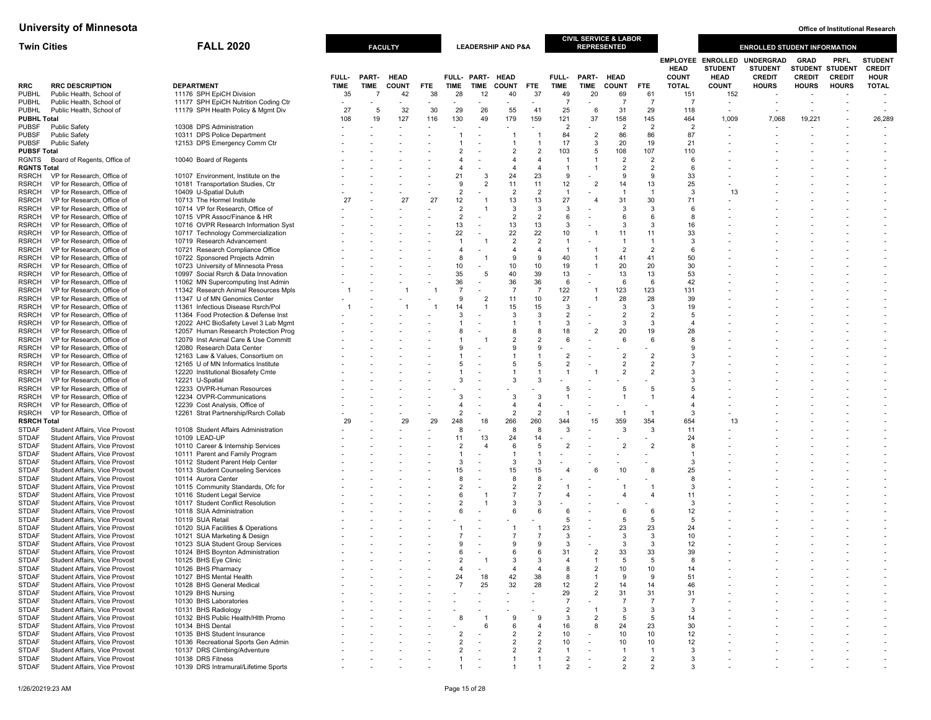| <b>Twin Cities</b>                 |                                                                | <b>FALL 2020</b>                                                             |                                |             | <b>FACULTY</b> |            |                                  |                         | <b>LEADERSHIP AND P&amp;A</b> |                                  |                                  |                               | <b>CIVIL SERVICE &amp; LABOR</b><br><b>REPRESENTED</b> |                                  |                             |                                                           | <b>ENROLLED STUDENT INFORMATION</b>                 |                              |                                          |                                                |
|------------------------------------|----------------------------------------------------------------|------------------------------------------------------------------------------|--------------------------------|-------------|----------------|------------|----------------------------------|-------------------------|-------------------------------|----------------------------------|----------------------------------|-------------------------------|--------------------------------------------------------|----------------------------------|-----------------------------|-----------------------------------------------------------|-----------------------------------------------------|------------------------------|------------------------------------------|------------------------------------------------|
|                                    |                                                                |                                                                              | FULL-                          | PART-       | <b>HEAD</b>    |            |                                  | FULL- PART- HEAD        |                               |                                  | FULL-                            | PART-                         | <b>HEAD</b>                                            |                                  | <b>HEAD</b><br><b>COUNT</b> | <b>EMPLOYEE ENROLLED</b><br><b>STUDENT</b><br><b>HEAD</b> | <b>UNDERGRAD</b><br><b>STUDENT</b><br><b>CREDIT</b> | <b>GRAD</b><br><b>CREDIT</b> | PRFL<br>STUDENT STUDENT<br><b>CREDIT</b> | <b>STUDEN1</b><br><b>CREDIT</b><br><b>HOUR</b> |
| RRC                                | <b>RRC DESCRIPTION</b>                                         | <b>DEPARTMENT</b>                                                            | <b>TIME</b>                    | <b>TIME</b> | <b>COUNT</b>   | <b>FTE</b> | <b>TIME</b>                      | <b>TIME</b>             | <b>COUNT</b>                  | <b>FTE</b>                       | <b>TIME</b>                      | TIME                          | <b>COUNT</b>                                           | <b>FTE</b>                       | <b>TOTAL</b>                | <b>COUNT</b>                                              | <b>HOURS</b>                                        | <b>HOURS</b>                 | <b>HOURS</b>                             | <b>TOTAL</b>                                   |
| <b>PUBHL</b>                       | Public Health, School of                                       | 11176 SPH EpiCH Division                                                     | 35                             | 7           | 42             | 38         | 28                               | 12                      | 40                            | 37                               | 49<br>$\overline{7}$             | 20                            | 69<br>$\overline{7}$                                   | 61<br>$\overline{7}$             | 151                         | 152                                                       |                                                     |                              |                                          |                                                |
| <b>PUBHL</b><br><b>PUBHL</b>       | Public Health, School of<br>Public Health, School of           | 11177 SPH EpiCH Nutrition Coding Ctr<br>11179 SPH Health Policy & Mgmt Div   | $\overline{\phantom{a}}$<br>27 | 5           | 32             | 30         | $\blacksquare$<br>29             | 26                      | 55                            | 41                               | 25                               | $\overline{\phantom{a}}$<br>6 | 31                                                     | 29                               | - 7<br>118                  | $\overline{\phantom{a}}$                                  |                                                     |                              |                                          |                                                |
| <b>PUBHL Total</b>                 |                                                                |                                                                              | 108                            | 19          | 127            | 116        | 130                              | 49                      | 179                           | 159                              | 121                              | 37                            | 158                                                    | 145                              | 464                         | 1,009                                                     | 7,068                                               | 19,221                       |                                          | 26,289                                         |
| <b>PUBSF</b>                       | <b>Public Safety</b>                                           | 10308 DPS Administration                                                     |                                |             |                |            |                                  |                         | $\overline{\phantom{a}}$      |                                  | 2                                | $\overline{\phantom{0}}$      | $\overline{2}$                                         | $\overline{2}$                   | $\overline{2}$              | $\overline{\phantom{a}}$                                  |                                                     |                              |                                          |                                                |
| <b>PUBSF</b>                       | <b>Public Safety</b>                                           | 10311 DPS Police Department                                                  |                                |             |                |            |                                  |                         | -1                            | $\overline{1}$                   | 84                               | $\overline{2}$                | 86                                                     | 86                               | 87                          |                                                           |                                                     |                              |                                          |                                                |
| <b>PUBSF</b>                       | <b>Public Safety</b>                                           | 12153 DPS Emergency Comm Ctr                                                 |                                |             |                |            |                                  |                         | -1                            | $\overline{1}$                   | 17                               | 3                             | 20                                                     | 19                               | 21                          |                                                           |                                                     |                              |                                          |                                                |
| <b>PUBSF Total</b>                 |                                                                |                                                                              |                                |             |                |            | 2                                |                         | 2                             | $\overline{2}$                   | 103                              | 5                             | 108                                                    | 107                              | 110                         |                                                           |                                                     |                              |                                          |                                                |
| <b>RGNTS</b>                       | Board of Regents, Office of                                    | 10040 Board of Regents                                                       |                                |             |                |            | $\overline{4}$<br>$\overline{4}$ |                         | 4<br>4                        | $\overline{4}$<br>$\overline{4}$ | $\overline{1}$<br>$\overline{1}$ | $\overline{1}$                | $\overline{2}$<br>$\overline{2}$                       | $\overline{2}$<br>$\overline{2}$ | 6<br>6                      |                                                           |                                                     |                              |                                          |                                                |
| <b>RGNTS Total</b><br><b>RSRCH</b> | VP for Research, Office of                                     | 10107 Environment, Institute on the                                          |                                |             |                |            | 21                               | -3                      | 24                            | 23                               | 9                                |                               | 9                                                      | -9                               | 33                          |                                                           |                                                     |                              |                                          |                                                |
| RSRCH                              | VP for Research, Office of                                     | 10181 Transportation Studies, Ctr                                            |                                |             |                |            | 9                                | $\overline{2}$          | 11                            | 11                               | 12                               | $\overline{2}$                | 14                                                     | 13                               | 25                          |                                                           |                                                     |                              |                                          |                                                |
| <b>RSRCH</b>                       | VP for Research, Office of                                     | 10409 U-Spatial Duluth                                                       |                                |             |                |            | $\overline{2}$                   |                         | $\overline{2}$                | $\overline{2}$                   | $\overline{1}$                   |                               | -1                                                     | $\overline{1}$                   | 3                           | 13                                                        |                                                     |                              |                                          |                                                |
| RSRCH                              | VP for Research, Office of                                     | 10713 The Hormel Institute                                                   | 27                             |             | 27             | 27         | 12                               |                         | 13                            | 13                               | 27                               | $\overline{4}$                | 31                                                     | 30                               | 71                          |                                                           |                                                     |                              |                                          |                                                |
| RSRCH                              | VP for Research, Office of                                     | 10714 VP for Research, Office of                                             |                                |             |                |            | $\overline{2}$                   |                         | 3                             | 3                                | 3                                |                               | 3                                                      | 3                                | 6                           |                                                           |                                                     |                              |                                          |                                                |
| <b>RSRCH</b>                       | VP for Research, Office of                                     | 10715 VPR Assoc/Finance & HR                                                 |                                |             |                |            | $\overline{2}$                   |                         | $\overline{2}$                | $\overline{2}$                   | 6                                |                               | $\epsilon$                                             | 6                                | -8                          |                                                           |                                                     |                              |                                          |                                                |
| RSRCH                              | VP for Research, Office of                                     | 10716 OVPR Research Information Syst                                         |                                |             |                |            | 13                               |                         | 13                            | 13                               | 3                                |                               | 3                                                      | 3                                | 16                          |                                                           |                                                     |                              |                                          |                                                |
| RSRCH<br>RSRCH                     | VP for Research, Office of<br>VP for Research, Office of       | 10717 Technology Commercialization<br>10719 Research Advancement             |                                |             |                |            | 22<br>$\overline{1}$             |                         | 22<br>$\overline{2}$          | 22<br>$\overline{2}$             | 10<br>$\overline{1}$             |                               | 11                                                     | 11<br>$\overline{1}$             | 33<br>$\mathbf{3}$          |                                                           |                                                     |                              |                                          |                                                |
| <b>RSRCH</b>                       | VP for Research, Office of                                     | 10721 Research Compliance Office                                             |                                |             |                |            | $\overline{4}$                   |                         | 4                             | $\overline{4}$                   | $\overline{1}$                   |                               | $\overline{2}$                                         | $\overline{2}$                   | 6                           |                                                           |                                                     |                              |                                          |                                                |
| RSRCH                              | VP for Research, Office of                                     | 10722 Sponsored Projects Admin                                               |                                |             |                |            | 8                                |                         | 9                             | 9                                | 40                               |                               | 41                                                     | 41                               | 50                          |                                                           |                                                     |                              |                                          |                                                |
| <b>RSRCH</b>                       | VP for Research, Office of                                     | 10723 University of Minnesota Press                                          |                                |             |                |            | 10 <sup>1</sup>                  |                         | 10 <sup>1</sup>               | 10                               | 19                               | $\overline{1}$                | 20                                                     | 20                               | 30                          |                                                           |                                                     |                              |                                          |                                                |
| RSRCH                              | VP for Research, Office of                                     | 10997 Social Rsrch & Data Innovation                                         |                                |             |                |            | 35                               | -5                      | 40                            | 39                               | 13                               |                               | 13                                                     | 13                               | 53                          |                                                           |                                                     |                              |                                          |                                                |
| <b>RSRCH</b>                       | VP for Research, Office of                                     | 11062 MN Supercomputing Inst Admin                                           |                                |             |                |            | 36                               |                         | 36                            | 36                               | 6                                | $\overline{\phantom{a}}$      | 6                                                      | 6                                | 42                          |                                                           |                                                     |                              |                                          |                                                |
| <b>RSRCH</b>                       | VP for Research, Office of                                     | 11342 Research Animal Resources Mpls                                         |                                |             |                |            | $\overline{7}$                   |                         | $\overline{7}$                | $\overline{7}$                   | 122                              | $\overline{1}$                | 123                                                    | 123                              | 131                         |                                                           |                                                     |                              |                                          |                                                |
| RSRCH                              | VP for Research, Office of                                     | 11347 U of MN Genomics Center                                                |                                |             |                |            | 9                                | $\overline{2}$          | 11                            | 10                               | 27                               | $\overline{1}$                | 28                                                     | 28                               | 39                          |                                                           |                                                     |                              |                                          |                                                |
| RSRCH                              | VP for Research, Office of                                     | 11361 Infectious Disease Rsrch/Pol                                           |                                |             |                |            | 14<br>3                          | $\overline{1}$          | 15<br>3                       | 15<br>$\mathbf{3}$               | 3<br>$\overline{2}$              | $\blacksquare$                | 3<br>$\overline{2}$                                    | 3<br>$\overline{2}$              | 19<br>$\overline{5}$        |                                                           |                                                     |                              |                                          |                                                |
| <b>RSRCH</b><br>RSRCH              | VP for Research, Office of<br>VP for Research, Office of       | 11364 Food Protection & Defense Inst<br>12022 AHC BioSafety Level 3 Lab Mgmt |                                |             |                |            |                                  |                         | $\mathbf{1}$                  | $\overline{1}$                   | 3                                |                               | 3                                                      | 3                                | $\overline{4}$              |                                                           |                                                     |                              |                                          |                                                |
| RSRCH                              | VP for Research, Office of                                     | 12057 Human Research Protection Prog                                         |                                |             |                |            | 8                                |                         | 8                             | 8                                | 18                               | $\overline{2}$                | 20                                                     | 19                               | 28                          |                                                           |                                                     |                              |                                          |                                                |
| <b>RSRCH</b>                       | VP for Research, Office of                                     | 12079 Inst Animal Care & Use Committ                                         |                                |             |                |            |                                  |                         | 2                             | $\overline{2}$                   | 6                                |                               | -6                                                     | 6                                | -8                          |                                                           |                                                     |                              |                                          |                                                |
| RSRCH                              | VP for Research, Office of                                     | 12080 Research Data Center                                                   |                                |             |                |            |                                  |                         | 9                             | 9                                |                                  |                               |                                                        |                                  | 9                           |                                                           |                                                     |                              |                                          |                                                |
| RSRCH                              | VP for Research, Office of                                     | 12163 Law & Values, Consortium on                                            |                                |             |                |            |                                  |                         |                               |                                  | $\overline{2}$                   |                               | $\overline{2}$                                         | $\overline{2}$                   | 3                           |                                                           |                                                     |                              |                                          |                                                |
| <b>RSRCH</b>                       | VP for Research, Office of                                     | 12165 U of MN Informatics Institute                                          |                                |             |                |            | 5                                |                         | 5                             | $\overline{5}$                   | $\overline{2}$                   |                               | $\overline{2}$                                         | $\overline{\mathbf{c}}$          |                             |                                                           |                                                     |                              |                                          |                                                |
| RSRCH                              | VP for Research, Office of                                     | 12220 Institutional Biosafety Cmte                                           |                                |             |                |            |                                  |                         |                               |                                  | $\overline{1}$                   |                               | $\overline{2}$                                         | $\overline{2}$                   | 3                           |                                                           |                                                     |                              |                                          |                                                |
| <b>RSRCH</b><br>RSRCH              | VP for Research, Office of<br>VP for Research, Office of       | 12221 U-Spatial<br>12233 OVPR-Human Resources                                |                                |             |                |            | 3                                |                         | 3                             | -3                               | 5                                |                               |                                                        | 5                                | 3<br>5                      |                                                           |                                                     |                              |                                          |                                                |
| RSRCH                              | VP for Research, Office of                                     | 12234 OVPR-Communications                                                    |                                |             |                |            | 3                                |                         | 3                             | -3                               | $\overline{1}$                   |                               |                                                        | -1                               | $\boldsymbol{\Lambda}$      |                                                           |                                                     |                              |                                          |                                                |
| RSRCH                              | VP for Research, Office of                                     | 12239 Cost Analysis, Office of                                               |                                |             |                |            | $\overline{4}$                   |                         | 4                             | $\overline{4}$                   |                                  |                               |                                                        |                                  |                             |                                                           |                                                     |                              |                                          |                                                |
| RSRCH                              | VP for Research, Office of                                     | 12261 Strat Partnership/Rsrch Collab                                         |                                |             |                |            | $\overline{2}$                   |                         | $\overline{2}$                | $\overline{2}$                   | $\overline{1}$                   |                               |                                                        | -1                               | -3                          |                                                           |                                                     |                              |                                          |                                                |
| <b>RSRCH Total</b>                 |                                                                |                                                                              | 29                             |             | 29             | 29         | 248                              | 18                      | 266                           | 260                              | 344                              | 15                            | 359                                                    | 354                              | 654                         | 13                                                        |                                                     |                              |                                          |                                                |
| <b>STDAF</b>                       | Student Affairs, Vice Provost                                  | 10108 Student Affairs Administration                                         |                                |             |                |            | 8                                |                         | 8                             | -8                               | 3                                |                               | 3                                                      | 3                                | 11                          |                                                           |                                                     |                              |                                          |                                                |
| <b>STDAF</b>                       | <b>Student Affairs, Vice Provost</b>                           | 10109 LEAD-UP                                                                |                                |             |                |            | 11                               | 13                      | 24                            | 14                               |                                  |                               |                                                        |                                  | 24                          |                                                           |                                                     |                              |                                          |                                                |
| <b>STDAF</b>                       | Student Affairs, Vice Provost                                  | 10110 Career & Internship Services                                           |                                |             |                |            | $\overline{2}$                   | $\overline{\mathbf{4}}$ | 6<br>$\mathbf{1}$             | 5                                | $\overline{2}$                   |                               | $\overline{2}$                                         | $\overline{2}$                   | -8<br>$\overline{1}$        |                                                           |                                                     |                              |                                          |                                                |
| STDAF<br>STDAF                     | Student Affairs, Vice Provost<br>Student Affairs, Vice Provost | 10111 Parent and Family Program<br>10112 Student Parent Help Center          |                                |             |                |            | $\mathbf{1}$<br>3                |                         | 3                             | $\overline{1}$<br>3              | $\overline{\phantom{a}}$         |                               |                                                        |                                  | 3                           |                                                           |                                                     |                              |                                          |                                                |
| STDAF                              | Student Affairs, Vice Provost                                  | 10113 Student Counseling Services                                            |                                |             |                |            | 15                               |                         | 15                            | 15                               | $\overline{4}$                   | 6                             | 10                                                     | 8                                | 25                          |                                                           |                                                     |                              |                                          |                                                |
| <b>STDAF</b>                       | Student Affairs, Vice Provost                                  | 10114 Aurora Center                                                          |                                |             |                |            | 8                                |                         | 8                             | 8                                |                                  |                               |                                                        |                                  | -8                          |                                                           |                                                     |                              |                                          |                                                |
| STDAF                              | Student Affairs, Vice Provost                                  | 10115 Community Standards, Ofc for                                           |                                |             |                |            | $\overline{2}$                   |                         | $\overline{2}$                | $\overline{2}$                   | $\overline{1}$                   |                               |                                                        | -1                               | -3                          |                                                           |                                                     |                              |                                          |                                                |
| STDAF                              | Student Affairs, Vice Provost                                  | 10116 Student Legal Service                                                  |                                |             |                |            | 6                                |                         | $\overline{7}$                | $\overline{7}$                   |                                  |                               |                                                        | $\overline{4}$                   | 11                          |                                                           |                                                     |                              |                                          |                                                |
| <b>STDAF</b>                       | <b>Student Affairs, Vice Provost</b>                           | 10117 Student Conflict Resolution                                            |                                |             |                |            | $\overline{2}$                   |                         | 3                             | 3                                |                                  |                               |                                                        |                                  | 3                           |                                                           |                                                     |                              |                                          |                                                |
| STDAF                              | Student Affairs, Vice Provost                                  | 10118 SUA Administration                                                     |                                |             |                |            | 6                                |                         | 6                             | 6                                | 6                                |                               | -6                                                     | 6                                | 12                          |                                                           |                                                     |                              |                                          |                                                |
| <b>STDAF</b>                       | Student Affairs, Vice Provost                                  | 10119 SUA Retail                                                             |                                |             |                |            |                                  |                         |                               |                                  | 5                                |                               | -5                                                     | 5                                | $\overline{5}$              |                                                           |                                                     |                              |                                          |                                                |
| <b>STDAF</b><br>STDAF              | Student Affairs, Vice Provost<br>Student Affairs, Vice Provost | 10120 SUA Facilities & Operations<br>10121 SUA Marketing & Design            |                                |             |                |            |                                  |                         |                               | $\overline{7}$                   | 23<br>3                          |                               | 23<br>3                                                | 23<br>3                          | 24<br>10                    |                                                           |                                                     |                              |                                          |                                                |
| STDAF                              | <b>Student Affairs, Vice Provost</b>                           | 10123 SUA Student Group Services                                             |                                |             |                |            |                                  |                         | 9                             | 9                                | 3                                |                               | 3                                                      | 3                                | 12                          |                                                           |                                                     |                              |                                          |                                                |
| STDAF                              | Student Affairs, Vice Provost                                  | 10124 BHS Boynton Administration                                             |                                |             |                |            | 6                                |                         | 6                             | 6                                | 31                               | $\overline{2}$                | 33                                                     | 33                               | 39                          |                                                           |                                                     |                              |                                          |                                                |
| <b>STDAF</b>                       | Student Affairs, Vice Provost                                  | 10125 BHS Eye Clinic                                                         |                                |             |                |            | $\overline{2}$                   |                         | 3                             | $\mathbf{3}$                     | $\boldsymbol{\Lambda}$           |                               | 5                                                      | 5                                | 8                           |                                                           |                                                     |                              |                                          |                                                |
| STDAF                              | Student Affairs, Vice Provost                                  | 10126 BHS Pharmacy                                                           |                                |             |                |            | $\overline{4}$                   |                         | $\overline{4}$                | $\overline{4}$                   | 8                                | 2                             | 10                                                     | 10                               | 14                          |                                                           |                                                     |                              |                                          |                                                |
| <b>STDAF</b>                       | Student Affairs, Vice Provost                                  | 10127 BHS Mental Health                                                      |                                |             |                |            | 24                               | 18                      | 42                            | 38                               | 8                                |                               | -9                                                     | 9                                | 51                          |                                                           |                                                     |                              |                                          |                                                |
| <b>STDAF</b>                       | Student Affairs, Vice Provost                                  | 10128 BHS General Medical                                                    |                                |             |                |            | $\overline{7}$                   | 25                      | 32                            | 28                               | 12                               | $\overline{2}$                | 14                                                     | 14                               | 46                          |                                                           |                                                     |                              |                                          |                                                |
| STDAF                              | Student Affairs, Vice Provost                                  | 10129 BHS Nursing                                                            |                                |             |                |            |                                  |                         |                               |                                  | 29<br>$\overline{7}$             | $\overline{2}$                | 31                                                     | 31<br>$\overline{7}$             | 31                          |                                                           |                                                     |                              |                                          |                                                |
| <b>STDAF</b><br>STDAF              | Student Affairs, Vice Provost<br>Student Affairs, Vice Provost | 10130 BHS Laboratories<br>10131 BHS Radiology                                |                                |             |                |            |                                  |                         |                               |                                  | $\overline{2}$                   |                               | -3                                                     | 3                                | - 7<br>3                    |                                                           |                                                     |                              |                                          |                                                |
| STDAF                              | <b>Student Affairs, Vice Provost</b>                           | 10132 BHS Public Health/Hlth Promo                                           |                                |             |                |            | 8                                |                         | 9                             | 9                                | 3                                | $\overline{2}$                | -5                                                     | 5                                | 14                          |                                                           |                                                     |                              |                                          |                                                |
| <b>STDAF</b>                       | Student Affairs, Vice Provost                                  | 10134 BHS Dental                                                             |                                |             |                |            |                                  | ĥ                       | 6                             | $\overline{4}$                   | 16                               | 8                             | 24                                                     | 23                               | 30                          |                                                           |                                                     |                              |                                          |                                                |
| STDAF                              | Student Affairs, Vice Provost                                  | 10135 BHS Student Insurance                                                  |                                |             |                |            | $\overline{2}$                   |                         | 2                             | $\overline{2}$                   | 10                               |                               | 10                                                     | 10                               | 12                          |                                                           |                                                     |                              |                                          |                                                |
| <b>STDAF</b>                       | Student Affairs, Vice Provost                                  | 10136 Recreational Sports Gen Admin                                          |                                |             |                |            | $\overline{2}$                   |                         | 2                             | $\overline{2}$                   | 10                               |                               | 10                                                     | 10                               | 12                          |                                                           |                                                     |                              |                                          |                                                |
| <b>STDAF</b>                       | Student Affairs, Vice Provost                                  | 10137 DRS Climbing/Adventure                                                 |                                |             |                |            | $\overline{2}$                   |                         | 2                             | $\overline{2}$                   | $\mathbf{1}$                     |                               |                                                        | $\mathbf{1}$                     | 3                           |                                                           |                                                     |                              |                                          |                                                |
| STDAF                              | Student Affairs, Vice Provost                                  | 10138 DRS Fitness                                                            |                                |             |                |            | $\mathbf{1}$                     |                         |                               |                                  | $\overline{2}$                   |                               | $\overline{2}$                                         | $\overline{2}$                   | -3                          |                                                           |                                                     |                              |                                          |                                                |
| <b>STDAF</b>                       | Student Affairs, Vice Provost                                  | 10139 DRS Intramural/Lifetime Sports                                         |                                |             |                |            |                                  |                         |                               |                                  | $\overline{2}$                   |                               | $\overline{2}$                                         | $\overline{2}$                   | -3                          |                                                           |                                                     |                              |                                          |                                                |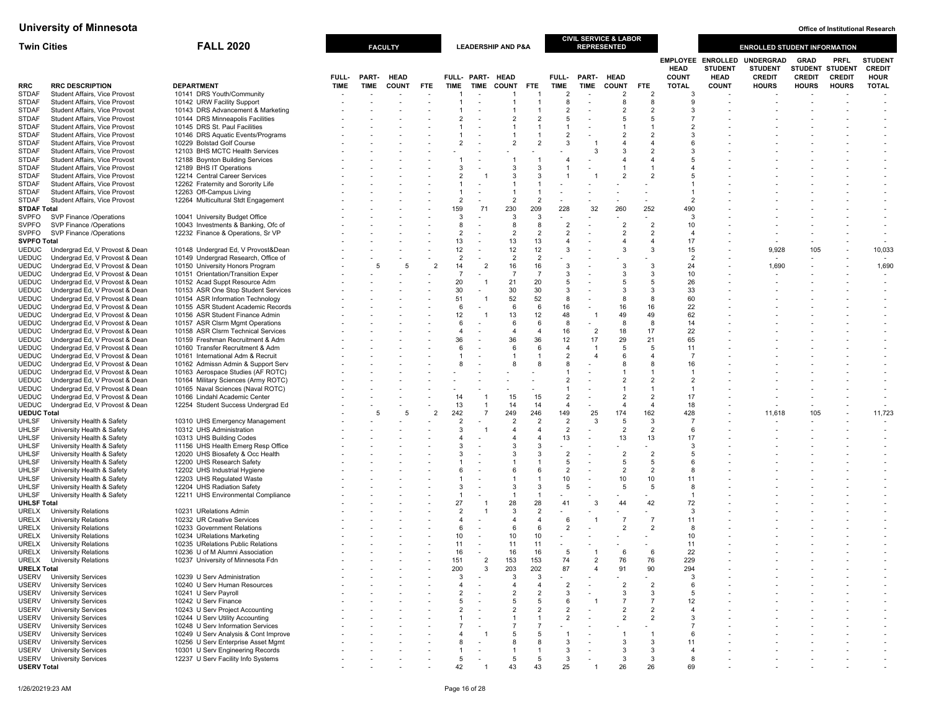| <b>Twin Cities</b>           | <b>FALL 2020</b>                                                 |                                                                          |             |       | <b>FACULTY</b> |                |                     |                  | <b>LEADERSHIP AND P&amp;A</b> |                       |                                  | <b>CIVIL SERVICE &amp; LABOR</b><br><b>REPRESENTED</b> |                |                      |                             |                                                           | <b>ENROLLED STUDENT INFORMATION</b>                 |                                                |                                                |                                                |
|------------------------------|------------------------------------------------------------------|--------------------------------------------------------------------------|-------------|-------|----------------|----------------|---------------------|------------------|-------------------------------|-----------------------|----------------------------------|--------------------------------------------------------|----------------|----------------------|-----------------------------|-----------------------------------------------------------|-----------------------------------------------------|------------------------------------------------|------------------------------------------------|------------------------------------------------|
|                              |                                                                  |                                                                          | FULL-       | PART- | <b>HEAD</b>    |                |                     | FULL- PART- HEAD |                               |                       | FULL-                            | PART- HEAD                                             |                |                      | <b>HEAD</b><br><b>COUNT</b> | <b>EMPLOYEE ENROLLED</b><br><b>STUDENT</b><br><b>HEAD</b> | <b>UNDERGRAD</b><br><b>STUDENT</b><br><b>CREDIT</b> | <b>GRAD</b><br><b>STUDENT</b><br><b>CREDIT</b> | <b>PRFL</b><br><b>STUDENT</b><br><b>CREDIT</b> | <b>STUDENT</b><br><b>CREDIT</b><br><b>HOUR</b> |
| <b>RRC</b>                   | <b>RRC DESCRIPTION</b>                                           | <b>DEPARTMENT</b>                                                        | <b>TIME</b> | TIME  | <b>COUNT</b>   | <b>FTE</b>     | TIME                | TIME             | <b>COUNT</b>                  | <b>FTE</b>            | <b>TIME</b>                      | TIME                                                   | <b>COUNT</b>   | <b>FTE</b>           | <b>TOTAL</b>                | <b>COUNT</b>                                              | <b>HOURS</b>                                        | <b>HOURS</b>                                   | <b>HOURS</b>                                   | <b>TOTAL</b>                                   |
| <b>STDAF</b>                 | Student Affairs, Vice Provost                                    | 10141 DRS Youth/Community                                                |             |       |                |                |                     |                  |                               |                       | $\overline{2}$                   | $\overline{\phantom{a}}$                               | $\overline{2}$ | $\overline{2}$       | 3                           |                                                           |                                                     |                                                |                                                |                                                |
| <b>STDAF</b>                 | Student Affairs, Vice Provost                                    | 10142 URW Facility Support                                               |             |       |                |                |                     |                  |                               |                       | 8                                | $\overline{\phantom{a}}$                               | 8              | 8                    | $\mathbf{Q}$                |                                                           |                                                     |                                                |                                                |                                                |
| <b>STDAF</b>                 | Student Affairs, Vice Provost                                    | 10143 DRS Advancement & Marketing                                        |             |       |                |                |                     |                  |                               | $\overline{2}$        | $\overline{2}$                   |                                                        | $\overline{2}$ | $\overline{2}$       | з                           |                                                           |                                                     |                                                |                                                |                                                |
| <b>STDAF</b><br><b>STDAF</b> | Student Affairs, Vice Provost<br>Student Affairs, Vice Provost   | 10144 DRS Minneapolis Facilities<br>10145 DRS St. Paul Facilities        |             |       |                |                |                     |                  |                               |                       |                                  |                                                        | 5              | 5                    |                             |                                                           |                                                     |                                                |                                                |                                                |
| <b>STDAF</b>                 | Student Affairs, Vice Provost                                    | 10146 DRS Aquatic Events/Programs                                        |             |       |                |                |                     |                  |                               |                       | $\overline{2}$                   |                                                        |                | $\overline{2}$       |                             |                                                           |                                                     |                                                |                                                |                                                |
| <b>STDAF</b>                 | Student Affairs, Vice Provost                                    | 10229 Bolstad Golf Course                                                |             |       |                |                |                     |                  | $\overline{2}$                | $\overline{2}$        | 3                                |                                                        |                | $\overline{4}$       |                             |                                                           |                                                     |                                                |                                                |                                                |
| <b>STDAF</b>                 | Student Affairs, Vice Provost                                    | 12103 BHS MCTC Health Services                                           |             |       |                |                |                     |                  |                               |                       |                                  | З                                                      | 3              | $\overline{2}$       |                             |                                                           |                                                     |                                                |                                                |                                                |
| <b>STDAF</b>                 | Student Affairs, Vice Provost                                    | 12188 Boynton Building Services                                          |             |       |                |                |                     |                  |                               |                       |                                  |                                                        |                | $\overline{4}$       |                             |                                                           |                                                     |                                                |                                                |                                                |
| <b>STDAF</b><br><b>STDAF</b> | Student Affairs, Vice Provost<br>Student Affairs, Vice Provost   | 12189 BHS IT Operations<br>12214 Central Career Services                 |             |       |                |                |                     |                  |                               | 3                     |                                  |                                                        | $\overline{2}$ | -1<br>$\overline{2}$ |                             |                                                           |                                                     |                                                |                                                |                                                |
| <b>STDAF</b>                 | Student Affairs, Vice Provost                                    | 12262 Fraternity and Sorority Life                                       |             |       |                |                |                     |                  |                               |                       |                                  |                                                        |                |                      |                             |                                                           |                                                     |                                                |                                                |                                                |
| <b>STDAF</b>                 | Student Affairs, Vice Provost                                    | 12263 Off-Campus Living                                                  |             |       |                |                |                     |                  |                               |                       |                                  |                                                        |                |                      |                             |                                                           |                                                     |                                                |                                                |                                                |
| <b>STDAF</b>                 | Student Affairs, Vice Provost                                    | 12264 Multicultural Stdt Engagement                                      |             |       |                |                | $\overline{2}$      |                  | $\overline{2}$                | $\overline{2}$        |                                  |                                                        |                |                      | 2                           |                                                           |                                                     |                                                |                                                |                                                |
| <b>STDAF Total</b>           |                                                                  |                                                                          |             |       |                |                | 159                 | 71               | 230                           | 209                   | 228                              | 32                                                     | 260            | 252                  | 490                         |                                                           |                                                     |                                                |                                                |                                                |
| <b>SVPFO</b>                 | SVP Finance /Operations                                          | 10041 University Budget Office                                           |             |       |                |                | 3                   |                  | 3                             | 3<br>8                |                                  |                                                        | $\overline{2}$ | $\overline{2}$       | 3                           |                                                           |                                                     |                                                |                                                |                                                |
| <b>SVPFO</b><br><b>SVPFO</b> | SVP Finance /Operations<br>SVP Finance /Operations               | 10043 Investments & Banking, Ofc of<br>12232 Finance & Operations, Sr VP |             |       |                |                | 8<br>$\overline{2}$ |                  | 8<br>$\mathcal{P}$            | $\overline{2}$        | $\overline{2}$<br>$\overline{2}$ |                                                        | $\overline{2}$ | $\overline{2}$       | 10                          |                                                           |                                                     |                                                |                                                |                                                |
| <b>SVPFO Total</b>           |                                                                  |                                                                          |             |       |                |                | 13                  |                  | 13                            | 13                    |                                  |                                                        | $\overline{4}$ | $\overline{4}$       | 17                          |                                                           |                                                     |                                                |                                                |                                                |
| <b>UEDUC</b>                 | Undergrad Ed, V Provost & Dean                                   | 10148 Undergrad Ed, V Provost&Dean                                       |             |       |                |                | 12                  |                  | 12                            | 12                    | 3                                |                                                        | 3              | 3                    | 15                          |                                                           | 9,928                                               | 105                                            |                                                | 10,033                                         |
| <b>UEDUC</b>                 | Undergrad Ed, V Provost & Dean                                   | 10149 Undergrad Research, Office of                                      |             |       |                |                | $\overline{2}$      |                  | $\overline{2}$                | $\overline{2}$        |                                  |                                                        |                |                      | $\overline{2}$              |                                                           |                                                     |                                                |                                                |                                                |
| <b>UEDUC</b>                 | Undergrad Ed, V Provost & Dean                                   | 10150 University Honors Program                                          |             | 5     | 5              | $\overline{2}$ | 14                  | $\overline{2}$   | 16                            | 16                    | -3                               |                                                        | 3              | 3                    | 24                          |                                                           | 1,690                                               |                                                |                                                | 1,690                                          |
| <b>UEDUC</b>                 | Undergrad Ed, V Provost & Dean                                   | 10151 Orientation/Transition Exper                                       |             |       |                |                | $\overline{7}$      |                  | 7                             | $\overline{7}$        | 3<br>5                           |                                                        | -3<br>5        | 3<br>5               | 10                          |                                                           |                                                     |                                                |                                                |                                                |
| <b>UEDUC</b><br><b>UEDUC</b> | Undergrad Ed, V Provost & Dean<br>Undergrad Ed, V Provost & Dean | 10152 Acad Suppt Resource Adm<br>10153 ASR One Stop Student Services     |             |       |                |                | 20<br>30            |                  | 21<br>30                      | 20<br>30              | 3                                |                                                        | 3              | 3                    | 26<br>33                    |                                                           |                                                     |                                                |                                                |                                                |
| <b>UEDUC</b>                 | Undergrad Ed, V Provost & Dean                                   | 10154 ASR Information Technology                                         |             |       |                |                | 51                  |                  | 52                            | 52                    | 8                                |                                                        | 8              | 8                    | 60                          |                                                           |                                                     |                                                |                                                |                                                |
| <b>UEDUC</b>                 | Undergrad Ed, V Provost & Dean                                   | 10155 ASR Student Academic Records                                       |             |       |                |                | 6                   |                  | 6                             | 6                     | 16                               |                                                        | 16             | 16                   | 22                          |                                                           |                                                     |                                                |                                                |                                                |
| <b>UEDUC</b>                 | Undergrad Ed, V Provost & Dean                                   | 10156 ASR Student Finance Admin                                          |             |       |                |                | 12                  |                  | 13                            | 12                    | 48                               | -1                                                     | 49             | 49                   | 62                          |                                                           |                                                     |                                                |                                                |                                                |
| <b>UEDUC</b>                 | Undergrad Ed, V Provost & Dean                                   | 10157 ASR Clsrm Mgmt Operations                                          |             |       |                |                | 6                   |                  | -6                            | 6                     | 8                                | $\blacksquare$                                         | 8              | 8                    | 14                          |                                                           |                                                     |                                                |                                                |                                                |
| <b>UEDUC</b><br><b>UEDUC</b> | Undergrad Ed, V Provost & Dean<br>Undergrad Ed, V Provost & Dean | 10158 ASR Clsrm Technical Services<br>10159 Freshman Recruitment & Adm   |             |       |                |                | 36                  |                  | 36                            | $\overline{4}$<br>36  | 16<br>12                         | $\overline{2}$<br>17                                   | 18<br>29       | 17<br>21             | 22<br>65                    |                                                           |                                                     |                                                |                                                |                                                |
| <b>UEDUC</b>                 | Undergrad Ed, V Provost & Dean                                   | 10160 Transfer Recruitment & Adm                                         |             |       |                |                |                     |                  |                               | 6                     | 4                                | -1                                                     | 5              | 5                    | 11                          |                                                           |                                                     |                                                |                                                |                                                |
| <b>UEDUC</b>                 | Undergrad Ed, V Provost & Dean                                   | 10161 International Adm & Recruit                                        |             |       |                |                |                     |                  |                               |                       | $\overline{2}$                   | 4                                                      | 6              | $\overline{4}$       |                             |                                                           |                                                     |                                                |                                                |                                                |
| <b>UEDUC</b>                 | Undergrad Ed, V Provost & Dean                                   | 10162 Admissn Admin & Support Serv                                       |             |       |                |                |                     |                  |                               |                       |                                  |                                                        | 8              | 8                    | 16                          |                                                           |                                                     |                                                |                                                |                                                |
| <b>UEDUC</b>                 | Undergrad Ed, V Provost & Dean                                   | 10163 Aerospace Studies (AF ROTC)                                        |             |       |                |                |                     |                  |                               |                       |                                  |                                                        |                | -1                   |                             |                                                           |                                                     |                                                |                                                |                                                |
| <b>UEDUC</b>                 | Undergrad Ed, V Provost & Dean                                   | 10164 Military Sciences (Army ROTC)                                      |             |       |                |                |                     |                  |                               |                       |                                  |                                                        | $\overline{2}$ | $\overline{2}$       | $\overline{c}$              |                                                           |                                                     |                                                |                                                |                                                |
| <b>UEDUC</b><br><b>UEDUC</b> | Undergrad Ed, V Provost & Dean<br>Undergrad Ed, V Provost & Dean | 10165 Naval Sciences (Naval ROTC)<br>10166 Lindahl Academic Center       |             |       |                |                | 14                  |                  | 15                            | 15                    | $\overline{2}$                   |                                                        | $\overline{2}$ | $\overline{2}$       | 17                          |                                                           |                                                     |                                                |                                                |                                                |
| <b>UEDUC</b>                 | Undergrad Ed, V Provost & Dean                                   | 12254 Student Success Undergrad Ed                                       |             |       |                |                | 13                  | -1               | 14                            | 14                    | $\overline{4}$                   |                                                        | $\overline{4}$ | $\overline{4}$       | 18                          |                                                           |                                                     |                                                |                                                |                                                |
| <b>UEDUC Total</b>           |                                                                  |                                                                          |             |       | 5              | $\overline{2}$ | 242                 | $\overline{7}$   | 249                           | 246                   | 149                              | 25                                                     | 174            | 162                  | 428                         |                                                           | 11,618                                              | 105                                            |                                                | 11,723                                         |
| <b>UHLSF</b>                 | University Health & Safety                                       | 10310 UHS Emergency Management                                           |             |       |                |                |                     |                  | 2                             | $\overline{2}$        | $\overline{2}$                   | 3                                                      | 5              | 3                    |                             |                                                           |                                                     |                                                |                                                |                                                |
| <b>UHLSF</b>                 | University Health & Safety                                       | 10312 UHS Administration                                                 |             |       |                |                |                     |                  |                               | 4                     | $\overline{2}$                   |                                                        | $\overline{2}$ | $\overline{2}$       | 6                           |                                                           |                                                     |                                                |                                                |                                                |
| <b>UHLSF</b>                 | University Health & Safety<br>University Health & Safety         | 10313 UHS Building Codes                                                 |             |       |                |                |                     |                  |                               | 3                     | 13                               |                                                        | 13             | 13                   | 17<br>з                     |                                                           |                                                     |                                                |                                                |                                                |
| <b>UHLSF</b><br><b>UHLSF</b> | University Health & Safety                                       | 11156 UHS Health Emerg Resp Office<br>12020 UHS Biosafety & Occ Health   |             |       |                |                |                     |                  |                               | 3                     | $\overline{2}$                   |                                                        | $\overline{2}$ | $\overline{2}$       | 5                           |                                                           |                                                     |                                                |                                                |                                                |
| <b>UHLSF</b>                 | University Health & Safety                                       | 12200 UHS Research Safety                                                |             |       |                |                |                     |                  |                               |                       | 5                                |                                                        | 5              | 5                    |                             |                                                           |                                                     |                                                |                                                |                                                |
| <b>UHLSF</b>                 | University Health & Safety                                       | 12202 UHS Industrial Hygiene                                             |             |       |                |                |                     |                  |                               | 6                     | $\overline{2}$                   |                                                        | $\overline{2}$ | $\overline{2}$       |                             |                                                           |                                                     |                                                |                                                |                                                |
| UHLSF                        | University Health & Safety                                       | 12203 UHS Regulated Waste                                                |             |       |                |                |                     |                  |                               |                       | 10                               |                                                        | 10             | 10                   | 11                          |                                                           |                                                     |                                                |                                                |                                                |
| <b>UHLSF</b><br><b>UHLSF</b> | University Health & Safety<br>University Health & Safety         | 12204 UHS Radiation Safety<br>12211 UHS Environmental Compliance         |             |       |                |                |                     |                  | $\mathcal{R}$                 | 3                     | 5                                |                                                        | 5              | 5                    |                             |                                                           |                                                     |                                                |                                                |                                                |
| <b>UHLSF Total</b>           |                                                                  |                                                                          |             |       |                |                | 27                  |                  | 28                            | 28                    | 41                               | 3                                                      | 44             | 42                   | 72                          |                                                           |                                                     |                                                |                                                |                                                |
| URELX                        | <b>University Relations</b>                                      | 10231 URelations Admin                                                   |             |       |                |                | $\overline{2}$      |                  | $\mathcal{R}$                 | $\overline{2}$        |                                  |                                                        |                |                      | 3                           |                                                           |                                                     |                                                |                                                |                                                |
| URELX                        | <b>University Relations</b>                                      | 10232 UR Creative Services                                               |             |       |                |                |                     |                  |                               | 4                     |                                  |                                                        |                | $\overline{7}$       | 11                          |                                                           |                                                     |                                                |                                                |                                                |
| URELX                        | <b>University Relations</b>                                      | 10233 Government Relations                                               |             |       |                |                | 6                   |                  | 6                             | 6                     |                                  |                                                        | $\overline{2}$ | $\overline{2}$       | 8                           |                                                           |                                                     |                                                |                                                |                                                |
| URELX                        | <b>University Relations</b>                                      | 10234 URelations Marketing                                               |             |       |                |                | 10                  |                  | 10                            | 10                    |                                  |                                                        |                |                      | 10                          |                                                           |                                                     |                                                |                                                |                                                |
| <b>URELX</b><br>URELX        | <b>University Relations</b><br><b>University Relations</b>       | 10235 URelations Public Relations<br>10236 U of M Alumni Association     |             |       |                |                | 11<br>16            |                  | 11<br>16                      | 11<br>16              | 5                                |                                                        | 6              | 6                    | 11<br>22                    |                                                           |                                                     |                                                |                                                |                                                |
| URELX                        | <b>University Relations</b>                                      | 10237 University of Minnesota Fdn                                        |             |       |                |                | 151                 |                  | 153                           | 153                   | 74                               |                                                        | 76             | 76                   | 229                         |                                                           |                                                     |                                                |                                                |                                                |
| <b>URELX Total</b>           |                                                                  |                                                                          |             |       |                |                | 200                 | -3               | 203                           | 202                   | 87                               | 4                                                      | 91             | 90                   | 294                         |                                                           |                                                     |                                                |                                                |                                                |
| USERV                        | <b>University Services</b>                                       | 10239 U Serv Administration                                              |             |       |                |                | 3                   |                  | -3                            | 3                     |                                  |                                                        |                |                      | 3                           |                                                           |                                                     |                                                |                                                |                                                |
| <b>USERV</b>                 | <b>University Services</b>                                       | 10240 U Serv Human Resources                                             |             |       |                |                |                     |                  |                               | $\boldsymbol{\Delta}$ |                                  |                                                        | $\overline{2}$ | $\overline{2}$       | 6                           |                                                           |                                                     |                                                |                                                |                                                |
| <b>USERV</b>                 | <b>University Services</b><br><b>University Services</b>         | 10241 U Serv Payroll                                                     |             |       |                |                |                     |                  |                               | $\overline{2}$        | 3<br>6                           |                                                        | 3              | 3<br>$\overline{7}$  | 5<br>12                     |                                                           |                                                     |                                                |                                                |                                                |
| <b>USERV</b><br><b>USERV</b> | <b>University Services</b>                                       | 10242 U Serv Finance<br>10243 U Serv Project Accounting                  |             |       |                |                | 5                   |                  | 2                             | 5<br>$\overline{2}$   | 2                                |                                                        | $\overline{2}$ | 2                    |                             |                                                           |                                                     |                                                |                                                |                                                |
| <b>USERV</b>                 | <b>University Services</b>                                       | 10244 U Serv Utility Accounting                                          |             |       |                |                |                     |                  |                               |                       | $\overline{2}$                   |                                                        | $\overline{2}$ | $\overline{2}$       |                             |                                                           |                                                     |                                                |                                                |                                                |
| <b>USERV</b>                 | <b>University Services</b>                                       | 10248 U Serv Information Services                                        |             |       |                |                |                     |                  |                               |                       |                                  |                                                        |                |                      |                             |                                                           |                                                     |                                                |                                                |                                                |
| <b>USERV</b>                 | <b>University Services</b>                                       | 10249 U Serv Analysis & Cont Improve                                     |             |       |                |                |                     |                  | -5                            | 5                     |                                  |                                                        |                | -1                   | 6                           |                                                           |                                                     |                                                |                                                |                                                |
| <b>USERV</b>                 | <b>University Services</b>                                       | 10256 U Serv Enterprise Asset Mgmt                                       |             |       |                |                |                     |                  |                               | 8                     |                                  |                                                        | 3              | 3                    | 11                          |                                                           |                                                     |                                                |                                                |                                                |
| <b>USERV</b><br>USERV        | <b>University Services</b><br><b>University Services</b>         | 10301 U Serv Engineering Records<br>12237 U Serv Facility Info Systems   |             |       |                |                | 5                   |                  | -5                            | 5                     | 3<br>3                           |                                                        | 3<br>3         | 3<br>3               | 8                           |                                                           |                                                     |                                                |                                                |                                                |
| <b>USERV Total</b>           |                                                                  |                                                                          |             |       |                |                |                     |                  | 43                            |                       | 25                               |                                                        | 26             | 26                   | 69                          |                                                           |                                                     |                                                |                                                |                                                |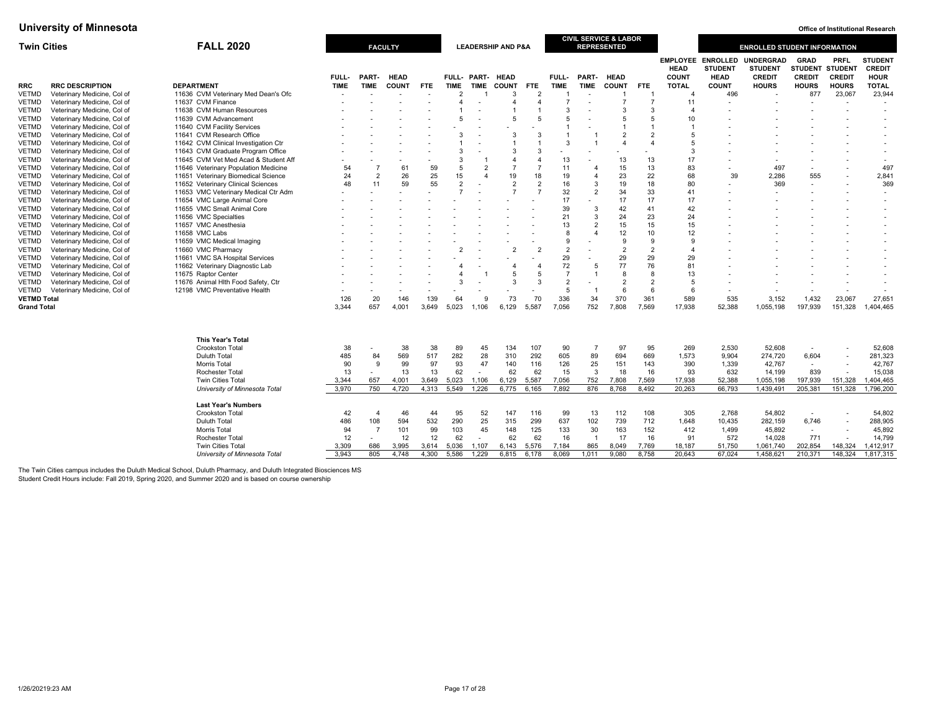| <b>FALL 2020</b><br><b>Twin Cities</b> |                                                       |                                                          |                      |                       | <b>FACULTY</b>              |                |                                               |                          | <b>LEADERSHIP AND P&amp;A</b>   |                          |                      |                        | <b>CIVIL SERVICE &amp; LABOR</b><br><b>REPRESENTED</b> |                        |                                                               |                                                                                  | <b>ENROLLED STUDENT INFORMATION</b>                                 |                                                                       |                                                                          |                                                                          |
|----------------------------------------|-------------------------------------------------------|----------------------------------------------------------|----------------------|-----------------------|-----------------------------|----------------|-----------------------------------------------|--------------------------|---------------------------------|--------------------------|----------------------|------------------------|--------------------------------------------------------|------------------------|---------------------------------------------------------------|----------------------------------------------------------------------------------|---------------------------------------------------------------------|-----------------------------------------------------------------------|--------------------------------------------------------------------------|--------------------------------------------------------------------------|
| <b>RRC</b><br><b>VETMD</b>             | <b>RRC DESCRIPTION</b><br>Veterinary Medicine, Col of | <b>DEPARTMENT</b><br>11636 CVM Veterinary Med Dean's Ofc | FULL-<br><b>TIME</b> | PART-<br><b>TIME</b>  | <b>HEAD</b><br><b>COUNT</b> | FTE            | <b>FULL-</b><br><b>TIME</b><br>$\mathfrak{p}$ | <b>TIME</b>              | PART- HEAD<br><b>COUNT</b><br>3 | FTE<br>$\overline{2}$    | FULL-<br><b>TIME</b> | PART-<br><b>TIME</b>   | <b>HEAD</b><br><b>COUNT</b>                            | FTE<br>$\overline{1}$  | <b>HEAD</b><br><b>COUNT</b><br><b>TOTAL</b><br>$\overline{a}$ | <b>EMPLOYEE ENROLLED</b><br><b>STUDENT</b><br><b>HEAD</b><br><b>COUNT</b><br>496 | <b>UNDERGRAD</b><br><b>STUDENT</b><br><b>CREDIT</b><br><b>HOURS</b> | <b>GRAD</b><br><b>STUDENT</b><br><b>CREDIT</b><br><b>HOURS</b><br>877 | <b>PRFL</b><br><b>STUDENT</b><br><b>CREDIT</b><br><b>HOURS</b><br>23,067 | <b>STUDENT</b><br><b>CREDIT</b><br><b>HOUR</b><br><b>TOTAL</b><br>23,944 |
|                                        |                                                       |                                                          |                      |                       |                             |                |                                               |                          | 4                               | $\overline{a}$           | $\overline{7}$       |                        |                                                        |                        |                                                               |                                                                                  |                                                                     |                                                                       |                                                                          | $\overline{a}$                                                           |
| <b>VETMD</b>                           | Veterinary Medicine, Col of                           | 11637 CVM Finance<br>11638 CVM Human Resources           |                      |                       |                             |                |                                               |                          |                                 |                          | 3                    |                        | 3                                                      | 3                      | 11                                                            |                                                                                  |                                                                     |                                                                       |                                                                          | $\overline{\phantom{a}}$                                                 |
| <b>VETMD</b>                           | Veterinary Medicine, Col of                           |                                                          |                      |                       |                             |                | 5                                             |                          | 5                               | 5                        | 5                    |                        |                                                        | 5                      |                                                               |                                                                                  |                                                                     |                                                                       |                                                                          |                                                                          |
| <b>VETMD</b>                           | Veterinary Medicine, Col of                           | 11639 CVM Advancement                                    |                      |                       |                             |                |                                               |                          |                                 |                          |                      |                        | 5                                                      |                        | 10                                                            |                                                                                  |                                                                     |                                                                       |                                                                          |                                                                          |
| <b>VETMD</b>                           | Veterinary Medicine, Col of                           | 11640 CVM Facility Services                              |                      |                       |                             |                |                                               |                          |                                 |                          |                      |                        |                                                        | $\mathcal{P}$          |                                                               |                                                                                  |                                                                     |                                                                       |                                                                          |                                                                          |
| <b>VETMD</b>                           | Veterinary Medicine, Col of                           | 11641 CVM Research Office                                |                      |                       |                             |                |                                               |                          | 3                               | $\mathcal{R}$            | 3                    |                        | $\overline{2}$<br>$\Delta$                             | $\boldsymbol{\Lambda}$ | 5<br>5                                                        |                                                                                  |                                                                     |                                                                       |                                                                          |                                                                          |
| VETMD                                  | Veterinary Medicine, Col of                           | 11642 CVM Clinical Investigation Ctr                     |                      |                       |                             |                |                                               |                          |                                 |                          |                      |                        |                                                        |                        |                                                               |                                                                                  |                                                                     |                                                                       |                                                                          |                                                                          |
| <b>VETMD</b>                           | Veterinary Medicine, Col of                           | 11643 CVM Graduate Program Office                        |                      |                       |                             |                | 3                                             |                          | 3                               | 3                        |                      |                        |                                                        |                        | 3                                                             |                                                                                  |                                                                     |                                                                       |                                                                          |                                                                          |
| VETMD                                  | Veterinary Medicine, Col of                           | 11645 CVM Vet Med Acad & Student Aff                     |                      |                       |                             |                | 3                                             |                          | $\overline{A}$                  | $\overline{\mathbf{4}}$  | 13                   |                        | 13                                                     | 13                     | 17                                                            |                                                                                  |                                                                     |                                                                       |                                                                          | $\overline{\phantom{a}}$                                                 |
| <b>VETMD</b>                           | Veterinary Medicine, Col of                           | 11646 Veterinary Population Medicine                     | 54                   |                       | 61                          | 59             | 5                                             | $\overline{2}$           |                                 | $\overline{7}$           | 11                   |                        | 15                                                     | 13                     | 83                                                            |                                                                                  | 497                                                                 |                                                                       |                                                                          | 497                                                                      |
| <b>VETMD</b>                           | Veterinary Medicine, Col of                           | 11651 Veterinary Biomedical Science                      | 24                   | $\overline{2}$        | 26                          | 25             | 15                                            | $\boldsymbol{\Lambda}$   | 19                              | 18                       | 19                   | $\overline{4}$         | 23                                                     | 22                     | 68                                                            | 39                                                                               | 2,286                                                               | 555                                                                   |                                                                          | 2,841                                                                    |
| <b>VETMD</b>                           | Veterinary Medicine, Col of                           | 11652 Veterinary Clinical Sciences                       | 48                   | 11                    | 59                          | 55             | $\overline{2}$                                |                          | $\overline{2}$                  | $\overline{2}$           | 16                   | 3                      | 19                                                     | 18                     | 80                                                            |                                                                                  | 369                                                                 |                                                                       |                                                                          | 369                                                                      |
| <b>VETMD</b>                           | Veterinary Medicine, Col of                           | 11653 VMC Veterinary Medical Ctr Adm                     |                      |                       |                             |                | $\overline{7}$                                |                          |                                 | $\overline{7}$           | 32                   | $\overline{2}$         | 34                                                     | 33                     | 41                                                            |                                                                                  |                                                                     |                                                                       |                                                                          | $\overline{\phantom{a}}$                                                 |
| <b>VETMD</b>                           | Veterinary Medicine, Col of                           | 11654 VMC Large Animal Core                              |                      |                       |                             |                |                                               |                          |                                 |                          | 17                   |                        | 17                                                     | 17                     | 17                                                            |                                                                                  |                                                                     |                                                                       |                                                                          | $\overline{\phantom{a}}$                                                 |
| VETMD                                  | Veterinary Medicine, Col of                           | 11655 VMC Small Animal Core                              |                      |                       |                             |                |                                               |                          |                                 |                          | 39                   | $\mathbf{3}$           | 42                                                     | 41                     | 42                                                            |                                                                                  |                                                                     |                                                                       |                                                                          |                                                                          |
| VETMD                                  | Veterinary Medicine, Col of                           | 11656 VMC Specialties                                    |                      |                       |                             |                |                                               |                          |                                 |                          | 21                   | 3                      | 24                                                     | 23                     | 24                                                            |                                                                                  |                                                                     |                                                                       |                                                                          |                                                                          |
| <b>VETMD</b>                           | Veterinary Medicine, Col of                           | 11657 VMC Anesthesia                                     |                      |                       |                             |                |                                               |                          |                                 |                          | 13                   | $\overline{2}$         | 15                                                     | 15                     | 15                                                            |                                                                                  |                                                                     |                                                                       |                                                                          |                                                                          |
| VETMD                                  | Veterinary Medicine, Col of                           | 11658 VMC Labs                                           |                      |                       |                             |                |                                               |                          |                                 |                          | 8                    | $\boldsymbol{\Lambda}$ | 12                                                     | 10                     | 12                                                            |                                                                                  |                                                                     |                                                                       |                                                                          | $\overline{\phantom{a}}$                                                 |
| <b>VETMD</b>                           | Veterinary Medicine, Col of                           | 11659 VMC Medical Imaging                                |                      |                       |                             |                |                                               |                          |                                 |                          | 9                    |                        | 9                                                      | 9                      | $\mathbf{q}$                                                  |                                                                                  |                                                                     |                                                                       |                                                                          |                                                                          |
| <b>VETMD</b>                           | Veterinary Medicine, Col of                           | 11660 VMC Pharmacy                                       |                      |                       |                             |                |                                               |                          |                                 |                          | $\overline{2}$       |                        | $\overline{2}$                                         | $\overline{2}$         |                                                               |                                                                                  |                                                                     |                                                                       |                                                                          |                                                                          |
| <b>VETMD</b>                           | Veterinary Medicine, Col of                           | 11661 VMC SA Hospital Services                           |                      |                       |                             |                |                                               |                          |                                 |                          | 29                   |                        | 29                                                     | 29                     | 29                                                            |                                                                                  |                                                                     |                                                                       |                                                                          |                                                                          |
| <b>VETMD</b>                           | Veterinary Medicine, Col of                           | 11662 Veterinary Diagnostic Lab                          |                      |                       |                             |                |                                               |                          |                                 |                          | 72                   | 5                      | 77                                                     | 76                     | 81                                                            |                                                                                  |                                                                     |                                                                       |                                                                          |                                                                          |
| VETMD                                  | Veterinary Medicine, Col of                           | 11675 Raptor Center                                      |                      |                       |                             |                |                                               |                          | 5                               | 5                        | $\overline{7}$       |                        | 8                                                      | -8                     | 13                                                            |                                                                                  |                                                                     |                                                                       |                                                                          |                                                                          |
| VETMD                                  | Veterinary Medicine, Col of                           | 11676 Animal Hlth Food Safety, Ctr                       |                      |                       |                             |                | 3                                             |                          | 3                               | $\mathcal{R}$            | $\overline{2}$       |                        | $\overline{2}$                                         | $\overline{2}$         | 5                                                             |                                                                                  |                                                                     |                                                                       |                                                                          |                                                                          |
| VETMD                                  | Veterinary Medicine, Col of                           | 12198 VMC Preventative Health                            |                      |                       |                             |                |                                               |                          | $\overline{\phantom{a}}$        | $\overline{\phantom{a}}$ | 5                    | -1                     | 6                                                      | 6                      | 6                                                             | $\blacksquare$                                                                   |                                                                     |                                                                       | $\overline{\phantom{a}}$                                                 | $\overline{a}$                                                           |
| <b>VETMD Total</b>                     |                                                       |                                                          | 126                  | 20                    | 146                         | 139            | 64                                            | 9                        | 73                              | 70                       | 336                  | 34                     | 370                                                    | 361                    | 589                                                           | 535                                                                              | 3,152                                                               | 1.432                                                                 | 23,067                                                                   | 27,65'                                                                   |
| <b>Grand Total</b>                     |                                                       |                                                          | 3,344                | 657                   | 4,001                       | 3,649          | 5,023                                         | 1,106                    | 6,129                           | 5,587                    | 7,056                | 752                    | 7,808                                                  | 7,569                  | 17,938                                                        | 52,388                                                                           | 1,055,198                                                           | 197,939                                                               | 151,328                                                                  | 1,404,465                                                                |
|                                        |                                                       | <b>This Year's Total</b>                                 |                      |                       |                             |                |                                               |                          |                                 |                          |                      |                        |                                                        |                        |                                                               |                                                                                  |                                                                     |                                                                       |                                                                          |                                                                          |
|                                        |                                                       | <b>Crookston Total</b>                                   | 38                   |                       | 38                          | 38             | 89                                            | 45                       | 134                             | 107                      | 90                   | $\overline{7}$         | 97                                                     | 95                     | 269                                                           | 2,530                                                                            | 52,608                                                              | $\blacksquare$                                                        |                                                                          | 52,608                                                                   |
|                                        |                                                       | <b>Duluth Total</b>                                      | 485                  | 84                    | 569                         | 517            | 282                                           | 28                       | 310                             | 292                      | 605                  | 89                     | 694                                                    | 669                    | 1,573                                                         | 9.904                                                                            | 274,720                                                             | 6,604                                                                 |                                                                          | 281,323                                                                  |
|                                        |                                                       | <b>Morris Total</b>                                      | 90                   | 9                     | 99                          | 97             | 93                                            | 47                       | 140                             | 116                      | 126                  | 25                     | 151                                                    | 143                    | 390                                                           | 1.339                                                                            | 42.767                                                              |                                                                       |                                                                          | 42.767                                                                   |
|                                        |                                                       | <b>Rochester Total</b>                                   | 13                   |                       | 13                          | 13             | 62                                            | $\overline{\phantom{a}}$ | 62                              | 62                       | 15                   | 3                      | 18                                                     | 16                     | 93                                                            | 632                                                                              | 14,199                                                              | $\overline{\phantom{a}}$<br>839                                       |                                                                          | 15,038                                                                   |
|                                        |                                                       |                                                          |                      |                       |                             |                |                                               |                          |                                 |                          |                      |                        |                                                        |                        |                                                               |                                                                                  |                                                                     |                                                                       |                                                                          |                                                                          |
|                                        |                                                       | <b>Twin Cities Total</b>                                 | 3,344<br>3.970       | 657<br>750            | 4,001<br>4.720              | 3.649<br>4.313 | 5,023<br>5.549                                | 1,106<br>1.226           | 6,129<br>6.775                  | 5,587<br>6.165           | 7,056<br>7.892       | 752<br>876             | 7,808<br>8.768                                         | 7,569<br>8.492         | 17,938<br>20.263                                              | 52.388<br>66.793                                                                 | 1,055,198<br>1.439.491                                              | 197.939<br>205.381                                                    | 151,328<br>151.328                                                       | 1,404,465<br>1.796.200                                                   |
|                                        |                                                       | University of Minnesota Total                            |                      |                       |                             |                |                                               |                          |                                 |                          |                      |                        |                                                        |                        |                                                               |                                                                                  |                                                                     |                                                                       |                                                                          |                                                                          |
|                                        |                                                       | <b>Last Year's Numbers</b>                               |                      |                       |                             |                |                                               |                          |                                 |                          |                      |                        |                                                        |                        |                                                               |                                                                                  |                                                                     |                                                                       |                                                                          |                                                                          |
|                                        |                                                       | <b>Crookston Total</b>                                   | 42                   | $\boldsymbol{\Delta}$ | 46                          | 44             | 95                                            | 52                       | 147                             | 116                      | 99                   | 13                     | 112                                                    | 108                    | 305                                                           | 2,768                                                                            | 54,802                                                              | $\overline{\phantom{a}}$                                              |                                                                          | 54,802                                                                   |
|                                        |                                                       | <b>Duluth Total</b>                                      | 486                  | 108                   | 594                         | 532            | 290                                           | 25                       | 315                             | 299                      | 637                  | 102                    | 739                                                    | 712                    | 1.648                                                         | 10,435                                                                           | 282,159                                                             | 6,746                                                                 |                                                                          | 288,905                                                                  |
|                                        |                                                       | <b>Morris Total</b>                                      | 94                   | $\overline{7}$        | 101                         | 99             | 103                                           | 45                       | 148                             | 125                      | 133                  | 30                     | 163                                                    | 152                    | 412                                                           | 1,499                                                                            | 45,892                                                              | $\overline{\phantom{a}}$                                              |                                                                          | 45,892                                                                   |
|                                        |                                                       | <b>Rochester Total</b>                                   | 12                   |                       | 12                          | 12             | 62                                            |                          | 62                              | 62                       | 16                   | $\overline{1}$         | 17                                                     | 16                     | 91                                                            | 572                                                                              | 14,028                                                              | 771                                                                   |                                                                          | 14,799                                                                   |
|                                        |                                                       | <b>Twin Cities Total</b>                                 | 3,309                | 686                   | 3,995                       | 3.614          | 5,036                                         | 1,107                    | 6.143                           | 5,576                    | 7.184                | 865                    | 8.049                                                  | 7.769                  | 18,187                                                        | 51.750                                                                           | 1,061,740                                                           | 202.854                                                               | 148,324                                                                  | 1,412,917                                                                |
|                                        |                                                       | University of Minnesota Total                            | 3.943                | 805                   | 4.748                       | 4.300          | 5.586                                         | 1.229                    | 6.815                           | 6.178                    | 8.069                | 1.011                  | 9.080                                                  | 8.758                  | 20.643                                                        | 67.024                                                                           | 1.458.621                                                           | 210.371                                                               | 148.324                                                                  | 1.817.315                                                                |

The Twin Cities campus includes the Duluth Medical School, Duluth Pharmacy, and Duluth Integrated Biosciences MS

Student Credit Hours include: Fall 2019, Spring 2020, and Summer 2020 and is based on course ownership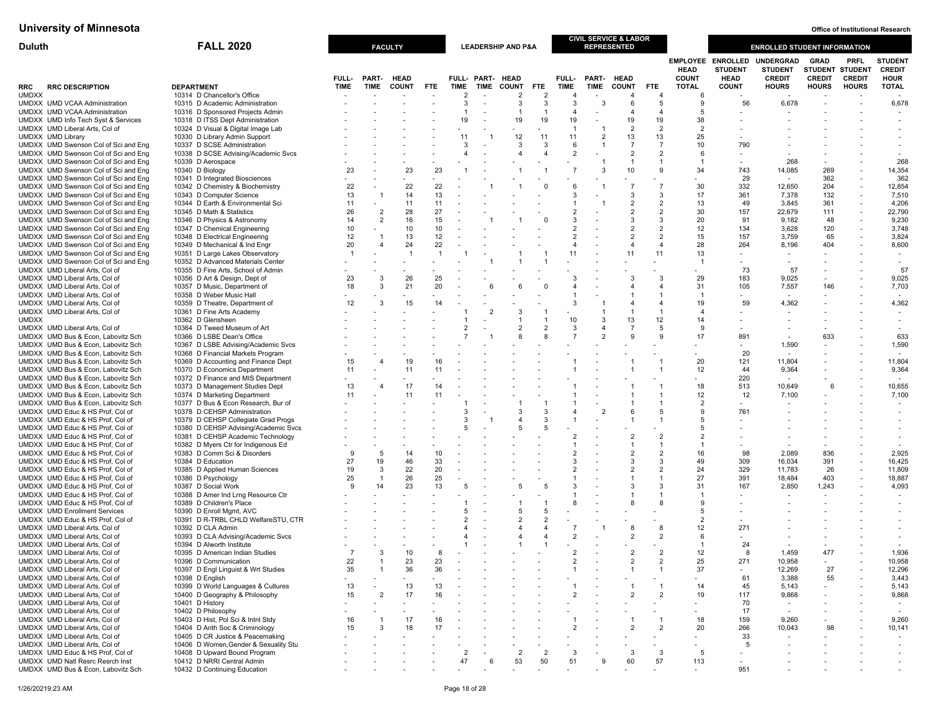| <b>Duluth</b>                                                                | <b>FALL 2020</b>                                                         | <b>FACULTY</b> |                          |                      |            |                                  |                          | <b>LEADERSHIP AND P&amp;A</b> |                |                                  |                | <b>CIVIL SERVICE &amp; LABOR</b><br><b>REPRESENTED</b> |                       |                             |                                                           | <b>ENROLLED STUDENT INFORMATION</b>          |                                                        |                              |                                                |
|------------------------------------------------------------------------------|--------------------------------------------------------------------------|----------------|--------------------------|----------------------|------------|----------------------------------|--------------------------|-------------------------------|----------------|----------------------------------|----------------|--------------------------------------------------------|-----------------------|-----------------------------|-----------------------------------------------------------|----------------------------------------------|--------------------------------------------------------|------------------------------|------------------------------------------------|
|                                                                              |                                                                          | FULL-          | PART-                    | <b>HEAD</b>          |            |                                  | FULL- PART-              | <b>HEAD</b>                   |                | FULL-                            |                | PART- HEAD                                             |                       | <b>HEAD</b><br><b>COUNT</b> | <b>EMPLOYEE ENROLLED</b><br><b>STUDENT</b><br><b>HEAD</b> | UNDERGRAD<br><b>STUDENT</b><br><b>CREDIT</b> | <b>GRAD</b><br><b>STUDENT STUDENT</b><br><b>CREDIT</b> | <b>PRFL</b><br><b>CREDIT</b> | <b>STUDENT</b><br><b>CREDIT</b><br><b>HOUR</b> |
| <b>RRC DESCRIPTION</b><br>RRC                                                | <b>DEPARTMENT</b>                                                        | <b>TIME</b>    | <b>TIME</b>              | <b>COUNT</b>         | <b>FTE</b> | TIME                             | <b>TIME</b>              | <b>COUNT</b>                  | FTE.           | <b>TIME</b>                      | TIME           | <b>COUNT</b>                                           | FTE.                  | <b>TOTAL</b>                | <b>COUNT</b>                                              | <b>HOURS</b>                                 | <b>HOURS</b>                                           | <b>HOURS</b>                 | <b>TOTAL</b>                                   |
| <b>UMDXX</b>                                                                 | 10314 D Chancellor's Office                                              |                |                          |                      |            | $\overline{2}$                   |                          | $\overline{2}$                | 2              | $\overline{4}$                   |                | $\overline{4}$                                         | $\boldsymbol{\Delta}$ | -6                          |                                                           |                                              |                                                        |                              |                                                |
| UMDXX UMD VCAA Administration                                                | 10315 D Academic Administration                                          |                |                          |                      |            | 3<br>$\mathbf{1}$                | $\overline{\phantom{a}}$ | 3                             | 3              | 3                                | -3             | 6                                                      | 5<br>$\overline{4}$   |                             | 56                                                        | 6,678                                        |                                                        |                              | 6,678                                          |
| UMDXX UMD VCAA Administration<br>UMDXX UMD Info Tech Syst & Services         | 10316 D Sponsored Projects Admin<br>10318 D ITSS Dept Administration     |                |                          |                      |            | 19                               |                          | $\overline{1}$<br>19          | -1<br>19       | $\overline{4}$<br>19             |                | 4<br>19                                                | 19                    | 38                          |                                                           |                                              |                                                        |                              |                                                |
| UMDXX UMD Liberal Arts, Col of                                               | 10324 D Visual & Digital Image Lab                                       |                |                          |                      |            |                                  |                          |                               |                | $\overline{1}$                   |                | 2                                                      | $\overline{2}$        | $\overline{2}$              |                                                           |                                              |                                                        |                              |                                                |
| UMDXX UMD Library                                                            | 10330 D Library Admin Support                                            |                |                          |                      |            | 11                               | -1                       | 12                            | 11             | 11                               | $\overline{2}$ | 13                                                     | 13                    | 25                          |                                                           |                                              |                                                        |                              |                                                |
| UMDXX UMD Swenson Col of Sci and Eng                                         | 10337 D SCSE Administration                                              |                |                          |                      |            | 3                                |                          | 3                             | 3              | 6                                | $\overline{1}$ | $\overline{7}$                                         | $\overline{7}$        | 10                          | 790                                                       |                                              |                                                        |                              |                                                |
| UMDXX UMD Swenson Col of Sci and Eng<br>UMDXX UMD Swenson Col of Sci and Eng | 10338 D SCSE Advising/Academic Svcs<br>10339 D Aerospace                 |                |                          |                      |            | $\overline{4}$                   |                          | $\overline{4}$                |                | $\overline{2}$                   |                | $\overline{2}$<br>$\mathbf{1}$                         | $\overline{2}$        | 6                           |                                                           | 268                                          |                                                        |                              | 268                                            |
| UMDXX UMD Swenson Col of Sci and Eng                                         | 10340 D Biology                                                          | 23             |                          | 23                   | 23         |                                  |                          |                               |                |                                  | 3              | 10                                                     | 9                     | 34                          | 743                                                       | 14,085                                       | 269                                                    |                              | 14,354                                         |
| UMDXX UMD Swenson Col of Sci and Eng                                         | 10341 D Integrated Biosciences                                           |                | $\sim$                   |                      |            |                                  |                          |                               |                |                                  |                |                                                        |                       |                             | 29                                                        |                                              | 362                                                    | $\overline{\phantom{a}}$     | 362                                            |
| UMDXX UMD Swenson Col of Sci and Eng                                         | 10342 D Chemistry & Biochemistry                                         | 22             |                          | 22                   | 22         |                                  |                          |                               |                |                                  |                |                                                        | $\overline{7}$        | 30                          | 332                                                       | 12,650                                       | 204                                                    |                              | 12,854                                         |
| UMDXX UMD Swenson Col of Sci and Eng<br>UMDXX UMD Swenson Col of Sci and Eng | 10343 D Computer Science<br>10344 D Earth & Environmental Sci            | 13<br>11       | $\overline{1}$<br>$\sim$ | 14<br>11             | 13<br>11   |                                  |                          |                               |                |                                  |                | 3<br>2                                                 | 3<br>$\overline{2}$   | 17<br>13                    | 361<br>49                                                 | 7,378<br>3,845                               | 132<br>361                                             | $\overline{\phantom{a}}$     | 7,510<br>4,206                                 |
| UMDXX UMD Swenson Col of Sci and Eng                                         | 10345 D Math & Statistics                                                | 26             | $\overline{2}$           | 28                   | 27         |                                  |                          |                               |                | $\overline{2}$                   |                | 2                                                      | $\overline{2}$        | 30                          | 157                                                       | 22,679                                       | 111                                                    |                              | 22,790                                         |
| UMDXX UMD Swenson Col of Sci and Eng                                         | 10346 D Physics & Astronomy                                              | 14             | $\overline{2}$           | 16                   | 15         |                                  |                          |                               |                |                                  |                | 3                                                      | 3                     | 20                          | 91                                                        | 9,182                                        | 48                                                     |                              | 9,230                                          |
| UMDXX UMD Swenson Col of Sci and Eng                                         | 10347 D Chemical Engineering                                             | 10             |                          | 10                   | 10         |                                  |                          |                               |                |                                  |                | 2                                                      | $\overline{2}$        | 12                          | 134                                                       | 3,628                                        | 120                                                    |                              | 3,748                                          |
| UMDXX UMD Swenson Col of Sci and Eng                                         | 10348 D Electrical Engineering                                           | 12             |                          | 13                   | 12         |                                  |                          |                               |                |                                  |                | $\overline{2}$                                         | $\overline{2}$        | 15                          | 157                                                       | 3,759                                        | 65                                                     |                              | 3,824                                          |
| UMDXX UMD Swenson Col of Sci and Eng                                         | 10349 D Mechanical & Ind Engr                                            | 20<br>-1       | $\overline{4}$           | 24<br>$\overline{1}$ | 22<br>-1   |                                  |                          |                               |                | 11                               |                | $\overline{4}$<br>11                                   | $\overline{4}$<br>11  | 28<br>13                    | 264                                                       | 8,196                                        | 404<br>$\overline{\phantom{a}}$                        |                              | 8,600                                          |
| UMDXX UMD Swenson Col of Sci and Eng<br>UMDXX UMD Swenson Col of Sci and Eng | 10351 D Large Lakes Observatory<br>10352 D Advanced Materials Center     |                |                          |                      |            |                                  |                          |                               |                |                                  |                |                                                        |                       |                             |                                                           | $\sim$                                       |                                                        |                              |                                                |
| UMDXX UMD Liberal Arts, Col of                                               | 10355 D Fine Arts, School of Admin                                       |                |                          |                      |            |                                  |                          |                               |                |                                  |                |                                                        |                       |                             | 73                                                        | 57                                           |                                                        |                              | 57                                             |
| UMDXX UMD Liberal Arts, Col of                                               | 10356 D Art & Design, Dept of                                            | 23             | 3                        | 26                   | 25         |                                  |                          |                               |                | 3                                |                | 3                                                      | 3                     | 29                          | 183                                                       | 9,025                                        |                                                        |                              | 9,025                                          |
| UMDXX UMD Liberal Arts, Col of                                               | 10357 D Music, Department of                                             | 18             | 3                        | 21                   | 20         |                                  |                          |                               |                | $\overline{4}$                   |                | $\overline{4}$                                         | $\Delta$              | 31                          | 105                                                       | 7,557                                        | 146                                                    |                              | 7,703                                          |
| UMDXX UMD Liberal Arts, Col of<br>UMDXX UMD Liberal Arts, Col of             | 10358 D Weber Music Hall<br>10359 D Theatre, Department of               | 12             | 3                        | 15                   | 14         |                                  |                          |                               |                | 3                                |                |                                                        | $\boldsymbol{\Delta}$ | -1<br>19                    | 59                                                        | 4,362                                        |                                                        |                              | 4,362                                          |
| UMDXX UMD Liberal Arts, Col of                                               | 10361 D Fine Arts Academy                                                |                |                          |                      |            |                                  |                          | 3                             |                |                                  |                |                                                        |                       |                             |                                                           |                                              |                                                        |                              |                                                |
| <b>UMDXX</b>                                                                 | 10362 D Glensheen                                                        |                |                          |                      |            |                                  |                          |                               |                | 10                               | 3              | 13                                                     | 12                    | 14                          |                                                           |                                              |                                                        |                              |                                                |
| UMDXX UMD Liberal Arts, Col of                                               | 10364 D Tweed Museum of Art                                              |                |                          |                      |            | $\overline{2}$                   |                          | $\overline{2}$                |                | -3                               | $\overline{4}$ | $\overline{7}$                                         | 5                     |                             |                                                           |                                              |                                                        |                              |                                                |
| UMDXX UMD Bus & Econ. Labovitz Sch                                           | 10366 D LSBE Dean's Office                                               |                |                          |                      |            |                                  |                          |                               |                |                                  |                | 9                                                      | 9                     | 17                          | 891                                                       |                                              | 633                                                    |                              | 633                                            |
| UMDXX UMD Bus & Econ, Labovitz Sch<br>UMDXX UMD Bus & Econ, Labovitz Sch     | 10367 D LSBE Advising/Academic Svcs<br>10368 D Financial Markets Program |                |                          |                      |            |                                  |                          |                               |                |                                  |                |                                                        |                       |                             | 20                                                        | 1,590                                        | $\overline{\phantom{a}}$                               |                              | 1,590                                          |
| UMDXX UMD Bus & Econ, Labovitz Sch                                           | 10369 D Accounting and Finance Dept                                      | 15             |                          | 19                   | 16         |                                  |                          |                               |                |                                  |                |                                                        |                       | 20                          | 121                                                       | 11,804                                       |                                                        |                              | 11,804                                         |
| UMDXX UMD Bus & Econ. Labovitz Sch                                           | 10370 D Economics Department                                             | 11             |                          | 11                   | 11         |                                  |                          |                               |                |                                  |                |                                                        |                       | 12                          | 44                                                        | 9,364                                        |                                                        |                              | 9,364                                          |
| UMDXX UMD Bus & Econ, Labovitz Sch                                           | 10372 D Finance and MIS Department                                       |                |                          |                      |            |                                  |                          |                               |                |                                  |                |                                                        |                       |                             | 220                                                       |                                              |                                                        |                              |                                                |
| UMDXX UMD Bus & Econ, Labovitz Sch                                           | 10373 D Management Studies Dept                                          | 13             |                          | 17                   | 14         |                                  |                          |                               |                |                                  |                |                                                        |                       | 18<br>12                    | 513                                                       | 10,649                                       | 6                                                      |                              | 10,655                                         |
| UMDXX UMD Bus & Econ, Labovitz Sch<br>UMDXX UMD Bus & Econ, Labovitz Sch     | 10374 D Marketing Department<br>10377 D Bus & Econ Research, Bur of      | 11             |                          | 11                   | 11         |                                  |                          |                               |                |                                  |                |                                                        |                       | $\overline{2}$              | 12<br>$\sim$                                              | 7,100                                        |                                                        |                              | 7,100                                          |
| UMDXX UMD Educ & HS Prof, Col of                                             | 10378 D CEHSP Administration                                             |                |                          |                      |            | 3                                |                          | 3                             | 3              |                                  | $\overline{2}$ | 6                                                      | 5                     |                             | 761                                                       |                                              |                                                        |                              |                                                |
| UMDXX UMD Educ & HS Prof, Col of                                             | 10379 D CEHSP Collegiate Grad Progs                                      |                |                          |                      |            | 3                                |                          | $\overline{4}$                | 3              |                                  |                |                                                        |                       |                             |                                                           |                                              |                                                        |                              |                                                |
| UMDXX UMD Educ & HS Prof, Col of                                             | 10380 D CEHSP Advising/Academic Svcs                                     |                |                          |                      |            | 5                                |                          | 5                             |                |                                  |                |                                                        |                       |                             |                                                           |                                              |                                                        |                              |                                                |
| UMDXX UMD Educ & HS Prof, Col of<br>UMDXX UMD Educ & HS Prof, Col of         | 10381 D CEHSP Academic Technology<br>10382 D Myers Ctr for Indigenous Ed |                |                          |                      |            |                                  |                          |                               |                | $\overline{2}$                   |                | $\overline{2}$                                         | $\overline{2}$        |                             |                                                           |                                              |                                                        |                              |                                                |
| UMDXX UMD Educ & HS Prof, Col of                                             | 10383 D Comm Sci & Disorders                                             | -9             | 5                        | 14                   | 10         |                                  |                          |                               |                |                                  |                | 2                                                      | $\overline{2}$        | 16                          | 98                                                        | 2,089                                        | 836                                                    |                              | 2,925                                          |
| UMDXX UMD Educ & HS Prof, Col of                                             | 10384 D Education                                                        | 27             | 19                       | 46                   | 33         |                                  |                          |                               |                | 3                                |                | 3                                                      | 3                     | 49                          | 309                                                       | 16,034                                       | 391                                                    | $\overline{\phantom{a}}$     | 16,425                                         |
| UMDXX UMD Educ & HS Prof, Col of                                             | 10385 D Applied Human Sciences                                           | 19             | 3                        | 22                   | 20         |                                  |                          |                               |                |                                  |                | 2                                                      | $\overline{2}$        | 24                          | 329                                                       | 11,783                                       | 26                                                     |                              | 11,809                                         |
| UMDXX UMD Educ & HS Prof, Col of                                             | 10386 D Psychology                                                       | 25             |                          | 26                   | 25         | 5                                |                          |                               |                | 3                                |                |                                                        |                       | 27                          | 391                                                       | 18,484                                       | 403                                                    |                              | 18,887                                         |
| UMDXX UMD Educ & HS Prof. Col of<br>UMDXX UMD Educ & HS Prof, Col of         | 10387 D Social Work<br>10388 D Amer Ind Lrng Resource Ctr                | -9             | 14                       | 23                   | 13         |                                  |                          | 5                             |                |                                  |                | 3                                                      | 3                     | 31                          | 167                                                       | 2,850                                        | 1,243                                                  |                              | 4,093                                          |
| UMDXX UMD Educ & HS Prof, Col of                                             | 10389 D Children's Place                                                 |                |                          |                      |            |                                  |                          |                               |                |                                  |                | 8                                                      | 8                     |                             |                                                           |                                              |                                                        |                              |                                                |
| <b>UMDXX UMD Enrollment Services</b>                                         | 10390 D Enroll Mgmt, AVC                                                 |                |                          |                      |            |                                  |                          | 5                             | 5              |                                  |                |                                                        |                       | 5                           |                                                           |                                              |                                                        |                              |                                                |
| UMDXX UMD Educ & HS Prof, Col of                                             | 10391 D R-TRBL CHLD WelfareSTU, CTR                                      |                |                          |                      |            |                                  |                          | $\overline{c}$                |                |                                  |                |                                                        |                       | $\overline{2}$              |                                                           |                                              |                                                        |                              |                                                |
| UMDXX UMD Liberal Arts, Col of<br>UMDXX UMD Liberal Arts, Col of             | 10392 D CLA Admin                                                        |                |                          |                      |            | $\overline{4}$<br>$\overline{4}$ |                          | 4<br>$\overline{4}$           |                | $\overline{7}$<br>$\overline{2}$ |                | 8<br>2                                                 | 8<br>$\overline{2}$   | 12<br>6                     | 271                                                       |                                              |                                                        |                              |                                                |
| UMDXX UMD Liberal Arts, Col of                                               | 10393 D CLA Advising/Academic Svcs<br>10394 D Alworth Institute          |                |                          |                      |            |                                  |                          |                               |                |                                  |                |                                                        |                       |                             | 24                                                        |                                              |                                                        |                              |                                                |
| UMDXX UMD Liberal Arts, Col of                                               | 10395 D American Indian Studies                                          | $\overline{7}$ | 3                        | 10                   | 8          |                                  |                          |                               |                | $\overline{2}$                   |                | 2                                                      | $\overline{2}$        | 12                          | 8                                                         | 1,459                                        | 477                                                    |                              | 1,936                                          |
| UMDXX UMD Liberal Arts, Col of                                               | 10396 D Communication                                                    | 22             |                          | 23                   |            |                                  |                          |                               |                |                                  |                |                                                        |                       | 25                          | 271                                                       | 10,958                                       |                                                        |                              | 10,958                                         |
| UMDXX UMD Liberal Arts, Col of                                               | 10397 D Engl Linguist & Wrt Studies                                      | 35             |                          | 36                   | 36         |                                  |                          |                               |                |                                  |                |                                                        |                       | 37                          |                                                           | 12,269                                       | 27                                                     |                              | 12,296                                         |
| UMDXX UMD Liberal Arts, Col of                                               | 10398 D English                                                          |                |                          |                      |            |                                  |                          |                               |                |                                  |                |                                                        |                       |                             | 61                                                        | 3,388                                        | 55                                                     |                              | 3,443                                          |
| UMDXX UMD Liberal Arts, Col of<br>UMDXX UMD Liberal Arts. Col of             | 10399 D World Languages & Cultures<br>10400 D Geography & Philosophy     | 13<br>15       | $\overline{2}$           | 13<br>17             | 13<br>16   |                                  |                          |                               |                |                                  |                | 2                                                      | $\overline{2}$        | 14<br>19                    | 45<br>117                                                 | 5,143<br>9,868                               |                                                        |                              | 5,143<br>9,868                                 |
| UMDXX UMD Liberal Arts, Col of                                               | 10401 D History                                                          |                |                          |                      |            |                                  |                          |                               |                |                                  |                |                                                        |                       |                             | 70                                                        |                                              |                                                        |                              |                                                |
| UMDXX UMD Liberal Arts, Col of                                               | 10402 D Philosophy                                                       |                |                          |                      |            |                                  |                          |                               |                |                                  |                |                                                        |                       |                             | 17                                                        |                                              |                                                        |                              |                                                |
| UMDXX UMD Liberal Arts, Col of                                               | 10403 D Hist, Pol Sci & Intnl Stdy                                       | 16             |                          | 17                   | 16         |                                  |                          |                               |                |                                  |                |                                                        |                       | 18                          | 159                                                       | 9,260                                        |                                                        |                              | 9,260                                          |
| UMDXX UMD Liberal Arts, Col of<br>UMDXX UMD Liberal Arts, Col of             | 10404 D Anth Soc & Criminology<br>10405 D CR Justice & Peacemaking       | 15             | 3                        | 18                   | 17         |                                  |                          |                               |                |                                  |                | 2                                                      | $\overline{2}$        | 20                          | 266<br>33                                                 | 10,043                                       | 98                                                     |                              | 10,141                                         |
| UMDXX UMD Liberal Arts, Col of                                               | 10406 D Women, Gender & Sexuality Stu                                    |                |                          |                      |            |                                  |                          |                               |                |                                  |                |                                                        |                       |                             | - 5                                                       |                                              |                                                        |                              | $\overline{\phantom{a}}$                       |
| UMDXX UMD Educ & HS Prof, Col of                                             | 10408 D Upward Bound Program                                             |                |                          |                      |            | $\overline{2}$                   |                          | $\overline{2}$                | $\overline{2}$ | 3                                |                | 3                                                      | 3                     | 5                           |                                                           |                                              |                                                        |                              |                                                |
| <b>UMDXX UMD Natl Resrc Resrch Inst</b>                                      | 10412 D NRRI Central Admin                                               |                |                          |                      |            | 47                               | 6                        | 53                            | 50             | 51                               |                | 60                                                     | 57                    | 113                         |                                                           |                                              |                                                        |                              |                                                |
| UMDXX UMD Bus & Econ, Labovitz Sch                                           | 10432 D Continuing Education                                             |                |                          |                      |            |                                  |                          |                               |                |                                  |                |                                                        |                       |                             | 951                                                       |                                              |                                                        |                              |                                                |

1/26/20219:23 AM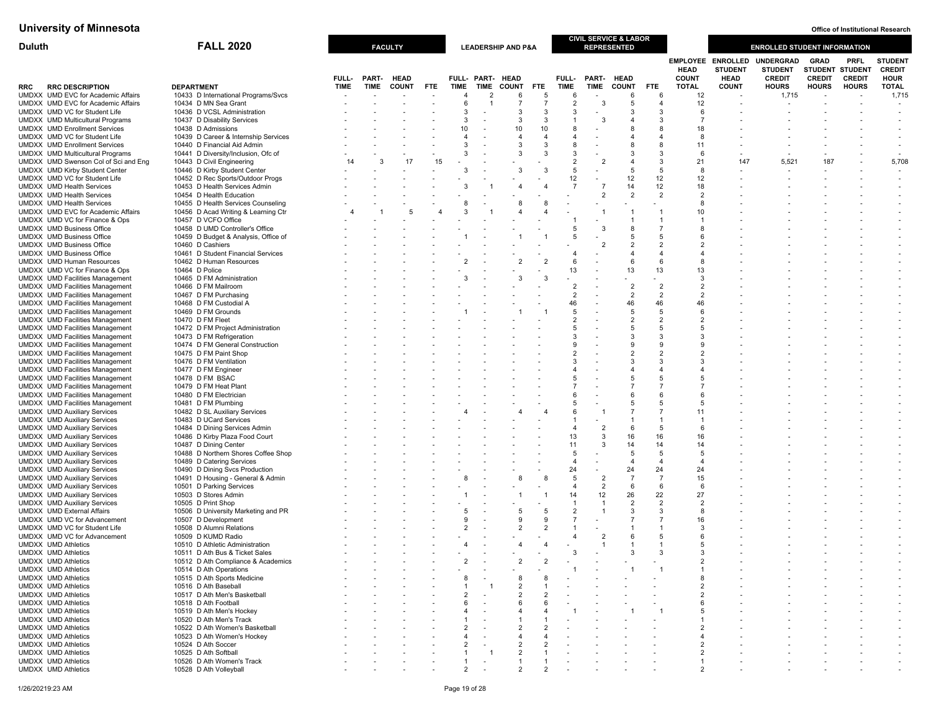| <b>Duluth</b>                                                                    | <b>FALL 2020</b>                                                   |                      |                      | <b>FACULTY</b>              |            |                        |                                            | <b>LEADERSHIP AND P&amp;A</b> |                     |                           |                                            | <b>CIVIL SERVICE &amp; LABOR</b><br><b>REPRESENTED</b> |                                  |                                    |                                            | <b>ENROLLED STUDENT INFORMATION</b>    |                               |                                       |                                      |
|----------------------------------------------------------------------------------|--------------------------------------------------------------------|----------------------|----------------------|-----------------------------|------------|------------------------|--------------------------------------------|-------------------------------|---------------------|---------------------------|--------------------------------------------|--------------------------------------------------------|----------------------------------|------------------------------------|--------------------------------------------|----------------------------------------|-------------------------------|---------------------------------------|--------------------------------------|
|                                                                                  |                                                                    |                      |                      |                             |            |                        |                                            |                               |                     |                           |                                            |                                                        |                                  | <b>HEAD</b>                        | <b>EMPLOYEE ENROLLED</b><br><b>STUDENT</b> | UNDERGRAD<br><b>STUDENT</b>            | <b>GRAD</b>                   | <b>PRFL</b><br><b>STUDENT STUDENT</b> | <b>STUDENT</b><br><b>CREDIT</b>      |
| <b>RRC DESCRIPTION</b><br>RRC<br>UMDXX UMD EVC for Academic Affairs              | <b>DEPARTMENT</b><br>10433 D International Programs/Svcs           | FULL-<br><b>TIME</b> | PART-<br><b>TIME</b> | <b>HEAD</b><br><b>COUNT</b> | <b>FTE</b> | TIME<br>$\overline{4}$ | FULL- PART- HEAD<br>TIME<br>$\overline{2}$ | <b>COUNT</b><br>6             | <b>FTE</b><br>-5    | FULL-<br><b>TIME</b><br>6 | <b>TIME</b><br>$\overline{\phantom{a}}$    | PART- HEAD<br><b>COUNT</b><br>6                        | <b>FTE</b><br>6                  | <b>COUNT</b><br><b>TOTAL</b><br>12 | <b>HEAD</b><br><b>COUNT</b>                | <b>CREDIT</b><br><b>HOURS</b><br>1,715 | <b>CREDIT</b><br><b>HOURS</b> | <b>CREDIT</b><br><b>HOURS</b>         | <b>HOUR</b><br><b>TOTAL</b><br>1,715 |
| UMDXX UMD EVC for Academic Affairs                                               | 10434 D MN Sea Grant                                               |                      |                      |                             |            | 6                      |                                            | $\overline{7}$                | $\overline{7}$      | $\overline{2}$            | 3                                          | 5                                                      | $\overline{4}$                   | 12                                 |                                            |                                        |                               |                                       |                                      |
| UMDXX UMD VC for Student Life                                                    | 10436 D VCSL Administration                                        |                      |                      |                             |            | 3                      | $\sim$                                     | 3                             | 3                   | 3                         | ٠                                          | -3                                                     | 3                                | 6                                  |                                            |                                        |                               |                                       | $\overline{\phantom{a}}$             |
| <b>UMDXX</b> UMD Multicultural Programs                                          | 10437 D Disability Services                                        |                      |                      |                             |            | 3                      |                                            | 3                             | 3                   |                           | 3                                          | 4                                                      | 3                                |                                    |                                            |                                        |                               |                                       |                                      |
| <b>UMDXX UMD Enrollment Services</b>                                             | 10438 D Admissions                                                 |                      |                      |                             |            | 10                     |                                            | 10                            | 10                  |                           |                                            | 8                                                      | 8                                | 18                                 |                                            |                                        |                               |                                       |                                      |
| UMDXX UMD VC for Student Life                                                    | 10439 D Career & Internship Services                               |                      |                      |                             |            | $\overline{4}$<br>3    |                                            | 4<br>3                        | $\overline{a}$<br>3 | 4<br>8                    | $\blacksquare$<br>$\overline{\phantom{a}}$ | $\overline{4}$<br>8                                    | $\overline{4}$<br>8              | 8<br>11                            |                                            |                                        |                               |                                       |                                      |
| <b>UMDXX UMD Enrollment Services</b><br>UMDXX UMD Multicultural Programs         | 10440 D Financial Aid Admin<br>10441 D Diversity/Inclusion, Ofc of |                      |                      |                             |            | 3                      |                                            | 3                             | 3                   | $\mathcal{R}$             |                                            | 3                                                      | 3                                | 6                                  |                                            |                                        |                               |                                       |                                      |
| UMDXX UMD Swenson Col of Sci and Eng                                             | 10443 D Civil Engineering                                          | 14                   | 3                    | 17                          | 15         |                        |                                            |                               |                     | $\overline{2}$            | $\overline{2}$                             | $\overline{4}$                                         | 3                                | 21                                 | 147                                        | 5,521                                  | 187                           |                                       | 5,708                                |
| UMDXX UMD Kirby Student Center                                                   | 10446 D Kirby Student Center                                       |                      |                      |                             |            | 3                      |                                            | 3                             | 3                   | 5                         |                                            | 5                                                      | 5                                | 8                                  |                                            |                                        |                               |                                       |                                      |
| UMDXX UMD VC for Student Life                                                    | 10452 D Rec Sports/Outdoor Progs                                   |                      |                      |                             |            |                        |                                            |                               |                     | 12                        |                                            | 12                                                     | 12                               | 12                                 |                                            |                                        |                               |                                       |                                      |
| <b>UMDXX UMD Health Services</b>                                                 | 10453 D Health Services Admin                                      |                      |                      |                             |            | 3                      |                                            |                               |                     | $\overline{7}$            | $\overline{7}$                             | 14                                                     | 12                               | 18                                 |                                            |                                        |                               |                                       |                                      |
| <b>UMDXX UMD Health Services</b><br>UMDXX UMD Health Services                    | 10454 D Health Education<br>10455 D Health Services Counseling     |                      |                      |                             |            | 8                      |                                            | -8                            |                     |                           | $\overline{2}$                             | $\overline{2}$                                         | $\overline{2}$                   | $\overline{2}$<br>8                |                                            |                                        |                               |                                       |                                      |
| UMDXX UMD EVC for Academic Affairs                                               | 10456 D Acad Writing & Learning Ctr                                |                      |                      | 5                           |            | 3                      |                                            |                               |                     |                           |                                            |                                                        | $\overline{1}$                   | 10                                 |                                            |                                        |                               |                                       |                                      |
| UMDXX UMD VC for Finance & Ops                                                   | 10457 D VCFO Office                                                |                      |                      |                             |            |                        |                                            |                               |                     |                           |                                            | $\mathbf{1}$                                           |                                  |                                    |                                            |                                        |                               |                                       |                                      |
| UMDXX UMD Business Office                                                        | 10458 D UMD Controller's Office                                    |                      |                      |                             |            |                        |                                            |                               |                     |                           | 3                                          | 8                                                      | $\overline{7}$                   | 8                                  |                                            |                                        |                               |                                       |                                      |
| <b>UMDXX UMD Business Office</b>                                                 | 10459 D Budget & Analysis, Office of                               |                      |                      |                             |            |                        |                                            |                               |                     | 5                         |                                            | -5                                                     | 5                                | 6                                  |                                            |                                        |                               |                                       |                                      |
| <b>UMDXX UMD Business Office</b>                                                 | 10460 D Cashiers                                                   |                      |                      |                             |            |                        |                                            |                               |                     |                           | $\overline{2}$                             | $\overline{2}$                                         | $\overline{2}$                   | 2<br>Δ                             |                                            |                                        |                               |                                       |                                      |
| UMDXX UMD Business Office<br><b>UMDXX</b> UMD Human Resources                    | 10461 D Student Financial Services<br>10462 D Human Resources      |                      |                      |                             |            |                        |                                            |                               |                     | 6                         | $\blacksquare$                             | $\overline{4}$<br>- 6                                  | $\overline{4}$<br>6              | 8                                  |                                            |                                        |                               |                                       |                                      |
| UMDXX UMD VC for Finance & Ops                                                   | 10464 D Police                                                     |                      |                      |                             |            |                        |                                            |                               |                     | 13                        |                                            | 13                                                     | 13                               | 13                                 |                                            |                                        |                               |                                       |                                      |
| <b>UMDXX</b> UMD Facilities Management                                           | 10465 D FM Administration                                          |                      |                      |                             |            |                        |                                            |                               |                     |                           |                                            |                                                        |                                  | 3                                  |                                            |                                        |                               |                                       |                                      |
| <b>UMDXX UMD Facilities Management</b>                                           | 10466 D FM Mailroom                                                |                      |                      |                             |            |                        |                                            |                               |                     | $\overline{2}$            |                                            | $\overline{2}$                                         | $\overline{2}$                   | $\overline{2}$                     |                                            |                                        |                               |                                       |                                      |
| <b>UMDXX</b> UMD Facilities Management                                           | 10467 D FM Purchasing                                              |                      |                      |                             |            |                        |                                            |                               |                     | $\overline{2}$            | $\blacksquare$                             | $\overline{2}$                                         | 2                                | 2                                  |                                            |                                        |                               |                                       |                                      |
| <b>UMDXX</b> UMD Facilities Management                                           | 10468 D FM Custodial A                                             |                      |                      |                             |            |                        |                                            |                               |                     | 46                        |                                            | 46<br>-5                                               | 46                               | 46                                 |                                            |                                        |                               |                                       |                                      |
| <b>UMDXX</b> UMD Facilities Management<br><b>UMDXX</b> UMD Facilities Management | 10469 D FM Grounds<br>10470 D FM Fleet                             |                      |                      |                             |            |                        |                                            |                               |                     | $\overline{2}$            | $\overline{\phantom{a}}$                   | $\overline{2}$                                         | 5<br>2                           | 6<br>2                             |                                            |                                        |                               |                                       |                                      |
| <b>UMDXX UMD Facilities Management</b>                                           | 10472 D FM Project Administration                                  |                      |                      |                             |            |                        |                                            |                               |                     | -5                        |                                            | 5                                                      | 5                                | 5                                  |                                            |                                        |                               |                                       |                                      |
| <b>UMDXX</b> UMD Facilities Management                                           | 10473 D FM Refrigeration                                           |                      |                      |                             |            |                        |                                            |                               |                     |                           |                                            | 3                                                      | 3                                | 3                                  |                                            |                                        |                               |                                       |                                      |
| <b>UMDXX</b> UMD Facilities Management                                           | 10474 D FM General Construction                                    |                      |                      |                             |            |                        |                                            |                               |                     |                           | $\overline{a}$                             | 9                                                      | 9                                | g                                  |                                            |                                        |                               |                                       |                                      |
| <b>UMDXX</b> UMD Facilities Management                                           | 10475 D FM Paint Shop                                              |                      |                      |                             |            |                        |                                            |                               |                     |                           |                                            | $\overline{2}$                                         | $\overline{2}$                   | 2                                  |                                            |                                        |                               |                                       |                                      |
| <b>UMDXX UMD Facilities Management</b><br><b>UMDXX UMD Facilities Management</b> | 10476 D FM Ventilation                                             |                      |                      |                             |            |                        |                                            |                               |                     |                           |                                            | 3<br>$\overline{4}$                                    | 3<br>$\overline{4}$              | 3                                  |                                            |                                        |                               |                                       |                                      |
| <b>UMDXX UMD Facilities Management</b>                                           | 10477 D FM Engineer<br>10478 D FM BSAC                             |                      |                      |                             |            |                        |                                            |                               |                     |                           |                                            | 5                                                      | 5                                | 5                                  |                                            |                                        |                               |                                       |                                      |
| <b>UMDXX UMD Facilities Management</b>                                           | 10479 D FM Heat Plant                                              |                      |                      |                             |            |                        |                                            |                               |                     |                           |                                            |                                                        | $\overline{7}$                   |                                    |                                            |                                        |                               |                                       |                                      |
| <b>UMDXX</b> UMD Facilities Management                                           | 10480 D FM Electrician                                             |                      |                      |                             |            |                        |                                            |                               |                     |                           |                                            | 6                                                      | 6                                | 6                                  |                                            |                                        |                               |                                       |                                      |
| <b>UMDXX UMD Facilities Management</b>                                           | 10481 D FM Plumbing                                                |                      |                      |                             |            |                        |                                            |                               |                     |                           |                                            | 5                                                      | 5                                | 5                                  |                                            |                                        |                               |                                       |                                      |
| <b>UMDXX UMD Auxiliary Services</b>                                              | 10482 D SL Auxiliary Services                                      |                      |                      |                             |            |                        |                                            |                               |                     | -6                        | -1                                         | $\overline{7}$                                         | $\overline{7}$<br>$\overline{1}$ | 11                                 |                                            |                                        |                               |                                       |                                      |
| <b>UMDXX UMD Auxiliary Services</b><br><b>UMDXX UMD Auxiliary Services</b>       | 10483 D UCard Services<br>10484 D Dining Services Admin            |                      |                      |                             |            |                        |                                            |                               |                     |                           | $\overline{2}$                             | 6                                                      | 5                                | 6                                  |                                            |                                        |                               |                                       |                                      |
| <b>UMDXX UMD Auxiliary Services</b>                                              | 10486 D Kirby Plaza Food Court                                     |                      |                      |                             |            |                        |                                            |                               |                     | 13                        | 3                                          | 16                                                     | 16                               | 16                                 |                                            |                                        |                               |                                       |                                      |
| <b>UMDXX UMD Auxiliary Services</b>                                              | 10487 D Dining Center                                              |                      |                      |                             |            |                        |                                            |                               |                     | 11                        | 3                                          | 14                                                     | 14                               | 14                                 |                                            |                                        |                               |                                       |                                      |
| <b>UMDXX UMD Auxiliary Services</b>                                              | 10488 D Northern Shores Coffee Shop                                |                      |                      |                             |            |                        |                                            |                               |                     | -5                        |                                            | -5                                                     | 5                                | 5                                  |                                            |                                        |                               |                                       |                                      |
| <b>UMDXX UMD Auxiliary Services</b>                                              | 10489 D Catering Services                                          |                      |                      |                             |            |                        |                                            |                               |                     | 4                         | $\overline{\phantom{a}}$                   | $\overline{4}$                                         | $\overline{4}$                   | 4                                  |                                            |                                        |                               |                                       |                                      |
| <b>UMDXX UMD Auxiliary Services</b>                                              | 10490 D Dining Svcs Production                                     |                      |                      |                             |            |                        |                                            | 8                             | 8                   | 24<br>5                   | $\overline{2}$                             | 24<br>$\overline{7}$                                   | 24<br>$\overline{7}$             | 24<br>15                           |                                            |                                        |                               |                                       |                                      |
| <b>UMDXX UMD Auxiliary Services</b><br><b>UMDXX UMD Auxiliary Services</b>       | 10491 D Housing - General & Admin<br>10501 D Parking Services      |                      |                      |                             |            |                        |                                            |                               |                     | 4                         | $\overline{2}$                             | 6                                                      | 6                                | 6                                  |                                            |                                        |                               |                                       |                                      |
| <b>UMDXX UMD Auxiliary Services</b>                                              | 10503 D Stores Admin                                               |                      |                      |                             |            |                        |                                            |                               |                     | 14                        | 12                                         | 26                                                     | 22                               | 27                                 |                                            |                                        |                               |                                       |                                      |
| <b>UMDXX UMD Auxiliary Services</b>                                              | 10505 D Print Shop                                                 |                      |                      |                             |            |                        |                                            |                               |                     |                           | $\overline{1}$                             | $\overline{2}$                                         | 2                                | $\overline{2}$                     |                                            |                                        |                               |                                       |                                      |
| <b>UMDXX UMD External Affairs</b>                                                | 10506 D University Marketing and PR                                |                      |                      |                             |            | 5                      |                                            | 5                             | 5                   | $\mathcal{P}$             |                                            | 3                                                      | 3                                | 8                                  |                                            |                                        |                               |                                       |                                      |
| UMDXX UMD VC for Advancement<br>UMDXX UMD VC for Student Life                    | 10507 D Development<br>10508 D Alumni Relations                    |                      |                      |                             |            | $\overline{2}$         |                                            | <b>q</b><br>$\overline{2}$    | 9                   |                           |                                            | $\overline{7}$                                         | $\overline{7}$                   | 16                                 |                                            |                                        |                               |                                       |                                      |
| UMDXX UMD VC for Advancement                                                     | 10509 D KUMD Radio                                                 |                      |                      |                             |            |                        |                                            |                               | $\overline{2}$      |                           | $\overline{2}$                             | 6                                                      | 5                                | 3<br>6                             |                                            |                                        |                               |                                       |                                      |
| <b>UMDXX UMD Athletics</b>                                                       | 10510 D Athletic Administration                                    |                      |                      |                             |            |                        |                                            |                               |                     |                           |                                            | -1                                                     | $\overline{1}$                   | 5                                  |                                            |                                        |                               |                                       |                                      |
| <b>UMDXX UMD Athletics</b>                                                       | 10511 D Ath Bus & Ticket Sales                                     |                      |                      |                             |            |                        |                                            |                               |                     | 3                         |                                            | 3                                                      | 3                                | 3                                  |                                            |                                        |                               |                                       |                                      |
| UMDXX UMD Athletics                                                              | 10512 D Ath Compliance & Academics                                 |                      |                      |                             |            |                        |                                            |                               |                     |                           |                                            |                                                        |                                  |                                    |                                            |                                        |                               |                                       |                                      |
| <b>UMDXX UMD Athletics</b>                                                       | 10514 D Ath Operations                                             |                      |                      |                             |            |                        |                                            |                               |                     |                           |                                            |                                                        |                                  |                                    |                                            |                                        |                               |                                       |                                      |
| <b>UMDXX UMD Athletics</b><br><b>UMDXX UMD Athletics</b>                         | 10515 D Ath Sports Medicine<br>10516 D Ath Baseball                |                      |                      |                             |            |                        |                                            |                               |                     |                           |                                            |                                                        |                                  | 8<br>2                             |                                            |                                        |                               |                                       |                                      |
| UMDXX UMD Athletics                                                              | 10517 D Ath Men's Basketball                                       |                      |                      |                             |            |                        |                                            |                               |                     |                           |                                            |                                                        |                                  | 2                                  |                                            |                                        |                               |                                       |                                      |
| <b>UMDXX UMD Athletics</b>                                                       | 10518 D Ath Football                                               |                      |                      |                             |            |                        |                                            | -6                            |                     |                           |                                            |                                                        |                                  |                                    |                                            |                                        |                               |                                       |                                      |
| <b>UMDXX UMD Athletics</b>                                                       | 10519 D Ath Men's Hockey                                           |                      |                      |                             |            |                        |                                            |                               |                     |                           |                                            |                                                        |                                  |                                    |                                            |                                        |                               |                                       |                                      |
| <b>UMDXX UMD Athletics</b>                                                       | 10520 D Ath Men's Track                                            |                      |                      |                             |            |                        |                                            |                               |                     |                           |                                            |                                                        |                                  |                                    |                                            |                                        |                               |                                       |                                      |
| <b>UMDXX UMD Athletics</b>                                                       | 10522 D Ath Women's Basketball                                     |                      |                      |                             |            |                        |                                            |                               |                     |                           |                                            |                                                        |                                  |                                    |                                            |                                        |                               |                                       |                                      |
| <b>UMDXX UMD Athletics</b><br><b>UMDXX UMD Athletics</b>                         | 10523 D Ath Women's Hockey<br>10524 D Ath Soccer                   |                      |                      |                             |            | $\overline{2}$         |                                            | 2                             |                     |                           |                                            |                                                        |                                  |                                    |                                            |                                        |                               |                                       |                                      |
| <b>UMDXX UMD Athletics</b>                                                       | 10525 D Ath Softball                                               |                      |                      |                             |            |                        |                                            | $\overline{2}$                |                     |                           |                                            |                                                        |                                  |                                    |                                            |                                        |                               |                                       |                                      |
| <b>UMDXX UMD Athletics</b>                                                       | 10526 D Ath Women's Track                                          |                      |                      |                             |            |                        |                                            |                               |                     |                           |                                            |                                                        |                                  |                                    |                                            |                                        |                               |                                       |                                      |
| UMDXX UMD Athletics                                                              | 10528 D Ath Volleyball                                             |                      |                      |                             |            | 2                      |                                            | 2                             |                     |                           |                                            |                                                        |                                  |                                    |                                            |                                        |                               |                                       |                                      |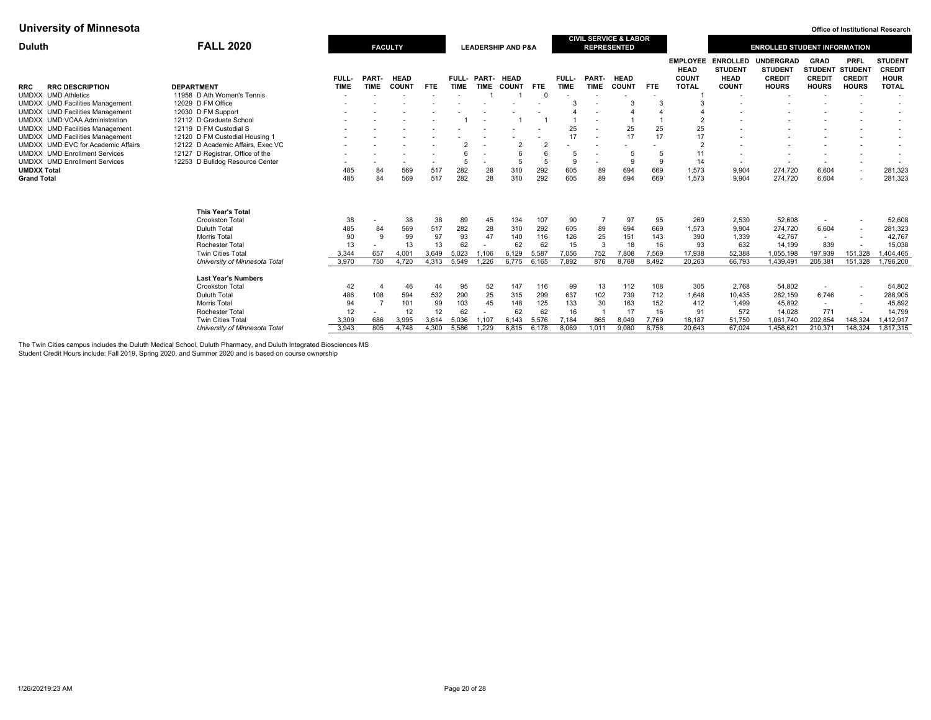| <b>FALL 2020</b><br>Duluth             |                                   |              |             | <b>FACULTY</b>           |                          |             |             | <b>LEADERSHIP AND P&amp;A</b> |                |             |                          | <b>CIVIL SERVICE &amp; LABOR</b><br><b>REPRESENTED</b> |                          |                                                |                                                  | <b>ENROLLED STUDENT INFORMATION</b>                 |                                                        |                              |                                                |
|----------------------------------------|-----------------------------------|--------------|-------------|--------------------------|--------------------------|-------------|-------------|-------------------------------|----------------|-------------|--------------------------|--------------------------------------------------------|--------------------------|------------------------------------------------|--------------------------------------------------|-----------------------------------------------------|--------------------------------------------------------|------------------------------|------------------------------------------------|
|                                        |                                   | <b>FULL-</b> | PART-       | <b>HEAD</b>              |                          | FULL- PART- |             | <b>HEAD</b>                   |                | FULL-       | PART-                    | <b>HEAD</b>                                            |                          | <b>EMPLOYEE</b><br><b>HEAD</b><br><b>COUNT</b> | <b>ENROLLED</b><br><b>STUDENT</b><br><b>HEAD</b> | <b>UNDERGRAD</b><br><b>STUDENT</b><br><b>CREDIT</b> | <b>GRAD</b><br><b>STUDENT STUDENT</b><br><b>CREDIT</b> | <b>PRFL</b><br><b>CREDIT</b> | <b>STUDENT</b><br><b>CREDIT</b><br><b>HOUR</b> |
| <b>RRC DESCRIPTION</b><br><b>RRC</b>   | <b>DEPARTMENT</b>                 | <b>TIME</b>  | <b>TIME</b> | <b>COUNT</b>             | <b>FTE</b>               | <b>TIME</b> | <b>TIME</b> | <b>COUNT</b>                  | <b>FTE</b>     | <b>TIME</b> | <b>TIME</b>              | <b>COUNT</b>                                           | <b>FTE</b>               | <b>TOTAL</b>                                   | <b>COUNT</b>                                     | <b>HOURS</b>                                        | <b>HOURS</b>                                           | <b>HOURS</b>                 | <b>TOTAL</b>                                   |
| UMDXX UMD Athletics                    | 11958 D Ath Women's Tennis        |              |             |                          | $\overline{\phantom{a}}$ |             |             |                               | $\Omega$       |             | $\overline{\phantom{a}}$ |                                                        | $\overline{\phantom{a}}$ |                                                | $\overline{\phantom{a}}$                         |                                                     | $\overline{\phantom{a}}$                               | $\overline{\phantom{a}}$     |                                                |
| UMDXX UMD Facilities Management        | 12029 D FM Office                 |              |             |                          |                          |             |             |                               |                |             |                          |                                                        |                          |                                                |                                                  |                                                     |                                                        |                              |                                                |
| UMDXX UMD Facilities Management        | 12030 D FM Support                |              |             |                          |                          |             |             |                               |                |             | $\overline{\phantom{a}}$ |                                                        |                          |                                                |                                                  |                                                     |                                                        |                              |                                                |
| UMDXX UMD VCAA Administration          | 12112 D Graduate School           |              |             |                          |                          |             |             |                               |                |             | $\overline{\phantom{a}}$ |                                                        |                          |                                                |                                                  |                                                     |                                                        |                              | $\overline{\phantom{a}}$                       |
| <b>UMDXX</b> UMD Facilities Management | 12119 D FM Custodial S            |              |             |                          |                          |             |             |                               |                | 25          |                          | 25                                                     | 25                       | 25                                             |                                                  |                                                     |                                                        |                              |                                                |
| UMDXX UMD Facilities Management        | 12120 D FM Custodial Housing 1    |              |             |                          |                          |             |             |                               |                | 17          | $\overline{\phantom{a}}$ | 17                                                     | 17                       | 17                                             |                                                  |                                                     |                                                        |                              | $\overline{\phantom{a}}$                       |
| UMDXX UMD EVC for Academic Affairs     | 12122 D Academic Affairs, Exec VC |              |             |                          |                          |             |             | $\overline{2}$                | $\overline{2}$ |             | $\overline{\phantom{a}}$ |                                                        |                          |                                                |                                                  |                                                     |                                                        |                              | $\overline{\phantom{a}}$                       |
| <b>UMDXX UMD Enrollment Services</b>   | 12127 D Registrar, Office of the  |              |             |                          |                          |             |             | 6                             |                | 5           |                          | 5                                                      |                          | 11                                             |                                                  |                                                     |                                                        |                              |                                                |
| <b>UMDXX UMD Enrollment Services</b>   | 12253 D Bulldog Resource Center   |              |             | $\overline{\phantom{a}}$ | $\overline{\phantom{a}}$ | 5           |             | 5                             | 5              | 9           | $\overline{\phantom{a}}$ | 9                                                      | 9                        | 14                                             | $\overline{\phantom{a}}$                         | $\sim$                                              | $\sim$                                                 | $\overline{\phantom{a}}$     |                                                |
| UMDXX Total                            |                                   | 485          | 84          | 569                      | 517                      | 282         | 28          | 310                           | 292            | 605         | 89                       | 694                                                    | 669                      | 1,573                                          | 9,904                                            | 274,720                                             | 6,604                                                  | $\overline{\phantom{a}}$     | 281,323                                        |
| <b>Grand Total</b>                     |                                   | 485          | 84          | 569                      | 517                      | 282         | 28          | 310                           | 292            | 605         | 89                       | 694                                                    | 669                      | 1.573                                          | 9.904                                            | 274,720                                             | 6,604                                                  |                              | 281,323                                        |
|                                        | <b>This Year's Total</b>          |              |             |                          |                          |             |             |                               |                |             |                          |                                                        |                          |                                                |                                                  |                                                     |                                                        |                              |                                                |
|                                        | Crookston Total                   | 38           |             | 38                       | 38                       | 89          | 45          | 134                           | 107            | 90          |                          | 97                                                     | 95                       | 269                                            | 2,530                                            | 52,608                                              | $\overline{\phantom{a}}$                               | $\overline{\phantom{a}}$     | 52,608                                         |
|                                        | Duluth Total                      | 485          | 84          | 569                      | 517                      | 282         | 28          | 310                           | 292            | 605         | 89                       | 694                                                    | 669                      | 1,573                                          | 9,904                                            | 274,720                                             | 6,604                                                  | $\overline{\phantom{a}}$     | 281,323                                        |
|                                        | Morris Total                      | 90           | <b>q</b>    | 99                       | 97                       | 93          | 47          | 140                           | 116            | 126         | 25                       | 151                                                    | 143                      | 390                                            | 1,339                                            | 42,767                                              | $\overline{\phantom{a}}$                               | $\overline{\phantom{a}}$     | 42,767                                         |
|                                        | <b>Rochester Total</b>            | 13           |             | 13                       | 13                       | 62          |             | 62                            | 62             | 15          | 3                        | 18                                                     | 16                       | 93                                             | 632                                              | 14,199                                              | 839                                                    |                              | 15,038                                         |
|                                        | <b>Twin Cities Total</b>          | 3,344        | 657         | 4,001                    | 3.649                    | 5,023       | 1.106       | 6.129                         | 5,587          | 7.056       | 752                      | 7,808                                                  | 7.569                    | 17,938                                         | 52,388                                           | 1,055,198                                           | 197,939                                                | 151.328                      | 1,404,465                                      |
|                                        | University of Minnesota Total     | 3,970        | 750         | 4.720                    |                          | 4,313 5,549 | 1.226       | 6,775                         | 6.165          | 7.892       | 876                      | 8.768                                                  | 8.492                    | 20.263                                         | 66,793                                           | 1,439,491                                           | 205,381                                                | 151,328                      | 1,796,200                                      |
|                                        |                                   |              |             |                          |                          |             |             |                               |                |             |                          |                                                        |                          |                                                |                                                  |                                                     |                                                        |                              |                                                |
|                                        | <b>Last Year's Numbers</b>        |              |             |                          |                          |             |             |                               |                |             |                          |                                                        |                          |                                                |                                                  |                                                     |                                                        |                              |                                                |
|                                        | Crookston Total                   | 42           |             | 46                       | 44                       | 95          | 52          | 147                           | 116            | 99          | 13                       | 112                                                    | 108                      | 305                                            | 2,768                                            | 54,802                                              | $\overline{\phantom{a}}$                               |                              | 54,802                                         |
|                                        | Duluth Total                      | 486          | 108         | 594                      | 532                      | 290         | 25          | 315                           | 299            | 637         | 102                      | 739                                                    | 712                      | 1,648                                          | 10,435                                           | 282,159                                             | 6,746                                                  | $\overline{\phantom{a}}$     | 288,905                                        |
|                                        | Morris Total                      | 94           |             | 101                      | 99                       | 103         | 45          | 148                           | 125            | 133         | 30                       | 163                                                    | 152                      | 412                                            | 1.499                                            | 45,892                                              | $\sim$                                                 | $\overline{\phantom{a}}$     | 45,892                                         |
|                                        | <b>Rochester Total</b>            | 12           |             | 12                       | 12                       | 62          |             | 62                            | 62             | 16          |                          | 17                                                     | 16                       | 91                                             | 572                                              | 14,028                                              | 771                                                    |                              | 14,799                                         |
|                                        | <b>Twin Cities Total</b>          | 3,309        | 686         | 3,995                    | 3,614                    | 5,036       | 1,107       | 6.143                         | 5.576          | 7,184       | 865                      | 8,049                                                  | 7,769                    | 18,187                                         | 51,750                                           | 1,061,740                                           | 202.854                                                | 148,324                      | 1,412,917                                      |
|                                        | University of Minnesota Total     | 3.943        | 805         | 4.748                    | 4.300                    | 5.586       | 1.229       | 6.815                         | 6.178          | 8.069       | 1.011                    | 9.080                                                  | 8.758                    | 20.643                                         | 67.024                                           | 1,458,621                                           | 210,371                                                | 148,324                      | 1.817.315                                      |

The Twin Cities campus includes the Duluth Medical School, Duluth Pharmacy, and Duluth Integrated Biosciences MS

Student Credit Hours include: Fall 2019, Spring 2020, and Summer 2020 and is based on course ownership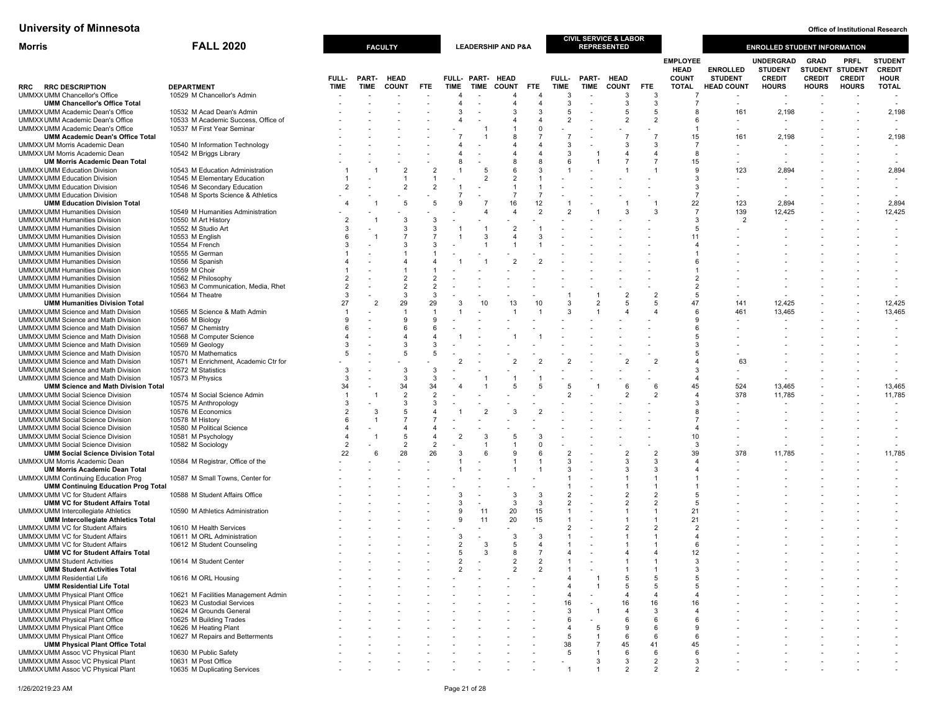| Morris                                                                               | <b>FALL 2020</b>                                                  |                |                | <b>FACULTY</b>       |                     |                     |                | <b>LEADERSHIP AND P&amp;A</b> |                |                              |                | <b>CIVIL SERVICE &amp; LABOR</b><br><b>REPRESENTED</b> |                                  |                                                |                                   | <b>ENROLLED STUDENT INFORMATION</b>          |                              |                                                 |                                                |
|--------------------------------------------------------------------------------------|-------------------------------------------------------------------|----------------|----------------|----------------------|---------------------|---------------------|----------------|-------------------------------|----------------|------------------------------|----------------|--------------------------------------------------------|----------------------------------|------------------------------------------------|-----------------------------------|----------------------------------------------|------------------------------|-------------------------------------------------|------------------------------------------------|
|                                                                                      |                                                                   | FULL-          | PART-          | <b>HEAD</b>          |                     |                     | FULL- PART-    | <b>HEAD</b>                   |                | FULL-                        | PART-          | <b>HEAD</b>                                            |                                  | <b>EMPLOYEE</b><br><b>HEAD</b><br><b>COUNT</b> | <b>ENROLLED</b><br><b>STUDENT</b> | UNDERGRAD<br><b>STUDENT</b><br><b>CREDIT</b> | <b>GRAD</b><br><b>CREDIT</b> | PRFL<br><b>STUDENT STUDENT</b><br><b>CREDIT</b> | <b>STUDENT</b><br><b>CREDIT</b><br><b>HOUR</b> |
| <b>RRC DESCRIPTION</b><br>RRC                                                        | <b>DEPARTMENT</b>                                                 | <b>TIME</b>    | <b>TIME</b>    | <b>COUNT</b>         | <b>FTE</b>          | <b>TIME</b>         | TIME           | <b>COUNT</b>                  | <b>FTE</b>     | <b>TIME</b>                  | <b>TIME</b>    | <b>COUNT</b>                                           | <b>FTE</b>                       | TOTAL                                          | <b>HEAD COUNT</b>                 | <b>HOURS</b>                                 | <b>HOURS</b>                 | <b>HOURS</b>                                    | <b>TOTAL</b>                                   |
| UMMXX UMM Chancellor's Office                                                        | 10529 M Chancellor's Admin                                        |                |                |                      |                     | 4                   |                | 4                             |                | 3                            |                | 3                                                      | 3                                |                                                |                                   |                                              |                              |                                                 |                                                |
| <b>UMM Chancellor's Office Total</b>                                                 |                                                                   |                |                |                      |                     | $\overline{4}$      |                | 4                             |                | 3                            |                | 3                                                      | 3                                |                                                | $\overline{\phantom{a}}$          | $\overline{\phantom{a}}$                     |                              |                                                 |                                                |
| UMMXX UMM Academic Dean's Office<br>UMMXX UMM Academic Dean's Office                 | 10532 M Acad Dean's Admin<br>10533 M Academic Success, Office of  |                |                |                      |                     | 3<br>4              |                | 3<br>4                        |                | 5<br>$\overline{2}$          |                | 5<br>2                                                 | 5<br>$\overline{2}$              |                                                | 161                               | 2,198                                        |                              |                                                 | 2,198                                          |
| UMMXX UMM Academic Dean's Office                                                     | 10537 M First Year Seminar                                        |                |                |                      |                     |                     |                |                               |                |                              |                |                                                        |                                  |                                                |                                   |                                              |                              |                                                 |                                                |
| <b>UMM Academic Dean's Office Total</b>                                              |                                                                   |                |                |                      |                     |                     |                |                               |                |                              |                |                                                        | $\overline{7}$                   | 15                                             | 161                               | 2,198                                        |                              |                                                 | 2,198                                          |
| UMMXX UM Morris Academic Dean                                                        | 10540 M Information Technology                                    |                |                |                      |                     |                     |                |                               |                | 3                            |                | 3                                                      | 3                                |                                                |                                   |                                              |                              |                                                 |                                                |
| UMMXX UM Morris Academic Dean                                                        | 10542 M Briggs Library                                            |                |                |                      |                     |                     |                | Δ                             |                | 3                            |                | Δ                                                      | $\Delta$                         |                                                |                                   |                                              |                              |                                                 | $\overline{\phantom{a}}$                       |
| <b>UM Morris Academic Dean Total</b><br><b>UMMXX UMM Education Division</b>          | 10543 M Education Administration                                  |                |                | $\overline{2}$       | $\overline{2}$      | 8                   | 5              | 8<br>6                        |                | 6                            |                |                                                        |                                  | 15<br><b>q</b>                                 | 123                               | 2,894                                        |                              |                                                 | 2,894                                          |
| <b>UMMXX UMM Education Division</b>                                                  | 10545 M Elementary Education                                      |                |                |                      | $\mathbf{1}$        |                     | $\overline{2}$ | $\overline{2}$                |                |                              |                |                                                        |                                  |                                                |                                   |                                              |                              |                                                 |                                                |
| <b>UMMXX UMM Education Division</b>                                                  | 10546 M Secondary Education                                       | 2              |                | $\overline{2}$       | $\overline{2}$      |                     |                |                               |                |                              |                |                                                        |                                  | 3                                              |                                   |                                              |                              |                                                 | ٠                                              |
| <b>UMMXX UMM Education Division</b>                                                  | 10548 M Sports Science & Athletics                                |                |                |                      |                     | $\overline{7}$      |                | $\overline{7}$                |                |                              |                |                                                        |                                  |                                                |                                   |                                              |                              |                                                 |                                                |
| <b>UMM Education Division Total</b>                                                  |                                                                   |                |                | 5                    | 5                   | 9                   |                | 16                            | 12             | $\overline{2}$               |                | 3                                                      | 3                                | 22<br>$\overline{7}$                           | 123                               | 2,894                                        |                              |                                                 | 2,894                                          |
| <b>UMMXX UMM Humanities Division</b><br><b>UMMXX UMM Humanities Division</b>         | 10549 M Humanities Administration<br>10550 M Art History          |                |                | 3                    | 3                   |                     |                | 4                             |                |                              |                |                                                        |                                  | 3                                              | 139<br>$\overline{2}$             | 12,425                                       |                              |                                                 | 12,425                                         |
| <b>UMMXX UMM Humanities Division</b>                                                 | 10552 M Studio Art                                                |                |                | 3                    | 3                   |                     |                | 2                             |                |                              |                |                                                        |                                  |                                                |                                   |                                              |                              |                                                 |                                                |
| <b>UMMXX UMM Humanities Division</b>                                                 | 10553 M English                                                   |                |                | $\overline{7}$       |                     |                     |                |                               |                |                              |                |                                                        |                                  | 11                                             |                                   |                                              |                              |                                                 |                                                |
| <b>UMMXX UMM Humanities Division</b>                                                 | 10554 M French                                                    |                |                | 3                    |                     |                     |                |                               |                |                              |                |                                                        |                                  |                                                |                                   |                                              |                              |                                                 |                                                |
| <b>UMMXX UMM Humanities Division</b>                                                 | 10555 M German                                                    |                |                |                      |                     |                     |                |                               |                |                              |                |                                                        |                                  |                                                |                                   |                                              |                              |                                                 |                                                |
| <b>UMMXX UMM Humanities Division</b><br><b>UMMXX UMM Humanities Division</b>         | 10556 M Spanish<br>10559 M Choir                                  |                |                | $\overline{4}$       |                     |                     |                |                               |                |                              |                |                                                        |                                  |                                                |                                   |                                              |                              |                                                 |                                                |
| <b>UMMXX UMM Humanities Division</b>                                                 | 10562 M Philosophy                                                |                |                | $\overline{2}$       |                     |                     |                |                               |                |                              |                |                                                        |                                  |                                                |                                   |                                              |                              |                                                 |                                                |
| <b>UMMXX UMM Humanities Division</b>                                                 | 10563 M Communication, Media, Rhet                                |                |                | $\overline{2}$       | $\mathcal{P}$       |                     |                |                               |                |                              |                |                                                        |                                  |                                                |                                   |                                              |                              |                                                 |                                                |
| <b>UMMXX UMM Humanities Division</b>                                                 | 10564 M Theatre                                                   | 3              |                | 3                    | 3                   |                     |                |                               |                |                              |                | 2                                                      | $\overline{2}$                   | 5                                              |                                   |                                              |                              |                                                 |                                                |
| <b>UMM Humanities Division Total</b>                                                 |                                                                   | 27             | $\overline{2}$ | 29<br>$\overline{1}$ | 29                  | 3                   | 10             | 13                            | 10             | 3<br>3                       | $\overline{2}$ | 5                                                      | 5                                | 47                                             | 141<br>461                        | 12,425                                       |                              |                                                 | 12,425<br>13,465                               |
| UMMXX UMM Science and Math Division<br>UMMXX UMM Science and Math Division           | 10565 M Science & Math Admin<br>10566 M Biology                   |                |                | 9                    |                     |                     |                |                               |                |                              |                |                                                        |                                  |                                                |                                   | 13,465                                       |                              |                                                 |                                                |
| UMMXX UMM Science and Math Division                                                  | 10567 M Chemistry                                                 |                |                | 6                    | -6                  |                     |                |                               |                |                              |                |                                                        |                                  |                                                |                                   |                                              |                              |                                                 |                                                |
| UMMXX UMM Science and Math Division                                                  | 10568 M Computer Science                                          |                |                |                      |                     |                     |                |                               |                |                              |                |                                                        |                                  |                                                |                                   |                                              |                              |                                                 |                                                |
| UMMXX UMM Science and Math Division                                                  | 10569 M Geology                                                   |                |                | 3                    | 3                   |                     |                |                               |                |                              |                |                                                        |                                  |                                                |                                   |                                              |                              |                                                 |                                                |
| UMMXX UMM Science and Math Division<br>UMMXX UMM Science and Math Division           | 10570 M Mathematics<br>10571 M Enrichment, Academic Ctr for       |                |                | $5\overline{5}$      | -5                  |                     |                |                               |                |                              |                |                                                        | $\overline{2}$                   |                                                | 63                                |                                              |                              |                                                 | ٠                                              |
| UMMXX UMM Science and Math Division                                                  | 10572 M Statistics                                                | 3              |                | 3                    | 3                   |                     |                |                               |                |                              |                |                                                        |                                  |                                                |                                   |                                              |                              |                                                 | $\overline{\phantom{a}}$                       |
| UMMXX UMM Science and Math Division                                                  | 10573 M Physics                                                   | 3              |                | 3                    | 3                   |                     |                |                               |                |                              |                |                                                        |                                  |                                                |                                   |                                              |                              |                                                 |                                                |
| <b>UMM Science and Math Division Total</b>                                           |                                                                   | 34             |                | 34                   | 34                  |                     |                |                               |                |                              |                | 6                                                      | 6                                | 45                                             | 524                               | 13,465                                       |                              |                                                 | 13,465                                         |
| <b>UMMXX UMM Social Science Division</b>                                             | 10574 M Social Science Admin                                      | -1<br>3        | $\overline{1}$ | $\overline{2}$<br>3  | $\overline{2}$<br>3 |                     |                |                               |                |                              |                | 2                                                      | $\overline{\phantom{a}}$         |                                                | 378                               | 11,785                                       |                              |                                                 | 11,785                                         |
| <b>UMMXX UMM Social Science Division</b><br><b>UMMXX UMM Social Science Division</b> | 10575 M Anthropology<br>10576 M Economics                         |                | 3              | 5                    |                     |                     |                |                               |                |                              |                |                                                        |                                  |                                                |                                   |                                              |                              |                                                 |                                                |
| <b>UMMXX UMM Social Science Division</b>                                             | 10578 M History                                                   |                |                |                      |                     |                     |                |                               |                |                              |                |                                                        |                                  |                                                |                                   |                                              |                              |                                                 |                                                |
| <b>UMMXX UMM Social Science Division</b>                                             | 10580 M Political Science                                         |                |                | $\overline{4}$       |                     |                     |                |                               |                |                              |                |                                                        |                                  |                                                |                                   |                                              |                              |                                                 |                                                |
| <b>UMMXX UMM Social Science Division</b>                                             | 10581 M Psychology                                                |                |                | 5                    |                     | 2                   |                | 5                             |                |                              |                |                                                        |                                  | 10                                             |                                   |                                              |                              |                                                 |                                                |
| <b>UMMXX UMM Social Science Division</b>                                             | 10582 M Sociology                                                 | $\overline{2}$ |                | $\overline{2}$       | $\overline{2}$      |                     |                |                               |                | $\overline{2}$               |                |                                                        |                                  |                                                |                                   |                                              |                              |                                                 |                                                |
| <b>UMM Social Science Division Total</b><br>UMMXX UM Morris Academic Dean            | 10584 M Registrar, Office of the                                  | 22             | 6              | 28                   | 26                  | 3                   |                |                               |                | 3                            |                | $\overline{2}$<br>3                                    | $\overline{2}$<br>3              | 39                                             | 378                               | 11,785                                       |                              |                                                 | 11,785                                         |
| <b>UM Morris Academic Dean Total</b>                                                 |                                                                   |                |                |                      |                     |                     |                |                               |                | 3                            |                | 3                                                      | 3                                |                                                |                                   |                                              |                              |                                                 |                                                |
| <b>UMMXX UMM Continuing Education Prog</b>                                           | 10587 M Small Towns, Center for                                   |                |                |                      |                     |                     |                |                               |                |                              |                |                                                        |                                  |                                                |                                   |                                              |                              |                                                 |                                                |
| <b>UMM Continuing Education Prog Total</b>                                           |                                                                   |                |                |                      |                     |                     |                |                               |                |                              |                |                                                        |                                  |                                                |                                   |                                              |                              |                                                 |                                                |
| UMMXX UMM VC for Student Affairs<br><b>UMM VC for Student Affairs Total</b>          | 10588 M Student Affairs Office                                    |                |                |                      |                     | З                   |                | 3<br>3                        | 3<br>3         | 2<br>$\overline{\mathbf{c}}$ |                | 2<br>2                                                 | $\overline{2}$<br>$\overline{2}$ |                                                |                                   |                                              |                              |                                                 |                                                |
| UMMXX UMM Intercollegiate Athletics                                                  | 10590 M Athletics Administration                                  |                |                |                      |                     | 9                   | 11             | 20                            | 15             |                              |                |                                                        |                                  | 21                                             |                                   |                                              |                              |                                                 |                                                |
| <b>UMM Intercollegiate Athletics Total</b>                                           |                                                                   |                |                |                      |                     | $\mathbf{Q}$        | 11             | 20                            | 15             |                              |                |                                                        |                                  | 21                                             |                                   |                                              |                              |                                                 |                                                |
| UMMXX UMM VC for Student Affairs                                                     | 10610 M Health Services                                           |                |                |                      |                     |                     |                |                               |                |                              |                |                                                        |                                  |                                                |                                   |                                              |                              |                                                 |                                                |
| UMMXX UMM VC for Student Affairs                                                     | 10611 M ORL Administration                                        |                |                |                      |                     | 3<br>$\overline{2}$ |                | 3<br>5                        |                |                              |                |                                                        |                                  |                                                |                                   |                                              |                              |                                                 |                                                |
| UMMXX UMM VC for Student Affairs<br><b>UMM VC for Student Affairs Total</b>          | 10612 M Student Counseling                                        |                |                |                      |                     | 5                   | 3<br>3         | 8                             |                |                              |                |                                                        |                                  | 12                                             |                                   |                                              |                              |                                                 |                                                |
| <b>UMMXX UMM Student Activities</b>                                                  | 10614 M Student Center                                            |                |                |                      |                     |                     |                |                               |                |                              |                |                                                        |                                  |                                                |                                   |                                              |                              |                                                 |                                                |
| <b>UMM Student Activities Total</b>                                                  |                                                                   |                |                |                      |                     | 2                   |                | $\overline{2}$                | $\overline{2}$ |                              |                |                                                        | -1                               | 3                                              |                                   |                                              |                              |                                                 |                                                |
| <b>UMMXX UMM Residential Life</b>                                                    | 10616 M ORL Housing                                               |                |                |                      |                     |                     |                |                               |                |                              |                | 5                                                      | 5                                | 5                                              |                                   |                                              |                              |                                                 |                                                |
| <b>UMM Residential Life Total</b>                                                    |                                                                   |                |                |                      |                     |                     |                |                               |                |                              |                | 5                                                      | 5                                |                                                |                                   |                                              |                              |                                                 |                                                |
| <b>UMMXX UMM Physical Plant Office</b><br>UMMXX UMM Physical Plant Office            | 10621 M Facilities Management Admin<br>10623 M Custodial Services |                |                |                      |                     |                     |                |                               |                | 16                           |                | $\overline{4}$<br>16                                   | $\overline{4}$<br>16             | 16                                             |                                   |                                              |                              |                                                 |                                                |
| UMMXX UMM Physical Plant Office                                                      | 10624 M Grounds General                                           |                |                |                      |                     |                     |                |                               |                | 3                            |                |                                                        | 3                                |                                                |                                   |                                              |                              |                                                 |                                                |
| UMMXX UMM Physical Plant Office                                                      | 10625 M Building Trades                                           |                |                |                      |                     |                     |                |                               |                | 6                            |                | 6                                                      | 6                                |                                                |                                   |                                              |                              |                                                 |                                                |
| UMMXX UMM Physical Plant Office                                                      | 10626 M Heating Plant                                             |                |                |                      |                     |                     |                |                               |                | $\overline{4}$               | 5              | 9                                                      | 6                                |                                                |                                   |                                              |                              |                                                 |                                                |
| UMMXX UMM Physical Plant Office<br><b>UMM Physical Plant Office Total</b>            | 10627 M Repairs and Betterments                                   |                |                |                      |                     |                     |                |                               |                | 5<br>38                      | $\overline{1}$ | 6<br>45                                                | 6<br>41                          | 45                                             |                                   |                                              |                              |                                                 |                                                |
| UMMXX UMM Assoc VC Physical Plant                                                    | 10630 M Public Safety                                             |                |                |                      |                     |                     |                |                               |                | 5                            |                | 6                                                      | 6                                | 6                                              |                                   |                                              |                              |                                                 |                                                |
| <b>UMMXX UMM Assoc VC Physical Plant</b>                                             | 10631 M Post Office                                               |                |                |                      |                     |                     |                |                               |                |                              | 3              | 3                                                      | $\overline{2}$                   | 3                                              |                                   |                                              |                              |                                                 |                                                |
| UMMXX UMM Assoc VC Physical Plant                                                    | 10635 M Duplicating Services                                      |                |                |                      |                     |                     |                |                               |                | 1                            |                | $\overline{2}$                                         | $\overline{2}$                   | 2                                              |                                   |                                              |                              |                                                 |                                                |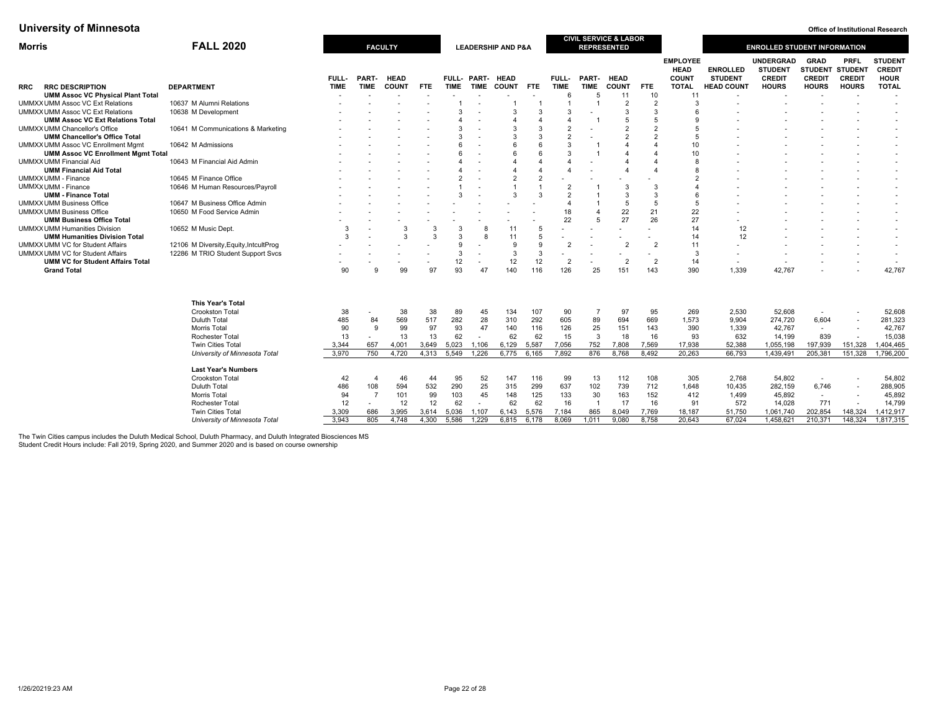| <b>Morris</b> |                                           | <b>FALL 2020</b>                       |             |             | <b>FACULTY</b> |            |             |                          | <b>LEADERSHIP AND P&amp;A</b> |                |                |             | <b>CIVIL SERVICE &amp; LABOR</b><br><b>REPRESENTED</b> |                |                                                |                                   | <b>ENROLLED STUDENT INFORMATION</b>          |                                                |                                                |                                                |
|---------------|-------------------------------------------|----------------------------------------|-------------|-------------|----------------|------------|-------------|--------------------------|-------------------------------|----------------|----------------|-------------|--------------------------------------------------------|----------------|------------------------------------------------|-----------------------------------|----------------------------------------------|------------------------------------------------|------------------------------------------------|------------------------------------------------|
|               |                                           |                                        | FULL-       | PART-       | <b>HEAD</b>    |            |             | FULL- PART-              | <b>HEAD</b>                   |                | FULL-          | PART-       | <b>HEAD</b>                                            |                | <b>EMPLOYEE</b><br><b>HEAD</b><br><b>COUNT</b> | <b>ENROLLED</b><br><b>STUDENT</b> | UNDERGRAD<br><b>STUDENT</b><br><b>CREDIT</b> | <b>GRAD</b><br><b>STUDENT</b><br><b>CREDIT</b> | <b>PRFL</b><br><b>STUDENT</b><br><b>CREDIT</b> | <b>STUDENT</b><br><b>CREDIT</b><br><b>HOUR</b> |
| <b>RRC</b>    | <b>RRC DESCRIPTION</b>                    | <b>DEPARTMENT</b>                      | <b>TIME</b> | <b>TIME</b> | <b>COUNT</b>   | <b>FTE</b> | <b>TIME</b> | TIME                     | <b>COUNT</b>                  | <b>FTE</b>     | <b>TIME</b>    | <b>TIME</b> | <b>COUNT</b>                                           | <b>FTE</b>     | <b>TOTAL</b>                                   | <b>HEAD COUNT</b>                 | <b>HOURS</b>                                 | <b>HOURS</b>                                   | <b>HOURS</b>                                   | <b>TOTAL</b>                                   |
|               | <b>UMM Assoc VC Physical Plant Total</b>  |                                        |             |             |                |            |             |                          |                               |                |                | 5           | 11                                                     | 10             | 11                                             |                                   |                                              |                                                |                                                |                                                |
|               | <b>UMMXX UMM Assoc VC Ext Relations</b>   | 10637 M Alumni Relations               |             |             |                |            |             |                          |                               |                |                |             | 2                                                      | $\overline{2}$ |                                                |                                   |                                              |                                                |                                                |                                                |
|               | UMMXX UMM Assoc VC Ext Relations          | 10638 M Development                    |             |             |                |            |             |                          |                               |                |                |             |                                                        | 3              |                                                |                                   |                                              |                                                |                                                |                                                |
|               | <b>UMM Assoc VC Ext Relations Total</b>   |                                        |             |             |                |            |             |                          |                               |                |                |             |                                                        | 5              |                                                |                                   |                                              |                                                |                                                |                                                |
|               | UMMXX UMM Chancellor's Office             | 10641 M Communications & Marketing     |             |             |                |            |             |                          | 3                             | 3              |                |             |                                                        | $\overline{2}$ |                                                |                                   |                                              |                                                |                                                | ٠                                              |
|               | <b>UMM Chancellor's Office Total</b>      |                                        |             |             |                |            |             |                          |                               |                |                |             |                                                        | $\mathcal{P}$  |                                                |                                   |                                              |                                                |                                                |                                                |
|               | UMMXX UMM Assoc VC Enrollment Mgmt        | 10642 M Admissions                     |             |             |                |            |             |                          |                               |                |                |             |                                                        |                | 10                                             |                                   |                                              |                                                |                                                |                                                |
|               | <b>UMM Assoc VC Enrollment Mamt Total</b> |                                        |             |             |                |            |             |                          |                               |                |                |             |                                                        |                | 10                                             |                                   |                                              |                                                |                                                |                                                |
|               | UMMXX UMM Financial Aid                   | 10643 M Financial Aid Admin            |             |             |                |            |             |                          |                               |                |                |             |                                                        |                |                                                |                                   |                                              |                                                |                                                |                                                |
|               | <b>UMM Financial Aid Total</b>            |                                        |             |             |                |            |             |                          |                               |                |                |             |                                                        |                |                                                |                                   |                                              |                                                |                                                |                                                |
|               | UMMXX UMM - Finance                       | 10645 M Finance Office                 |             |             |                |            |             |                          | $\overline{2}$                | $\overline{c}$ |                |             |                                                        |                |                                                |                                   |                                              |                                                |                                                |                                                |
|               | UMMXX UMM - Finance                       | 10646 M Human Resources/Payroll        |             |             |                |            |             | ٠.                       |                               |                | $\overline{2}$ |             | 3                                                      | 3              |                                                |                                   |                                              |                                                |                                                |                                                |
|               | <b>UMM - Finance Total</b>                |                                        |             |             |                |            | 3           |                          | 3                             | 3              |                |             | 3                                                      | 3              |                                                |                                   |                                              |                                                |                                                |                                                |
|               | <b>UMMXX UMM Business Office</b>          | 10647 M Business Office Admin          |             |             |                |            |             |                          |                               |                |                |             |                                                        | 5              |                                                |                                   |                                              |                                                |                                                |                                                |
|               | <b>UMMXX UMM Business Office</b>          | 10650 M Food Service Admin             |             |             |                |            |             |                          |                               |                | 18             |             | 22                                                     | 21             | 22                                             |                                   |                                              |                                                |                                                |                                                |
|               | <b>UMM Business Office Total</b>          |                                        |             |             |                |            |             |                          |                               |                | 22             | 5           | 27                                                     | 26             | 27                                             |                                   |                                              |                                                |                                                |                                                |
|               | <b>UMMXX UMM Humanities Division</b>      | 10652 M Music Dept.                    |             |             |                | 3          | 3           |                          | 11                            | 5              |                |             | ٠                                                      |                | 14                                             | 12                                |                                              |                                                |                                                | ٠                                              |
|               | <b>UMM Humanities Division Total</b>      |                                        | 3           |             | 3              | 3          | 3           |                          | 11                            | 5              |                |             |                                                        |                | 14                                             | 12                                |                                              |                                                |                                                |                                                |
|               | UMMXX UMM VC for Student Affairs          | 12106 M Diversity, Equity, IntcultProg |             |             |                |            | 9           |                          | 9                             | 9              | $\overline{2}$ |             | $\overline{2}$                                         | $\overline{2}$ | 11                                             |                                   |                                              |                                                |                                                |                                                |
|               | UMMXX UMM VC for Student Affairs          | 12286 M TRIO Student Support Svcs      |             |             |                |            | 3           |                          | 3                             | 3              |                |             |                                                        |                | 3                                              |                                   |                                              |                                                |                                                | $\overline{\phantom{a}}$                       |
|               | <b>UMM VC for Student Affairs Total</b>   |                                        |             |             |                |            | 12          | $\overline{\phantom{a}}$ | 12                            | 12             | $\overline{2}$ |             | $\overline{2}$                                         | 2              | 14                                             |                                   |                                              |                                                |                                                |                                                |
|               | <b>Grand Total</b>                        |                                        | 90          |             | 99             | 97         | 93          | 47                       | 140                           | 116            | 126            | 25          | 151                                                    | 143            | 390                                            | 1,339                             | 42,767                                       |                                                |                                                | 42,767                                         |
|               |                                           | <b>This Year's Total</b>               |             |             |                |            |             |                          |                               |                |                |             |                                                        |                |                                                |                                   |                                              |                                                |                                                |                                                |
|               |                                           | <b>Crookston Total</b>                 | 38          |             | 38             | 38         | 89          | 45                       | 134                           | 107            | 90             |             | 97                                                     | 95             | 269                                            | 2,530                             | 52,608                                       | $\sim$                                         |                                                | 52,608                                         |
|               |                                           | Duluth Total                           | 485         | 84          | 569            | 517        | 282         | 28                       | 310                           | 292            | 605            | 89          | 694                                                    | 669            | 1,573                                          | 9,904                             | 274,720                                      | 6,604                                          |                                                | 281,323                                        |
|               |                                           | <b>Morris Total</b>                    | 90          | 9           | 99             | 97         | 93          | 47                       | 140                           | 116            | 126            | 25          | 151                                                    | 143            | 390                                            | 1,339                             | 42,767                                       | $\overline{\phantom{a}}$                       |                                                | 42,767                                         |
|               |                                           | Rochester Total                        | 13          |             | 13             | 13         | 62          |                          | 62                            | 62             | 15             | 3           | 18                                                     | 16             | 93                                             | 632                               | 14,199                                       | 839                                            |                                                | 15,038                                         |
|               |                                           | <b>Twin Cities Total</b>               | 3,344       | 657         | 4,001          | 3,649      | 5,023       | 1,106                    | 6,129                         | 5,587          | 7,056          | 752         | 7,808                                                  | 7,569          | 17,938                                         | 52,388                            | 1,055,198                                    | 197,939                                        | 151,328                                        | 1,404,465                                      |
|               |                                           | University of Minnesota Total          | 3,970       | 750         | 4.720          | 4,313      | 5.549       | 1.226                    | 6.775                         | 6.165          | 7.892          | 876         | 8.768                                                  | 8.492          | 20,263                                         | 66,793                            | 1,439,491                                    | 205,381                                        | 151,328                                        | 1.796.200                                      |
|               |                                           | <b>Last Year's Numbers</b>             |             |             |                |            |             |                          |                               |                |                |             |                                                        |                |                                                |                                   |                                              |                                                |                                                |                                                |
|               |                                           | Crookston Total                        | 42          | 4           | 46             | 44         | 95          | 52                       | 147                           | 116            | 99             | 13          | 112                                                    | 108            | 305                                            | 2,768                             | 54,802                                       | $\overline{\phantom{a}}$                       |                                                | 54,802                                         |
|               |                                           | Duluth Total                           | 486         | 108         | 594            | 532        | 290         | 25                       | 315                           | 299            | 637            | 102         | 739                                                    | 712            | 1,648                                          | 10,435                            | 282,159                                      | 6,746                                          | $\overline{\phantom{a}}$                       | 288,905                                        |
|               |                                           | <b>Morris Total</b>                    | 94          | -7          | 101            | 99         | 103         | 45                       | 148                           | 125            | 133            | 30          | 163                                                    | 152            | 412                                            | 1,499                             | 45,892                                       | $\sim$                                         | $\blacksquare$                                 | 45,892                                         |
|               |                                           | <b>Rochester Total</b>                 | 12          |             | 12             | 12         | 62          |                          | 62                            | 62             | 16             |             | 17                                                     | 16             | 91                                             | 572                               | 14,028                                       | 771                                            |                                                | 14,799                                         |
|               |                                           | <b>Twin Cities Total</b>               | 3,309       | 686         | 3,995          | 3,614      | 5,036       | 1,107                    | 6,143                         | 5,576          | 7,184          | 865         | 8,049                                                  | 7,769          | 18,187                                         | 51,750                            | 1,061,740                                    | 202,854                                        | 148,324                                        | 1,412,917                                      |
|               |                                           | University of Minnesota Total          | 3.943       | 805         | 4.748          | 4.300      | 5.586       | 1.229                    | 6.815                         | 6.178          | 8.069          | 1.011       | 9.080                                                  | 8.758          | 20.643                                         | 67.024                            | 1,458,621                                    | 210.371                                        | 148.324                                        | 1.817.315                                      |

The Twin Cities campus includes the Duluth Medical School, Duluth Pharmacy, and Duluth Integrated Biosciences MS Student Credit Hours include: Fall 2019, Spring 2020, and Summer 2020 and is based on course ownership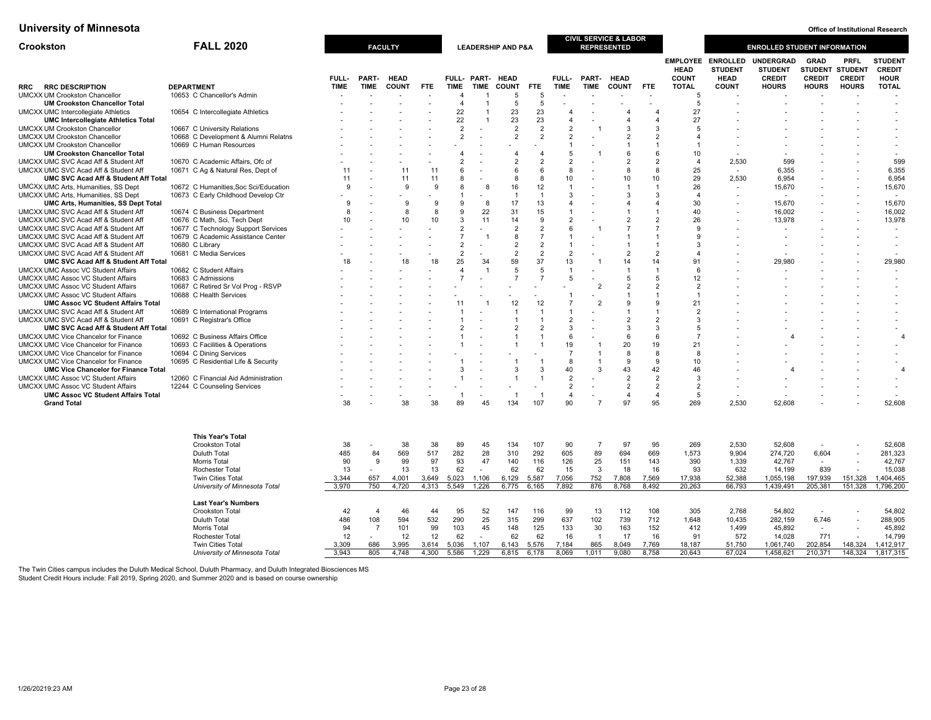| <b>EMPLOYEE ENROLLED</b><br><b>STUDENT</b><br>UNDERGRAD<br><b>GRAD</b><br><b>PRFL</b><br><b>CREDIT</b><br><b>STUDENT</b><br><b>STUDENT</b><br><b>STUDENT STUDENT</b><br><b>HEAD</b><br><b>HEAD</b><br>FULL-<br>PART-<br><b>HEAD</b><br><b>COUNT</b><br><b>CREDIT</b><br><b>HOUR</b><br>FULL-<br>PART-<br>FULL- PART-<br><b>HEAD</b><br><b>HEAD</b><br><b>CREDIT</b><br><b>CREDIT</b><br><b>DEPARTMENT</b><br><b>TIME</b><br><b>COUNT</b><br><b>TIME</b><br><b>TIME</b><br><b>COUNT</b><br><b>TIME</b><br><b>TIME</b><br><b>COUNT</b><br><b>FTE</b><br><b>TOTAL</b><br><b>COUNT</b><br><b>HOURS</b><br><b>HOURS</b><br><b>HOURS</b><br><b>TOTAL</b><br><b>RRC DESCRIPTION</b><br><b>TIME</b><br><b>FTE</b><br>FTE.<br>RRC<br><b>UMCXX UM Crookston Chancellor</b><br>10653 C Chancellor's Admin<br>5<br>5<br>-5<br><b>UM Crookston Chancellor Total</b><br>$\overline{4}$<br>5<br>5<br>5<br>23<br>22<br>23<br><b>UMCXX UMC Intercollegiate Athletics</b><br>10654 C Intercollegiate Athletics<br>27<br>$\boldsymbol{\Delta}$<br>4<br>22<br>23<br>23<br>27<br><b>UMC Intercollegiate Athletics Total</b><br>$\overline{4}$<br>$\boldsymbol{\Delta}$<br>$\Delta$<br>$\overline{2}$<br><b>UMCXX UM Crookston Chancellor</b><br>10667 C University Relations<br>$\overline{2}$<br>$\overline{2}$<br>$\overline{2}$<br>3<br>3<br>5<br>٠<br>$\overline{2}$<br><b>UMCXX UM Crookston Chancellor</b><br>10668 C Development & Alumni Relatns<br>$\overline{2}$<br>$\overline{2}$<br>$\overline{2}$<br>$\overline{2}$<br>$\overline{2}$<br>10669 C Human Resources<br><b>UMCXX UM Crookston Chancellor</b><br>-1<br>6<br><b>UM Crookston Chancellor Total</b><br>$\overline{4}$<br>5<br>6<br>10<br>$\boldsymbol{\Delta}$<br>$\tilde{\phantom{a}}$<br>599<br>10670 C Academic Affairs, Ofc of<br>っ<br>$\overline{2}$<br>$\mathcal{P}$<br>$\mathcal{P}$<br>$\overline{2}$<br>2,530<br>599<br>UMCXX UMC SVC Acad Aff & Student Aff<br>$\Delta$<br>6,355<br>UMCXX UMC SVC Acad Aff & Student Aff<br>10671 C Ag & Natural Res, Dept of<br>11<br>11<br>6<br>6<br>8<br>8<br>8<br>25<br>6,355<br>11<br>6<br>6,954<br>UMC SVC Acad Aff & Student Aff Total<br>11<br>11<br>11<br>10<br>10<br>10<br>29<br>2,530<br>6,954<br>8<br>8<br>-8<br>16<br>12<br>26<br>15,670<br>10672 C Humanities, Soc Sci/Education<br>$\mathbf{Q}$<br>-9<br>9<br>8<br>15,670<br>UMCXX UMC Arts, Humanities, SS Dept<br>$\overline{\mathbf{1}}$<br>-1<br>UMCXX UMC Arts, Humanities, SS Dept<br>10673 C Early Childhood Develop Ctr<br>3<br>3<br>3<br>$\mathbf{1}$<br>4<br>-1<br>$\overline{\phantom{a}}$<br>$\overline{\phantom{a}}$<br>17<br>15,670<br>9<br>9<br>13<br>30<br>15,670<br><b>UMC Arts, Humanities, SS Dept Total</b><br>9<br>-9<br>8<br>$\overline{4}$<br>4<br>4<br>$\blacksquare$<br>8<br>9<br>22<br>31<br>15<br>UMCXX UMC SVC Acad Aff & Student Aff<br>10674 C Business Department<br>8<br>R<br>40<br>16.002<br>16.002<br>$\overline{2}$<br>10<br>10<br>10 <sup>10</sup><br>3<br>14<br>$\overline{2}$<br>$\overline{2}$<br>26<br>13,978<br>13,978<br>UMCXX UMC SVC Acad Aff & Student Aff<br>10676 C Math, Sci, Tech Dept<br>11<br>9<br>UMCXX UMC SVC Acad Aff & Student Aff<br>10677 C Technology Support Services<br>$\overline{2}$<br>$\overline{2}$<br>$\overline{2}$<br>$\overline{7}$<br>$\overline{7}$<br>6<br>$\mathbf{Q}$<br>$\overline{\phantom{a}}$<br>UMCXX UMC SVC Acad Aff & Student Aff<br>10679 C Academic Assistance Center<br>$\overline{7}$<br>8<br>9<br>$\overline{1}$<br>$\overline{\phantom{a}}$<br>UMCXX UMC SVC Acad Aff & Student Aff<br>10680 C Library<br>$\overline{2}$<br>$\overline{2}$<br>$\overline{2}$<br>$\overline{1}$<br>$\overline{1}$<br>3<br>$\overline{\phantom{a}}$<br>$\overline{2}$<br>$\overline{2}$<br>UMCXX UMC SVC Acad Aff & Student Aff<br>10681 C Media Services<br>$\overline{2}$<br>$\overline{2}$<br>$\overline{2}$<br>$\overline{2}$<br>25<br>59<br>29,980<br>18<br>18<br>18<br>34<br>37<br>13<br>14<br>14<br>91<br>29,980<br>UMC SVC Acad Aff & Student Aff Total<br>10682 C Student Affairs<br>$\overline{A}$<br>-5<br>5<br><b>UMCXX UMC Assoc VC Student Affairs</b><br>$\overline{1}$<br>$\overline{1}$<br>6<br>٠<br>$\overline{7}$<br>$\overline{7}$<br>5<br><b>UMCXX UMC Assoc VC Student Affairs</b><br>10683 C Admissions<br>$\overline{7}$<br>5<br>5<br>12<br>$\overline{2}$<br>$\overline{2}$<br>UMCXX UMC Assoc VC Student Affairs<br>10687 C Retired Sr Vol Prog - RSVP<br>$\overline{2}$<br>$\overline{2}$<br>$\sim$<br><b>UMCXX UMC Assoc VC Student Affairs</b><br>10688 C Health Services<br>$\mathbf{1}$<br>$\mathbf{1}$<br>12<br><b>UMC Assoc VC Student Affairs Total</b><br>12<br>$\overline{7}$<br>$\overline{\mathbf{c}}$<br>9<br>9<br>21<br>11<br>UMCXX UMC SVC Acad Aff & Student Aff<br>10689 C International Programs<br>$\mathbf 1$<br>$\mathbf{1}$<br>$\overline{2}$<br>$\overline{\phantom{a}}$<br>10691 C Registrar's Office<br>$\overline{2}$<br>UMCXX UMC SVC Acad Aff & Student Aff<br>$\overline{2}$<br>$\overline{2}$<br>3<br>$\overline{2}$<br>3<br>UMC SVC Acad Aff & Student Aff Total<br>$\overline{2}$<br>3<br>$\mathcal{R}$<br>5<br>٠<br>10692 C Business Affairs Office<br>$\epsilon$<br>UMCXX UMC Vice Chancelor for Finance<br>6<br>6<br>$\overline{4}$<br>20<br>19<br>UMCXX UMC Vice Chancelor for Finance<br>10693 C Facilities & Operations<br>19<br>21<br>UMCXX UMC Vice Chancelor for Finance<br>7<br>8<br>8<br>10694 C Dining Services<br>-8<br>ä,<br>$\mathbf{Q}$<br>9<br>UMCXX UMC Vice Chancelor for Finance<br>10695 C Residential Life & Security<br>8<br>10<br>÷.<br>40<br>43<br>42<br><b>UMC Vice Chancelor for Finance Total</b><br>3<br>3<br>3<br>46<br>3<br>$\overline{4}$<br><b>UMCXX UMC Assoc VC Student Affairs</b><br>12060 C Financial Aid Administration<br>2<br>$\overline{2}$<br>$\overline{2}$<br>3<br>٠<br>$\overline{2}$<br>$\overline{2}$<br>$\overline{2}$<br><b>UMCXX UMC Assoc VC Student Affairs</b><br>12244 C Counseling Services<br>$\overline{2}$<br><b>UMC Assoc VC Student Affairs Total</b><br>$\overline{1}$<br>$\overline{4}$<br>$\overline{4}$<br>$\overline{4}$<br>5<br>-1<br>-1<br>52,608<br>38<br>38<br>38<br>89<br>45<br>134<br>107<br>90<br>$\overline{7}$<br>97<br>95<br>269<br>2,530<br>52,608<br><b>Grand Total</b><br><b>This Year's Total</b><br>Crookston Total<br>38<br>38<br>89<br>134<br>90<br>97<br>95<br>2,530<br>52,608<br>52,608<br>38<br>45<br>107<br>$\overline{7}$<br>269<br>569<br>517<br>282<br>28<br>89<br>485<br>310<br>292<br>605<br>694<br>669<br>1.573<br>6,604<br>281.323<br><b>Duluth Total</b><br>84<br>9.904<br>274,720<br>90<br>9<br>99<br>97<br>93<br>47<br>140<br>116<br>126<br>25<br>151<br>143<br>390<br>42,767<br>42,767<br><b>Morris Total</b><br>1,339<br>$\overline{a}$<br>13<br>13<br>62<br>62<br>62<br>15<br>3<br>18<br>16<br>93<br>632<br>839<br>15,038<br><b>Rochester Total</b><br>13<br>14,199<br>$\overline{\phantom{a}}$<br>752<br>151,328<br><b>Twin Cities Total</b><br>3,344<br>657<br>4.001<br>3,649<br>5,023<br>1,106<br>6,129<br>5,587<br>7.056<br>7,808<br>7,569<br>17,938<br>52,388<br>1,055,198<br>197,939<br>1.404.465<br>750<br>4,313<br>876<br>151,328<br>1,796,200<br>4,720<br>5,549<br>1,226<br>6,165<br>7,892<br>8,768<br>8,492<br>20,263<br>66,793<br>1,439,491<br>205,381<br>University of Minnesota Total<br>3,970<br>6,775<br><b>Last Year's Numbers</b><br>42<br>46<br>95<br>52<br>99<br>13<br>112<br>108<br>305<br>2,768<br>54,802<br>54,802<br><b>Crookston Total</b><br>$\overline{4}$<br>44<br>147<br>116<br>$\overline{a}$<br>594<br>25<br>739<br>108<br>532<br>290<br>315<br>299<br>637<br>102<br>712<br>6,746<br><b>Duluth Total</b><br>486<br>1,648<br>10,435<br>282,159<br>288,905<br>101<br>99<br>103<br>45<br>148<br>125<br>163<br>152<br>45,892<br>94<br>$\overline{7}$<br>133<br>30<br>412<br>1,499<br>45,892<br>Morris Total<br>12<br>12<br>62<br>62<br>62<br>16<br>771<br>14,799<br>Rochester Total<br>12<br>17<br>16<br>91<br>572<br>14,028<br>$\overline{\phantom{a}}$<br><b>Twin Cities Total</b><br>3,309<br>686<br>3,995<br>3,614<br>5,036<br>1,107<br>6,143<br>5,576<br>7,184<br>865<br>8,049<br>7,769<br>18,187<br>51,750<br>1,061,740<br>202,854<br>148,324<br>1,412,917<br>805<br>4,300<br>1,229<br>1,011<br>20,643<br>67,024<br>148,324<br>University of Minnesota Total<br>3,943<br>4,748<br>5,586<br>6,815<br>6,178<br>8,069<br>9,080<br>8,758<br>1,458,621<br>210,371<br>1,817,315 | Crookston | <b>FALL 2020</b> | <b>FACULTY</b> |  |  | <b>LEADERSHIP AND P&amp;A</b> |  | <b>CIVIL SERVICE &amp; LABOR</b><br><b>REPRESENTED</b> |  | <b>ENROLLED STUDENT INFORMATION</b> |  |  |
|---------------------------------------------------------------------------------------------------------------------------------------------------------------------------------------------------------------------------------------------------------------------------------------------------------------------------------------------------------------------------------------------------------------------------------------------------------------------------------------------------------------------------------------------------------------------------------------------------------------------------------------------------------------------------------------------------------------------------------------------------------------------------------------------------------------------------------------------------------------------------------------------------------------------------------------------------------------------------------------------------------------------------------------------------------------------------------------------------------------------------------------------------------------------------------------------------------------------------------------------------------------------------------------------------------------------------------------------------------------------------------------------------------------------------------------------------------------------------------------------------------------------------------------------------------------------------------------------------------------------------------------------------------------------------------------------------------------------------------------------------------------------------------------------------------------------------------------------------------------------------------------------------------------------------------------------------------------------------------------------------------------------------------------------------------------------------------------------------------------------------------------------------------------------------------------------------------------------------------------------------------------------------------------------------------------------------------------------------------------------------------------------------------------------------------------------------------------------------------------------------------------------------------------------------------------------------------------------------------------------------------------------------------------------------------------------------------------------------------------------------------------------------------------------------------------------------------------------------------------------------------------------------------------------------------------------------------------------------------------------------------------------------------------------------------------------------------------------------------------------------------------------------------------------------------------------------------------------------------------------------------------------------------------------------------------------------------------------------------------------------------------------------------------------------------------------------------------------------------------------------------------------------------------------------------------------------------------------------------------------------------------------------------------------------------------------------------------------------------------------------------------------------------------------------------------------------------------------------------------------------------------------------------------------------------------------------------------------------------------------------------------------------------------------------------------------------------------------------------------------------------------------------------------------------------------------------------------------------------------------------------------------------------------------------------------------------------------------------------------------------------------------------------------------------------------------------------------------------------------------------------------------------------------------------------------------------------------------------------------------------------------------------------------------------------------------------------------------------------------------------------------------------------------------------------------------------------------------------------------------------------------------------------------------------------------------------------------------------------------------------------------------------------------------------------------------------------------------------------------------------------------------------------------------------------------------------------------------------------------------------------------------------------------------------------------------------------------------------------------------------------------------------------------------------------------------------------------------------------------------------------------------------------------------------------------------------------------------------------------------------------------------------------------------------------------------------------------------------------------------------------------------------------------------------------------------------------------------------------------------------------------------------------------------------------------------------------------------------------------------------------------------------------------------------------------------------------------------------------------------------------------------------------------------------------------------------------------------------------------------------------------------------------------------------------------------------------------------------------------------------------------------------------------------------------------------------------------------------------------------------------------------------------------------------------------------------------------------------------------------------------------------------------------------------------------------------------------------------------------------------------------------------------------------------------------------------------------------------------------------------------------------------------------------------------------------------------------------------------------------------------------------------------------------------------------------------------------------------------------------------------------------------------------------------------------------------------------------------------------------------------------------------------------------------------------------------------------------------------------------------------------------------------------------------------------------------------------------------------------------------------------------------------------------------------------------------------------------------------------------------------------------------------------------------------------------------------------------------------------------------------------------------------------------------------------------------------------------------------------------------------------------------------------------------------------------------------------------------------------------------------------------------------------------------------------------------------------------------------------------------------------------------------------------------------------------------------------------------------------------------------------------------------------------------------------------------------------------------------------------------------------------------------|-----------|------------------|----------------|--|--|-------------------------------|--|--------------------------------------------------------|--|-------------------------------------|--|--|
|                                                                                                                                                                                                                                                                                                                                                                                                                                                                                                                                                                                                                                                                                                                                                                                                                                                                                                                                                                                                                                                                                                                                                                                                                                                                                                                                                                                                                                                                                                                                                                                                                                                                                                                                                                                                                                                                                                                                                                                                                                                                                                                                                                                                                                                                                                                                                                                                                                                                                                                                                                                                                                                                                                                                                                                                                                                                                                                                                                                                                                                                                                                                                                                                                                                                                                                                                                                                                                                                                                                                                                                                                                                                                                                                                                                                                                                                                                                                                                                                                                                                                                                                                                                                                                                                                                                                                                                                                                                                                                                                                                                                                                                                                                                                                                                                                                                                                                                                                                                                                                                                                                                                                                                                                                                                                                                                                                                                                                                                                                                                                                                                                                                                                                                                                                                                                                                                                                                                                                                                                                                                                                                                                                                                                                                                                                                                                                                                                                                                                                                                                                                                                                                                                                                                                                                                                                                                                                                                                                                                                                                                                                                                                                                                                                                                                                                                                                                                                                                                                                                                                                                                                                                                                                                                                                                                                                                                                                                                                                                                                                                                                                                                                                                                                                                                                                                                                                                                         |           |                  |                |  |  |                               |  |                                                        |  |                                     |  |  |
|                                                                                                                                                                                                                                                                                                                                                                                                                                                                                                                                                                                                                                                                                                                                                                                                                                                                                                                                                                                                                                                                                                                                                                                                                                                                                                                                                                                                                                                                                                                                                                                                                                                                                                                                                                                                                                                                                                                                                                                                                                                                                                                                                                                                                                                                                                                                                                                                                                                                                                                                                                                                                                                                                                                                                                                                                                                                                                                                                                                                                                                                                                                                                                                                                                                                                                                                                                                                                                                                                                                                                                                                                                                                                                                                                                                                                                                                                                                                                                                                                                                                                                                                                                                                                                                                                                                                                                                                                                                                                                                                                                                                                                                                                                                                                                                                                                                                                                                                                                                                                                                                                                                                                                                                                                                                                                                                                                                                                                                                                                                                                                                                                                                                                                                                                                                                                                                                                                                                                                                                                                                                                                                                                                                                                                                                                                                                                                                                                                                                                                                                                                                                                                                                                                                                                                                                                                                                                                                                                                                                                                                                                                                                                                                                                                                                                                                                                                                                                                                                                                                                                                                                                                                                                                                                                                                                                                                                                                                                                                                                                                                                                                                                                                                                                                                                                                                                                                                                         |           |                  |                |  |  |                               |  |                                                        |  |                                     |  |  |
|                                                                                                                                                                                                                                                                                                                                                                                                                                                                                                                                                                                                                                                                                                                                                                                                                                                                                                                                                                                                                                                                                                                                                                                                                                                                                                                                                                                                                                                                                                                                                                                                                                                                                                                                                                                                                                                                                                                                                                                                                                                                                                                                                                                                                                                                                                                                                                                                                                                                                                                                                                                                                                                                                                                                                                                                                                                                                                                                                                                                                                                                                                                                                                                                                                                                                                                                                                                                                                                                                                                                                                                                                                                                                                                                                                                                                                                                                                                                                                                                                                                                                                                                                                                                                                                                                                                                                                                                                                                                                                                                                                                                                                                                                                                                                                                                                                                                                                                                                                                                                                                                                                                                                                                                                                                                                                                                                                                                                                                                                                                                                                                                                                                                                                                                                                                                                                                                                                                                                                                                                                                                                                                                                                                                                                                                                                                                                                                                                                                                                                                                                                                                                                                                                                                                                                                                                                                                                                                                                                                                                                                                                                                                                                                                                                                                                                                                                                                                                                                                                                                                                                                                                                                                                                                                                                                                                                                                                                                                                                                                                                                                                                                                                                                                                                                                                                                                                                                                         |           |                  |                |  |  |                               |  |                                                        |  |                                     |  |  |
|                                                                                                                                                                                                                                                                                                                                                                                                                                                                                                                                                                                                                                                                                                                                                                                                                                                                                                                                                                                                                                                                                                                                                                                                                                                                                                                                                                                                                                                                                                                                                                                                                                                                                                                                                                                                                                                                                                                                                                                                                                                                                                                                                                                                                                                                                                                                                                                                                                                                                                                                                                                                                                                                                                                                                                                                                                                                                                                                                                                                                                                                                                                                                                                                                                                                                                                                                                                                                                                                                                                                                                                                                                                                                                                                                                                                                                                                                                                                                                                                                                                                                                                                                                                                                                                                                                                                                                                                                                                                                                                                                                                                                                                                                                                                                                                                                                                                                                                                                                                                                                                                                                                                                                                                                                                                                                                                                                                                                                                                                                                                                                                                                                                                                                                                                                                                                                                                                                                                                                                                                                                                                                                                                                                                                                                                                                                                                                                                                                                                                                                                                                                                                                                                                                                                                                                                                                                                                                                                                                                                                                                                                                                                                                                                                                                                                                                                                                                                                                                                                                                                                                                                                                                                                                                                                                                                                                                                                                                                                                                                                                                                                                                                                                                                                                                                                                                                                                                                         |           |                  |                |  |  |                               |  |                                                        |  |                                     |  |  |
|                                                                                                                                                                                                                                                                                                                                                                                                                                                                                                                                                                                                                                                                                                                                                                                                                                                                                                                                                                                                                                                                                                                                                                                                                                                                                                                                                                                                                                                                                                                                                                                                                                                                                                                                                                                                                                                                                                                                                                                                                                                                                                                                                                                                                                                                                                                                                                                                                                                                                                                                                                                                                                                                                                                                                                                                                                                                                                                                                                                                                                                                                                                                                                                                                                                                                                                                                                                                                                                                                                                                                                                                                                                                                                                                                                                                                                                                                                                                                                                                                                                                                                                                                                                                                                                                                                                                                                                                                                                                                                                                                                                                                                                                                                                                                                                                                                                                                                                                                                                                                                                                                                                                                                                                                                                                                                                                                                                                                                                                                                                                                                                                                                                                                                                                                                                                                                                                                                                                                                                                                                                                                                                                                                                                                                                                                                                                                                                                                                                                                                                                                                                                                                                                                                                                                                                                                                                                                                                                                                                                                                                                                                                                                                                                                                                                                                                                                                                                                                                                                                                                                                                                                                                                                                                                                                                                                                                                                                                                                                                                                                                                                                                                                                                                                                                                                                                                                                                                         |           |                  |                |  |  |                               |  |                                                        |  |                                     |  |  |
|                                                                                                                                                                                                                                                                                                                                                                                                                                                                                                                                                                                                                                                                                                                                                                                                                                                                                                                                                                                                                                                                                                                                                                                                                                                                                                                                                                                                                                                                                                                                                                                                                                                                                                                                                                                                                                                                                                                                                                                                                                                                                                                                                                                                                                                                                                                                                                                                                                                                                                                                                                                                                                                                                                                                                                                                                                                                                                                                                                                                                                                                                                                                                                                                                                                                                                                                                                                                                                                                                                                                                                                                                                                                                                                                                                                                                                                                                                                                                                                                                                                                                                                                                                                                                                                                                                                                                                                                                                                                                                                                                                                                                                                                                                                                                                                                                                                                                                                                                                                                                                                                                                                                                                                                                                                                                                                                                                                                                                                                                                                                                                                                                                                                                                                                                                                                                                                                                                                                                                                                                                                                                                                                                                                                                                                                                                                                                                                                                                                                                                                                                                                                                                                                                                                                                                                                                                                                                                                                                                                                                                                                                                                                                                                                                                                                                                                                                                                                                                                                                                                                                                                                                                                                                                                                                                                                                                                                                                                                                                                                                                                                                                                                                                                                                                                                                                                                                                                                         |           |                  |                |  |  |                               |  |                                                        |  |                                     |  |  |
|                                                                                                                                                                                                                                                                                                                                                                                                                                                                                                                                                                                                                                                                                                                                                                                                                                                                                                                                                                                                                                                                                                                                                                                                                                                                                                                                                                                                                                                                                                                                                                                                                                                                                                                                                                                                                                                                                                                                                                                                                                                                                                                                                                                                                                                                                                                                                                                                                                                                                                                                                                                                                                                                                                                                                                                                                                                                                                                                                                                                                                                                                                                                                                                                                                                                                                                                                                                                                                                                                                                                                                                                                                                                                                                                                                                                                                                                                                                                                                                                                                                                                                                                                                                                                                                                                                                                                                                                                                                                                                                                                                                                                                                                                                                                                                                                                                                                                                                                                                                                                                                                                                                                                                                                                                                                                                                                                                                                                                                                                                                                                                                                                                                                                                                                                                                                                                                                                                                                                                                                                                                                                                                                                                                                                                                                                                                                                                                                                                                                                                                                                                                                                                                                                                                                                                                                                                                                                                                                                                                                                                                                                                                                                                                                                                                                                                                                                                                                                                                                                                                                                                                                                                                                                                                                                                                                                                                                                                                                                                                                                                                                                                                                                                                                                                                                                                                                                                                                         |           |                  |                |  |  |                               |  |                                                        |  |                                     |  |  |
|                                                                                                                                                                                                                                                                                                                                                                                                                                                                                                                                                                                                                                                                                                                                                                                                                                                                                                                                                                                                                                                                                                                                                                                                                                                                                                                                                                                                                                                                                                                                                                                                                                                                                                                                                                                                                                                                                                                                                                                                                                                                                                                                                                                                                                                                                                                                                                                                                                                                                                                                                                                                                                                                                                                                                                                                                                                                                                                                                                                                                                                                                                                                                                                                                                                                                                                                                                                                                                                                                                                                                                                                                                                                                                                                                                                                                                                                                                                                                                                                                                                                                                                                                                                                                                                                                                                                                                                                                                                                                                                                                                                                                                                                                                                                                                                                                                                                                                                                                                                                                                                                                                                                                                                                                                                                                                                                                                                                                                                                                                                                                                                                                                                                                                                                                                                                                                                                                                                                                                                                                                                                                                                                                                                                                                                                                                                                                                                                                                                                                                                                                                                                                                                                                                                                                                                                                                                                                                                                                                                                                                                                                                                                                                                                                                                                                                                                                                                                                                                                                                                                                                                                                                                                                                                                                                                                                                                                                                                                                                                                                                                                                                                                                                                                                                                                                                                                                                                                         |           |                  |                |  |  |                               |  |                                                        |  |                                     |  |  |
|                                                                                                                                                                                                                                                                                                                                                                                                                                                                                                                                                                                                                                                                                                                                                                                                                                                                                                                                                                                                                                                                                                                                                                                                                                                                                                                                                                                                                                                                                                                                                                                                                                                                                                                                                                                                                                                                                                                                                                                                                                                                                                                                                                                                                                                                                                                                                                                                                                                                                                                                                                                                                                                                                                                                                                                                                                                                                                                                                                                                                                                                                                                                                                                                                                                                                                                                                                                                                                                                                                                                                                                                                                                                                                                                                                                                                                                                                                                                                                                                                                                                                                                                                                                                                                                                                                                                                                                                                                                                                                                                                                                                                                                                                                                                                                                                                                                                                                                                                                                                                                                                                                                                                                                                                                                                                                                                                                                                                                                                                                                                                                                                                                                                                                                                                                                                                                                                                                                                                                                                                                                                                                                                                                                                                                                                                                                                                                                                                                                                                                                                                                                                                                                                                                                                                                                                                                                                                                                                                                                                                                                                                                                                                                                                                                                                                                                                                                                                                                                                                                                                                                                                                                                                                                                                                                                                                                                                                                                                                                                                                                                                                                                                                                                                                                                                                                                                                                                                         |           |                  |                |  |  |                               |  |                                                        |  |                                     |  |  |
|                                                                                                                                                                                                                                                                                                                                                                                                                                                                                                                                                                                                                                                                                                                                                                                                                                                                                                                                                                                                                                                                                                                                                                                                                                                                                                                                                                                                                                                                                                                                                                                                                                                                                                                                                                                                                                                                                                                                                                                                                                                                                                                                                                                                                                                                                                                                                                                                                                                                                                                                                                                                                                                                                                                                                                                                                                                                                                                                                                                                                                                                                                                                                                                                                                                                                                                                                                                                                                                                                                                                                                                                                                                                                                                                                                                                                                                                                                                                                                                                                                                                                                                                                                                                                                                                                                                                                                                                                                                                                                                                                                                                                                                                                                                                                                                                                                                                                                                                                                                                                                                                                                                                                                                                                                                                                                                                                                                                                                                                                                                                                                                                                                                                                                                                                                                                                                                                                                                                                                                                                                                                                                                                                                                                                                                                                                                                                                                                                                                                                                                                                                                                                                                                                                                                                                                                                                                                                                                                                                                                                                                                                                                                                                                                                                                                                                                                                                                                                                                                                                                                                                                                                                                                                                                                                                                                                                                                                                                                                                                                                                                                                                                                                                                                                                                                                                                                                                                                         |           |                  |                |  |  |                               |  |                                                        |  |                                     |  |  |
|                                                                                                                                                                                                                                                                                                                                                                                                                                                                                                                                                                                                                                                                                                                                                                                                                                                                                                                                                                                                                                                                                                                                                                                                                                                                                                                                                                                                                                                                                                                                                                                                                                                                                                                                                                                                                                                                                                                                                                                                                                                                                                                                                                                                                                                                                                                                                                                                                                                                                                                                                                                                                                                                                                                                                                                                                                                                                                                                                                                                                                                                                                                                                                                                                                                                                                                                                                                                                                                                                                                                                                                                                                                                                                                                                                                                                                                                                                                                                                                                                                                                                                                                                                                                                                                                                                                                                                                                                                                                                                                                                                                                                                                                                                                                                                                                                                                                                                                                                                                                                                                                                                                                                                                                                                                                                                                                                                                                                                                                                                                                                                                                                                                                                                                                                                                                                                                                                                                                                                                                                                                                                                                                                                                                                                                                                                                                                                                                                                                                                                                                                                                                                                                                                                                                                                                                                                                                                                                                                                                                                                                                                                                                                                                                                                                                                                                                                                                                                                                                                                                                                                                                                                                                                                                                                                                                                                                                                                                                                                                                                                                                                                                                                                                                                                                                                                                                                                                                         |           |                  |                |  |  |                               |  |                                                        |  |                                     |  |  |
|                                                                                                                                                                                                                                                                                                                                                                                                                                                                                                                                                                                                                                                                                                                                                                                                                                                                                                                                                                                                                                                                                                                                                                                                                                                                                                                                                                                                                                                                                                                                                                                                                                                                                                                                                                                                                                                                                                                                                                                                                                                                                                                                                                                                                                                                                                                                                                                                                                                                                                                                                                                                                                                                                                                                                                                                                                                                                                                                                                                                                                                                                                                                                                                                                                                                                                                                                                                                                                                                                                                                                                                                                                                                                                                                                                                                                                                                                                                                                                                                                                                                                                                                                                                                                                                                                                                                                                                                                                                                                                                                                                                                                                                                                                                                                                                                                                                                                                                                                                                                                                                                                                                                                                                                                                                                                                                                                                                                                                                                                                                                                                                                                                                                                                                                                                                                                                                                                                                                                                                                                                                                                                                                                                                                                                                                                                                                                                                                                                                                                                                                                                                                                                                                                                                                                                                                                                                                                                                                                                                                                                                                                                                                                                                                                                                                                                                                                                                                                                                                                                                                                                                                                                                                                                                                                                                                                                                                                                                                                                                                                                                                                                                                                                                                                                                                                                                                                                                                         |           |                  |                |  |  |                               |  |                                                        |  |                                     |  |  |
|                                                                                                                                                                                                                                                                                                                                                                                                                                                                                                                                                                                                                                                                                                                                                                                                                                                                                                                                                                                                                                                                                                                                                                                                                                                                                                                                                                                                                                                                                                                                                                                                                                                                                                                                                                                                                                                                                                                                                                                                                                                                                                                                                                                                                                                                                                                                                                                                                                                                                                                                                                                                                                                                                                                                                                                                                                                                                                                                                                                                                                                                                                                                                                                                                                                                                                                                                                                                                                                                                                                                                                                                                                                                                                                                                                                                                                                                                                                                                                                                                                                                                                                                                                                                                                                                                                                                                                                                                                                                                                                                                                                                                                                                                                                                                                                                                                                                                                                                                                                                                                                                                                                                                                                                                                                                                                                                                                                                                                                                                                                                                                                                                                                                                                                                                                                                                                                                                                                                                                                                                                                                                                                                                                                                                                                                                                                                                                                                                                                                                                                                                                                                                                                                                                                                                                                                                                                                                                                                                                                                                                                                                                                                                                                                                                                                                                                                                                                                                                                                                                                                                                                                                                                                                                                                                                                                                                                                                                                                                                                                                                                                                                                                                                                                                                                                                                                                                                                                         |           |                  |                |  |  |                               |  |                                                        |  |                                     |  |  |
|                                                                                                                                                                                                                                                                                                                                                                                                                                                                                                                                                                                                                                                                                                                                                                                                                                                                                                                                                                                                                                                                                                                                                                                                                                                                                                                                                                                                                                                                                                                                                                                                                                                                                                                                                                                                                                                                                                                                                                                                                                                                                                                                                                                                                                                                                                                                                                                                                                                                                                                                                                                                                                                                                                                                                                                                                                                                                                                                                                                                                                                                                                                                                                                                                                                                                                                                                                                                                                                                                                                                                                                                                                                                                                                                                                                                                                                                                                                                                                                                                                                                                                                                                                                                                                                                                                                                                                                                                                                                                                                                                                                                                                                                                                                                                                                                                                                                                                                                                                                                                                                                                                                                                                                                                                                                                                                                                                                                                                                                                                                                                                                                                                                                                                                                                                                                                                                                                                                                                                                                                                                                                                                                                                                                                                                                                                                                                                                                                                                                                                                                                                                                                                                                                                                                                                                                                                                                                                                                                                                                                                                                                                                                                                                                                                                                                                                                                                                                                                                                                                                                                                                                                                                                                                                                                                                                                                                                                                                                                                                                                                                                                                                                                                                                                                                                                                                                                                                                         |           |                  |                |  |  |                               |  |                                                        |  |                                     |  |  |
|                                                                                                                                                                                                                                                                                                                                                                                                                                                                                                                                                                                                                                                                                                                                                                                                                                                                                                                                                                                                                                                                                                                                                                                                                                                                                                                                                                                                                                                                                                                                                                                                                                                                                                                                                                                                                                                                                                                                                                                                                                                                                                                                                                                                                                                                                                                                                                                                                                                                                                                                                                                                                                                                                                                                                                                                                                                                                                                                                                                                                                                                                                                                                                                                                                                                                                                                                                                                                                                                                                                                                                                                                                                                                                                                                                                                                                                                                                                                                                                                                                                                                                                                                                                                                                                                                                                                                                                                                                                                                                                                                                                                                                                                                                                                                                                                                                                                                                                                                                                                                                                                                                                                                                                                                                                                                                                                                                                                                                                                                                                                                                                                                                                                                                                                                                                                                                                                                                                                                                                                                                                                                                                                                                                                                                                                                                                                                                                                                                                                                                                                                                                                                                                                                                                                                                                                                                                                                                                                                                                                                                                                                                                                                                                                                                                                                                                                                                                                                                                                                                                                                                                                                                                                                                                                                                                                                                                                                                                                                                                                                                                                                                                                                                                                                                                                                                                                                                                                         |           |                  |                |  |  |                               |  |                                                        |  |                                     |  |  |
|                                                                                                                                                                                                                                                                                                                                                                                                                                                                                                                                                                                                                                                                                                                                                                                                                                                                                                                                                                                                                                                                                                                                                                                                                                                                                                                                                                                                                                                                                                                                                                                                                                                                                                                                                                                                                                                                                                                                                                                                                                                                                                                                                                                                                                                                                                                                                                                                                                                                                                                                                                                                                                                                                                                                                                                                                                                                                                                                                                                                                                                                                                                                                                                                                                                                                                                                                                                                                                                                                                                                                                                                                                                                                                                                                                                                                                                                                                                                                                                                                                                                                                                                                                                                                                                                                                                                                                                                                                                                                                                                                                                                                                                                                                                                                                                                                                                                                                                                                                                                                                                                                                                                                                                                                                                                                                                                                                                                                                                                                                                                                                                                                                                                                                                                                                                                                                                                                                                                                                                                                                                                                                                                                                                                                                                                                                                                                                                                                                                                                                                                                                                                                                                                                                                                                                                                                                                                                                                                                                                                                                                                                                                                                                                                                                                                                                                                                                                                                                                                                                                                                                                                                                                                                                                                                                                                                                                                                                                                                                                                                                                                                                                                                                                                                                                                                                                                                                                                         |           |                  |                |  |  |                               |  |                                                        |  |                                     |  |  |
|                                                                                                                                                                                                                                                                                                                                                                                                                                                                                                                                                                                                                                                                                                                                                                                                                                                                                                                                                                                                                                                                                                                                                                                                                                                                                                                                                                                                                                                                                                                                                                                                                                                                                                                                                                                                                                                                                                                                                                                                                                                                                                                                                                                                                                                                                                                                                                                                                                                                                                                                                                                                                                                                                                                                                                                                                                                                                                                                                                                                                                                                                                                                                                                                                                                                                                                                                                                                                                                                                                                                                                                                                                                                                                                                                                                                                                                                                                                                                                                                                                                                                                                                                                                                                                                                                                                                                                                                                                                                                                                                                                                                                                                                                                                                                                                                                                                                                                                                                                                                                                                                                                                                                                                                                                                                                                                                                                                                                                                                                                                                                                                                                                                                                                                                                                                                                                                                                                                                                                                                                                                                                                                                                                                                                                                                                                                                                                                                                                                                                                                                                                                                                                                                                                                                                                                                                                                                                                                                                                                                                                                                                                                                                                                                                                                                                                                                                                                                                                                                                                                                                                                                                                                                                                                                                                                                                                                                                                                                                                                                                                                                                                                                                                                                                                                                                                                                                                                                         |           |                  |                |  |  |                               |  |                                                        |  |                                     |  |  |
|                                                                                                                                                                                                                                                                                                                                                                                                                                                                                                                                                                                                                                                                                                                                                                                                                                                                                                                                                                                                                                                                                                                                                                                                                                                                                                                                                                                                                                                                                                                                                                                                                                                                                                                                                                                                                                                                                                                                                                                                                                                                                                                                                                                                                                                                                                                                                                                                                                                                                                                                                                                                                                                                                                                                                                                                                                                                                                                                                                                                                                                                                                                                                                                                                                                                                                                                                                                                                                                                                                                                                                                                                                                                                                                                                                                                                                                                                                                                                                                                                                                                                                                                                                                                                                                                                                                                                                                                                                                                                                                                                                                                                                                                                                                                                                                                                                                                                                                                                                                                                                                                                                                                                                                                                                                                                                                                                                                                                                                                                                                                                                                                                                                                                                                                                                                                                                                                                                                                                                                                                                                                                                                                                                                                                                                                                                                                                                                                                                                                                                                                                                                                                                                                                                                                                                                                                                                                                                                                                                                                                                                                                                                                                                                                                                                                                                                                                                                                                                                                                                                                                                                                                                                                                                                                                                                                                                                                                                                                                                                                                                                                                                                                                                                                                                                                                                                                                                                                         |           |                  |                |  |  |                               |  |                                                        |  |                                     |  |  |
|                                                                                                                                                                                                                                                                                                                                                                                                                                                                                                                                                                                                                                                                                                                                                                                                                                                                                                                                                                                                                                                                                                                                                                                                                                                                                                                                                                                                                                                                                                                                                                                                                                                                                                                                                                                                                                                                                                                                                                                                                                                                                                                                                                                                                                                                                                                                                                                                                                                                                                                                                                                                                                                                                                                                                                                                                                                                                                                                                                                                                                                                                                                                                                                                                                                                                                                                                                                                                                                                                                                                                                                                                                                                                                                                                                                                                                                                                                                                                                                                                                                                                                                                                                                                                                                                                                                                                                                                                                                                                                                                                                                                                                                                                                                                                                                                                                                                                                                                                                                                                                                                                                                                                                                                                                                                                                                                                                                                                                                                                                                                                                                                                                                                                                                                                                                                                                                                                                                                                                                                                                                                                                                                                                                                                                                                                                                                                                                                                                                                                                                                                                                                                                                                                                                                                                                                                                                                                                                                                                                                                                                                                                                                                                                                                                                                                                                                                                                                                                                                                                                                                                                                                                                                                                                                                                                                                                                                                                                                                                                                                                                                                                                                                                                                                                                                                                                                                                                                         |           |                  |                |  |  |                               |  |                                                        |  |                                     |  |  |
|                                                                                                                                                                                                                                                                                                                                                                                                                                                                                                                                                                                                                                                                                                                                                                                                                                                                                                                                                                                                                                                                                                                                                                                                                                                                                                                                                                                                                                                                                                                                                                                                                                                                                                                                                                                                                                                                                                                                                                                                                                                                                                                                                                                                                                                                                                                                                                                                                                                                                                                                                                                                                                                                                                                                                                                                                                                                                                                                                                                                                                                                                                                                                                                                                                                                                                                                                                                                                                                                                                                                                                                                                                                                                                                                                                                                                                                                                                                                                                                                                                                                                                                                                                                                                                                                                                                                                                                                                                                                                                                                                                                                                                                                                                                                                                                                                                                                                                                                                                                                                                                                                                                                                                                                                                                                                                                                                                                                                                                                                                                                                                                                                                                                                                                                                                                                                                                                                                                                                                                                                                                                                                                                                                                                                                                                                                                                                                                                                                                                                                                                                                                                                                                                                                                                                                                                                                                                                                                                                                                                                                                                                                                                                                                                                                                                                                                                                                                                                                                                                                                                                                                                                                                                                                                                                                                                                                                                                                                                                                                                                                                                                                                                                                                                                                                                                                                                                                                                         |           |                  |                |  |  |                               |  |                                                        |  |                                     |  |  |
|                                                                                                                                                                                                                                                                                                                                                                                                                                                                                                                                                                                                                                                                                                                                                                                                                                                                                                                                                                                                                                                                                                                                                                                                                                                                                                                                                                                                                                                                                                                                                                                                                                                                                                                                                                                                                                                                                                                                                                                                                                                                                                                                                                                                                                                                                                                                                                                                                                                                                                                                                                                                                                                                                                                                                                                                                                                                                                                                                                                                                                                                                                                                                                                                                                                                                                                                                                                                                                                                                                                                                                                                                                                                                                                                                                                                                                                                                                                                                                                                                                                                                                                                                                                                                                                                                                                                                                                                                                                                                                                                                                                                                                                                                                                                                                                                                                                                                                                                                                                                                                                                                                                                                                                                                                                                                                                                                                                                                                                                                                                                                                                                                                                                                                                                                                                                                                                                                                                                                                                                                                                                                                                                                                                                                                                                                                                                                                                                                                                                                                                                                                                                                                                                                                                                                                                                                                                                                                                                                                                                                                                                                                                                                                                                                                                                                                                                                                                                                                                                                                                                                                                                                                                                                                                                                                                                                                                                                                                                                                                                                                                                                                                                                                                                                                                                                                                                                                                                         |           |                  |                |  |  |                               |  |                                                        |  |                                     |  |  |
|                                                                                                                                                                                                                                                                                                                                                                                                                                                                                                                                                                                                                                                                                                                                                                                                                                                                                                                                                                                                                                                                                                                                                                                                                                                                                                                                                                                                                                                                                                                                                                                                                                                                                                                                                                                                                                                                                                                                                                                                                                                                                                                                                                                                                                                                                                                                                                                                                                                                                                                                                                                                                                                                                                                                                                                                                                                                                                                                                                                                                                                                                                                                                                                                                                                                                                                                                                                                                                                                                                                                                                                                                                                                                                                                                                                                                                                                                                                                                                                                                                                                                                                                                                                                                                                                                                                                                                                                                                                                                                                                                                                                                                                                                                                                                                                                                                                                                                                                                                                                                                                                                                                                                                                                                                                                                                                                                                                                                                                                                                                                                                                                                                                                                                                                                                                                                                                                                                                                                                                                                                                                                                                                                                                                                                                                                                                                                                                                                                                                                                                                                                                                                                                                                                                                                                                                                                                                                                                                                                                                                                                                                                                                                                                                                                                                                                                                                                                                                                                                                                                                                                                                                                                                                                                                                                                                                                                                                                                                                                                                                                                                                                                                                                                                                                                                                                                                                                                                         |           |                  |                |  |  |                               |  |                                                        |  |                                     |  |  |
|                                                                                                                                                                                                                                                                                                                                                                                                                                                                                                                                                                                                                                                                                                                                                                                                                                                                                                                                                                                                                                                                                                                                                                                                                                                                                                                                                                                                                                                                                                                                                                                                                                                                                                                                                                                                                                                                                                                                                                                                                                                                                                                                                                                                                                                                                                                                                                                                                                                                                                                                                                                                                                                                                                                                                                                                                                                                                                                                                                                                                                                                                                                                                                                                                                                                                                                                                                                                                                                                                                                                                                                                                                                                                                                                                                                                                                                                                                                                                                                                                                                                                                                                                                                                                                                                                                                                                                                                                                                                                                                                                                                                                                                                                                                                                                                                                                                                                                                                                                                                                                                                                                                                                                                                                                                                                                                                                                                                                                                                                                                                                                                                                                                                                                                                                                                                                                                                                                                                                                                                                                                                                                                                                                                                                                                                                                                                                                                                                                                                                                                                                                                                                                                                                                                                                                                                                                                                                                                                                                                                                                                                                                                                                                                                                                                                                                                                                                                                                                                                                                                                                                                                                                                                                                                                                                                                                                                                                                                                                                                                                                                                                                                                                                                                                                                                                                                                                                                                         |           |                  |                |  |  |                               |  |                                                        |  |                                     |  |  |
|                                                                                                                                                                                                                                                                                                                                                                                                                                                                                                                                                                                                                                                                                                                                                                                                                                                                                                                                                                                                                                                                                                                                                                                                                                                                                                                                                                                                                                                                                                                                                                                                                                                                                                                                                                                                                                                                                                                                                                                                                                                                                                                                                                                                                                                                                                                                                                                                                                                                                                                                                                                                                                                                                                                                                                                                                                                                                                                                                                                                                                                                                                                                                                                                                                                                                                                                                                                                                                                                                                                                                                                                                                                                                                                                                                                                                                                                                                                                                                                                                                                                                                                                                                                                                                                                                                                                                                                                                                                                                                                                                                                                                                                                                                                                                                                                                                                                                                                                                                                                                                                                                                                                                                                                                                                                                                                                                                                                                                                                                                                                                                                                                                                                                                                                                                                                                                                                                                                                                                                                                                                                                                                                                                                                                                                                                                                                                                                                                                                                                                                                                                                                                                                                                                                                                                                                                                                                                                                                                                                                                                                                                                                                                                                                                                                                                                                                                                                                                                                                                                                                                                                                                                                                                                                                                                                                                                                                                                                                                                                                                                                                                                                                                                                                                                                                                                                                                                                                         |           |                  |                |  |  |                               |  |                                                        |  |                                     |  |  |
|                                                                                                                                                                                                                                                                                                                                                                                                                                                                                                                                                                                                                                                                                                                                                                                                                                                                                                                                                                                                                                                                                                                                                                                                                                                                                                                                                                                                                                                                                                                                                                                                                                                                                                                                                                                                                                                                                                                                                                                                                                                                                                                                                                                                                                                                                                                                                                                                                                                                                                                                                                                                                                                                                                                                                                                                                                                                                                                                                                                                                                                                                                                                                                                                                                                                                                                                                                                                                                                                                                                                                                                                                                                                                                                                                                                                                                                                                                                                                                                                                                                                                                                                                                                                                                                                                                                                                                                                                                                                                                                                                                                                                                                                                                                                                                                                                                                                                                                                                                                                                                                                                                                                                                                                                                                                                                                                                                                                                                                                                                                                                                                                                                                                                                                                                                                                                                                                                                                                                                                                                                                                                                                                                                                                                                                                                                                                                                                                                                                                                                                                                                                                                                                                                                                                                                                                                                                                                                                                                                                                                                                                                                                                                                                                                                                                                                                                                                                                                                                                                                                                                                                                                                                                                                                                                                                                                                                                                                                                                                                                                                                                                                                                                                                                                                                                                                                                                                                                         |           |                  |                |  |  |                               |  |                                                        |  |                                     |  |  |
|                                                                                                                                                                                                                                                                                                                                                                                                                                                                                                                                                                                                                                                                                                                                                                                                                                                                                                                                                                                                                                                                                                                                                                                                                                                                                                                                                                                                                                                                                                                                                                                                                                                                                                                                                                                                                                                                                                                                                                                                                                                                                                                                                                                                                                                                                                                                                                                                                                                                                                                                                                                                                                                                                                                                                                                                                                                                                                                                                                                                                                                                                                                                                                                                                                                                                                                                                                                                                                                                                                                                                                                                                                                                                                                                                                                                                                                                                                                                                                                                                                                                                                                                                                                                                                                                                                                                                                                                                                                                                                                                                                                                                                                                                                                                                                                                                                                                                                                                                                                                                                                                                                                                                                                                                                                                                                                                                                                                                                                                                                                                                                                                                                                                                                                                                                                                                                                                                                                                                                                                                                                                                                                                                                                                                                                                                                                                                                                                                                                                                                                                                                                                                                                                                                                                                                                                                                                                                                                                                                                                                                                                                                                                                                                                                                                                                                                                                                                                                                                                                                                                                                                                                                                                                                                                                                                                                                                                                                                                                                                                                                                                                                                                                                                                                                                                                                                                                                                                         |           |                  |                |  |  |                               |  |                                                        |  |                                     |  |  |
|                                                                                                                                                                                                                                                                                                                                                                                                                                                                                                                                                                                                                                                                                                                                                                                                                                                                                                                                                                                                                                                                                                                                                                                                                                                                                                                                                                                                                                                                                                                                                                                                                                                                                                                                                                                                                                                                                                                                                                                                                                                                                                                                                                                                                                                                                                                                                                                                                                                                                                                                                                                                                                                                                                                                                                                                                                                                                                                                                                                                                                                                                                                                                                                                                                                                                                                                                                                                                                                                                                                                                                                                                                                                                                                                                                                                                                                                                                                                                                                                                                                                                                                                                                                                                                                                                                                                                                                                                                                                                                                                                                                                                                                                                                                                                                                                                                                                                                                                                                                                                                                                                                                                                                                                                                                                                                                                                                                                                                                                                                                                                                                                                                                                                                                                                                                                                                                                                                                                                                                                                                                                                                                                                                                                                                                                                                                                                                                                                                                                                                                                                                                                                                                                                                                                                                                                                                                                                                                                                                                                                                                                                                                                                                                                                                                                                                                                                                                                                                                                                                                                                                                                                                                                                                                                                                                                                                                                                                                                                                                                                                                                                                                                                                                                                                                                                                                                                                                                         |           |                  |                |  |  |                               |  |                                                        |  |                                     |  |  |
|                                                                                                                                                                                                                                                                                                                                                                                                                                                                                                                                                                                                                                                                                                                                                                                                                                                                                                                                                                                                                                                                                                                                                                                                                                                                                                                                                                                                                                                                                                                                                                                                                                                                                                                                                                                                                                                                                                                                                                                                                                                                                                                                                                                                                                                                                                                                                                                                                                                                                                                                                                                                                                                                                                                                                                                                                                                                                                                                                                                                                                                                                                                                                                                                                                                                                                                                                                                                                                                                                                                                                                                                                                                                                                                                                                                                                                                                                                                                                                                                                                                                                                                                                                                                                                                                                                                                                                                                                                                                                                                                                                                                                                                                                                                                                                                                                                                                                                                                                                                                                                                                                                                                                                                                                                                                                                                                                                                                                                                                                                                                                                                                                                                                                                                                                                                                                                                                                                                                                                                                                                                                                                                                                                                                                                                                                                                                                                                                                                                                                                                                                                                                                                                                                                                                                                                                                                                                                                                                                                                                                                                                                                                                                                                                                                                                                                                                                                                                                                                                                                                                                                                                                                                                                                                                                                                                                                                                                                                                                                                                                                                                                                                                                                                                                                                                                                                                                                                                         |           |                  |                |  |  |                               |  |                                                        |  |                                     |  |  |
|                                                                                                                                                                                                                                                                                                                                                                                                                                                                                                                                                                                                                                                                                                                                                                                                                                                                                                                                                                                                                                                                                                                                                                                                                                                                                                                                                                                                                                                                                                                                                                                                                                                                                                                                                                                                                                                                                                                                                                                                                                                                                                                                                                                                                                                                                                                                                                                                                                                                                                                                                                                                                                                                                                                                                                                                                                                                                                                                                                                                                                                                                                                                                                                                                                                                                                                                                                                                                                                                                                                                                                                                                                                                                                                                                                                                                                                                                                                                                                                                                                                                                                                                                                                                                                                                                                                                                                                                                                                                                                                                                                                                                                                                                                                                                                                                                                                                                                                                                                                                                                                                                                                                                                                                                                                                                                                                                                                                                                                                                                                                                                                                                                                                                                                                                                                                                                                                                                                                                                                                                                                                                                                                                                                                                                                                                                                                                                                                                                                                                                                                                                                                                                                                                                                                                                                                                                                                                                                                                                                                                                                                                                                                                                                                                                                                                                                                                                                                                                                                                                                                                                                                                                                                                                                                                                                                                                                                                                                                                                                                                                                                                                                                                                                                                                                                                                                                                                                                         |           |                  |                |  |  |                               |  |                                                        |  |                                     |  |  |
|                                                                                                                                                                                                                                                                                                                                                                                                                                                                                                                                                                                                                                                                                                                                                                                                                                                                                                                                                                                                                                                                                                                                                                                                                                                                                                                                                                                                                                                                                                                                                                                                                                                                                                                                                                                                                                                                                                                                                                                                                                                                                                                                                                                                                                                                                                                                                                                                                                                                                                                                                                                                                                                                                                                                                                                                                                                                                                                                                                                                                                                                                                                                                                                                                                                                                                                                                                                                                                                                                                                                                                                                                                                                                                                                                                                                                                                                                                                                                                                                                                                                                                                                                                                                                                                                                                                                                                                                                                                                                                                                                                                                                                                                                                                                                                                                                                                                                                                                                                                                                                                                                                                                                                                                                                                                                                                                                                                                                                                                                                                                                                                                                                                                                                                                                                                                                                                                                                                                                                                                                                                                                                                                                                                                                                                                                                                                                                                                                                                                                                                                                                                                                                                                                                                                                                                                                                                                                                                                                                                                                                                                                                                                                                                                                                                                                                                                                                                                                                                                                                                                                                                                                                                                                                                                                                                                                                                                                                                                                                                                                                                                                                                                                                                                                                                                                                                                                                                                         |           |                  |                |  |  |                               |  |                                                        |  |                                     |  |  |
|                                                                                                                                                                                                                                                                                                                                                                                                                                                                                                                                                                                                                                                                                                                                                                                                                                                                                                                                                                                                                                                                                                                                                                                                                                                                                                                                                                                                                                                                                                                                                                                                                                                                                                                                                                                                                                                                                                                                                                                                                                                                                                                                                                                                                                                                                                                                                                                                                                                                                                                                                                                                                                                                                                                                                                                                                                                                                                                                                                                                                                                                                                                                                                                                                                                                                                                                                                                                                                                                                                                                                                                                                                                                                                                                                                                                                                                                                                                                                                                                                                                                                                                                                                                                                                                                                                                                                                                                                                                                                                                                                                                                                                                                                                                                                                                                                                                                                                                                                                                                                                                                                                                                                                                                                                                                                                                                                                                                                                                                                                                                                                                                                                                                                                                                                                                                                                                                                                                                                                                                                                                                                                                                                                                                                                                                                                                                                                                                                                                                                                                                                                                                                                                                                                                                                                                                                                                                                                                                                                                                                                                                                                                                                                                                                                                                                                                                                                                                                                                                                                                                                                                                                                                                                                                                                                                                                                                                                                                                                                                                                                                                                                                                                                                                                                                                                                                                                                                                         |           |                  |                |  |  |                               |  |                                                        |  |                                     |  |  |
|                                                                                                                                                                                                                                                                                                                                                                                                                                                                                                                                                                                                                                                                                                                                                                                                                                                                                                                                                                                                                                                                                                                                                                                                                                                                                                                                                                                                                                                                                                                                                                                                                                                                                                                                                                                                                                                                                                                                                                                                                                                                                                                                                                                                                                                                                                                                                                                                                                                                                                                                                                                                                                                                                                                                                                                                                                                                                                                                                                                                                                                                                                                                                                                                                                                                                                                                                                                                                                                                                                                                                                                                                                                                                                                                                                                                                                                                                                                                                                                                                                                                                                                                                                                                                                                                                                                                                                                                                                                                                                                                                                                                                                                                                                                                                                                                                                                                                                                                                                                                                                                                                                                                                                                                                                                                                                                                                                                                                                                                                                                                                                                                                                                                                                                                                                                                                                                                                                                                                                                                                                                                                                                                                                                                                                                                                                                                                                                                                                                                                                                                                                                                                                                                                                                                                                                                                                                                                                                                                                                                                                                                                                                                                                                                                                                                                                                                                                                                                                                                                                                                                                                                                                                                                                                                                                                                                                                                                                                                                                                                                                                                                                                                                                                                                                                                                                                                                                                                         |           |                  |                |  |  |                               |  |                                                        |  |                                     |  |  |
|                                                                                                                                                                                                                                                                                                                                                                                                                                                                                                                                                                                                                                                                                                                                                                                                                                                                                                                                                                                                                                                                                                                                                                                                                                                                                                                                                                                                                                                                                                                                                                                                                                                                                                                                                                                                                                                                                                                                                                                                                                                                                                                                                                                                                                                                                                                                                                                                                                                                                                                                                                                                                                                                                                                                                                                                                                                                                                                                                                                                                                                                                                                                                                                                                                                                                                                                                                                                                                                                                                                                                                                                                                                                                                                                                                                                                                                                                                                                                                                                                                                                                                                                                                                                                                                                                                                                                                                                                                                                                                                                                                                                                                                                                                                                                                                                                                                                                                                                                                                                                                                                                                                                                                                                                                                                                                                                                                                                                                                                                                                                                                                                                                                                                                                                                                                                                                                                                                                                                                                                                                                                                                                                                                                                                                                                                                                                                                                                                                                                                                                                                                                                                                                                                                                                                                                                                                                                                                                                                                                                                                                                                                                                                                                                                                                                                                                                                                                                                                                                                                                                                                                                                                                                                                                                                                                                                                                                                                                                                                                                                                                                                                                                                                                                                                                                                                                                                                                                         |           |                  |                |  |  |                               |  |                                                        |  |                                     |  |  |
|                                                                                                                                                                                                                                                                                                                                                                                                                                                                                                                                                                                                                                                                                                                                                                                                                                                                                                                                                                                                                                                                                                                                                                                                                                                                                                                                                                                                                                                                                                                                                                                                                                                                                                                                                                                                                                                                                                                                                                                                                                                                                                                                                                                                                                                                                                                                                                                                                                                                                                                                                                                                                                                                                                                                                                                                                                                                                                                                                                                                                                                                                                                                                                                                                                                                                                                                                                                                                                                                                                                                                                                                                                                                                                                                                                                                                                                                                                                                                                                                                                                                                                                                                                                                                                                                                                                                                                                                                                                                                                                                                                                                                                                                                                                                                                                                                                                                                                                                                                                                                                                                                                                                                                                                                                                                                                                                                                                                                                                                                                                                                                                                                                                                                                                                                                                                                                                                                                                                                                                                                                                                                                                                                                                                                                                                                                                                                                                                                                                                                                                                                                                                                                                                                                                                                                                                                                                                                                                                                                                                                                                                                                                                                                                                                                                                                                                                                                                                                                                                                                                                                                                                                                                                                                                                                                                                                                                                                                                                                                                                                                                                                                                                                                                                                                                                                                                                                                                                         |           |                  |                |  |  |                               |  |                                                        |  |                                     |  |  |
|                                                                                                                                                                                                                                                                                                                                                                                                                                                                                                                                                                                                                                                                                                                                                                                                                                                                                                                                                                                                                                                                                                                                                                                                                                                                                                                                                                                                                                                                                                                                                                                                                                                                                                                                                                                                                                                                                                                                                                                                                                                                                                                                                                                                                                                                                                                                                                                                                                                                                                                                                                                                                                                                                                                                                                                                                                                                                                                                                                                                                                                                                                                                                                                                                                                                                                                                                                                                                                                                                                                                                                                                                                                                                                                                                                                                                                                                                                                                                                                                                                                                                                                                                                                                                                                                                                                                                                                                                                                                                                                                                                                                                                                                                                                                                                                                                                                                                                                                                                                                                                                                                                                                                                                                                                                                                                                                                                                                                                                                                                                                                                                                                                                                                                                                                                                                                                                                                                                                                                                                                                                                                                                                                                                                                                                                                                                                                                                                                                                                                                                                                                                                                                                                                                                                                                                                                                                                                                                                                                                                                                                                                                                                                                                                                                                                                                                                                                                                                                                                                                                                                                                                                                                                                                                                                                                                                                                                                                                                                                                                                                                                                                                                                                                                                                                                                                                                                                                                         |           |                  |                |  |  |                               |  |                                                        |  |                                     |  |  |
|                                                                                                                                                                                                                                                                                                                                                                                                                                                                                                                                                                                                                                                                                                                                                                                                                                                                                                                                                                                                                                                                                                                                                                                                                                                                                                                                                                                                                                                                                                                                                                                                                                                                                                                                                                                                                                                                                                                                                                                                                                                                                                                                                                                                                                                                                                                                                                                                                                                                                                                                                                                                                                                                                                                                                                                                                                                                                                                                                                                                                                                                                                                                                                                                                                                                                                                                                                                                                                                                                                                                                                                                                                                                                                                                                                                                                                                                                                                                                                                                                                                                                                                                                                                                                                                                                                                                                                                                                                                                                                                                                                                                                                                                                                                                                                                                                                                                                                                                                                                                                                                                                                                                                                                                                                                                                                                                                                                                                                                                                                                                                                                                                                                                                                                                                                                                                                                                                                                                                                                                                                                                                                                                                                                                                                                                                                                                                                                                                                                                                                                                                                                                                                                                                                                                                                                                                                                                                                                                                                                                                                                                                                                                                                                                                                                                                                                                                                                                                                                                                                                                                                                                                                                                                                                                                                                                                                                                                                                                                                                                                                                                                                                                                                                                                                                                                                                                                                                                         |           |                  |                |  |  |                               |  |                                                        |  |                                     |  |  |
|                                                                                                                                                                                                                                                                                                                                                                                                                                                                                                                                                                                                                                                                                                                                                                                                                                                                                                                                                                                                                                                                                                                                                                                                                                                                                                                                                                                                                                                                                                                                                                                                                                                                                                                                                                                                                                                                                                                                                                                                                                                                                                                                                                                                                                                                                                                                                                                                                                                                                                                                                                                                                                                                                                                                                                                                                                                                                                                                                                                                                                                                                                                                                                                                                                                                                                                                                                                                                                                                                                                                                                                                                                                                                                                                                                                                                                                                                                                                                                                                                                                                                                                                                                                                                                                                                                                                                                                                                                                                                                                                                                                                                                                                                                                                                                                                                                                                                                                                                                                                                                                                                                                                                                                                                                                                                                                                                                                                                                                                                                                                                                                                                                                                                                                                                                                                                                                                                                                                                                                                                                                                                                                                                                                                                                                                                                                                                                                                                                                                                                                                                                                                                                                                                                                                                                                                                                                                                                                                                                                                                                                                                                                                                                                                                                                                                                                                                                                                                                                                                                                                                                                                                                                                                                                                                                                                                                                                                                                                                                                                                                                                                                                                                                                                                                                                                                                                                                                                         |           |                  |                |  |  |                               |  |                                                        |  |                                     |  |  |
|                                                                                                                                                                                                                                                                                                                                                                                                                                                                                                                                                                                                                                                                                                                                                                                                                                                                                                                                                                                                                                                                                                                                                                                                                                                                                                                                                                                                                                                                                                                                                                                                                                                                                                                                                                                                                                                                                                                                                                                                                                                                                                                                                                                                                                                                                                                                                                                                                                                                                                                                                                                                                                                                                                                                                                                                                                                                                                                                                                                                                                                                                                                                                                                                                                                                                                                                                                                                                                                                                                                                                                                                                                                                                                                                                                                                                                                                                                                                                                                                                                                                                                                                                                                                                                                                                                                                                                                                                                                                                                                                                                                                                                                                                                                                                                                                                                                                                                                                                                                                                                                                                                                                                                                                                                                                                                                                                                                                                                                                                                                                                                                                                                                                                                                                                                                                                                                                                                                                                                                                                                                                                                                                                                                                                                                                                                                                                                                                                                                                                                                                                                                                                                                                                                                                                                                                                                                                                                                                                                                                                                                                                                                                                                                                                                                                                                                                                                                                                                                                                                                                                                                                                                                                                                                                                                                                                                                                                                                                                                                                                                                                                                                                                                                                                                                                                                                                                                                                         |           |                  |                |  |  |                               |  |                                                        |  |                                     |  |  |
|                                                                                                                                                                                                                                                                                                                                                                                                                                                                                                                                                                                                                                                                                                                                                                                                                                                                                                                                                                                                                                                                                                                                                                                                                                                                                                                                                                                                                                                                                                                                                                                                                                                                                                                                                                                                                                                                                                                                                                                                                                                                                                                                                                                                                                                                                                                                                                                                                                                                                                                                                                                                                                                                                                                                                                                                                                                                                                                                                                                                                                                                                                                                                                                                                                                                                                                                                                                                                                                                                                                                                                                                                                                                                                                                                                                                                                                                                                                                                                                                                                                                                                                                                                                                                                                                                                                                                                                                                                                                                                                                                                                                                                                                                                                                                                                                                                                                                                                                                                                                                                                                                                                                                                                                                                                                                                                                                                                                                                                                                                                                                                                                                                                                                                                                                                                                                                                                                                                                                                                                                                                                                                                                                                                                                                                                                                                                                                                                                                                                                                                                                                                                                                                                                                                                                                                                                                                                                                                                                                                                                                                                                                                                                                                                                                                                                                                                                                                                                                                                                                                                                                                                                                                                                                                                                                                                                                                                                                                                                                                                                                                                                                                                                                                                                                                                                                                                                                                                         |           |                  |                |  |  |                               |  |                                                        |  |                                     |  |  |
|                                                                                                                                                                                                                                                                                                                                                                                                                                                                                                                                                                                                                                                                                                                                                                                                                                                                                                                                                                                                                                                                                                                                                                                                                                                                                                                                                                                                                                                                                                                                                                                                                                                                                                                                                                                                                                                                                                                                                                                                                                                                                                                                                                                                                                                                                                                                                                                                                                                                                                                                                                                                                                                                                                                                                                                                                                                                                                                                                                                                                                                                                                                                                                                                                                                                                                                                                                                                                                                                                                                                                                                                                                                                                                                                                                                                                                                                                                                                                                                                                                                                                                                                                                                                                                                                                                                                                                                                                                                                                                                                                                                                                                                                                                                                                                                                                                                                                                                                                                                                                                                                                                                                                                                                                                                                                                                                                                                                                                                                                                                                                                                                                                                                                                                                                                                                                                                                                                                                                                                                                                                                                                                                                                                                                                                                                                                                                                                                                                                                                                                                                                                                                                                                                                                                                                                                                                                                                                                                                                                                                                                                                                                                                                                                                                                                                                                                                                                                                                                                                                                                                                                                                                                                                                                                                                                                                                                                                                                                                                                                                                                                                                                                                                                                                                                                                                                                                                                                         |           |                  |                |  |  |                               |  |                                                        |  |                                     |  |  |
|                                                                                                                                                                                                                                                                                                                                                                                                                                                                                                                                                                                                                                                                                                                                                                                                                                                                                                                                                                                                                                                                                                                                                                                                                                                                                                                                                                                                                                                                                                                                                                                                                                                                                                                                                                                                                                                                                                                                                                                                                                                                                                                                                                                                                                                                                                                                                                                                                                                                                                                                                                                                                                                                                                                                                                                                                                                                                                                                                                                                                                                                                                                                                                                                                                                                                                                                                                                                                                                                                                                                                                                                                                                                                                                                                                                                                                                                                                                                                                                                                                                                                                                                                                                                                                                                                                                                                                                                                                                                                                                                                                                                                                                                                                                                                                                                                                                                                                                                                                                                                                                                                                                                                                                                                                                                                                                                                                                                                                                                                                                                                                                                                                                                                                                                                                                                                                                                                                                                                                                                                                                                                                                                                                                                                                                                                                                                                                                                                                                                                                                                                                                                                                                                                                                                                                                                                                                                                                                                                                                                                                                                                                                                                                                                                                                                                                                                                                                                                                                                                                                                                                                                                                                                                                                                                                                                                                                                                                                                                                                                                                                                                                                                                                                                                                                                                                                                                                                                         |           |                  |                |  |  |                               |  |                                                        |  |                                     |  |  |
|                                                                                                                                                                                                                                                                                                                                                                                                                                                                                                                                                                                                                                                                                                                                                                                                                                                                                                                                                                                                                                                                                                                                                                                                                                                                                                                                                                                                                                                                                                                                                                                                                                                                                                                                                                                                                                                                                                                                                                                                                                                                                                                                                                                                                                                                                                                                                                                                                                                                                                                                                                                                                                                                                                                                                                                                                                                                                                                                                                                                                                                                                                                                                                                                                                                                                                                                                                                                                                                                                                                                                                                                                                                                                                                                                                                                                                                                                                                                                                                                                                                                                                                                                                                                                                                                                                                                                                                                                                                                                                                                                                                                                                                                                                                                                                                                                                                                                                                                                                                                                                                                                                                                                                                                                                                                                                                                                                                                                                                                                                                                                                                                                                                                                                                                                                                                                                                                                                                                                                                                                                                                                                                                                                                                                                                                                                                                                                                                                                                                                                                                                                                                                                                                                                                                                                                                                                                                                                                                                                                                                                                                                                                                                                                                                                                                                                                                                                                                                                                                                                                                                                                                                                                                                                                                                                                                                                                                                                                                                                                                                                                                                                                                                                                                                                                                                                                                                                                                         |           |                  |                |  |  |                               |  |                                                        |  |                                     |  |  |
|                                                                                                                                                                                                                                                                                                                                                                                                                                                                                                                                                                                                                                                                                                                                                                                                                                                                                                                                                                                                                                                                                                                                                                                                                                                                                                                                                                                                                                                                                                                                                                                                                                                                                                                                                                                                                                                                                                                                                                                                                                                                                                                                                                                                                                                                                                                                                                                                                                                                                                                                                                                                                                                                                                                                                                                                                                                                                                                                                                                                                                                                                                                                                                                                                                                                                                                                                                                                                                                                                                                                                                                                                                                                                                                                                                                                                                                                                                                                                                                                                                                                                                                                                                                                                                                                                                                                                                                                                                                                                                                                                                                                                                                                                                                                                                                                                                                                                                                                                                                                                                                                                                                                                                                                                                                                                                                                                                                                                                                                                                                                                                                                                                                                                                                                                                                                                                                                                                                                                                                                                                                                                                                                                                                                                                                                                                                                                                                                                                                                                                                                                                                                                                                                                                                                                                                                                                                                                                                                                                                                                                                                                                                                                                                                                                                                                                                                                                                                                                                                                                                                                                                                                                                                                                                                                                                                                                                                                                                                                                                                                                                                                                                                                                                                                                                                                                                                                                                                         |           |                  |                |  |  |                               |  |                                                        |  |                                     |  |  |
|                                                                                                                                                                                                                                                                                                                                                                                                                                                                                                                                                                                                                                                                                                                                                                                                                                                                                                                                                                                                                                                                                                                                                                                                                                                                                                                                                                                                                                                                                                                                                                                                                                                                                                                                                                                                                                                                                                                                                                                                                                                                                                                                                                                                                                                                                                                                                                                                                                                                                                                                                                                                                                                                                                                                                                                                                                                                                                                                                                                                                                                                                                                                                                                                                                                                                                                                                                                                                                                                                                                                                                                                                                                                                                                                                                                                                                                                                                                                                                                                                                                                                                                                                                                                                                                                                                                                                                                                                                                                                                                                                                                                                                                                                                                                                                                                                                                                                                                                                                                                                                                                                                                                                                                                                                                                                                                                                                                                                                                                                                                                                                                                                                                                                                                                                                                                                                                                                                                                                                                                                                                                                                                                                                                                                                                                                                                                                                                                                                                                                                                                                                                                                                                                                                                                                                                                                                                                                                                                                                                                                                                                                                                                                                                                                                                                                                                                                                                                                                                                                                                                                                                                                                                                                                                                                                                                                                                                                                                                                                                                                                                                                                                                                                                                                                                                                                                                                                                                         |           |                  |                |  |  |                               |  |                                                        |  |                                     |  |  |
|                                                                                                                                                                                                                                                                                                                                                                                                                                                                                                                                                                                                                                                                                                                                                                                                                                                                                                                                                                                                                                                                                                                                                                                                                                                                                                                                                                                                                                                                                                                                                                                                                                                                                                                                                                                                                                                                                                                                                                                                                                                                                                                                                                                                                                                                                                                                                                                                                                                                                                                                                                                                                                                                                                                                                                                                                                                                                                                                                                                                                                                                                                                                                                                                                                                                                                                                                                                                                                                                                                                                                                                                                                                                                                                                                                                                                                                                                                                                                                                                                                                                                                                                                                                                                                                                                                                                                                                                                                                                                                                                                                                                                                                                                                                                                                                                                                                                                                                                                                                                                                                                                                                                                                                                                                                                                                                                                                                                                                                                                                                                                                                                                                                                                                                                                                                                                                                                                                                                                                                                                                                                                                                                                                                                                                                                                                                                                                                                                                                                                                                                                                                                                                                                                                                                                                                                                                                                                                                                                                                                                                                                                                                                                                                                                                                                                                                                                                                                                                                                                                                                                                                                                                                                                                                                                                                                                                                                                                                                                                                                                                                                                                                                                                                                                                                                                                                                                                                                         |           |                  |                |  |  |                               |  |                                                        |  |                                     |  |  |
|                                                                                                                                                                                                                                                                                                                                                                                                                                                                                                                                                                                                                                                                                                                                                                                                                                                                                                                                                                                                                                                                                                                                                                                                                                                                                                                                                                                                                                                                                                                                                                                                                                                                                                                                                                                                                                                                                                                                                                                                                                                                                                                                                                                                                                                                                                                                                                                                                                                                                                                                                                                                                                                                                                                                                                                                                                                                                                                                                                                                                                                                                                                                                                                                                                                                                                                                                                                                                                                                                                                                                                                                                                                                                                                                                                                                                                                                                                                                                                                                                                                                                                                                                                                                                                                                                                                                                                                                                                                                                                                                                                                                                                                                                                                                                                                                                                                                                                                                                                                                                                                                                                                                                                                                                                                                                                                                                                                                                                                                                                                                                                                                                                                                                                                                                                                                                                                                                                                                                                                                                                                                                                                                                                                                                                                                                                                                                                                                                                                                                                                                                                                                                                                                                                                                                                                                                                                                                                                                                                                                                                                                                                                                                                                                                                                                                                                                                                                                                                                                                                                                                                                                                                                                                                                                                                                                                                                                                                                                                                                                                                                                                                                                                                                                                                                                                                                                                                                                         |           |                  |                |  |  |                               |  |                                                        |  |                                     |  |  |
|                                                                                                                                                                                                                                                                                                                                                                                                                                                                                                                                                                                                                                                                                                                                                                                                                                                                                                                                                                                                                                                                                                                                                                                                                                                                                                                                                                                                                                                                                                                                                                                                                                                                                                                                                                                                                                                                                                                                                                                                                                                                                                                                                                                                                                                                                                                                                                                                                                                                                                                                                                                                                                                                                                                                                                                                                                                                                                                                                                                                                                                                                                                                                                                                                                                                                                                                                                                                                                                                                                                                                                                                                                                                                                                                                                                                                                                                                                                                                                                                                                                                                                                                                                                                                                                                                                                                                                                                                                                                                                                                                                                                                                                                                                                                                                                                                                                                                                                                                                                                                                                                                                                                                                                                                                                                                                                                                                                                                                                                                                                                                                                                                                                                                                                                                                                                                                                                                                                                                                                                                                                                                                                                                                                                                                                                                                                                                                                                                                                                                                                                                                                                                                                                                                                                                                                                                                                                                                                                                                                                                                                                                                                                                                                                                                                                                                                                                                                                                                                                                                                                                                                                                                                                                                                                                                                                                                                                                                                                                                                                                                                                                                                                                                                                                                                                                                                                                                                                         |           |                  |                |  |  |                               |  |                                                        |  |                                     |  |  |
|                                                                                                                                                                                                                                                                                                                                                                                                                                                                                                                                                                                                                                                                                                                                                                                                                                                                                                                                                                                                                                                                                                                                                                                                                                                                                                                                                                                                                                                                                                                                                                                                                                                                                                                                                                                                                                                                                                                                                                                                                                                                                                                                                                                                                                                                                                                                                                                                                                                                                                                                                                                                                                                                                                                                                                                                                                                                                                                                                                                                                                                                                                                                                                                                                                                                                                                                                                                                                                                                                                                                                                                                                                                                                                                                                                                                                                                                                                                                                                                                                                                                                                                                                                                                                                                                                                                                                                                                                                                                                                                                                                                                                                                                                                                                                                                                                                                                                                                                                                                                                                                                                                                                                                                                                                                                                                                                                                                                                                                                                                                                                                                                                                                                                                                                                                                                                                                                                                                                                                                                                                                                                                                                                                                                                                                                                                                                                                                                                                                                                                                                                                                                                                                                                                                                                                                                                                                                                                                                                                                                                                                                                                                                                                                                                                                                                                                                                                                                                                                                                                                                                                                                                                                                                                                                                                                                                                                                                                                                                                                                                                                                                                                                                                                                                                                                                                                                                                                                         |           |                  |                |  |  |                               |  |                                                        |  |                                     |  |  |
|                                                                                                                                                                                                                                                                                                                                                                                                                                                                                                                                                                                                                                                                                                                                                                                                                                                                                                                                                                                                                                                                                                                                                                                                                                                                                                                                                                                                                                                                                                                                                                                                                                                                                                                                                                                                                                                                                                                                                                                                                                                                                                                                                                                                                                                                                                                                                                                                                                                                                                                                                                                                                                                                                                                                                                                                                                                                                                                                                                                                                                                                                                                                                                                                                                                                                                                                                                                                                                                                                                                                                                                                                                                                                                                                                                                                                                                                                                                                                                                                                                                                                                                                                                                                                                                                                                                                                                                                                                                                                                                                                                                                                                                                                                                                                                                                                                                                                                                                                                                                                                                                                                                                                                                                                                                                                                                                                                                                                                                                                                                                                                                                                                                                                                                                                                                                                                                                                                                                                                                                                                                                                                                                                                                                                                                                                                                                                                                                                                                                                                                                                                                                                                                                                                                                                                                                                                                                                                                                                                                                                                                                                                                                                                                                                                                                                                                                                                                                                                                                                                                                                                                                                                                                                                                                                                                                                                                                                                                                                                                                                                                                                                                                                                                                                                                                                                                                                                                                         |           |                  |                |  |  |                               |  |                                                        |  |                                     |  |  |
|                                                                                                                                                                                                                                                                                                                                                                                                                                                                                                                                                                                                                                                                                                                                                                                                                                                                                                                                                                                                                                                                                                                                                                                                                                                                                                                                                                                                                                                                                                                                                                                                                                                                                                                                                                                                                                                                                                                                                                                                                                                                                                                                                                                                                                                                                                                                                                                                                                                                                                                                                                                                                                                                                                                                                                                                                                                                                                                                                                                                                                                                                                                                                                                                                                                                                                                                                                                                                                                                                                                                                                                                                                                                                                                                                                                                                                                                                                                                                                                                                                                                                                                                                                                                                                                                                                                                                                                                                                                                                                                                                                                                                                                                                                                                                                                                                                                                                                                                                                                                                                                                                                                                                                                                                                                                                                                                                                                                                                                                                                                                                                                                                                                                                                                                                                                                                                                                                                                                                                                                                                                                                                                                                                                                                                                                                                                                                                                                                                                                                                                                                                                                                                                                                                                                                                                                                                                                                                                                                                                                                                                                                                                                                                                                                                                                                                                                                                                                                                                                                                                                                                                                                                                                                                                                                                                                                                                                                                                                                                                                                                                                                                                                                                                                                                                                                                                                                                                                         |           |                  |                |  |  |                               |  |                                                        |  |                                     |  |  |
|                                                                                                                                                                                                                                                                                                                                                                                                                                                                                                                                                                                                                                                                                                                                                                                                                                                                                                                                                                                                                                                                                                                                                                                                                                                                                                                                                                                                                                                                                                                                                                                                                                                                                                                                                                                                                                                                                                                                                                                                                                                                                                                                                                                                                                                                                                                                                                                                                                                                                                                                                                                                                                                                                                                                                                                                                                                                                                                                                                                                                                                                                                                                                                                                                                                                                                                                                                                                                                                                                                                                                                                                                                                                                                                                                                                                                                                                                                                                                                                                                                                                                                                                                                                                                                                                                                                                                                                                                                                                                                                                                                                                                                                                                                                                                                                                                                                                                                                                                                                                                                                                                                                                                                                                                                                                                                                                                                                                                                                                                                                                                                                                                                                                                                                                                                                                                                                                                                                                                                                                                                                                                                                                                                                                                                                                                                                                                                                                                                                                                                                                                                                                                                                                                                                                                                                                                                                                                                                                                                                                                                                                                                                                                                                                                                                                                                                                                                                                                                                                                                                                                                                                                                                                                                                                                                                                                                                                                                                                                                                                                                                                                                                                                                                                                                                                                                                                                                                                         |           |                  |                |  |  |                               |  |                                                        |  |                                     |  |  |

The Twin Cities campus includes the Duluth Medical School, Duluth Pharmacy, and Duluth Integrated Biosciences MS Student Credit Hours include: Fall 2019, Spring 2020, and Summer 2020 and is based on course ownership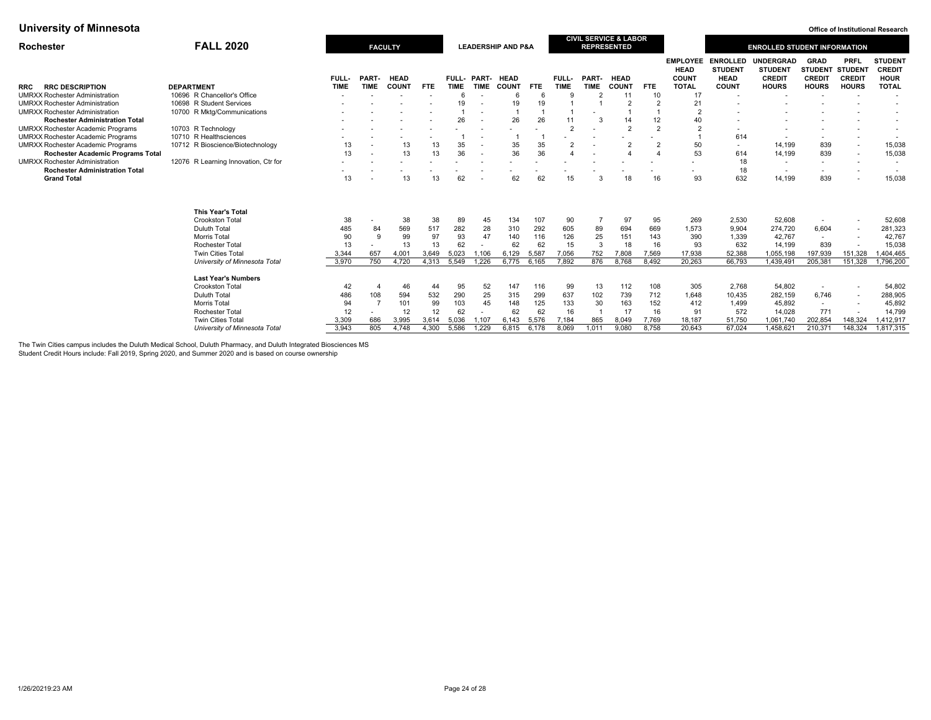| Rochester                                | <b>FALL 2020</b>                     |                          | <b>FACULTY</b>           |             |       |             |                          | <b>LEADERSHIP AND P&amp;A</b> |            |                |                          | <b>CIVIL SERVICE &amp; LABOR</b><br><b>REPRESENTED</b> |                |                                                |                                                  | <b>ENROLLED STUDENT INFORMATION</b>                 |                                                        |                          |                                                |
|------------------------------------------|--------------------------------------|--------------------------|--------------------------|-------------|-------|-------------|--------------------------|-------------------------------|------------|----------------|--------------------------|--------------------------------------------------------|----------------|------------------------------------------------|--------------------------------------------------|-----------------------------------------------------|--------------------------------------------------------|--------------------------|------------------------------------------------|
|                                          |                                      | <b>FULL-</b>             | PART-                    | <b>HEAD</b> |       | FULL- PART- |                          | <b>HEAD</b>                   |            | FULL-          | PART-                    | <b>HEAD</b>                                            |                | <b>EMPLOYEE</b><br><b>HEAD</b><br><b>COUNT</b> | <b>ENROLLED</b><br><b>STUDENT</b><br><b>HEAD</b> | <b>UNDERGRAD</b><br><b>STUDENT</b><br><b>CREDIT</b> | <b>GRAD</b><br><b>STUDENT STUDENT</b><br><b>CREDIT</b> | PRFL<br><b>CREDIT</b>    | <b>STUDENT</b><br><b>CREDIT</b><br><b>HOUR</b> |
| <b>RRC DESCRIPTION</b><br>RRC            | <b>DEPARTMENT</b>                    | <b>TIME</b>              | <b>TIME</b>              | COUNT       | FTE.  | <b>TIME</b> | <b>TIME</b>              | <b>COUNT</b>                  | <b>FTE</b> | <b>TIME</b>    | <b>TIME</b>              | <b>COUNT</b>                                           | FTE.           | <b>TOTAL</b>                                   | <b>COUNT</b>                                     | <b>HOURS</b>                                        | <b>HOURS</b>                                           | <b>HOURS</b>             | <b>TOTAL</b>                                   |
| <b>UMRXX Rochester Administration</b>    | 10696 R Chancellor's Office          | $\overline{\phantom{a}}$ |                          |             |       | 6           |                          |                               | 6          | q              | $\mathcal{P}$            | 11                                                     | 10             | 17                                             | $\overline{\phantom{a}}$                         | $\overline{\phantom{a}}$                            |                                                        | ٠.                       | $\overline{\phantom{a}}$                       |
| <b>UMRXX Rochester Administration</b>    | 10698 R Student Services             |                          |                          |             |       | 19          |                          | 19                            | 19         |                |                          | $\overline{2}$                                         |                | 21                                             |                                                  |                                                     |                                                        |                          | $\overline{\phantom{a}}$                       |
| <b>UMRXX Rochester Administration</b>    | 10700 R Mktg/Communications          |                          |                          |             |       |             |                          |                               |            |                |                          |                                                        |                |                                                |                                                  |                                                     |                                                        |                          |                                                |
| <b>Rochester Administration Total</b>    |                                      |                          |                          |             |       | 26          | $\sim$                   | 26                            | 26         | 11             | 3                        | 14                                                     | 12             |                                                |                                                  |                                                     |                                                        |                          | $\overline{\phantom{a}}$                       |
| <b>UMRXX Rochester Academic Programs</b> | 10703 R Technology                   |                          |                          |             |       |             |                          |                               |            | $\overline{2}$ |                          | $\overline{2}$                                         | $\overline{2}$ |                                                |                                                  |                                                     |                                                        |                          | $\overline{\phantom{a}}$                       |
| <b>UMRXX Rochester Academic Programs</b> | 10710 R Healthsciences               |                          |                          |             |       |             |                          |                               |            |                |                          |                                                        |                |                                                | 614                                              | $\blacksquare$                                      |                                                        | ۰.                       |                                                |
| <b>UMRXX Rochester Academic Programs</b> | 10712 R Bioscience/Biotechnology     | 13                       |                          | 13          | 13    | 35          | $\sim$                   | 35                            | 35         | $\overline{2}$ | $\overline{\phantom{a}}$ | $\overline{2}$                                         |                | 50                                             | $\overline{\phantom{a}}$                         | 14,199                                              | 839                                                    | $\overline{\phantom{a}}$ | 15,038                                         |
| Rochester Academic Programs Total        |                                      | 13                       |                          | 13          | 13    | 36          | $\overline{\phantom{a}}$ | 36                            | 36         | $\overline{4}$ | $\overline{\phantom{a}}$ |                                                        |                | 53                                             | 614                                              | 14,199                                              | 839                                                    |                          | 15,038                                         |
| <b>UMRXX Rochester Administration</b>    | 12076 R Learning Innovation, Ctr for |                          |                          |             |       |             |                          |                               |            |                |                          |                                                        |                |                                                | 18                                               | $\sim$                                              | ۰                                                      | ٠.                       | $\overline{\phantom{a}}$                       |
| <b>Rochester Administration Total</b>    |                                      |                          |                          |             |       |             |                          |                               |            |                |                          |                                                        |                |                                                | 18                                               | $\overline{\phantom{a}}$                            | ۰                                                      |                          |                                                |
| <b>Grand Total</b>                       |                                      | 13                       |                          | 13          | 13    | 62          |                          | 62                            | 62         | 15             |                          | 18                                                     | 16             | 93                                             | 632                                              | 14.199                                              | 839                                                    | ٠.                       | 15,038                                         |
|                                          | <b>This Year's Total</b>             |                          |                          |             |       |             |                          |                               |            |                |                          |                                                        |                |                                                |                                                  |                                                     |                                                        |                          |                                                |
|                                          | <b>Crookston Total</b>               | 38                       |                          | 38          | 38    | 89          | 45                       | 134                           | 107        | 90             |                          | 97                                                     | 95             | 269                                            | 2,530                                            | 52,608                                              |                                                        |                          | 52,608                                         |
|                                          | <b>Duluth Total</b>                  | 485                      | 84                       | 569         | 517   | 282         | 28                       | 310                           | 292        | 605            | 89                       | 694                                                    | 669            | 1,573                                          | 9,904                                            | 274,720                                             | 6,604                                                  | $\overline{\phantom{a}}$ | 281,323                                        |
|                                          | Morris Total                         | 90                       |                          | 99          | 97    | 93          | 47                       | 140                           | 116        | 126            | 25                       | 151                                                    | 143            | 390                                            | 1,339                                            | 42,767                                              | $\overline{\phantom{a}}$                               | $\overline{\phantom{a}}$ | 42,767                                         |
|                                          | <b>Rochester Total</b>               | 13                       | $\overline{\phantom{a}}$ | 13          | 13    | 62          |                          | 62                            | 62         | 15             | 3                        | 18                                                     | 16             | 93                                             | 632                                              | 14,199                                              | 839                                                    |                          | 15,038                                         |
|                                          | <b>Twin Cities Total</b>             | 3,344                    | 657                      | 4,001       | 3,649 | 5,023       | .106                     | 6,129                         | 5.587      | 7,056          | 752                      | 7,808                                                  | 7,569          | 17,938                                         | 52,388                                           | 1,055,198                                           | 197,939                                                | 151,328                  | 404,465                                        |
|                                          | University of Minnesota Total        | 3,970                    | 750                      | 4,720       | 4,313 | 5,549       | 1.226                    | 6,775                         | 6.165      | 7,892          | 876                      | 8.768                                                  | 8.492          | 20,263                                         | 66,793                                           | 1,439,491                                           | 205,381                                                | 151,328                  | 1,796,200                                      |
|                                          |                                      |                          |                          |             |       |             |                          |                               |            |                |                          |                                                        |                |                                                |                                                  |                                                     |                                                        |                          |                                                |
|                                          | <b>Last Year's Numbers</b>           |                          |                          |             |       |             |                          |                               |            |                |                          |                                                        |                |                                                |                                                  |                                                     |                                                        |                          |                                                |
|                                          | <b>Crookston Total</b>               | 42                       |                          | 46          | 44    | 95          | 52                       | 147                           | 116        | 99             | 13                       | 112                                                    | 108            | 305                                            | 2.768                                            | 54.802                                              | $\overline{\phantom{a}}$                               |                          | 54,802                                         |
|                                          | Duluth Total                         | 486                      | 108                      | 594         | 532   | 290         | 25                       | 315                           | 299        | 637            | 102                      | 739                                                    | 712            | 1,648                                          | 10,435                                           | 282,159                                             | 6,746                                                  | $\overline{\phantom{a}}$ | 288,905                                        |
|                                          | Morris Total                         | 94                       |                          | 101         | 99    | 103         | 45                       | 148                           | 125        | 133            | 30                       | 163                                                    | 152            | 412                                            | 1,499                                            | 45,892                                              | $\overline{\phantom{a}}$                               | ٠                        | 45,892                                         |
|                                          | Rochester Total                      | 12                       |                          | 12          | 12    | 62          |                          | 62                            | 62         | 16             |                          | 17                                                     | 16             | 91                                             | 572                                              | 14,028                                              | 771                                                    |                          | 14,799                                         |
|                                          | Twin Cities Total                    | 3,309                    | 686                      | 3,995       | 3,614 | 5,036       | ,107                     | 6,143                         | 5,576      | 7,184          | 865                      | 8,049                                                  | 7,769          | 18,187                                         | 51,750                                           | 1,061,740                                           | 202,854                                                | 148,324                  | 1,412,917                                      |
|                                          | University of Minnesota Total        | 3.943                    | 805                      | 4.748       | 4.300 | 5.586       | 1.229                    | 6.815                         | 6.178      | 8.069          | 1.011                    | 9.080                                                  | 8.758          | 20.643                                         | 67,024                                           | 1,458,621                                           | 210.371                                                | 148,324                  | 1.817.315                                      |

The Twin Cities campus includes the Duluth Medical School, Duluth Pharmacy, and Duluth Integrated Biosciences MS

Student Credit Hours include: Fall 2019, Spring 2020, and Summer 2020 and is based on course ownership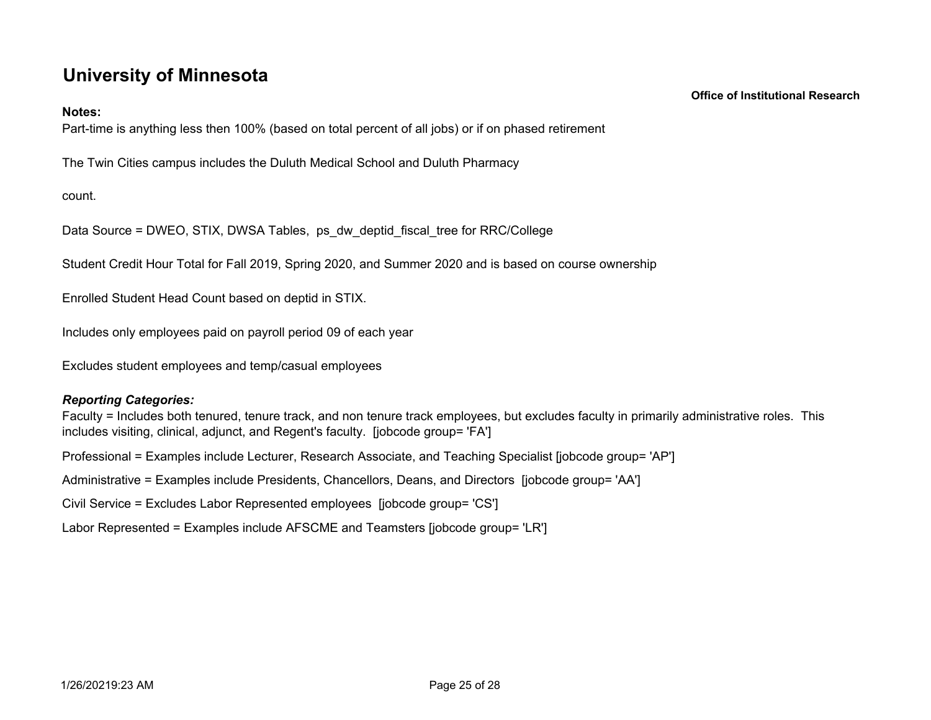# **University of Minnesota**

## **Notes:**

Part-time is anything less then 100% (based on total percent of all jobs) or if on phased retirement

The Twin Cities campus includes the Duluth Medical School and Duluth Pharmacy

count.

Data Source = DWEO, STIX, DWSA Tables, ps\_dw\_deptid\_fiscal\_tree for RRC/College

Student Credit Hour Total for Fall 2019, Spring 2020, and Summer 2020 and is based on course ownership

Enrolled Student Head Count based on deptid in STIX.

Includes only employees paid on payroll period 09 of each year

Excludes student employees and temp/casual employees

# *Reporting Categories:*

Faculty = Includes both tenured, tenure track, and non tenure track employees, but excludes faculty in primarily administrative roles. This includes visiting, clinical, adjunct, and Regent's faculty. [jobcode group= 'FA']

Professional = Examples include Lecturer, Research Associate, and Teaching Specialist [jobcode group= 'AP']

Administrative = Examples include Presidents, Chancellors, Deans, and Directors [jobcode group= 'AA']

Civil Service = Excludes Labor Represented employees [jobcode group= 'CS']

Labor Represented = Examples include AFSCME and Teamsters [jobcode group= 'LR']

 **Office of Institutional Research**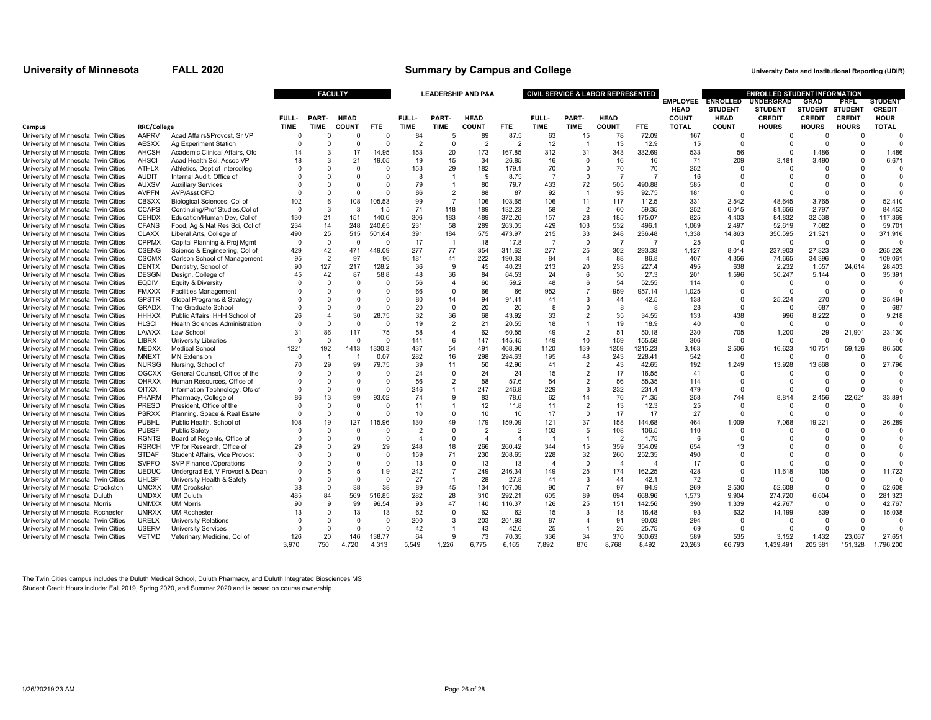#### **University of Minnesota FALL 2020 University Data and Institutional Reporting (UDIR) Summary by Campus and College**

|                                                                              |                              |                                                           |                      |                      | <b>FACULTY</b>       |                      | <b>LEADERSHIP AND P&amp;A</b> |                                  |                          |                  |                       |                     | <b>CIVIL SERVICE &amp; LABOR REPRESENTED</b> |                          | <b>EMPLOYEE ENROLLED</b> |                   | <b>ENROLLED STUDENT INFORMATION</b><br><b>UNDERGRAD</b> | <b>GRAD</b>              | <b>PRFL</b>    | <b>STUDENT</b>       |
|------------------------------------------------------------------------------|------------------------------|-----------------------------------------------------------|----------------------|----------------------|----------------------|----------------------|-------------------------------|----------------------------------|--------------------------|------------------|-----------------------|---------------------|----------------------------------------------|--------------------------|--------------------------|-------------------|---------------------------------------------------------|--------------------------|----------------|----------------------|
|                                                                              |                              |                                                           |                      |                      |                      |                      |                               |                                  |                          |                  |                       |                     |                                              |                          | <b>HEAD</b>              | <b>STUDENT</b>    | <b>STUDENT</b>                                          | <b>STUDENT</b>           | <b>STUDENT</b> | <b>CREDIT</b>        |
|                                                                              |                              |                                                           | FULL-                | PART.                | <b>HEAD</b>          |                      | FULL-                         | PART-                            | <b>HEAD</b>              |                  | FULL-                 | PART-               | <b>HEAD</b>                                  |                          | <b>COUNT</b>             | <b>HEAD</b>       | <b>CREDIT</b>                                           | <b>CREDIT</b>            | <b>CREDIT</b>  | <b>HOUR</b>          |
| Campus                                                                       | <b>RRC/College</b>           |                                                           | <b>TIME</b>          | <b>TIME</b>          | <b>COUNT</b>         | <b>FTE</b>           | <b>TIME</b>                   | <b>TIME</b>                      | <b>COUNT</b>             | <b>FTE</b>       | <b>TIME</b>           | <b>TIME</b>         | <b>COUNT</b>                                 | <b>FTE</b>               | <b>TOTAL</b>             | <b>COUNT</b>      | <b>HOURS</b>                                            | <b>HOURS</b>             | <b>HOURS</b>   | <b>TOTAL</b>         |
| University of Minnesota, Twin Cities                                         | AAPRV                        | Acad Affairs&Provost, Sr VP                               | $\Omega$             |                      | $\Omega$             | $\Omega$             | 84                            | 5                                | 89                       | 87.5             | 63                    | 15                  | 78                                           | 72.09                    | 167                      | $\Omega$          | $\Omega$                                                | $\sqrt{ }$               | $\Omega$       | $\Omega$             |
| University of Minnesota, Twin Cities                                         | AESXX                        | Ag Experiment Station                                     | $\Omega$             | $\Omega$             | $\Omega$             | $\Omega$             | $\mathcal{P}$                 | $\Omega$                         | $\overline{\phantom{a}}$ | 2                | 12                    |                     | 13                                           | 12.9                     | 15                       | $\Omega$          |                                                         | C                        | $\Omega$       | $\Omega$             |
| University of Minnesota, Twin Cities                                         | <b>AHCSH</b>                 | Academic Clinical Affairs, Ofc                            | 14                   | 3                    | 17                   | 14.95                | 153                           | 20                               | 173                      | 167.85           | 312                   | 31                  | 343                                          | 332.69                   | 533                      | 56                | $\Omega$                                                | 1.486                    | C              | 1.486                |
| University of Minnesota, Twin Cities                                         | <b>AHSCI</b>                 | Acad Health Sci, Assoc VP                                 | 18                   | 3                    | 21                   | 19.05                | 19                            | 15                               | 34                       | 26.85            | 16                    | $\Omega$            | 16                                           | 16                       | 71                       | 209               | 3,181                                                   | 3,490                    | $\Omega$       | 6,671                |
| University of Minnesota, Twin Cities                                         | <b>ATHLX</b>                 | Athletics, Dept of Intercolleg                            |                      | $\Omega$             | $\Omega$             | $\Omega$             | 153                           | 29                               | 182                      | 179.1            | 70                    | O                   | 70                                           | 70                       | 252                      | $\Omega$          | $\Omega$                                                | $\Omega$                 |                | $\Omega$             |
| University of Minnesota, Twin Cities                                         | <b>AUDIT</b>                 | Internal Audit, Office of                                 |                      | $\Omega$             | $\Omega$             | $\Omega$             | 8                             | $\overline{1}$                   | -9                       | 8.75             | $\overline{7}$        | $\Omega$            | $\overline{7}$                               | 7                        | 16                       | $\Omega$          | $\Omega$                                                | $\Omega$                 |                | $\Omega$             |
| University of Minnesota, Twin Cities                                         | AUXSV                        | <b>Auxiliary Services</b>                                 |                      | $\Omega$             | $\Omega$             | $\Omega$             | 79                            | $\mathbf{1}$                     | 80                       | 79.7             | 433                   | 72                  | 505                                          | 490.88                   | 585                      | $\Omega$          |                                                         | $\Omega$                 |                | $\Omega$             |
| University of Minnesota, Twin Cities                                         | <b>AVPFN</b>                 | AVP/Asst CFO                                              | $\Omega$             | $\Omega$             | $\Omega$             | $\Omega$             | 86                            | $\overline{2}$                   | 88                       | 87               | 92                    |                     | 93                                           | 92.75                    | 181                      | $\Omega$          | $\Omega$                                                | $\Omega$                 | C              |                      |
| University of Minnesota, Twin Cities                                         | <b>CBSXX</b>                 | Biological Sciences, Col of                               | 102                  | 6                    | 108                  | 105.53               | 99                            | $\overline{7}$                   | 106                      | 103.65           | 106                   | 11                  | 117                                          | 112.5                    | 331                      | 2,542             | 48,645                                                  | 3.765                    | $\Omega$       | 52.410               |
| University of Minnesota, Twin Cities                                         | <b>CCAPS</b>                 | Continuing/Prof Studies, Col of                           | $\Omega$             | 3                    | 3                    | 1.5                  | 71                            | 118                              | 189                      | 132.23           | 58                    | $\overline{2}$      | 60                                           | 59.35                    | 252                      | 6.015             | 81,656                                                  | 2,797                    |                | 84.453               |
| University of Minnesota, Twin Cities                                         | <b>CEHDX</b>                 | Education/Human Dev, Col of                               | 130                  | 21                   | 151                  | 140.6                | 306                           | 183                              | 489                      | 372.26           | 157                   | 28                  | 185                                          | 175.07                   | 825                      | 4.403             | 84,832                                                  | 32,538                   | $\Omega$       | 117,369              |
| University of Minnesota, Twin Cities                                         | <b>CFANS</b>                 | Food, Ag & Nat Res Sci, Col of                            | 234                  | 14                   | 248                  | 240.65               | 231                           | 58                               | 289                      | 263.05           | 429                   | 103                 | 532                                          | 496.1                    | 1,069                    | 2,497             | 52,619                                                  | 7,082                    | $\Omega$       | 59,701               |
| University of Minnesota, Twin Cities                                         | <b>CLAXX</b>                 | Liberal Arts, College of                                  | 490                  | 25                   | 515                  | 501.64               | 391                           | 184                              | 575                      | 473.97           | 215                   | 33                  | 248                                          | 236.48                   | 1,338                    | 14,863            | 350,595                                                 | 21,321                   | $\Omega$       | 371,916              |
| University of Minnesota, Twin Cities                                         | <b>CPPMX</b>                 | Capital Planning & Proj Mgmt                              | $\Omega$             | $\Omega$             | $\Omega$             | $\Omega$             | 17                            | $\mathbf{1}$                     | 18                       | 17.8             | -7                    | $\Omega$            | -7                                           | $\overline{7}$           | 25                       | $\Omega$          | $\Omega$                                                | $\Omega$                 | n              | $\Omega$             |
| University of Minnesota, Twin Cities                                         | <b>CSENG</b>                 | Science & Engineering, Col of                             | 429                  | 42                   | 471                  | 449.09               | 277                           | 77                               | 354                      | 311.62           | 277                   | 25                  | 302                                          | 293.33                   | 1,127                    | 8,014             | 237,903                                                 | 27,323                   | $\Omega$       | 265,226              |
| University of Minnesota, Twin Cities                                         | <b>CSOMX</b>                 | Carlson School of Management                              | 95                   | $\overline{2}$       | 97                   | 96                   | 181                           | 41                               | 222                      | 190.33           | 84                    | $\overline{A}$      | 88                                           | 86.8                     | 407                      | 4,356             | 74,665                                                  | 34,396                   | $\Omega$       | 109,061              |
| University of Minnesota, Twin Cities                                         | <b>DENTX</b>                 | Dentistry, School of                                      | 90                   | 127                  | 217                  | 128.2                | 36                            | 9                                | 45                       | 40.23            | 213                   | 20                  | 233                                          | 227.4                    | 495                      | 638               | 2,232                                                   | 1,557                    | 24,614         | 28,403               |
| University of Minnesota, Twin Cities                                         | <b>DESGN</b>                 | Design, College of                                        | 45                   | 42                   | 87                   | 58.8                 | 48                            | 36                               | 84                       | 64.53            | 24                    | 6                   | 30                                           | 27.3                     | 201                      | 1.596             | 30,247                                                  | 5.144                    | 0              | 35,391               |
| University of Minnesota, Twin Cities                                         | <b>EQDIV</b>                 | Equity & Diversity                                        |                      | $\Omega$             | $\Omega$             | $\Omega$             | 56                            | $\overline{a}$                   | 60                       | 59.2             | 48                    | 6                   | 54                                           | 52.55                    | 114                      | $\Omega$          | $\Omega$                                                | $\Omega$                 | $\Omega$       | $\Omega$             |
| University of Minnesota, Twin Cities                                         | <b>FMXXX</b>                 | <b>Facilities Management</b>                              |                      | $\Omega$             | $\Omega$             | 0                    | 66                            | $\Omega$                         | 66                       | 66               | 952                   |                     | 959                                          | 957.14                   | 1,025                    | 0                 | $\Omega$                                                | $\mathbf 0$              | n              | $\Omega$             |
| University of Minnesota, Twin Cities                                         | <b>GPSTR</b>                 | Global Programs & Strategy                                |                      | $\Omega$             | $\Omega$             | $\Omega$             | 80                            | 14                               | 94                       | 91.41            | 41                    | 3                   | 44                                           | 42.5                     | 138                      | $\Omega$          | 25,224                                                  | 270                      | $\Omega$       | 25,494               |
| University of Minnesota, Twin Cities                                         | <b>GRADX</b>                 | The Graduate School                                       |                      | $\Omega$             | $\Omega$             | $\Omega$             | 20                            | $\Omega$                         | 20                       | 20               | 8                     | $\Omega$            | 8                                            | -8                       | 28                       | $\Omega$          | $\Omega$                                                | 687                      | $\Omega$       | 687                  |
| University of Minnesota, Twin Cities                                         | <b>HHHXX</b>                 | Public Affairs, HHH School of                             | 26                   |                      | 30                   | 28.75                | 32                            | 36                               | 68                       | 43.92            | 33                    | 2                   | 35                                           | 34.55                    | 133                      | 438               | 996                                                     | 8,222                    |                | 9,218                |
| University of Minnesota, Twin Cities                                         | <b>HLSCI</b>                 | <b>Health Sciences Administration</b>                     | $\Omega$             | $\Omega$             | $\Omega$             | $\Omega$             | 19                            | $\overline{2}$                   | 21                       | 20.55            | 18                    |                     | 19                                           | 18.9                     | 40                       | $\Omega$          | $\Omega$                                                | $\Omega$                 | $\Omega$       | $\Omega$             |
| University of Minnesota, Twin Cities                                         | LAWXX                        | Law School                                                | 31                   | 86                   | 117                  | 75                   | 58                            | $\overline{4}$                   | 62                       | 60.55            | 49                    | $\overline{2}$      | 51                                           | 50.18                    | 230                      | 705               | 1,200                                                   | 29                       | 21,901         | 23,130               |
| University of Minnesota, Twin Cities                                         | <b>LIBRX</b>                 | <b>University Libraries</b>                               | $\Omega$             | $\Omega$             | $\Omega$             | $\Omega$             | 141                           | 6                                | 147                      | 145.45           | 149                   | 10                  | 159                                          | 155.58                   | 306                      | $\Omega$          | $\Omega$                                                | $\Omega$                 | $\Omega$       | $\Omega$             |
| University of Minnesota, Twin Cities                                         | <b>MEDXX</b>                 | Medical School                                            | 1221                 | 192                  | 1413                 | 1330.3               | 437                           | 54                               | 491                      | 468.96           | 1120                  | 139                 | 1259                                         | 1215.23                  | 3,163                    | 2,506             | 16,623                                                  | 10.751                   | 59,126         | 86,500               |
| University of Minnesota, Twin Cities                                         | <b>MNEXT</b>                 | <b>MN Extension</b>                                       | $\Omega$             | $\overline{1}$       | $\overline{1}$       | 0.07                 | 282                           | 16                               | 298                      | 294.63           | 195                   | 48                  | 243                                          | 228.41                   | 542                      | $\Omega$          | $\Omega$                                                | $\sqrt{ }$               | $\Omega$       |                      |
| University of Minnesota, Twin Cities                                         | <b>NURSG</b>                 | Nursing, School of                                        | 70                   | 29                   | 99<br>$\Omega$       | 79.75<br>$\Omega$    | 39                            | 11                               | 50                       | 42.96            | 41                    | $\overline{2}$      | 43                                           | 42.65                    | 192                      | 1,249<br>$\Omega$ | 13,928                                                  | 13,868                   |                | 27,796               |
| University of Minnesota, Twin Cities                                         | <b>OGCXX</b><br><b>OHRXX</b> | General Counsel, Office of the                            | $\Omega$             | $\Omega$             |                      | $\Omega$             | 24<br>56                      | $\Omega$                         | 24<br>58                 | 24<br>57.6       | 15                    | $\overline{2}$      | 17<br>56                                     | 16.55<br>55.35           | 41                       |                   | $\Omega$                                                | $\sqrt{ }$<br>$\sqrt{ }$ |                | $\Omega$<br>$\Omega$ |
| University of Minnesota, Twin Cities                                         |                              | Human Resources, Office of                                | $\Omega$<br>$\Omega$ | $\Omega$<br>$\Omega$ | $\Omega$             |                      |                               | $\overline{2}$                   |                          |                  | 54                    | $\overline{2}$      |                                              |                          | 114                      | $\Omega$          |                                                         | $\sqrt{ }$               | C              | $\Omega$             |
| University of Minnesota, Twin Cities                                         | <b>OITXX</b>                 | Information Technology, Ofc of                            |                      |                      | $\Omega$             | $\Omega$             | 246                           | $\overline{1}$                   | 247                      | 246.8            | 229                   | 3                   | 232                                          | 231.4                    | 479                      | $\Omega$          |                                                         |                          |                |                      |
| University of Minnesota, Twin Cities                                         | PHARM                        | Pharmacy, College of                                      | 86                   | 13<br>$\Omega$       | 99                   | 93.02                | 74                            | 9                                | 83                       | 78.6             | 62                    | 14                  | 76                                           | 71.35                    | 258                      | 744               | 8.814                                                   | 2.456                    | 22.621         | 33.891<br>$\Omega$   |
| University of Minnesota, Twin Cities                                         | PRESD                        | President. Office of the                                  |                      |                      | $\Omega$             | $\Omega$<br>$\Omega$ | 11                            | $\mathbf{1}$                     | 12                       | 11.8             | 11                    | $\overline{2}$      | 13                                           | 12.3                     | 25                       | $\Omega$          | - 0                                                     | $\Omega$                 | $\Omega$       |                      |
| University of Minnesota, Twin Cities                                         | <b>PSRXX</b>                 | Planning, Space & Real Estate                             | $\Omega$             | $\Omega$             | $\Omega$             |                      | 10                            | $\Omega$                         | 10                       | 10               | 17                    | $\Omega$            | 17                                           | 17                       | 27                       | $\Omega$          | $\Omega$                                                | C                        | $\Omega$       |                      |
| University of Minnesota, Twin Cities                                         | <b>PUBHL</b>                 | Public Health, School of                                  | 108                  | 19                   | 127                  | 115.96               | 130<br>$\mathcal{P}$          | 49                               | 179<br>$\overline{2}$    | 159.09<br>2      | 121                   | 37<br>5             | 158                                          | 144.68                   | 464                      | 1,009             | 7,068<br>$\Omega$                                       | 19,221<br>$\Omega$       | n              | 26,289               |
| University of Minnesota, Twin Cities                                         | <b>PUBSF</b>                 | <b>Public Safety</b>                                      |                      | $\Omega$             | $\Omega$<br>$\Omega$ | $\Omega$<br>$\Omega$ |                               | $\Omega$<br>$\Omega$             |                          |                  | 103                   |                     | 108                                          | 106.5                    | 110                      | $\Omega$          |                                                         |                          |                | $\Omega$             |
| University of Minnesota, Twin Cities                                         | <b>RGNTS</b>                 | Board of Regents, Office of                               | $\Omega$             | $\Omega$             |                      |                      | $\overline{4}$                |                                  | $\overline{4}$           | $\overline{4}$   |                       |                     | $\overline{2}$                               | 1.75                     | -6                       | $\Omega$          |                                                         | $\Omega$                 |                |                      |
| University of Minnesota, Twin Cities                                         | <b>RSRCH</b>                 | VP for Research, Office of                                | 29<br>$\Omega$       | $\Omega$<br>$\Omega$ | 29<br>$\Omega$       | 29<br>$\Omega$       | 248<br>159                    | 18                               | 266<br>230               | 260.42<br>208.65 | 344                   | 15                  | 359                                          | 354.09                   | 654<br>490               | 13<br>$\Omega$    | $\Omega$                                                | $\Omega$                 |                | $\Omega$<br>$\Omega$ |
| University of Minnesota, Twin Cities                                         | <b>STDAF</b>                 | Student Affairs, Vice Provost                             |                      | $\Omega$             |                      | $\Omega$             |                               | 71<br>$\Omega$                   |                          |                  | 228<br>$\overline{4}$ | 32<br>$\Omega$      | 260                                          | 252.35<br>$\overline{4}$ |                          | $\Omega$          | $\Omega$                                                |                          |                |                      |
| University of Minnesota, Twin Cities                                         | <b>SVPFO</b>                 | SVP Finance /Operations                                   |                      |                      | $\Omega$             |                      | 13                            |                                  | 13                       | 13               |                       |                     | $\overline{4}$                               |                          | 17                       |                   |                                                         | $\Omega$                 |                |                      |
| University of Minnesota, Twin Cities                                         | <b>UEDUC</b>                 | Undergrad Ed. V Provost & Dean                            |                      | -5<br>$\Omega$       | 5<br>$\Omega$        | 1.9<br>$\Omega$      | 242                           | $\overline{7}$<br>$\overline{1}$ | 249                      | 246.34           | 149                   | 25                  | 174<br>44                                    | 162.25                   | 428                      | $\Omega$          | 11,618<br>$\Omega$                                      | 105<br>$\Omega$          | C              | 11,723               |
| University of Minnesota, Twin Cities                                         | <b>UHLSF</b>                 | University Health & Safety                                |                      |                      |                      |                      | 27                            |                                  | 28                       | 27.8             | 41                    | 3<br>$\overline{7}$ |                                              | 42.1                     | 72                       | $\Omega$          |                                                         |                          |                |                      |
| University of Minnesota, Crookston                                           | <b>UMCXX</b><br><b>UMDXX</b> | <b>UM Crookston</b>                                       | 38                   | $\Omega$             | 38                   | 38                   | 89                            | 45                               | 134<br>310               | 107.09<br>292.21 | 90<br>605             |                     | 97<br>694                                    | 94.9<br>668.96           | 269                      | 2,530<br>9.904    | 52,608                                                  | $\Omega$                 | $\Omega$       | 52,608               |
| University of Minnesota, Duluth                                              |                              | <b>UM Duluth</b>                                          | 485                  | 84<br>$\mathbf{q}$   | 569                  | 516.85               | 282                           | 28                               |                          |                  |                       | 89                  |                                              |                          | 1,573                    |                   | 274,720                                                 | 6,604                    |                | 281,323              |
| University of Minnesota, Morris                                              | <b>UMMXX</b><br><b>UMRXX</b> | <b>UM Morris</b><br><b>UM Rochester</b>                   | 90                   | $\Omega$             | 99                   | 96.54                | 93<br>62                      | 47<br>$\Omega$                   | 140<br>62                | 116.37<br>62     | 126                   | 25<br>3             | 151                                          | 142.56                   | 390                      | 1,339             | 42,767                                                  | $\Omega$                 | $\Omega$       | 42,767               |
| University of Minnesota, Rochester                                           |                              |                                                           | 13                   | $\Omega$             | 13<br>$\Omega$       | 13<br>$\Omega$       | 200                           | 3                                | 203                      | 201.93           | 15<br>87              |                     | 18<br>91                                     | 16.48<br>90.03           | 93<br>294                | 632<br>$\Omega$   | 14,199<br>$\Omega$                                      | 839<br>$\Omega$          | C              | 15,038<br>$\Omega$   |
| University of Minnesota, Twin Cities<br>University of Minnesota, Twin Cities | <b>URELX</b><br><b>USERV</b> | <b>University Relations</b><br><b>University Services</b> | $\Omega$             | $\Omega$             | $\Omega$             | $\mathbf 0$          | 42                            | $\mathbf{1}$                     | 43                       | 42.6             | 25                    |                     | 26                                           | 25.75                    | 69                       | $\mathbf 0$       | $\Omega$                                                | $\Omega$                 | $\Omega$       | $\Omega$             |
| University of Minnesota, Twin Cities                                         | <b>VETMD</b>                 | Veterinary Medicine, Col of                               | 126                  | 20                   | 146                  | 138.77               | 64                            | $\alpha$                         | 73                       | 70.35            | 336                   | 34                  | 370                                          | 360.63                   | 589                      | 535               | 3.152                                                   | 1.432                    | 23.067         | 27.651               |
|                                                                              |                              |                                                           | 3.970                | 750                  | 4.720                | 4.313                | 5.549                         | 1.226                            | 6.775                    | 6.165            | 7.892                 | 876                 | 8.768                                        | 8.492                    | 20.263                   | 66.793            | 1.439.491                                               | 205.381                  | 151.328        | 1.796.200            |
|                                                                              |                              |                                                           |                      |                      |                      |                      |                               |                                  |                          |                  |                       |                     |                                              |                          |                          |                   |                                                         |                          |                |                      |

The Twin Cities campus includes the Duluth Medical School, Duluth Pharmacy, and Duluth Integrated Biosciences MS Student Credit Hours include: Fall 2019, Spring 2020, and Summer 2020 and is based on course ownership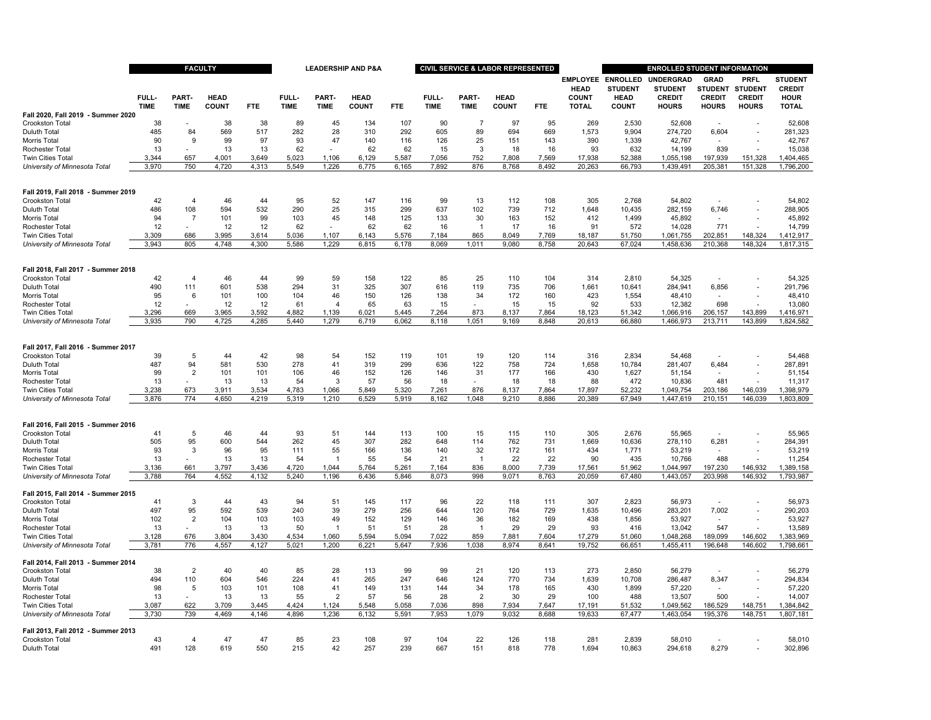|                                                       |                      | <b>FACULTY</b>       |                             |            |                      |                      | <b>LEADERSHIP AND P&amp;A</b> |                |                      |                          | <b>CIVIL SERVICE &amp; LABOR REPRESENTED</b> |                |                                         | <b>ENROLLED STUDENT INFORMATION</b> |                                    |                               |                               |                                 |  |
|-------------------------------------------------------|----------------------|----------------------|-----------------------------|------------|----------------------|----------------------|-------------------------------|----------------|----------------------|--------------------------|----------------------------------------------|----------------|-----------------------------------------|-------------------------------------|------------------------------------|-------------------------------|-------------------------------|---------------------------------|--|
|                                                       |                      |                      |                             |            |                      |                      |                               |                |                      |                          |                                              |                | <b>EMPLOYEE ENROLLED</b><br><b>HEAD</b> | <b>STUDENT</b>                      | <b>UNDERGRAD</b><br><b>STUDENT</b> | <b>GRAD</b><br><b>STUDENT</b> | <b>PRFL</b><br><b>STUDENT</b> | <b>STUDENT</b><br><b>CREDIT</b> |  |
|                                                       | FULL-<br><b>TIME</b> | PART-<br><b>TIME</b> | <b>HEAD</b><br><b>COUNT</b> | <b>FTE</b> | FULL-<br><b>TIME</b> | PART-<br><b>TIME</b> | <b>HEAD</b><br><b>COUNT</b>   | <b>FTE</b>     | FULL-<br><b>TIME</b> | PART-<br><b>TIME</b>     | <b>HEAD</b><br><b>COUNT</b>                  | <b>FTE</b>     | <b>COUNT</b><br><b>TOTAL</b>            | <b>HEAD</b><br><b>COUNT</b>         | <b>CREDIT</b><br><b>HOURS</b>      | <b>CREDIT</b><br><b>HOURS</b> | <b>CREDIT</b><br><b>HOURS</b> | <b>HOUR</b><br><b>TOTAL</b>     |  |
| Fall 2020, Fall 2019 - Summer 2020                    |                      |                      |                             |            |                      |                      |                               |                |                      |                          |                                              |                |                                         |                                     |                                    |                               |                               |                                 |  |
| Crookston Total                                       | 38                   |                      | 38                          | 38         | 89                   | 45                   | 134                           | 107            | 90                   | 7                        | 97                                           | 95             | 269                                     | 2,530                               | 52,608                             |                               |                               | 52,608                          |  |
| Duluth Total<br>Morris Total                          | 485<br>90            | 84<br>9              | 569<br>99                   | 517<br>97  | 282<br>93            | 28<br>47             | 310<br>140                    | 292<br>116     | 605<br>126           | 89<br>25                 | 694<br>151                                   | 669<br>143     | 1,573<br>390                            | 9,904<br>1,339                      | 274,720<br>42,767                  | 6,604                         |                               | 281,323<br>42,767               |  |
| Rochester Total                                       | 13                   |                      | 13                          | 13         | 62                   |                      | 62                            | 62             | 15                   | 3                        | 18                                           | 16             | 93                                      | 632                                 | 14,199                             | 839                           |                               | 15,038                          |  |
| <b>Twin Cities Total</b>                              | 3,344                | 657                  | 4,001                       | 3,649      | 5,023                | 1,106                | 6,129                         | 5,587          | 7,056                | 752                      | 7,808                                        | 7,569          | 17,938                                  | 52,388                              | 1,055,198                          | 197,939                       | 151,328                       | 1,404,465                       |  |
| University of Minnesota Total                         | 3,970                | 750                  | 4,720                       | 4,313      | 5,549                | 1,226                | 6,775                         | 6,165          | 7,892                | 876                      | 8,768                                        | 8,492          | 20,263                                  | 66,793                              | 1,439,491                          | 205,381                       | 151,328                       | 1,796,200                       |  |
| Fall 2019, Fall 2018 - Summer 2019                    |                      |                      |                             |            |                      |                      |                               |                |                      |                          |                                              |                |                                         |                                     |                                    |                               |                               |                                 |  |
| Crookston Total                                       | 42                   | $\overline{4}$       | 46                          | 44         | 95                   | 52                   | 147                           | 116            | 99                   | 13                       | 112                                          | 108            | 305                                     | 2,768                               | 54,802                             |                               |                               | 54,802                          |  |
| Duluth Tota                                           | 486                  | 108                  | 594                         | 532        | 290                  | 25                   | 315                           | 299            | 637                  | 102                      | 739                                          | 712            | 1,648                                   | 10,435                              | 282,159                            | 6,746                         |                               | 288,905                         |  |
| Morris Total                                          | 94                   | -7                   | 101                         | 99         | 103                  | 45                   | 148                           | 125            | 133                  | 30                       | 163                                          | 152            | 412                                     | 1,499                               | 45,892                             |                               |                               | 45,892                          |  |
| Rochester Total                                       | 12                   |                      | 12                          | 12         | 62                   |                      | 62                            | 62             | 16                   | $\overline{1}$           | 17                                           | 16             | 91                                      | 572                                 | 14,028                             | 771                           |                               | 14,799                          |  |
| Twin Cities Total                                     | 3,309                | 686<br>805           | 3,995<br>4,748              | 3,614      | 5,036                | 1,107<br>1,229       | 6,143                         | 5,576<br>6,178 | 7,184                | 865<br>1,011             | 8,049<br>9,080                               | 7,769<br>8,758 | 18,187                                  | 51,750                              | 1,061,755                          | 202,851                       | 148,324                       | 1,412,917                       |  |
| University of Minnesota Total                         | 3,943                |                      |                             | 4,300      | 5,586                |                      | 6,815                         |                | 8,069                |                          |                                              |                | 20,643                                  | 67,024                              | 1,458,636                          | 210,368                       | 148,324                       | 1,817,315                       |  |
| Fall 2018, Fall 2017 - Summer 2018                    |                      |                      |                             |            |                      |                      |                               |                |                      |                          |                                              |                |                                         |                                     |                                    |                               |                               |                                 |  |
| Crookston Total                                       | 42                   | $\overline{4}$       | 46                          | 44         | 99                   | 59                   | 158                           | 122            | 85                   | 25                       | 110                                          | 104            | 314                                     | 2,810                               | 54,325                             |                               |                               | 54,325                          |  |
| Duluth Tota<br>Morris Total                           | 490<br>95            | 111<br>6             | 601<br>101                  | 538<br>100 | 294<br>104           | 31<br>46             | 325<br>150                    | 307<br>126     | 616<br>138           | 119<br>34                | 735<br>172                                   | 706<br>160     | 1,661<br>423                            | 10,641<br>1,554                     | 284,941<br>48,410                  | 6,856<br>$\blacksquare$       |                               | 291,796<br>48,410               |  |
| Rochester Total                                       | 12                   |                      | 12                          | 12         | 61                   | $\overline{4}$       | 65                            | 63             | 15                   |                          | 15                                           | 15             | 92                                      | 533                                 | 12,382                             | 698                           |                               | 13,080                          |  |
| <b>Twin Cities Total</b>                              | 3.296                | 669                  | 3.965                       | 3,592      | 4,882                | 1.139                | 6.021                         | 5.445          | 7,264                | 873                      | 8,137                                        | 7,864          | 18,123                                  | 51.342                              | 1,066,916                          | 206,157                       | 143,899                       | 1,416,971                       |  |
| University of Minnesota Total                         | 3,935                | 790                  | 4,725                       | 4,285      | 5,440                | 1,279                | 6,719                         | 6,062          | 8,118                | 1,051                    | 9,169                                        | 8,848          | 20,613                                  | 66,880                              | 1,466,973                          | 213,711                       | 143,899                       | 1,824,582                       |  |
| Fall 2017, Fall 2016 - Summer 2017                    |                      |                      |                             |            |                      |                      |                               |                |                      |                          |                                              |                |                                         |                                     |                                    |                               |                               |                                 |  |
| <b>Crookston Total</b>                                | 39                   | -5                   | 44                          | 42         | 98                   | 54                   | 152                           | 119            | 101                  | 19                       | 120                                          | 114            | 316                                     | 2.834                               | 54.468                             |                               |                               | 54.468                          |  |
| Duluth Tota                                           | 487                  | 94                   | 581                         | 530        | 278                  | 41                   | 319                           | 299            | 636                  | 122                      | 758                                          | 724            | 1,658                                   | 10,784                              | 281,407                            | 6,484                         |                               | 287,891                         |  |
| Morris Total                                          | 99                   | $\overline{2}$       | 101                         | 101        | 106                  | 46                   | 152                           | 126            | 146                  | 31                       | 177                                          | 166            | 430                                     | 1,627                               | 51,154                             | $\overline{a}$                |                               | 51,154                          |  |
| Rochester Total                                       | 13                   |                      | 13                          | 13         | 54                   | 3                    | 57                            | 56             | 18                   | $\overline{\phantom{a}}$ | 18                                           | 18             | 88                                      | 472                                 | 10,836                             | 481                           |                               | 11,317                          |  |
| Twin Cities Total                                     | 3,238                | 673                  | 3.911                       | 3,534      | 4,783                | 1,066                | 5,849                         | 5,320          | 7,261                | 876                      | 8,137                                        | 7,864          | 17.897                                  | 52,232                              | 1,049,754                          | 203,186                       | 146,039                       | 1,398,979                       |  |
| University of Minnesota Total                         | 3,876                | 774                  | 4,650                       | 4,219      | 5.319                | 1.210                | 6,529                         | 5,919          | 8.162                | 1.048                    | 9,210                                        | 8.886          | 20.389                                  | 67.949                              | 1,447,619                          | 210,151                       | 146.039                       | 1,803,809                       |  |
| Fall 2016, Fall 2015 - Summer 2016                    |                      |                      |                             |            |                      |                      |                               |                |                      |                          |                                              |                |                                         |                                     |                                    |                               |                               |                                 |  |
| Crookston Total                                       | 41                   | 5                    | 46                          | 44         | 93                   | 51                   | 144                           | 113            | 100                  | 15                       | 115                                          | 110            | 305                                     | 2,676                               | 55,965                             |                               |                               | 55,965                          |  |
| Duluth Tota                                           | 505                  | 95                   | 600                         | 544        | 262                  | 45                   | 307                           | 282            | 648                  | 114                      | 762                                          | 731            | 1,669                                   | 10,636                              | 278,110                            | 6,281                         |                               | 284,391                         |  |
| Morris Total<br>Rochester Total                       | 93<br>13             | 3                    | 96<br>13                    | 95<br>13   | 111<br>54            | 55<br>$\overline{1}$ | 166<br>55                     | 136<br>54      | 140<br>21            | 32<br>-1                 | 172<br>22                                    | 161<br>22      | 434<br>90                               | 1,771<br>435                        | 53,219<br>10,766                   | 488                           |                               | 53,219<br>11,254                |  |
| <b>Twin Cities Total</b>                              | 3,136                | 661                  | 3,797                       | 3,436      | 4,720                | 1,044                | 5,764                         | 5,261          | 7,164                | 836                      | 8,000                                        | 7,739          | 17,561                                  | 51,962                              | 1,044,997                          | 197,230                       | 146,932                       | 1,389,158                       |  |
| University of Minnesota Total                         | 3,788                | 764                  | 4,552                       | 4,132      | 5.240                | 1.196                | 6.436                         | 5.846          | 8,073                | 998                      | 9.071                                        | 8.763          | 20,059                                  | 67,480                              | 1,443,057                          | 203,998                       | 146,932                       | 1,793,987                       |  |
| Fall 2015, Fall 2014 - Summer 2015                    |                      |                      |                             |            |                      |                      |                               |                |                      |                          |                                              |                |                                         |                                     |                                    |                               |                               |                                 |  |
| Crookston Total<br>Duluth Tota                        | 41<br>497            | 3<br>95              | 44<br>592                   | 43<br>539  | 94<br>240            | 51<br>39             | 145<br>279                    | 117<br>256     | 96<br>644            | 22<br>120                | 118<br>764                                   | 111<br>729     | 307<br>1,635                            | 2,823<br>10,496                     | 56,973<br>283,201                  | 7,002                         |                               | 56,973<br>290,203               |  |
| Morris Total                                          | 102                  | $\overline{2}$       | 104                         | 103        | 103                  | 49                   | 152                           | 129            | 146                  | 36                       | 182                                          | 169            | 438                                     | 1,856                               | 53,927                             |                               |                               | 53.927                          |  |
| Rochester Total                                       | 13                   |                      | 13                          | 13         | 50                   | 1                    | 51                            | 51             | 28                   | -1                       | 29                                           | 29             | 93                                      | 416                                 | 13,042                             | 547                           |                               | 13,589                          |  |
| <b>Twin Cities Total</b>                              | 3,128                | 676                  | 3.804                       | 3.430      | 4,534                | 1.060                | 5.594                         | 5.094          | 7.022                | 859                      | 7.881                                        | 7.604          | 17,279                                  | 51,060                              | 1,048,268                          | 189,099                       | 146,602                       | 1,383,969                       |  |
| University of Minnesota Total                         | 3.781                | 776                  | 4.557                       | 4.127      | 5.021                | 1.200                | 6.221                         | 5.647          | 7.936                | 1.038                    | 8.974                                        | 8.641          | 19.752                                  | 66.651                              | 1.455.411                          | 196,648                       | 146.602                       | 1,798,661                       |  |
| Fall 2014, Fall 2013 - Summer 2014<br>Crookston Total | 38                   | $\overline{2}$       | 40                          | 40         | 85                   | 28                   | 113                           | 99             | 99                   | 21                       | 120                                          | 113            | 273                                     | 2,850                               | 56,279                             | $\overline{\phantom{a}}$      |                               | 56,279                          |  |
| Duluth Total                                          | 494                  | 110                  | 604                         | 546        | 224                  | 41                   | 265                           | 247            | 646                  | 124                      | 770                                          | 734            | 1,639                                   | 10,708                              | 286,487                            | 8,347                         |                               | 294,834                         |  |
| Morris Total                                          | 98                   | 5                    | 103                         | 101        | 108                  | 41                   | 149                           | 131            | 144                  | 34                       | 178                                          | 165            | 430                                     | 1,899                               | 57,220                             |                               |                               | 57,220                          |  |
| Rochester Total                                       | 13                   |                      | 13                          | 13         | 55                   | $\overline{2}$       | 57                            | 56             | 28                   | 2                        | 30                                           | 29             | 100                                     | 488                                 | 13,507                             | 500                           |                               | 14,007                          |  |
| Twin Cities Total                                     | 3,087                | 622                  | 3,709                       | 3,445      | 4,424                | 1,124                | 5,548                         | 5,058          | 7,036                | 898                      | 7,934                                        | 7,647          | 17,191                                  | 51,532                              | 1,049,562                          | 186,529                       | 148,751                       | 1,384,842                       |  |
| University of Minnesota Total                         | 3,730                | 739                  | 4,469                       | 4,146      | 4,896                | 1,236                | 6,132                         | 5,591          | 7,953                | 1,079                    | 9,032                                        | 8,688          | 19,633                                  | 67,477                              | 1,463,054                          | 195,376                       | 148,751                       | 1,807,181                       |  |
| Fall 2013, Fall 2012 - Summer 2013<br>Crookston Total | 43                   | $\overline{4}$       | 47                          | 47         | 85                   | 23                   | 108                           | 97             | 104                  | 22                       | 126                                          | 118            | 281                                     | 2,839                               | 58,010                             |                               |                               | 58,010                          |  |
| Duluth Total                                          | 491                  | 128                  | 619                         | 550        | 215                  | 42                   | 257                           | 239            | 667                  | 151                      | 818                                          | 778            | 1,694                                   | 10,863                              | 294,618                            | 8,279                         |                               | 302,896                         |  |